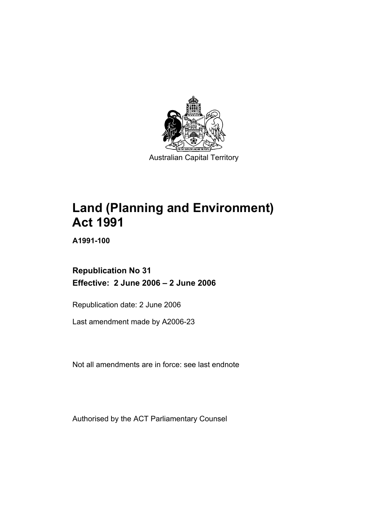

Australian Capital Territory

# **Land (Planning and Environment) Act 1991**

**A1991-100** 

**Republication No 31 Effective: 2 June 2006 – 2 June 2006** 

Republication date: 2 June 2006

Last amendment made by A2006-23

Not all amendments are in force: see last endnote

Authorised by the ACT Parliamentary Counsel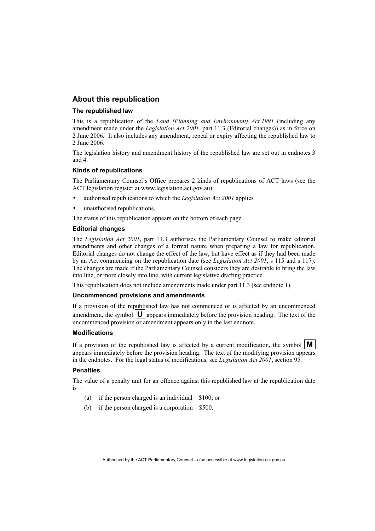#### **About this republication**

#### **The republished law**

This is a republication of the *Land (Planning and Environment) Act 1991* (including any amendment made under the *Legislation Act 2001*, part 11.3 (Editorial changes)) as in force on 2 June 2006*.* It also includes any amendment, repeal or expiry affecting the republished law to 2 June 2006.

The legislation history and amendment history of the republished law are set out in endnotes 3 and 4.

#### **Kinds of republications**

The Parliamentary Counsel's Office prepares 2 kinds of republications of ACT laws (see the ACT legislation register at www.legislation.act.gov.au):

- authorised republications to which the *Legislation Act 2001* applies
- unauthorised republications.

The status of this republication appears on the bottom of each page.

#### **Editorial changes**

The *Legislation Act 2001*, part 11.3 authorises the Parliamentary Counsel to make editorial amendments and other changes of a formal nature when preparing a law for republication. Editorial changes do not change the effect of the law, but have effect as if they had been made by an Act commencing on the republication date (see *Legislation Act 2001*, s 115 and s 117). The changes are made if the Parliamentary Counsel considers they are desirable to bring the law into line, or more closely into line, with current legislative drafting practice.

This republication does not include amendments made under part 11.3 (see endnote 1).

#### **Uncommenced provisions and amendments**

If a provision of the republished law has not commenced or is affected by an uncommenced amendment, the symbol  $\mathbf{U}$  appears immediately before the provision heading. The text of the uncommenced provision or amendment appears only in the last endnote.

#### **Modifications**

If a provision of the republished law is affected by a current modification, the symbol  $\mathbf{M}$ appears immediately before the provision heading. The text of the modifying provision appears in the endnotes. For the legal status of modifications, see *Legislation Act 2001*, section 95.

#### **Penalties**

The value of a penalty unit for an offence against this republished law at the republication date is—

- (a) if the person charged is an individual—\$100; or
- (b) if the person charged is a corporation—\$500.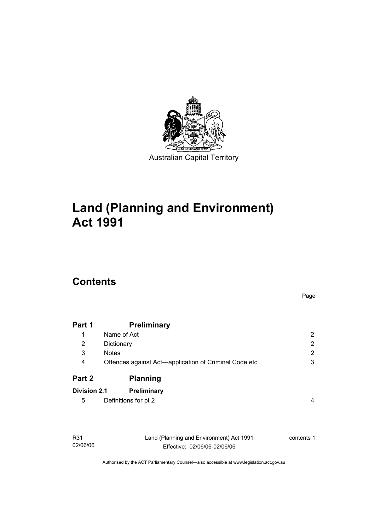

# **Land (Planning and Environment) Act 1991**

## **Contents**

02/06/06

|                     |                                                       | Page                  |
|---------------------|-------------------------------------------------------|-----------------------|
| Part 1              | <b>Preliminary</b>                                    |                       |
| 1                   | Name of Act                                           | $\mathbf{2}^{\prime}$ |
| 2<br>3<br>4         | Dictionary                                            | 2<br>2<br>3           |
|                     | <b>Notes</b>                                          |                       |
|                     | Offences against Act-application of Criminal Code etc |                       |
| Part 2              | <b>Planning</b>                                       |                       |
| <b>Division 2.1</b> | Preliminary                                           |                       |
| 5                   | Definitions for pt 2                                  | 4                     |
|                     |                                                       |                       |
| R31                 | Land (Planning and Environment) Act 1991              | contents 1            |

Authorised by the ACT Parliamentary Counsel—also accessible at www.legislation.act.gov.au

Effective: 02/06/06-02/06/06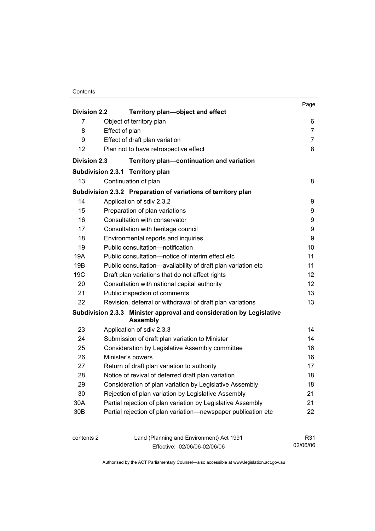|                          |                                                                                         | Page   |  |
|--------------------------|-----------------------------------------------------------------------------------------|--------|--|
| <b>Division 2.2</b>      | Territory plan-object and effect                                                        |        |  |
| 7                        | Object of territory plan                                                                | 6<br>7 |  |
| 8                        | Effect of plan                                                                          |        |  |
| 9                        | Effect of draft plan variation                                                          | 7      |  |
| 12                       | Plan not to have retrospective effect                                                   | 8      |  |
| <b>Division 2.3</b>      | Territory plan-continuation and variation                                               |        |  |
| <b>Subdivision 2.3.1</b> | <b>Territory plan</b>                                                                   |        |  |
| 13                       | Continuation of plan                                                                    | 8      |  |
|                          | Subdivision 2.3.2 Preparation of variations of territory plan                           |        |  |
| 14                       | Application of sdiv 2.3.2                                                               | 9      |  |
| 15                       | Preparation of plan variations                                                          | 9      |  |
| 16                       | Consultation with conservator                                                           | 9      |  |
| 17                       | Consultation with heritage council                                                      | 9      |  |
| 18                       | Environmental reports and inquiries                                                     | 9      |  |
| 19                       | Public consultation-notification                                                        |        |  |
| 19A                      | Public consultation-notice of interim effect etc                                        | 11     |  |
| 19B                      | Public consultation-availability of draft plan variation etc                            |        |  |
| 19 <sub>C</sub>          | Draft plan variations that do not affect rights                                         | 12     |  |
| 20                       | Consultation with national capital authority                                            | 12     |  |
| 21                       | Public inspection of comments                                                           |        |  |
| 22                       | Revision, deferral or withdrawal of draft plan variations                               | 13     |  |
|                          | Subdivision 2.3.3 Minister approval and consideration by Legislative<br><b>Assembly</b> |        |  |
| 23                       | Application of sdiv 2.3.3                                                               | 14     |  |
| 24                       | Submission of draft plan variation to Minister                                          | 14     |  |
| 25                       | Consideration by Legislative Assembly committee                                         | 16     |  |
| 26                       | Minister's powers                                                                       | 16     |  |
| 27                       | Return of draft plan variation to authority                                             | 17     |  |
| 28                       | Notice of revival of deferred draft plan variation                                      | 18     |  |
| 29                       | Consideration of plan variation by Legislative Assembly                                 | 18     |  |
| 30                       | Rejection of plan variation by Legislative Assembly                                     | 21     |  |
| 30A                      | Partial rejection of plan variation by Legislative Assembly                             | 21     |  |
| 30 <sub>B</sub>          | Partial rejection of plan variation-newspaper publication etc                           | 22     |  |
| contents 2               | Land (Planning and Environment) Act 1991                                                | R31    |  |

Effective: 02/06/06-02/06/06

02/06/06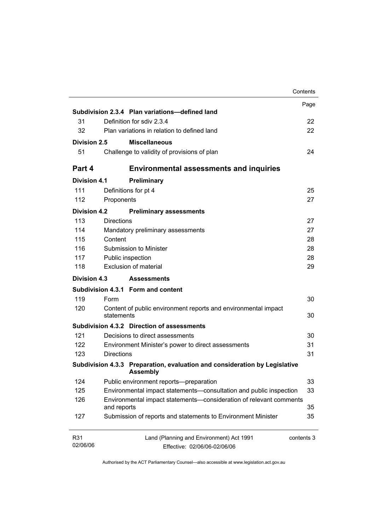| Subdivision 2.3.4 Plan variations-defined land<br>31<br>Definition for sdiv 2.3.4<br>32<br>Plan variations in relation to defined land<br>Division 2.5<br><b>Miscellaneous</b><br>51<br>Challenge to validity of provisions of plan<br><b>Environmental assessments and inquiries</b><br><b>Division 4.1</b><br>Preliminary<br>111<br>Definitions for pt 4<br>112<br>Proponents<br><b>Division 4.2</b><br><b>Preliminary assessments</b><br><b>Directions</b><br>113<br>114<br>Mandatory preliminary assessments<br>115<br>Content<br>116<br>Submission to Minister<br>117<br>Public inspection<br>Exclusion of material<br>118<br>Division 4.3<br><b>Assessments</b><br>Subdivision 4.3.1 Form and content<br>119<br>Form<br>120<br>Content of public environment reports and environmental impact<br>statements<br>Subdivision 4.3.2 Direction of assessments<br>121<br>Decisions to direct assessments<br>122<br>Environment Minister's power to direct assessments<br><b>Directions</b><br>123<br>Subdivision 4.3.3 Preparation, evaluation and consideration by Legislative<br><b>Assembly</b><br>124<br>Public environment reports-preparation<br>125<br>Environmental impact statements-consultation and public inspection<br>126<br>Environmental impact statements-consideration of relevant comments<br>and reports<br>127<br>Submission of reports and statements to Environment Minister<br>Land (Planning and Environment) Act 1991 |                 |  | Contents   |
|--------------------------------------------------------------------------------------------------------------------------------------------------------------------------------------------------------------------------------------------------------------------------------------------------------------------------------------------------------------------------------------------------------------------------------------------------------------------------------------------------------------------------------------------------------------------------------------------------------------------------------------------------------------------------------------------------------------------------------------------------------------------------------------------------------------------------------------------------------------------------------------------------------------------------------------------------------------------------------------------------------------------------------------------------------------------------------------------------------------------------------------------------------------------------------------------------------------------------------------------------------------------------------------------------------------------------------------------------------------------------------------------------------------------------------------------------|-----------------|--|------------|
|                                                                                                                                                                                                                                                                                                                                                                                                                                                                                                                                                                                                                                                                                                                                                                                                                                                                                                                                                                                                                                                                                                                                                                                                                                                                                                                                                                                                                                                  |                 |  | Page       |
|                                                                                                                                                                                                                                                                                                                                                                                                                                                                                                                                                                                                                                                                                                                                                                                                                                                                                                                                                                                                                                                                                                                                                                                                                                                                                                                                                                                                                                                  |                 |  |            |
|                                                                                                                                                                                                                                                                                                                                                                                                                                                                                                                                                                                                                                                                                                                                                                                                                                                                                                                                                                                                                                                                                                                                                                                                                                                                                                                                                                                                                                                  |                 |  | 22         |
|                                                                                                                                                                                                                                                                                                                                                                                                                                                                                                                                                                                                                                                                                                                                                                                                                                                                                                                                                                                                                                                                                                                                                                                                                                                                                                                                                                                                                                                  |                 |  | 22         |
|                                                                                                                                                                                                                                                                                                                                                                                                                                                                                                                                                                                                                                                                                                                                                                                                                                                                                                                                                                                                                                                                                                                                                                                                                                                                                                                                                                                                                                                  |                 |  |            |
|                                                                                                                                                                                                                                                                                                                                                                                                                                                                                                                                                                                                                                                                                                                                                                                                                                                                                                                                                                                                                                                                                                                                                                                                                                                                                                                                                                                                                                                  |                 |  | 24         |
|                                                                                                                                                                                                                                                                                                                                                                                                                                                                                                                                                                                                                                                                                                                                                                                                                                                                                                                                                                                                                                                                                                                                                                                                                                                                                                                                                                                                                                                  | Part 4          |  |            |
|                                                                                                                                                                                                                                                                                                                                                                                                                                                                                                                                                                                                                                                                                                                                                                                                                                                                                                                                                                                                                                                                                                                                                                                                                                                                                                                                                                                                                                                  |                 |  |            |
|                                                                                                                                                                                                                                                                                                                                                                                                                                                                                                                                                                                                                                                                                                                                                                                                                                                                                                                                                                                                                                                                                                                                                                                                                                                                                                                                                                                                                                                  |                 |  | 25         |
|                                                                                                                                                                                                                                                                                                                                                                                                                                                                                                                                                                                                                                                                                                                                                                                                                                                                                                                                                                                                                                                                                                                                                                                                                                                                                                                                                                                                                                                  |                 |  | 27         |
|                                                                                                                                                                                                                                                                                                                                                                                                                                                                                                                                                                                                                                                                                                                                                                                                                                                                                                                                                                                                                                                                                                                                                                                                                                                                                                                                                                                                                                                  |                 |  |            |
|                                                                                                                                                                                                                                                                                                                                                                                                                                                                                                                                                                                                                                                                                                                                                                                                                                                                                                                                                                                                                                                                                                                                                                                                                                                                                                                                                                                                                                                  |                 |  | 27         |
|                                                                                                                                                                                                                                                                                                                                                                                                                                                                                                                                                                                                                                                                                                                                                                                                                                                                                                                                                                                                                                                                                                                                                                                                                                                                                                                                                                                                                                                  |                 |  | 27         |
|                                                                                                                                                                                                                                                                                                                                                                                                                                                                                                                                                                                                                                                                                                                                                                                                                                                                                                                                                                                                                                                                                                                                                                                                                                                                                                                                                                                                                                                  |                 |  | 28         |
|                                                                                                                                                                                                                                                                                                                                                                                                                                                                                                                                                                                                                                                                                                                                                                                                                                                                                                                                                                                                                                                                                                                                                                                                                                                                                                                                                                                                                                                  |                 |  | 28         |
|                                                                                                                                                                                                                                                                                                                                                                                                                                                                                                                                                                                                                                                                                                                                                                                                                                                                                                                                                                                                                                                                                                                                                                                                                                                                                                                                                                                                                                                  |                 |  | 28         |
|                                                                                                                                                                                                                                                                                                                                                                                                                                                                                                                                                                                                                                                                                                                                                                                                                                                                                                                                                                                                                                                                                                                                                                                                                                                                                                                                                                                                                                                  |                 |  | 29         |
|                                                                                                                                                                                                                                                                                                                                                                                                                                                                                                                                                                                                                                                                                                                                                                                                                                                                                                                                                                                                                                                                                                                                                                                                                                                                                                                                                                                                                                                  |                 |  |            |
|                                                                                                                                                                                                                                                                                                                                                                                                                                                                                                                                                                                                                                                                                                                                                                                                                                                                                                                                                                                                                                                                                                                                                                                                                                                                                                                                                                                                                                                  |                 |  |            |
|                                                                                                                                                                                                                                                                                                                                                                                                                                                                                                                                                                                                                                                                                                                                                                                                                                                                                                                                                                                                                                                                                                                                                                                                                                                                                                                                                                                                                                                  |                 |  | 30         |
|                                                                                                                                                                                                                                                                                                                                                                                                                                                                                                                                                                                                                                                                                                                                                                                                                                                                                                                                                                                                                                                                                                                                                                                                                                                                                                                                                                                                                                                  |                 |  | 30         |
|                                                                                                                                                                                                                                                                                                                                                                                                                                                                                                                                                                                                                                                                                                                                                                                                                                                                                                                                                                                                                                                                                                                                                                                                                                                                                                                                                                                                                                                  |                 |  |            |
|                                                                                                                                                                                                                                                                                                                                                                                                                                                                                                                                                                                                                                                                                                                                                                                                                                                                                                                                                                                                                                                                                                                                                                                                                                                                                                                                                                                                                                                  |                 |  | 30         |
|                                                                                                                                                                                                                                                                                                                                                                                                                                                                                                                                                                                                                                                                                                                                                                                                                                                                                                                                                                                                                                                                                                                                                                                                                                                                                                                                                                                                                                                  |                 |  | 31         |
|                                                                                                                                                                                                                                                                                                                                                                                                                                                                                                                                                                                                                                                                                                                                                                                                                                                                                                                                                                                                                                                                                                                                                                                                                                                                                                                                                                                                                                                  |                 |  | 31         |
|                                                                                                                                                                                                                                                                                                                                                                                                                                                                                                                                                                                                                                                                                                                                                                                                                                                                                                                                                                                                                                                                                                                                                                                                                                                                                                                                                                                                                                                  |                 |  |            |
|                                                                                                                                                                                                                                                                                                                                                                                                                                                                                                                                                                                                                                                                                                                                                                                                                                                                                                                                                                                                                                                                                                                                                                                                                                                                                                                                                                                                                                                  |                 |  | 33         |
|                                                                                                                                                                                                                                                                                                                                                                                                                                                                                                                                                                                                                                                                                                                                                                                                                                                                                                                                                                                                                                                                                                                                                                                                                                                                                                                                                                                                                                                  |                 |  | 33         |
|                                                                                                                                                                                                                                                                                                                                                                                                                                                                                                                                                                                                                                                                                                                                                                                                                                                                                                                                                                                                                                                                                                                                                                                                                                                                                                                                                                                                                                                  |                 |  | 35         |
|                                                                                                                                                                                                                                                                                                                                                                                                                                                                                                                                                                                                                                                                                                                                                                                                                                                                                                                                                                                                                                                                                                                                                                                                                                                                                                                                                                                                                                                  |                 |  | 35         |
| Effective: 02/06/06-02/06/06                                                                                                                                                                                                                                                                                                                                                                                                                                                                                                                                                                                                                                                                                                                                                                                                                                                                                                                                                                                                                                                                                                                                                                                                                                                                                                                                                                                                                     | R31<br>02/06/06 |  | contents 3 |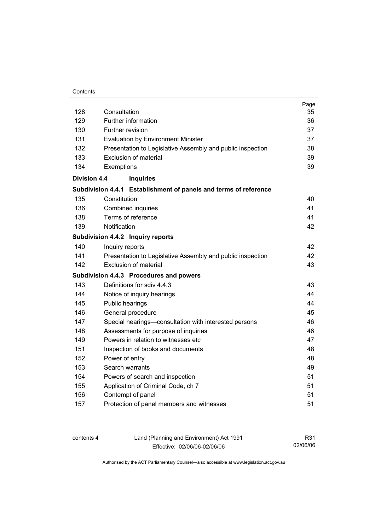#### **Contents**

| 128                 | Consultation                                                     | Page<br>35 |
|---------------------|------------------------------------------------------------------|------------|
| 129                 | Further information                                              | 36         |
| 130                 | Further revision                                                 | 37         |
| 131                 | <b>Evaluation by Environment Minister</b>                        | 37         |
| 132                 | Presentation to Legislative Assembly and public inspection       | 38         |
| 133                 | Exclusion of material                                            | 39         |
| 134                 | Exemptions                                                       | 39         |
| <b>Division 4.4</b> | <b>Inquiries</b>                                                 |            |
|                     | Subdivision 4.4.1 Establishment of panels and terms of reference |            |
| 135                 | Constitution                                                     | 40         |
| 136                 | Combined inquiries                                               | 41         |
| 138                 | Terms of reference                                               | 41         |
| 139                 | Notification                                                     | 42         |
|                     | Subdivision 4.4.2 Inquiry reports                                |            |
| 140                 | Inquiry reports                                                  | 42         |
| 141                 | Presentation to Legislative Assembly and public inspection       | 42         |
| 142                 | <b>Exclusion of material</b>                                     | 43         |
|                     | Subdivision 4.4.3 Procedures and powers                          |            |
| 143                 | Definitions for sdiv 4.4.3                                       | 43         |
| 144                 | Notice of inquiry hearings                                       | 44         |
| 145                 | Public hearings                                                  | 44         |
| 146                 | General procedure                                                | 45         |
| 147                 | Special hearings-consultation with interested persons            | 46         |
| 148                 | Assessments for purpose of inquiries                             | 46         |
| 149                 | Powers in relation to witnesses etc                              | 47         |
| 151                 | Inspection of books and documents                                | 48         |
| 152                 | Power of entry                                                   | 48         |
| 153                 | Search warrants                                                  | 49         |
| 154                 | Powers of search and inspection                                  | 51         |
| 155                 | Application of Criminal Code, ch 7                               | 51         |
| 156                 | Contempt of panel                                                | 51         |
| 157                 | Protection of panel members and witnesses                        | 51         |
|                     |                                                                  |            |

| contents 4 | Land (Planning and Environment) Act 1991 | R31      |
|------------|------------------------------------------|----------|
|            | Effective: 02/06/06-02/06/06             | 02/06/06 |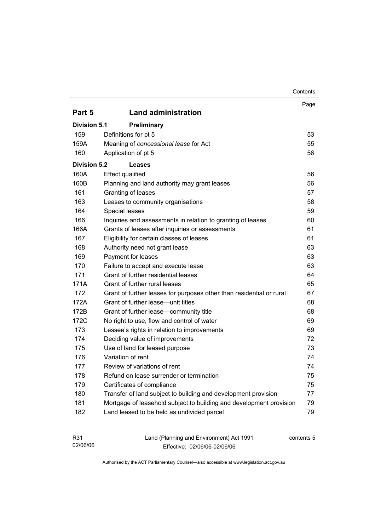|                     |                                                                      | Contents |
|---------------------|----------------------------------------------------------------------|----------|
|                     |                                                                      | Page     |
| Part 5              | <b>Land administration</b>                                           |          |
| <b>Division 5.1</b> | Preliminary                                                          |          |
| 159                 | Definitions for pt 5                                                 | 53       |
| 159A                | Meaning of concessional lease for Act                                | 55       |
| 160                 | Application of pt 5                                                  | 56       |
| <b>Division 5.2</b> | <b>Leases</b>                                                        |          |
| 160A                | <b>Effect qualified</b>                                              | 56       |
| 160B                | Planning and land authority may grant leases                         | 56       |
| 161                 | Granting of leases                                                   | 57       |
| 163                 | Leases to community organisations                                    | 58       |
| 164                 | Special leases                                                       | 59       |
| 166                 | Inquiries and assessments in relation to granting of leases          | 60       |
| 166A                | Grants of leases after inquiries or assessments                      | 61       |
| 167                 | Eligibility for certain classes of leases                            | 61       |
| 168                 | Authority need not grant lease                                       | 63       |
| 169                 | Payment for leases                                                   | 63       |
| 170                 | Failure to accept and execute lease                                  | 63       |
| 171                 | Grant of further residential leases                                  | 64       |
| 171A                | Grant of further rural leases                                        | 65       |
| 172                 | Grant of further leases for purposes other than residential or rural | 67       |
| 172A                | Grant of further lease-unit titles                                   | 68       |
| 172B                | Grant of further lease-community title                               | 68       |
| 172C                | No right to use, flow and control of water                           | 69       |
| 173                 | Lessee's rights in relation to improvements                          | 69       |
| 174                 | Deciding value of improvements                                       | 72       |
| 175                 | Use of land for leased purpose                                       | 73       |
| 176                 | Variation of rent                                                    | 74       |
| 177                 | Review of variations of rent                                         | 74       |
| 178                 | Refund on lease surrender or termination                             | 75       |
| 179                 | Certificates of compliance                                           | 75       |
| 180                 | Transfer of land subject to building and development provision       | 77       |
| 181                 | Mortgage of leasehold subject to building and development provision  | 79       |
| 182                 | Land leased to be held as undivided parcel                           | 79       |
|                     |                                                                      |          |

| R31      | Land (Planning and Environment) Act 1991 | contents 5 |
|----------|------------------------------------------|------------|
| 02/06/06 | Effective: 02/06/06-02/06/06             |            |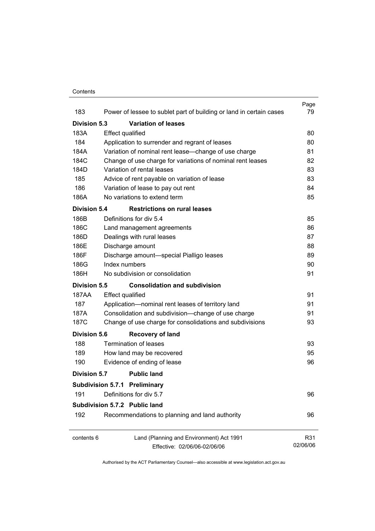#### **Contents**

|                     |                                                                     | Page     |
|---------------------|---------------------------------------------------------------------|----------|
| 183                 | Power of lessee to sublet part of building or land in certain cases | 79       |
| Division 5.3        | <b>Variation of leases</b>                                          |          |
| 183A                | <b>Effect qualified</b>                                             | 80       |
| 184                 | Application to surrender and regrant of leases                      | 80       |
| 184A                | Variation of nominal rent lease-change of use charge                | 81       |
| 184C                | Change of use charge for variations of nominal rent leases          | 82       |
| 184D                | Variation of rental leases                                          | 83       |
| 185                 | Advice of rent payable on variation of lease                        | 83       |
| 186                 | Variation of lease to pay out rent                                  | 84       |
| 186A                | No variations to extend term                                        | 85       |
| <b>Division 5.4</b> | <b>Restrictions on rural leases</b>                                 |          |
| 186B                | Definitions for div 5.4                                             | 85       |
| 186C                | Land management agreements                                          | 86       |
| 186D                | Dealings with rural leases                                          | 87       |
| 186E                | Discharge amount                                                    | 88       |
| 186F                | Discharge amount-special Pialligo leases                            | 89       |
| 186G                | Index numbers                                                       | 90       |
| 186H                | No subdivision or consolidation                                     | 91       |
| Division 5.5        | <b>Consolidation and subdivision</b>                                |          |
| 187AA               | <b>Effect qualified</b>                                             | 91       |
| 187                 | Application-nominal rent leases of territory land                   | 91       |
| 187A                | Consolidation and subdivision--change of use charge                 | 91       |
| 187C                | Change of use charge for consolidations and subdivisions            | 93       |
| <b>Division 5.6</b> | <b>Recovery of land</b>                                             |          |
| 188                 | Termination of leases                                               | 93       |
| 189                 | How land may be recovered                                           | 95       |
| 190                 | Evidence of ending of lease                                         | 96       |
| Division 5.7        | <b>Public land</b>                                                  |          |
|                     | <b>Subdivision 5.7.1 Preliminary</b>                                |          |
| 191                 | Definitions for div 5.7                                             | 96       |
|                     | Subdivision 5.7.2 Public land                                       |          |
| 192                 | Recommendations to planning and land authority                      | 96       |
| contents 6          | Land (Planning and Environment) Act 1991                            | R31      |
|                     | Effective: 02/06/06-02/06/06                                        | 02/06/06 |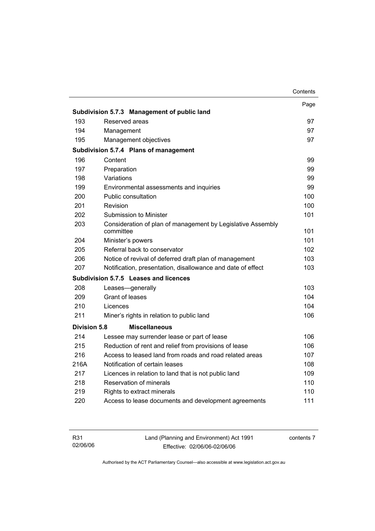|                     |                                                                          | Contents |
|---------------------|--------------------------------------------------------------------------|----------|
|                     |                                                                          | Page     |
|                     | Subdivision 5.7.3 Management of public land                              |          |
| 193                 | Reserved areas                                                           | 97       |
| 194                 | Management                                                               | 97       |
| 195                 | Management objectives                                                    | 97       |
|                     | Subdivision 5.7.4 Plans of management                                    |          |
| 196                 | Content                                                                  | 99       |
| 197                 | Preparation                                                              | 99       |
| 198                 | Variations                                                               | 99       |
| 199                 | Environmental assessments and inquiries                                  | 99       |
| 200                 | Public consultation                                                      | 100      |
| 201                 | Revision                                                                 | 100      |
| 202                 | Submission to Minister                                                   | 101      |
| 203                 | Consideration of plan of management by Legislative Assembly<br>committee | 101      |
| 204                 | Minister's powers                                                        | 101      |
| 205                 | Referral back to conservator                                             | 102      |
| 206                 | Notice of revival of deferred draft plan of management                   | 103      |
| 207                 | Notification, presentation, disallowance and date of effect              | 103      |
|                     | Subdivision 5.7.5 Leases and licences                                    |          |
| 208                 | Leases-generally                                                         | 103      |
| 209                 | <b>Grant of leases</b>                                                   | 104      |
| 210                 | Licences                                                                 | 104      |
| 211                 | Miner's rights in relation to public land                                | 106      |
| <b>Division 5.8</b> | <b>Miscellaneous</b>                                                     |          |
| 214                 | Lessee may surrender lease or part of lease                              | 106      |
| 215                 | Reduction of rent and relief from provisions of lease                    | 106      |
| 216                 | Access to leased land from roads and road related areas                  | 107      |
| 216A                | Notification of certain leases                                           | 108      |
| 217                 | Licences in relation to land that is not public land                     | 109      |
| 218                 | Reservation of minerals                                                  | 110      |
| 219                 | Rights to extract minerals                                               | 110      |
| 220                 | Access to lease documents and development agreements                     | 111      |
|                     |                                                                          |          |

| R31      | Land (Planning and Environment) Act 1991 | contents 7 |
|----------|------------------------------------------|------------|
| 02/06/06 | Effective: 02/06/06-02/06/06             |            |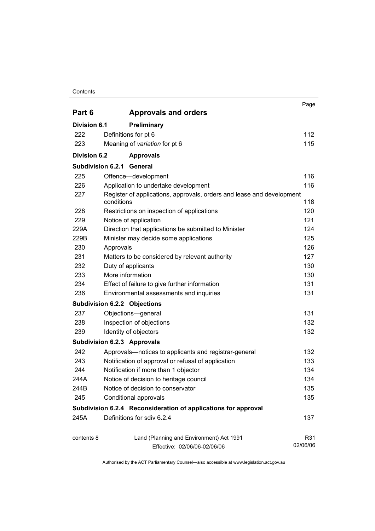#### **Contents**

|                                                                |                                                                                     | Page            |  |
|----------------------------------------------------------------|-------------------------------------------------------------------------------------|-----------------|--|
| Part 6                                                         | <b>Approvals and orders</b>                                                         |                 |  |
| <b>Division 6.1</b>                                            | Preliminary                                                                         |                 |  |
| 222                                                            | Definitions for pt 6                                                                | 112             |  |
| 223                                                            | Meaning of variation for pt 6                                                       | 115             |  |
| <b>Division 6.2</b>                                            | <b>Approvals</b>                                                                    |                 |  |
|                                                                | <b>Subdivision 6.2.1 General</b>                                                    |                 |  |
| 225                                                            | Offence-development                                                                 | 116             |  |
| 226                                                            | Application to undertake development                                                | 116             |  |
| 227                                                            | Register of applications, approvals, orders and lease and development<br>conditions | 118             |  |
| 228                                                            | Restrictions on inspection of applications                                          | 120             |  |
| 229                                                            | Notice of application                                                               | 121             |  |
| 229A                                                           | Direction that applications be submitted to Minister                                | 124             |  |
| 229B                                                           | Minister may decide some applications                                               | 125             |  |
| 230                                                            | Approvals                                                                           | 126             |  |
| 231                                                            | Matters to be considered by relevant authority                                      | 127             |  |
| 232                                                            | Duty of applicants                                                                  | 130             |  |
| 233                                                            | More information                                                                    | 130             |  |
| 234                                                            | Effect of failure to give further information                                       | 131             |  |
| 236                                                            | Environmental assessments and inquiries                                             | 131             |  |
|                                                                | <b>Subdivision 6.2.2 Objections</b>                                                 |                 |  |
| 237                                                            | Objections-general                                                                  | 131             |  |
| 238                                                            | Inspection of objections                                                            | 132             |  |
| 239                                                            | Identity of objectors                                                               | 132             |  |
|                                                                | <b>Subdivision 6.2.3 Approvals</b>                                                  |                 |  |
| 242                                                            | Approvals-notices to applicants and registrar-general                               | 132             |  |
| 243                                                            | Notification of approval or refusal of application                                  | 133             |  |
| 244                                                            | Notification if more than 1 objector                                                | 134             |  |
| 244A                                                           | Notice of decision to heritage council                                              | 134             |  |
| 244B                                                           | Notice of decision to conservator                                                   | 135             |  |
| 245                                                            | Conditional approvals                                                               | 135             |  |
| Subdivision 6.2.4 Reconsideration of applications for approval |                                                                                     |                 |  |
| 245A                                                           | Definitions for sdiv 6.2.4                                                          | 137             |  |
| contents 8                                                     | Land (Planning and Environment) Act 1991<br>Effective: 02/06/06-02/06/06            | R31<br>02/06/06 |  |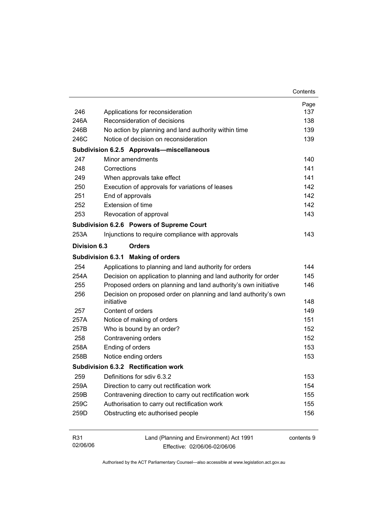|              |                                                                               | Contents   |
|--------------|-------------------------------------------------------------------------------|------------|
|              |                                                                               | Page       |
| 246          | Applications for reconsideration                                              | 137        |
| 246A         | Reconsideration of decisions                                                  | 138        |
| 246B         | No action by planning and land authority within time                          | 139        |
| 246C         | Notice of decision on reconsideration                                         | 139        |
|              | Subdivision 6.2.5 Approvals-miscellaneous                                     |            |
| 247          | Minor amendments                                                              | 140        |
| 248          | Corrections                                                                   | 141        |
| 249          | When approvals take effect                                                    | 141        |
| 250          | Execution of approvals for variations of leases                               | 142        |
| 251          | End of approvals                                                              | 142        |
| 252          | <b>Extension of time</b>                                                      | 142        |
| 253          | Revocation of approval                                                        | 143        |
|              | Subdivision 6.2.6 Powers of Supreme Court                                     |            |
| 253A         | Injunctions to require compliance with approvals                              | 143        |
| Division 6.3 | <b>Orders</b>                                                                 |            |
|              | Subdivision 6.3.1 Making of orders                                            |            |
| 254          | Applications to planning and land authority for orders                        | 144        |
| 254A         | Decision on application to planning and land authority for order              | 145        |
| 255          | Proposed orders on planning and land authority's own initiative               | 146        |
| 256          | Decision on proposed order on planning and land authority's own<br>initiative | 148        |
| 257          | Content of orders                                                             | 149        |
| 257A         | Notice of making of orders                                                    | 151        |
| 257B         | Who is bound by an order?                                                     | 152        |
| 258          | Contravening orders                                                           | 152        |
| 258A         | Ending of orders                                                              | 153        |
| 258B         | Notice ending orders                                                          | 153        |
|              | Subdivision 6.3.2 Rectification work                                          |            |
| 259          | Definitions for sdiv 6.3.2                                                    | 153        |
| 259A         | Direction to carry out rectification work                                     | 154        |
| 259B         | Contravening direction to carry out rectification work                        | 155        |
| 259C         | Authorisation to carry out rectification work                                 | 155        |
| 259D         | Obstructing etc authorised people                                             | 156        |
|              |                                                                               |            |
| R31          | Land (Planning and Environment) Act 1991                                      | contents 9 |

02/06/06

Authorised by the ACT Parliamentary Counsel—also accessible at www.legislation.act.gov.au

Effective: 02/06/06-02/06/06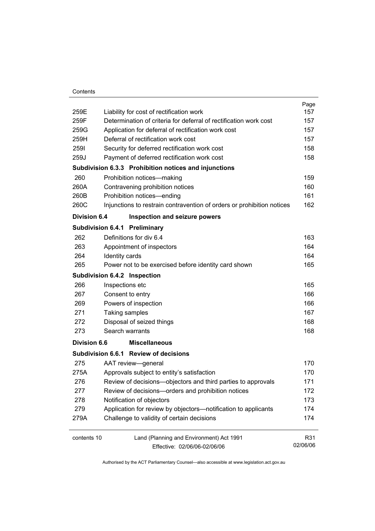|                     |                                                                                                               | Page<br>157 |
|---------------------|---------------------------------------------------------------------------------------------------------------|-------------|
| 259E<br>259F        | Liability for cost of rectification work<br>Determination of criteria for deferral of rectification work cost | 157         |
|                     |                                                                                                               |             |
| 259G                | Application for deferral of rectification work cost<br>Deferral of rectification work cost                    | 157         |
| 259H                |                                                                                                               | 157         |
| 2591                | Security for deferred rectification work cost                                                                 | 158         |
| 259J                | Payment of deferred rectification work cost                                                                   | 158         |
|                     | Subdivision 6.3.3 Prohibition notices and injunctions                                                         |             |
| 260                 | Prohibition notices-making                                                                                    | 159         |
| 260A                | Contravening prohibition notices                                                                              | 160         |
| 260B                | Prohibition notices-ending                                                                                    | 161         |
| 260C                | Injunctions to restrain contravention of orders or prohibition notices                                        | 162         |
| Division 6.4        | Inspection and seizure powers                                                                                 |             |
|                     | Subdivision 6.4.1 Preliminary                                                                                 |             |
| 262                 | Definitions for div 6.4                                                                                       | 163         |
| 263                 | Appointment of inspectors                                                                                     | 164         |
| 264                 | Identity cards                                                                                                | 164         |
| 265                 | Power not to be exercised before identity card shown                                                          | 165         |
|                     | Subdivision 6.4.2 Inspection                                                                                  |             |
| 266                 | Inspections etc                                                                                               | 165         |
| 267                 | Consent to entry                                                                                              | 166         |
| 269                 | Powers of inspection                                                                                          | 166         |
| 271                 | Taking samples                                                                                                | 167         |
| 272                 | Disposal of seized things                                                                                     | 168         |
| 273                 | Search warrants                                                                                               | 168         |
| <b>Division 6.6</b> | <b>Miscellaneous</b>                                                                                          |             |
|                     | Subdivision 6.6.1 Review of decisions                                                                         |             |
| 275                 | AAT review-general                                                                                            | 170         |
| 275A                | Approvals subject to entity's satisfaction                                                                    | 170         |
| 276                 | Review of decisions-objectors and third parties to approvals                                                  | 171         |
| 277                 | Review of decisions-orders and prohibition notices                                                            | 172         |
| 278                 | Notification of objectors                                                                                     | 173         |
| 279                 | Application for review by objectors-notification to applicants                                                | 174         |
| 279A                | Challenge to validity of certain decisions                                                                    | 174         |
| contents 10         | Land (Planning and Environment) Act 1991                                                                      | R31         |
|                     | Effective: 02/06/06-02/06/06                                                                                  | 02/06/06    |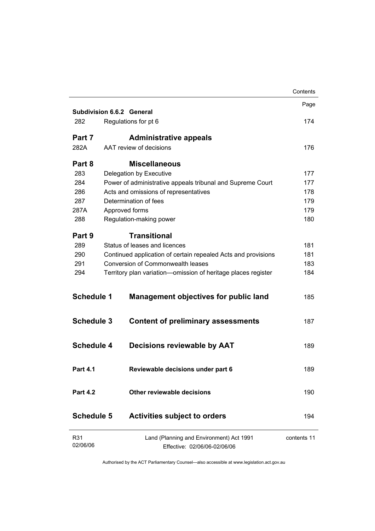|                   |                                                                          | Contents    |
|-------------------|--------------------------------------------------------------------------|-------------|
|                   |                                                                          | Page        |
|                   | <b>Subdivision 6.6.2 General</b>                                         |             |
| 282               | Regulations for pt 6                                                     | 174         |
| Part 7            | <b>Administrative appeals</b>                                            |             |
| 282A              | AAT review of decisions                                                  | 176         |
| Part 8            | <b>Miscellaneous</b>                                                     |             |
| 283               | Delegation by Executive                                                  | 177         |
| 284               | Power of administrative appeals tribunal and Supreme Court               | 177         |
| 286               | Acts and omissions of representatives                                    | 178         |
| 287               | Determination of fees                                                    | 179         |
| 287A              | Approved forms                                                           | 179         |
| 288               | Regulation-making power                                                  | 180         |
| Part 9            | <b>Transitional</b>                                                      |             |
| 289               | Status of leases and licences                                            | 181         |
| 290               | Continued application of certain repealed Acts and provisions            | 181         |
| 291               | Conversion of Commonwealth leases                                        | 183         |
| 294               | Territory plan variation-omission of heritage places register            | 184         |
| <b>Schedule 1</b> | <b>Management objectives for public land</b>                             | 185         |
| <b>Schedule 3</b> | <b>Content of preliminary assessments</b>                                | 187         |
| <b>Schedule 4</b> | <b>Decisions reviewable by AAT</b>                                       | 189         |
| <b>Part 4.1</b>   | Reviewable decisions under part 6                                        | 189         |
| <b>Part 4.2</b>   | Other reviewable decisions                                               | 190         |
| <b>Schedule 5</b> | <b>Activities subject to orders</b>                                      | 194         |
| R31<br>02/06/06   | Land (Planning and Environment) Act 1991<br>Effective: 02/06/06-02/06/06 | contents 11 |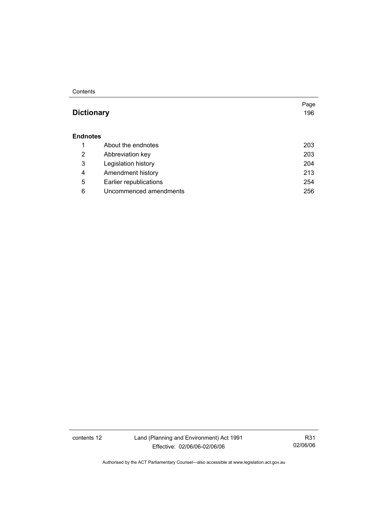#### **Contents**

## **Dictionary** 196

Page

#### **Endnotes**

|   | About the endnotes     | 203 |
|---|------------------------|-----|
| 2 | Abbreviation key       | 203 |
| 3 | Legislation history    | 204 |
| 4 | Amendment history      | 213 |
| 5 | Earlier republications | 254 |
| 6 | Uncommenced amendments | 256 |

contents 12 Land (Planning and Environment) Act 1991 Effective: 02/06/06-02/06/06

R31 02/06/06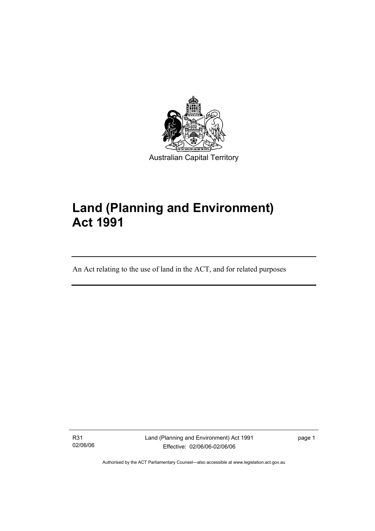

# **Land (Planning and Environment) Act 1991**

An Act relating to the use of land in the ACT, and for related purposes

R31 02/06/06

I

Land (Planning and Environment) Act 1991 Effective: 02/06/06-02/06/06

page 1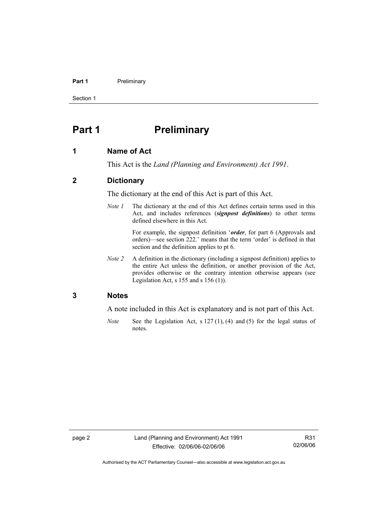#### **Part 1** Preliminary

Section 1

## **Part 1** Preliminary

#### **1 Name of Act**

This Act is the *Land (Planning and Environment) Act 1991*.

#### **2 Dictionary**

The dictionary at the end of this Act is part of this Act.

*Note 1* The dictionary at the end of this Act defines certain terms used in this Act, and includes references (*signpost definitions*) to other terms defined elsewhere in this Act.

> For example, the signpost definition '*order*, for part 6 (Approvals and orders)—see section 222.' means that the term 'order' is defined in that section and the definition applies to pt 6.

*Note 2* A definition in the dictionary (including a signpost definition) applies to the entire Act unless the definition, or another provision of the Act, provides otherwise or the contrary intention otherwise appears (see Legislation Act,  $s$  155 and  $s$  156 (1)).

#### **3 Notes**

A note included in this Act is explanatory and is not part of this Act.

*Note* See the Legislation Act, s 127 (1), (4) and (5) for the legal status of notes.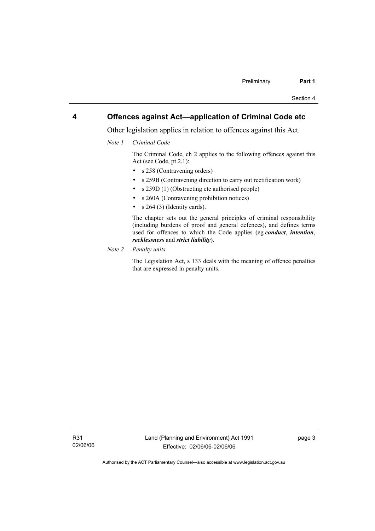#### **4 Offences against Act—application of Criminal Code etc**

Other legislation applies in relation to offences against this Act.

*Note 1 Criminal Code* 

 The Criminal Code, ch 2 applies to the following offences against this Act (see Code, pt 2.1):

- s 258 (Contravening orders)
- s 259B (Contravening direction to carry out rectification work)
- s 259D (1) (Obstructing etc authorised people)
- s 260A (Contravening prohibition notices)
- $s \; 264 \; (3)$  (Identity cards).

 The chapter sets out the general principles of criminal responsibility (including burdens of proof and general defences), and defines terms used for offences to which the Code applies (eg *conduct*, *intention*, *recklessness* and *strict liability*).

*Note 2 Penalty units*

 The Legislation Act, s 133 deals with the meaning of offence penalties that are expressed in penalty units.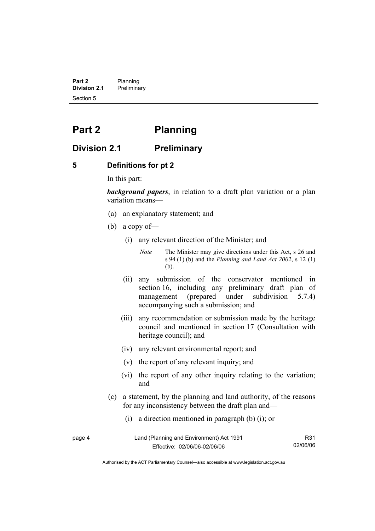**Part 2** Planning<br>**Division 2.1** Prelimina **Division 2.1** Preliminary Section 5

## **Part 2 Planning**

## **Division 2.1 Preliminary**

#### **5 Definitions for pt 2**

In this part:

*background papers*, in relation to a draft plan variation or a plan variation means—

- (a) an explanatory statement; and
- (b) a copy of—
	- (i) any relevant direction of the Minister; and

*Note* The Minister may give directions under this Act, s 26 and s 94 (1) (b) and the *Planning and Land Act 2002*, s 12 (1) (b).

- (ii) any submission of the conservator mentioned in section 16, including any preliminary draft plan of management (prepared under subdivision 5.7.4) accompanying such a submission; and
- (iii) any recommendation or submission made by the heritage council and mentioned in section 17 (Consultation with heritage council); and
- (iv) any relevant environmental report; and
- (v) the report of any relevant inquiry; and
- (vi) the report of any other inquiry relating to the variation; and
- (c) a statement, by the planning and land authority, of the reasons for any inconsistency between the draft plan and—
	- (i) a direction mentioned in paragraph (b) (i); or

| page 4 | Land (Planning and Environment) Act 1991 | R31      |
|--------|------------------------------------------|----------|
|        | Effective: 02/06/06-02/06/06             | 02/06/06 |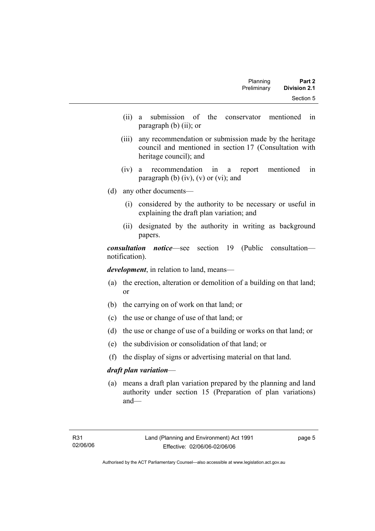| Part 2              | Planning    |  |
|---------------------|-------------|--|
| <b>Division 2.1</b> | Preliminary |  |
| Section 5           |             |  |

- (ii) a submission of the conservator mentioned in paragraph (b) (ii); or
- (iii) any recommendation or submission made by the heritage council and mentioned in section 17 (Consultation with heritage council); and
- (iv) a recommendation in a report mentioned in paragraph (b)  $(iv)$ ,  $(v)$  or  $(vi)$ ; and
- (d) any other documents—
	- (i) considered by the authority to be necessary or useful in explaining the draft plan variation; and
	- (ii) designated by the authority in writing as background papers.

*consultation notice*—see section 19 (Public consultation notification).

*development*, in relation to land, means—

- (a) the erection, alteration or demolition of a building on that land; or
- (b) the carrying on of work on that land; or
- (c) the use or change of use of that land; or
- (d) the use or change of use of a building or works on that land; or
- (e) the subdivision or consolidation of that land; or
- (f) the display of signs or advertising material on that land.

#### *draft plan variation*—

 (a) means a draft plan variation prepared by the planning and land authority under section 15 (Preparation of plan variations) and—

page 5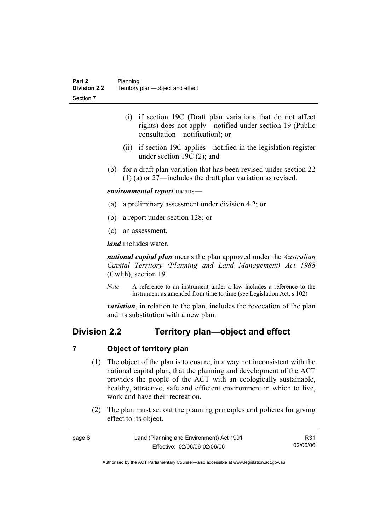- (i) if section 19C (Draft plan variations that do not affect rights) does not apply—notified under section 19 (Public consultation—notification); or
- (ii) if section 19C applies—notified in the legislation register under section 19C (2); and
- (b) for a draft plan variation that has been revised under section 22 (1) (a) or 27—includes the draft plan variation as revised.

#### *environmental report* means—

- (a) a preliminary assessment under division 4.2; or
- (b) a report under section 128; or
- (c) an assessment.

*land* includes water.

*national capital plan* means the plan approved under the *Australian Capital Territory (Planning and Land Management) Act 1988* (Cwlth), section 19.

*Note* A reference to an instrument under a law includes a reference to the instrument as amended from time to time (see Legislation Act, s 102)

*variation*, in relation to the plan, includes the revocation of the plan and its substitution with a new plan.

## **Division 2.2 Territory plan—object and effect**

#### **7 Object of territory plan**

- (1) The object of the plan is to ensure, in a way not inconsistent with the national capital plan, that the planning and development of the ACT provides the people of the ACT with an ecologically sustainable, healthy, attractive, safe and efficient environment in which to live, work and have their recreation.
- (2) The plan must set out the planning principles and policies for giving effect to its object.

| page 6 | Land (Planning and Environment) Act 1991 | R31      |
|--------|------------------------------------------|----------|
|        | Effective: 02/06/06-02/06/06             | 02/06/06 |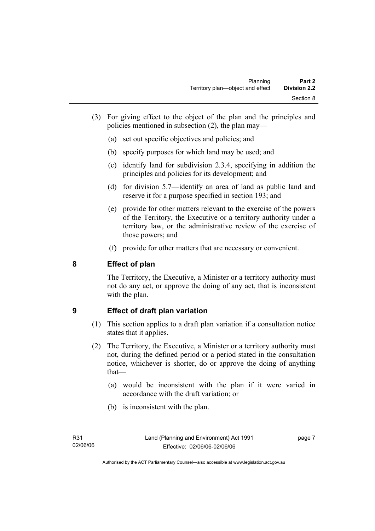- (3) For giving effect to the object of the plan and the principles and policies mentioned in subsection (2), the plan may—
	- (a) set out specific objectives and policies; and
	- (b) specify purposes for which land may be used; and
	- (c) identify land for subdivision 2.3.4, specifying in addition the principles and policies for its development; and
	- (d) for division 5.7—identify an area of land as public land and reserve it for a purpose specified in section 193; and
	- (e) provide for other matters relevant to the exercise of the powers of the Territory, the Executive or a territory authority under a territory law, or the administrative review of the exercise of those powers; and
	- (f) provide for other matters that are necessary or convenient.

## **8 Effect of plan**

The Territory, the Executive, a Minister or a territory authority must not do any act, or approve the doing of any act, that is inconsistent with the plan.

## **9 Effect of draft plan variation**

- (1) This section applies to a draft plan variation if a consultation notice states that it applies.
- (2) The Territory, the Executive, a Minister or a territory authority must not, during the defined period or a period stated in the consultation notice, whichever is shorter, do or approve the doing of anything that—
	- (a) would be inconsistent with the plan if it were varied in accordance with the draft variation; or
	- (b) is inconsistent with the plan.

page 7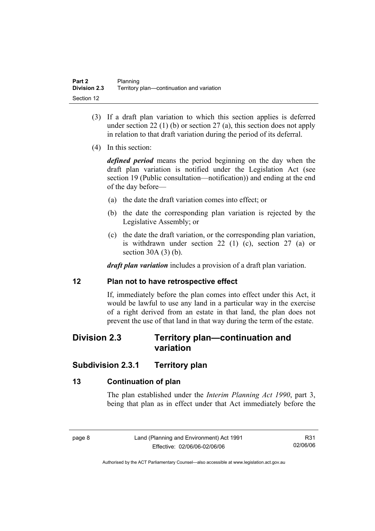- (3) If a draft plan variation to which this section applies is deferred under section 22 (1) (b) or section 27 (a), this section does not apply in relation to that draft variation during the period of its deferral.
- (4) In this section:

*defined period* means the period beginning on the day when the draft plan variation is notified under the Legislation Act (see section 19 (Public consultation—notification)) and ending at the end of the day before—

- (a) the date the draft variation comes into effect; or
- (b) the date the corresponding plan variation is rejected by the Legislative Assembly; or
- (c) the date the draft variation, or the corresponding plan variation, is withdrawn under section 22 (1) (c), section 27 (a) or section 30A (3) (b).

*draft plan variation* includes a provision of a draft plan variation.

#### **12 Plan not to have retrospective effect**

If, immediately before the plan comes into effect under this Act, it would be lawful to use any land in a particular way in the exercise of a right derived from an estate in that land, the plan does not prevent the use of that land in that way during the term of the estate.

## **Division 2.3 Territory plan—continuation and variation**

## **Subdivision 2.3.1 Territory plan**

## **13 Continuation of plan**

The plan established under the *Interim Planning Act 1990*, part 3, being that plan as in effect under that Act immediately before the

R31 02/06/06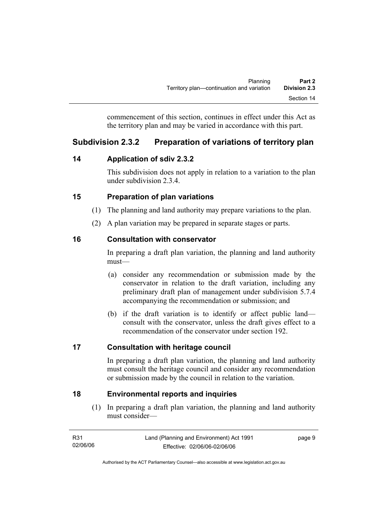commencement of this section, continues in effect under this Act as the territory plan and may be varied in accordance with this part.

## **Subdivision 2.3.2 Preparation of variations of territory plan**

## **14 Application of sdiv 2.3.2**

This subdivision does not apply in relation to a variation to the plan under subdivision 2.3.4.

## **15 Preparation of plan variations**

- (1) The planning and land authority may prepare variations to the plan.
- (2) A plan variation may be prepared in separate stages or parts.

## **16 Consultation with conservator**

In preparing a draft plan variation, the planning and land authority must—

- (a) consider any recommendation or submission made by the conservator in relation to the draft variation, including any preliminary draft plan of management under subdivision 5.7.4 accompanying the recommendation or submission; and
- (b) if the draft variation is to identify or affect public land consult with the conservator, unless the draft gives effect to a recommendation of the conservator under section 192.

## **17 Consultation with heritage council**

In preparing a draft plan variation, the planning and land authority must consult the heritage council and consider any recommendation or submission made by the council in relation to the variation.

## **18 Environmental reports and inquiries**

 (1) In preparing a draft plan variation, the planning and land authority must consider—

| R31      | Land (Planning and Environment) Act 1991 | page 9 |
|----------|------------------------------------------|--------|
| 02/06/06 | Effective: 02/06/06-02/06/06             |        |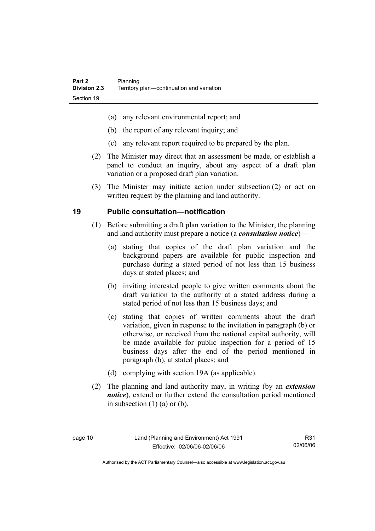- (a) any relevant environmental report; and
- (b) the report of any relevant inquiry; and
- (c) any relevant report required to be prepared by the plan.
- (2) The Minister may direct that an assessment be made, or establish a panel to conduct an inquiry, about any aspect of a draft plan variation or a proposed draft plan variation.
- (3) The Minister may initiate action under subsection (2) or act on written request by the planning and land authority.

## **19 Public consultation—notification**

- (1) Before submitting a draft plan variation to the Minister, the planning and land authority must prepare a notice (a *consultation notice*)—
	- (a) stating that copies of the draft plan variation and the background papers are available for public inspection and purchase during a stated period of not less than 15 business days at stated places; and
	- (b) inviting interested people to give written comments about the draft variation to the authority at a stated address during a stated period of not less than 15 business days; and
	- (c) stating that copies of written comments about the draft variation, given in response to the invitation in paragraph (b) or otherwise, or received from the national capital authority, will be made available for public inspection for a period of 15 business days after the end of the period mentioned in paragraph (b), at stated places; and
	- (d) complying with section 19A (as applicable).
- (2) The planning and land authority may, in writing (by an *extension notice*), extend or further extend the consultation period mentioned in subsection  $(1)$   $(a)$  or  $(b)$ .

R31 02/06/06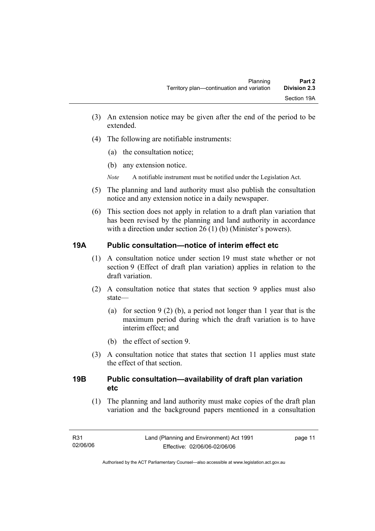- (3) An extension notice may be given after the end of the period to be extended.
- (4) The following are notifiable instruments:
	- (a) the consultation notice;
	- (b) any extension notice.
	- *Note* A notifiable instrument must be notified under the Legislation Act.
- (5) The planning and land authority must also publish the consultation notice and any extension notice in a daily newspaper.
- (6) This section does not apply in relation to a draft plan variation that has been revised by the planning and land authority in accordance with a direction under section 26 (1) (b) (Minister's powers).

## **19A Public consultation—notice of interim effect etc**

- (1) A consultation notice under section 19 must state whether or not section 9 (Effect of draft plan variation) applies in relation to the draft variation.
- (2) A consultation notice that states that section 9 applies must also state—
	- (a) for section 9 (2) (b), a period not longer than 1 year that is the maximum period during which the draft variation is to have interim effect; and
	- (b) the effect of section 9.
- (3) A consultation notice that states that section 11 applies must state the effect of that section.

## **19B Public consultation—availability of draft plan variation etc**

(1) The planning and land authority must make copies of the draft plan variation and the background papers mentioned in a consultation

page 11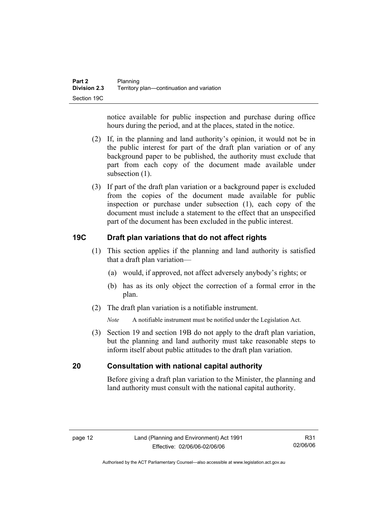notice available for public inspection and purchase during office hours during the period, and at the places, stated in the notice.

- (2) If, in the planning and land authority's opinion, it would not be in the public interest for part of the draft plan variation or of any background paper to be published, the authority must exclude that part from each copy of the document made available under subsection  $(1)$ .
- (3) If part of the draft plan variation or a background paper is excluded from the copies of the document made available for public inspection or purchase under subsection (1), each copy of the document must include a statement to the effect that an unspecified part of the document has been excluded in the public interest.

## **19C Draft plan variations that do not affect rights**

- (1) This section applies if the planning and land authority is satisfied that a draft plan variation—
	- (a) would, if approved, not affect adversely anybody's rights; or
	- (b) has as its only object the correction of a formal error in the plan.
- (2) The draft plan variation is a notifiable instrument.

*Note* A notifiable instrument must be notified under the Legislation Act.

 (3) Section 19 and section 19B do not apply to the draft plan variation, but the planning and land authority must take reasonable steps to inform itself about public attitudes to the draft plan variation.

#### **20 Consultation with national capital authority**

Before giving a draft plan variation to the Minister, the planning and land authority must consult with the national capital authority.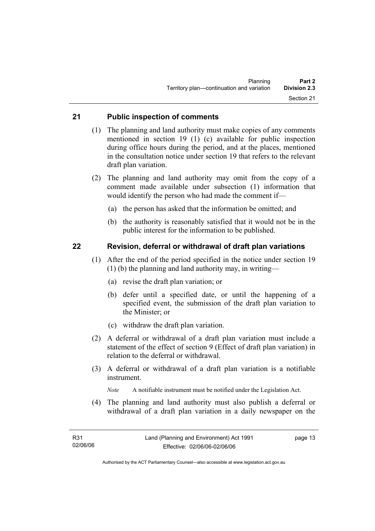### **21 Public inspection of comments**

- (1) The planning and land authority must make copies of any comments mentioned in section 19 (1) (c) available for public inspection during office hours during the period, and at the places, mentioned in the consultation notice under section 19 that refers to the relevant draft plan variation.
- (2) The planning and land authority may omit from the copy of a comment made available under subsection (1) information that would identify the person who had made the comment if—
	- (a) the person has asked that the information be omitted; and
	- (b) the authority is reasonably satisfied that it would not be in the public interest for the information to be published.

#### **22 Revision, deferral or withdrawal of draft plan variations**

- (1) After the end of the period specified in the notice under section 19 (1) (b) the planning and land authority may, in writing—
	- (a) revise the draft plan variation; or
	- (b) defer until a specified date, or until the happening of a specified event, the submission of the draft plan variation to the Minister; or
	- (c) withdraw the draft plan variation.
- (2) A deferral or withdrawal of a draft plan variation must include a statement of the effect of section 9 (Effect of draft plan variation) in relation to the deferral or withdrawal.
- (3) A deferral or withdrawal of a draft plan variation is a notifiable instrument.

*Note* A notifiable instrument must be notified under the Legislation Act.

(4) The planning and land authority must also publish a deferral or withdrawal of a draft plan variation in a daily newspaper on the

page 13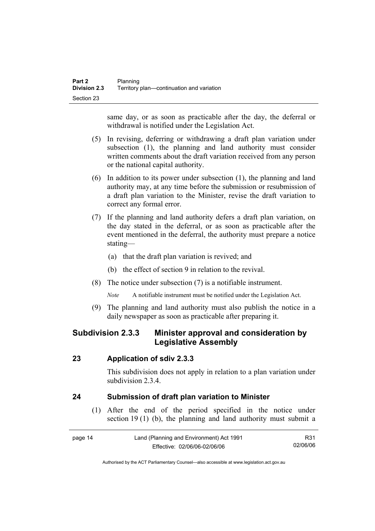same day, or as soon as practicable after the day, the deferral or withdrawal is notified under the Legislation Act.

- (5) In revising, deferring or withdrawing a draft plan variation under subsection (1), the planning and land authority must consider written comments about the draft variation received from any person or the national capital authority.
- (6) In addition to its power under subsection (1), the planning and land authority may, at any time before the submission or resubmission of a draft plan variation to the Minister, revise the draft variation to correct any formal error.
- (7) If the planning and land authority defers a draft plan variation, on the day stated in the deferral, or as soon as practicable after the event mentioned in the deferral, the authority must prepare a notice stating—
	- (a) that the draft plan variation is revived; and
	- (b) the effect of section 9 in relation to the revival.
- (8) The notice under subsection (7) is a notifiable instrument.

*Note* A notifiable instrument must be notified under the Legislation Act.

(9) The planning and land authority must also publish the notice in a daily newspaper as soon as practicable after preparing it.

## **Subdivision 2.3.3 Minister approval and consideration by Legislative Assembly**

#### **23 Application of sdiv 2.3.3**

This subdivision does not apply in relation to a plan variation under subdivision 2.3.4

## **24 Submission of draft plan variation to Minister**

 (1) After the end of the period specified in the notice under section 19 (1) (b), the planning and land authority must submit a

| page 14 | Land (Planning and Environment) Act 1991 | R31      |
|---------|------------------------------------------|----------|
|         | Effective: 02/06/06-02/06/06             | 02/06/06 |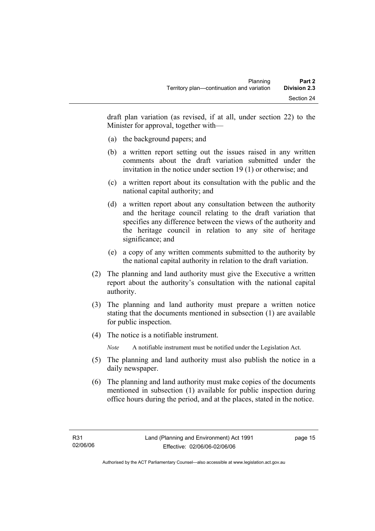draft plan variation (as revised, if at all, under section 22) to the Minister for approval, together with—

- (a) the background papers; and
- (b) a written report setting out the issues raised in any written comments about the draft variation submitted under the invitation in the notice under section 19 (1) or otherwise; and
- (c) a written report about its consultation with the public and the national capital authority; and
- (d) a written report about any consultation between the authority and the heritage council relating to the draft variation that specifies any difference between the views of the authority and the heritage council in relation to any site of heritage significance; and
- (e) a copy of any written comments submitted to the authority by the national capital authority in relation to the draft variation.
- (2) The planning and land authority must give the Executive a written report about the authority's consultation with the national capital authority.
- (3) The planning and land authority must prepare a written notice stating that the documents mentioned in subsection (1) are available for public inspection.
- (4) The notice is a notifiable instrument.

*Note* A notifiable instrument must be notified under the Legislation Act.

- (5) The planning and land authority must also publish the notice in a daily newspaper.
- (6) The planning and land authority must make copies of the documents mentioned in subsection (1) available for public inspection during office hours during the period, and at the places, stated in the notice.

page 15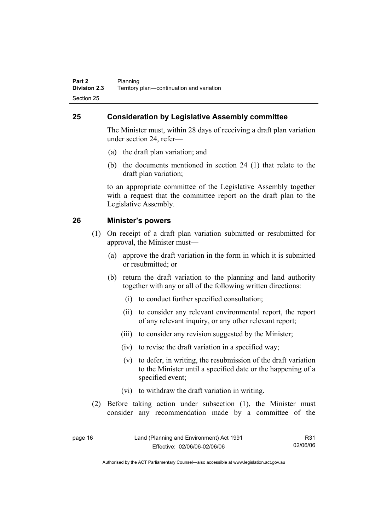## **25 Consideration by Legislative Assembly committee**

The Minister must, within 28 days of receiving a draft plan variation under section 24, refer—

- (a) the draft plan variation; and
- (b) the documents mentioned in section 24 (1) that relate to the draft plan variation;

to an appropriate committee of the Legislative Assembly together with a request that the committee report on the draft plan to the Legislative Assembly.

### **26 Minister's powers**

- (1) On receipt of a draft plan variation submitted or resubmitted for approval, the Minister must—
	- (a) approve the draft variation in the form in which it is submitted or resubmitted; or
	- (b) return the draft variation to the planning and land authority together with any or all of the following written directions:
		- (i) to conduct further specified consultation;
		- (ii) to consider any relevant environmental report, the report of any relevant inquiry, or any other relevant report;
		- (iii) to consider any revision suggested by the Minister;
		- (iv) to revise the draft variation in a specified way;
		- (v) to defer, in writing, the resubmission of the draft variation to the Minister until a specified date or the happening of a specified event;
		- (vi) to withdraw the draft variation in writing.
- (2) Before taking action under subsection (1), the Minister must consider any recommendation made by a committee of the

| page 16 | Land (Planning and Environment) Act 1991 | R31      |
|---------|------------------------------------------|----------|
|         | Effective: 02/06/06-02/06/06             | 02/06/06 |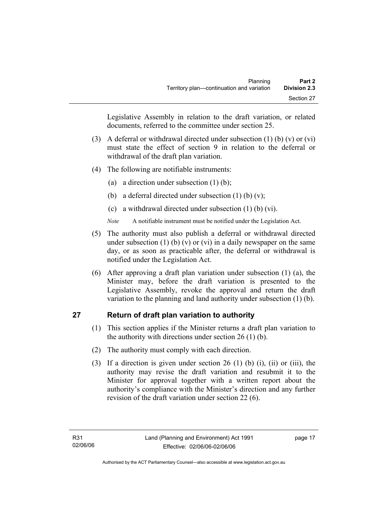Legislative Assembly in relation to the draft variation, or related documents, referred to the committee under section 25.

- (3) A deferral or withdrawal directed under subsection (1) (b) (v) or (vi) must state the effect of section 9 in relation to the deferral or withdrawal of the draft plan variation.
- (4) The following are notifiable instruments:
	- (a) a direction under subsection (1) (b);
	- (b) a deferral directed under subsection  $(1)$  (b)  $(v)$ ;
	- (c) a withdrawal directed under subsection (1) (b) (vi).
	- *Note* A notifiable instrument must be notified under the Legislation Act.
- (5) The authority must also publish a deferral or withdrawal directed under subsection (1) (b) (v) or (vi) in a daily newspaper on the same day, or as soon as practicable after, the deferral or withdrawal is notified under the Legislation Act.
- (6) After approving a draft plan variation under subsection (1) (a), the Minister may, before the draft variation is presented to the Legislative Assembly, revoke the approval and return the draft variation to the planning and land authority under subsection (1) (b).

## **27 Return of draft plan variation to authority**

- (1) This section applies if the Minister returns a draft plan variation to the authority with directions under section 26 (1) (b).
- (2) The authority must comply with each direction.
- (3) If a direction is given under section 26 (1) (b) (i), (ii) or (iii), the authority may revise the draft variation and resubmit it to the Minister for approval together with a written report about the authority's compliance with the Minister's direction and any further revision of the draft variation under section 22 (6).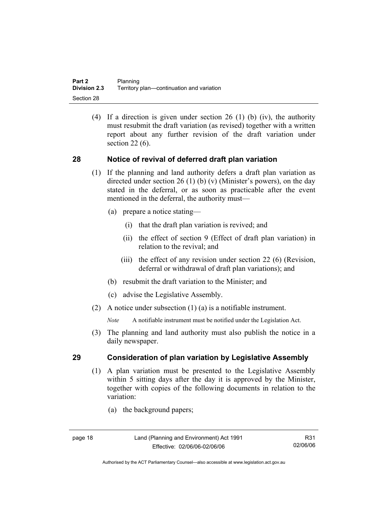(4) If a direction is given under section 26 (1) (b) (iv), the authority must resubmit the draft variation (as revised) together with a written report about any further revision of the draft variation under section 22 (6).

### **28 Notice of revival of deferred draft plan variation**

- (1) If the planning and land authority defers a draft plan variation as directed under section 26 (1) (b) (v) (Minister's powers), on the day stated in the deferral, or as soon as practicable after the event mentioned in the deferral, the authority must—
	- (a) prepare a notice stating—
		- (i) that the draft plan variation is revived; and
		- (ii) the effect of section 9 (Effect of draft plan variation) in relation to the revival; and
		- (iii) the effect of any revision under section 22 (6) (Revision, deferral or withdrawal of draft plan variations); and
	- (b) resubmit the draft variation to the Minister; and
	- (c) advise the Legislative Assembly.
- (2) A notice under subsection (1) (a) is a notifiable instrument.

*Note* A notifiable instrument must be notified under the Legislation Act.

(3) The planning and land authority must also publish the notice in a daily newspaper.

#### **29 Consideration of plan variation by Legislative Assembly**

- (1) A plan variation must be presented to the Legislative Assembly within 5 sitting days after the day it is approved by the Minister, together with copies of the following documents in relation to the variation:
	- (a) the background papers;

R31 02/06/06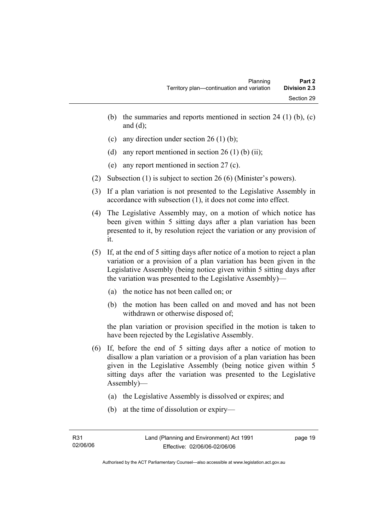- (b) the summaries and reports mentioned in section 24 (1) (b),  $(c)$ and  $(d)$ ;
- (c) any direction under section 26 (1) (b);
- (d) any report mentioned in section  $26(1)$  (b) (ii);
- (e) any report mentioned in section 27 (c).
- (2) Subsection (1) is subject to section 26 (6) (Minister's powers).
- (3) If a plan variation is not presented to the Legislative Assembly in accordance with subsection (1), it does not come into effect.
- (4) The Legislative Assembly may, on a motion of which notice has been given within 5 sitting days after a plan variation has been presented to it, by resolution reject the variation or any provision of it.
- (5) If, at the end of 5 sitting days after notice of a motion to reject a plan variation or a provision of a plan variation has been given in the Legislative Assembly (being notice given within 5 sitting days after the variation was presented to the Legislative Assembly)—
	- (a) the notice has not been called on; or
	- (b) the motion has been called on and moved and has not been withdrawn or otherwise disposed of;

the plan variation or provision specified in the motion is taken to have been rejected by the Legislative Assembly.

- (6) If, before the end of 5 sitting days after a notice of motion to disallow a plan variation or a provision of a plan variation has been given in the Legislative Assembly (being notice given within 5 sitting days after the variation was presented to the Legislative Assembly)—
	- (a) the Legislative Assembly is dissolved or expires; and
	- (b) at the time of dissolution or expiry—

page 19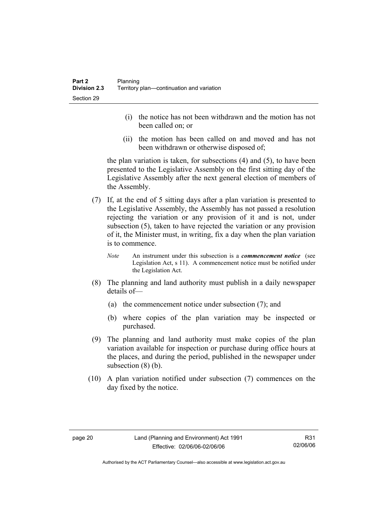- (i) the notice has not been withdrawn and the motion has not been called on; or
- (ii) the motion has been called on and moved and has not been withdrawn or otherwise disposed of;

the plan variation is taken, for subsections (4) and (5), to have been presented to the Legislative Assembly on the first sitting day of the Legislative Assembly after the next general election of members of the Assembly.

- (7) If, at the end of 5 sitting days after a plan variation is presented to the Legislative Assembly, the Assembly has not passed a resolution rejecting the variation or any provision of it and is not, under subsection (5), taken to have rejected the variation or any provision of it, the Minister must, in writing, fix a day when the plan variation is to commence.
	- *Note* An instrument under this subsection is a *commencement notice* (see Legislation Act, s 11). A commencement notice must be notified under the Legislation Act.
- (8) The planning and land authority must publish in a daily newspaper details of—
	- (a) the commencement notice under subsection (7); and
	- (b) where copies of the plan variation may be inspected or purchased.
- (9) The planning and land authority must make copies of the plan variation available for inspection or purchase during office hours at the places, and during the period, published in the newspaper under subsection  $(8)$  (b).
- (10) A plan variation notified under subsection (7) commences on the day fixed by the notice.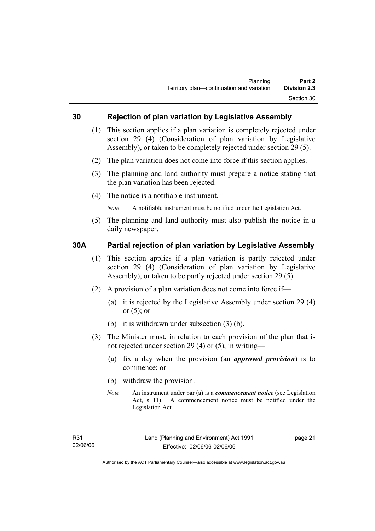#### **30 Rejection of plan variation by Legislative Assembly**

- (1) This section applies if a plan variation is completely rejected under section 29 (4) (Consideration of plan variation by Legislative Assembly), or taken to be completely rejected under section 29 (5).
- (2) The plan variation does not come into force if this section applies.
- (3) The planning and land authority must prepare a notice stating that the plan variation has been rejected.
- (4) The notice is a notifiable instrument.

*Note* A notifiable instrument must be notified under the Legislation Act.

(5) The planning and land authority must also publish the notice in a daily newspaper.

#### **30A Partial rejection of plan variation by Legislative Assembly**

- (1) This section applies if a plan variation is partly rejected under section 29 (4) (Consideration of plan variation by Legislative Assembly), or taken to be partly rejected under section 29 (5).
- (2) A provision of a plan variation does not come into force if—
	- (a) it is rejected by the Legislative Assembly under section 29 (4) or  $(5)$ ; or
	- (b) it is withdrawn under subsection (3) (b).
- (3) The Minister must, in relation to each provision of the plan that is not rejected under section 29 (4) or (5), in writing—
	- (a) fix a day when the provision (an *approved provision*) is to commence; or
	- (b) withdraw the provision.
	- *Note* An instrument under par (a) is a *commencement notice* (see Legislation Act, s 11). A commencement notice must be notified under the Legislation Act.

page 21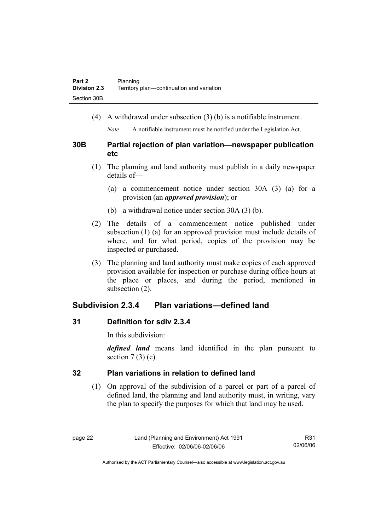(4) A withdrawal under subsection (3) (b) is a notifiable instrument.

*Note* A notifiable instrument must be notified under the Legislation Act.

### **30B Partial rejection of plan variation—newspaper publication etc**

- (1) The planning and land authority must publish in a daily newspaper details of—
	- (a) a commencement notice under section 30A (3) (a) for a provision (an *approved provision*); or
	- (b) a withdrawal notice under section 30A (3) (b).
- (2) The details of a commencement notice published under subsection (1) (a) for an approved provision must include details of where, and for what period, copies of the provision may be inspected or purchased.
- (3) The planning and land authority must make copies of each approved provision available for inspection or purchase during office hours at the place or places, and during the period, mentioned in subsection (2).

## **Subdivision 2.3.4 Plan variations—defined land**

## **31 Definition for sdiv 2.3.4**

In this subdivision:

*defined land* means land identified in the plan pursuant to section  $7(3)(c)$ .

## **32 Plan variations in relation to defined land**

 (1) On approval of the subdivision of a parcel or part of a parcel of defined land, the planning and land authority must, in writing, vary the plan to specify the purposes for which that land may be used.

R31 02/06/06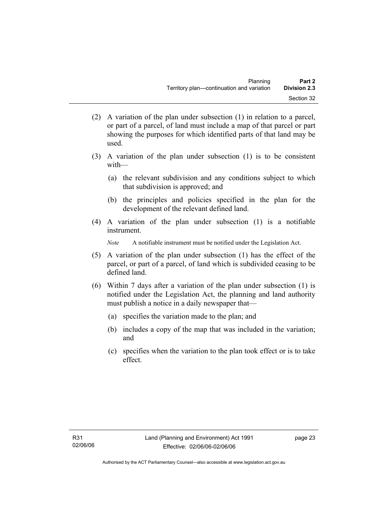- (2) A variation of the plan under subsection (1) in relation to a parcel, or part of a parcel, of land must include a map of that parcel or part showing the purposes for which identified parts of that land may be used.
- (3) A variation of the plan under subsection (1) is to be consistent with—
	- (a) the relevant subdivision and any conditions subject to which that subdivision is approved; and
	- (b) the principles and policies specified in the plan for the development of the relevant defined land.
- (4) A variation of the plan under subsection (1) is a notifiable instrument.

*Note* A notifiable instrument must be notified under the Legislation Act.

- (5) A variation of the plan under subsection (1) has the effect of the parcel, or part of a parcel, of land which is subdivided ceasing to be defined land.
- (6) Within 7 days after a variation of the plan under subsection (1) is notified under the Legislation Act, the planning and land authority must publish a notice in a daily newspaper that—
	- (a) specifies the variation made to the plan; and
	- (b) includes a copy of the map that was included in the variation; and
	- (c) specifies when the variation to the plan took effect or is to take effect.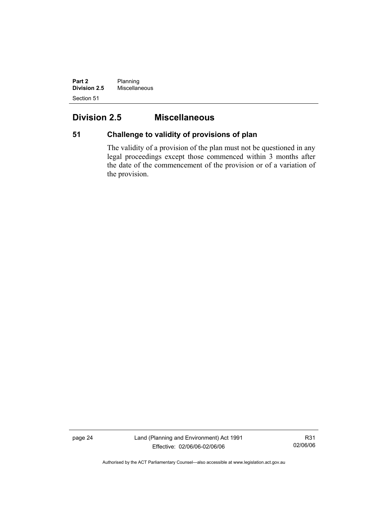**Part 2** Planning **Division 2.5** Miscellaneous Section 51

# **Division 2.5 Miscellaneous**

# **51 Challenge to validity of provisions of plan**

The validity of a provision of the plan must not be questioned in any legal proceedings except those commenced within 3 months after the date of the commencement of the provision or of a variation of the provision.

page 24 Land (Planning and Environment) Act 1991 Effective: 02/06/06-02/06/06

R31 02/06/06

Authorised by the ACT Parliamentary Counsel—also accessible at www.legislation.act.gov.au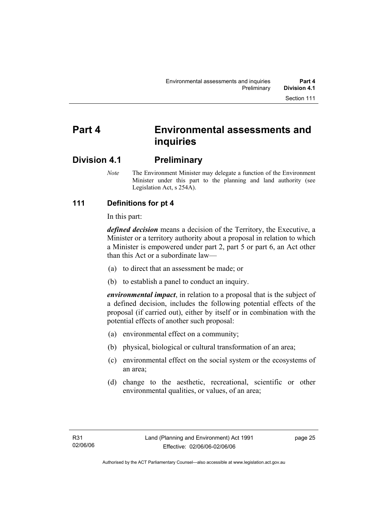# **Part 4 Environmental assessments and inquiries**

# **Division 4.1 Preliminary**

*Note* The Environment Minister may delegate a function of the Environment Minister under this part to the planning and land authority (see Legislation Act, s 254A).

# **111 Definitions for pt 4**

In this part:

*defined decision* means a decision of the Territory, the Executive, a Minister or a territory authority about a proposal in relation to which a Minister is empowered under part 2, part 5 or part 6, an Act other than this Act or a subordinate law—

- (a) to direct that an assessment be made; or
- (b) to establish a panel to conduct an inquiry.

*environmental impact*, in relation to a proposal that is the subject of a defined decision, includes the following potential effects of the proposal (if carried out), either by itself or in combination with the potential effects of another such proposal:

- (a) environmental effect on a community;
- (b) physical, biological or cultural transformation of an area;
- (c) environmental effect on the social system or the ecosystems of an area;
- (d) change to the aesthetic, recreational, scientific or other environmental qualities, or values, of an area;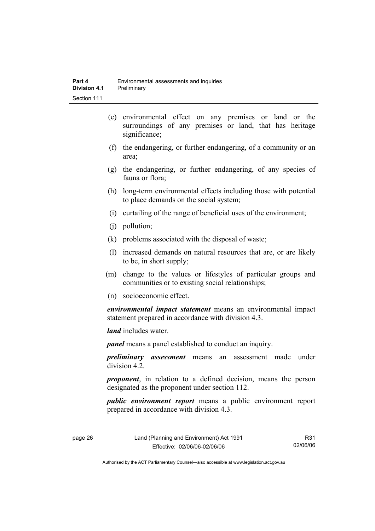- (e) environmental effect on any premises or land or the surroundings of any premises or land, that has heritage significance;
- (f) the endangering, or further endangering, of a community or an area;
- (g) the endangering, or further endangering, of any species of fauna or flora;
- (h) long-term environmental effects including those with potential to place demands on the social system;
- (i) curtailing of the range of beneficial uses of the environment;
- (j) pollution;
- (k) problems associated with the disposal of waste;
- (l) increased demands on natural resources that are, or are likely to be, in short supply;
- (m) change to the values or lifestyles of particular groups and communities or to existing social relationships;
- (n) socioeconomic effect.

*environmental impact statement* means an environmental impact statement prepared in accordance with division 4.3.

*land* includes water.

*panel* means a panel established to conduct an inquiry.

*preliminary assessment* means an assessment made under division 4.2.

*proponent*, in relation to a defined decision, means the person designated as the proponent under section 112.

*public environment report* means a public environment report prepared in accordance with division 4.3.

page 26 Land (Planning and Environment) Act 1991 Effective: 02/06/06-02/06/06

R31 02/06/06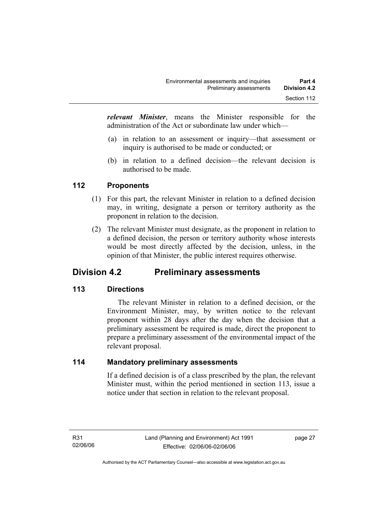*relevant Minister*, means the Minister responsible for the administration of the Act or subordinate law under which—

- (a) in relation to an assessment or inquiry—that assessment or inquiry is authorised to be made or conducted; or
- (b) in relation to a defined decision—the relevant decision is authorised to be made.

# **112 Proponents**

- (1) For this part, the relevant Minister in relation to a defined decision may, in writing, designate a person or territory authority as the proponent in relation to the decision.
- (2) The relevant Minister must designate, as the proponent in relation to a defined decision, the person or territory authority whose interests would be most directly affected by the decision, unless, in the opinion of that Minister, the public interest requires otherwise.

# **Division 4.2 Preliminary assessments**

# **113 Directions**

 The relevant Minister in relation to a defined decision, or the Environment Minister, may, by written notice to the relevant proponent within 28 days after the day when the decision that a preliminary assessment be required is made, direct the proponent to prepare a preliminary assessment of the environmental impact of the relevant proposal.

# **114 Mandatory preliminary assessments**

If a defined decision is of a class prescribed by the plan, the relevant Minister must, within the period mentioned in section 113, issue a notice under that section in relation to the relevant proposal.

page 27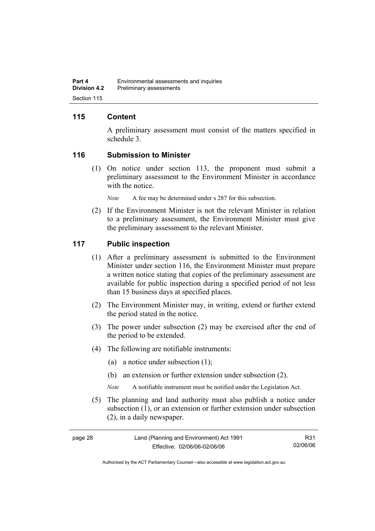# **115 Content**

A preliminary assessment must consist of the matters specified in schedule 3.

#### **116 Submission to Minister**

 (1) On notice under section 113, the proponent must submit a preliminary assessment to the Environment Minister in accordance with the notice.

*Note* A fee may be determined under s 287 for this subsection.

 (2) If the Environment Minister is not the relevant Minister in relation to a preliminary assessment, the Environment Minister must give the preliminary assessment to the relevant Minister.

#### **117 Public inspection**

- (1) After a preliminary assessment is submitted to the Environment Minister under section 116, the Environment Minister must prepare a written notice stating that copies of the preliminary assessment are available for public inspection during a specified period of not less than 15 business days at specified places.
- (2) The Environment Minister may, in writing, extend or further extend the period stated in the notice.
- (3) The power under subsection (2) may be exercised after the end of the period to be extended.
- (4) The following are notifiable instruments:
	- (a) a notice under subsection (1);
	- (b) an extension or further extension under subsection (2).
	- *Note* A notifiable instrument must be notified under the Legislation Act.
- (5) The planning and land authority must also publish a notice under subsection (1), or an extension or further extension under subsection (2), in a daily newspaper.

| page 28 | Land (Planning and Environment) Act 1991 | R31      |
|---------|------------------------------------------|----------|
|         | Effective: 02/06/06-02/06/06             | 02/06/06 |

Authorised by the ACT Parliamentary Counsel—also accessible at www.legislation.act.gov.au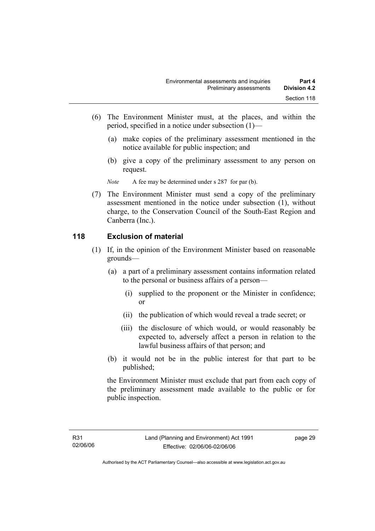- (6) The Environment Minister must, at the places, and within the period, specified in a notice under subsection (1)—
	- (a) make copies of the preliminary assessment mentioned in the notice available for public inspection; and
	- (b) give a copy of the preliminary assessment to any person on request.

*Note* A fee may be determined under s 287 for par (b).

 (7) The Environment Minister must send a copy of the preliminary assessment mentioned in the notice under subsection (1), without charge, to the Conservation Council of the South-East Region and Canberra (Inc.).

#### **118 Exclusion of material**

- (1) If, in the opinion of the Environment Minister based on reasonable grounds—
	- (a) a part of a preliminary assessment contains information related to the personal or business affairs of a person—
		- (i) supplied to the proponent or the Minister in confidence; or
		- (ii) the publication of which would reveal a trade secret; or
		- (iii) the disclosure of which would, or would reasonably be expected to, adversely affect a person in relation to the lawful business affairs of that person; and
	- (b) it would not be in the public interest for that part to be published;

the Environment Minister must exclude that part from each copy of the preliminary assessment made available to the public or for public inspection.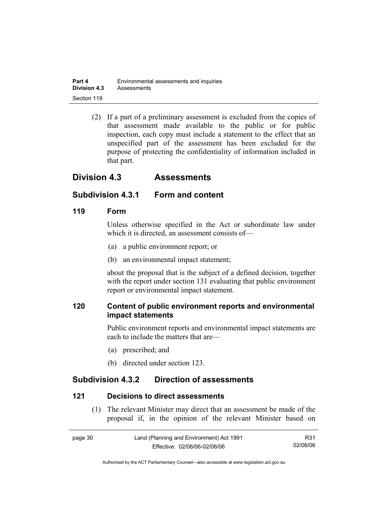| Part 4              | Environmental assessments and inquiries |
|---------------------|-----------------------------------------|
| <b>Division 4.3</b> | Assessments                             |
| Section 119         |                                         |

 (2) If a part of a preliminary assessment is excluded from the copies of that assessment made available to the public or for public inspection, each copy must include a statement to the effect that an unspecified part of the assessment has been excluded for the purpose of protecting the confidentiality of information included in that part.

# **Division 4.3 Assessments**

# **Subdivision 4.3.1 Form and content**

#### **119 Form**

Unless otherwise specified in the Act or subordinate law under which it is directed, an assessment consists of—

- (a) a public environment report; or
- (b) an environmental impact statement;

about the proposal that is the subject of a defined decision, together with the report under section 131 evaluating that public environment report or environmental impact statement.

# **120 Content of public environment reports and environmental impact statements**

Public environment reports and environmental impact statements are each to include the matters that are—

- (a) prescribed; and
- (b) directed under section 123.

# **Subdivision 4.3.2 Direction of assessments**

#### **121 Decisions to direct assessments**

 (1) The relevant Minister may direct that an assessment be made of the proposal if, in the opinion of the relevant Minister based on

| page 30 | Land (Planning and Environment) Act 1991 | R31      |
|---------|------------------------------------------|----------|
|         | Effective: 02/06/06-02/06/06             | 02/06/06 |

Authorised by the ACT Parliamentary Counsel—also accessible at www.legislation.act.gov.au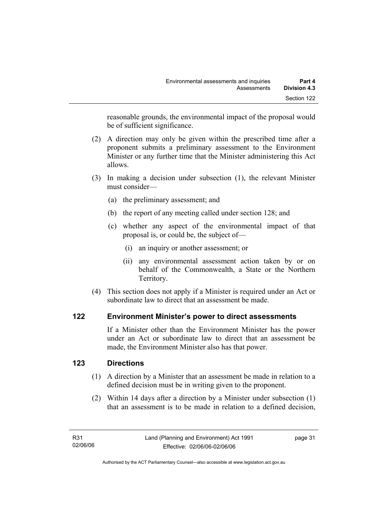reasonable grounds, the environmental impact of the proposal would be of sufficient significance.

- (2) A direction may only be given within the prescribed time after a proponent submits a preliminary assessment to the Environment Minister or any further time that the Minister administering this Act allows.
- (3) In making a decision under subsection (1), the relevant Minister must consider—
	- (a) the preliminary assessment; and
	- (b) the report of any meeting called under section 128; and
	- (c) whether any aspect of the environmental impact of that proposal is, or could be, the subject of—
		- (i) an inquiry or another assessment; or
		- (ii) any environmental assessment action taken by or on behalf of the Commonwealth, a State or the Northern Territory.
- (4) This section does not apply if a Minister is required under an Act or subordinate law to direct that an assessment be made.

# **122 Environment Minister's power to direct assessments**

If a Minister other than the Environment Minister has the power under an Act or subordinate law to direct that an assessment be made, the Environment Minister also has that power.

# **123 Directions**

- (1) A direction by a Minister that an assessment be made in relation to a defined decision must be in writing given to the proponent.
- (2) Within 14 days after a direction by a Minister under subsection (1) that an assessment is to be made in relation to a defined decision,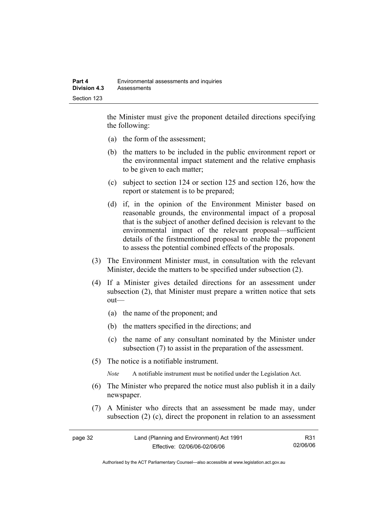the Minister must give the proponent detailed directions specifying the following:

- (a) the form of the assessment;
- (b) the matters to be included in the public environment report or the environmental impact statement and the relative emphasis to be given to each matter;
- (c) subject to section 124 or section 125 and section 126, how the report or statement is to be prepared;
- (d) if, in the opinion of the Environment Minister based on reasonable grounds, the environmental impact of a proposal that is the subject of another defined decision is relevant to the environmental impact of the relevant proposal—sufficient details of the firstmentioned proposal to enable the proponent to assess the potential combined effects of the proposals.
- (3) The Environment Minister must, in consultation with the relevant Minister, decide the matters to be specified under subsection (2).
- (4) If a Minister gives detailed directions for an assessment under subsection (2), that Minister must prepare a written notice that sets out—
	- (a) the name of the proponent; and
	- (b) the matters specified in the directions; and
	- (c) the name of any consultant nominated by the Minister under subsection (7) to assist in the preparation of the assessment.
- (5) The notice is a notifiable instrument.

*Note* A notifiable instrument must be notified under the Legislation Act.

- (6) The Minister who prepared the notice must also publish it in a daily newspaper.
- (7) A Minister who directs that an assessment be made may, under subsection (2) (c), direct the proponent in relation to an assessment

| page 32 | Land (Planning and Environment) Act 1991 | R31      |
|---------|------------------------------------------|----------|
|         | Effective: 02/06/06-02/06/06             | 02/06/06 |

Authorised by the ACT Parliamentary Counsel—also accessible at www.legislation.act.gov.au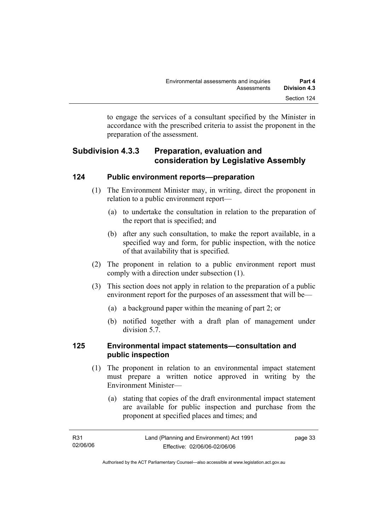to engage the services of a consultant specified by the Minister in accordance with the prescribed criteria to assist the proponent in the preparation of the assessment.

# **Subdivision 4.3.3 Preparation, evaluation and consideration by Legislative Assembly**

#### **124 Public environment reports—preparation**

- (1) The Environment Minister may, in writing, direct the proponent in relation to a public environment report—
	- (a) to undertake the consultation in relation to the preparation of the report that is specified; and
	- (b) after any such consultation, to make the report available, in a specified way and form, for public inspection, with the notice of that availability that is specified.
- (2) The proponent in relation to a public environment report must comply with a direction under subsection (1).
- (3) This section does not apply in relation to the preparation of a public environment report for the purposes of an assessment that will be—
	- (a) a background paper within the meaning of part 2; or
	- (b) notified together with a draft plan of management under division 5.7.

# **125 Environmental impact statements—consultation and public inspection**

- (1) The proponent in relation to an environmental impact statement must prepare a written notice approved in writing by the Environment Minister—
	- (a) stating that copies of the draft environmental impact statement are available for public inspection and purchase from the proponent at specified places and times; and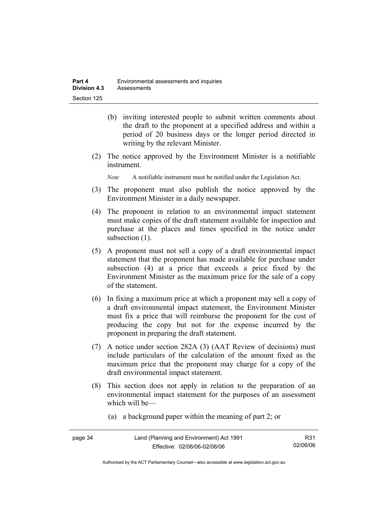- (b) inviting interested people to submit written comments about the draft to the proponent at a specified address and within a period of 20 business days or the longer period directed in writing by the relevant Minister.
- (2) The notice approved by the Environment Minister is a notifiable instrument.

*Note* A notifiable instrument must be notified under the Legislation Act.

- (3) The proponent must also publish the notice approved by the Environment Minister in a daily newspaper.
- (4) The proponent in relation to an environmental impact statement must make copies of the draft statement available for inspection and purchase at the places and times specified in the notice under subsection  $(1)$ .
- (5) A proponent must not sell a copy of a draft environmental impact statement that the proponent has made available for purchase under subsection (4) at a price that exceeds a price fixed by the Environment Minister as the maximum price for the sale of a copy of the statement.
- (6) In fixing a maximum price at which a proponent may sell a copy of a draft environmental impact statement, the Environment Minister must fix a price that will reimburse the proponent for the cost of producing the copy but not for the expense incurred by the proponent in preparing the draft statement.
- (7) A notice under section 282A (3) (AAT Review of decisions) must include particulars of the calculation of the amount fixed as the maximum price that the proponent may charge for a copy of the draft environmental impact statement.
- (8) This section does not apply in relation to the preparation of an environmental impact statement for the purposes of an assessment which will be—
	- (a) a background paper within the meaning of part 2; or

| page 34 | Land (Planning and Environment) Act 1991 | R31      |
|---------|------------------------------------------|----------|
|         | Effective: 02/06/06-02/06/06             | 02/06/06 |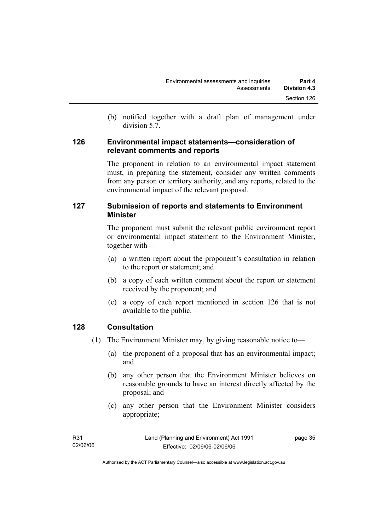(b) notified together with a draft plan of management under division 5.7.

#### **126 Environmental impact statements—consideration of relevant comments and reports**

The proponent in relation to an environmental impact statement must, in preparing the statement, consider any written comments from any person or territory authority, and any reports, related to the environmental impact of the relevant proposal.

# **127 Submission of reports and statements to Environment Minister**

The proponent must submit the relevant public environment report or environmental impact statement to the Environment Minister, together with—

- (a) a written report about the proponent's consultation in relation to the report or statement; and
- (b) a copy of each written comment about the report or statement received by the proponent; and
- (c) a copy of each report mentioned in section 126 that is not available to the public.

# **128 Consultation**

- (1) The Environment Minister may, by giving reasonable notice to—
	- (a) the proponent of a proposal that has an environmental impact; and
	- (b) any other person that the Environment Minister believes on reasonable grounds to have an interest directly affected by the proposal; and
	- (c) any other person that the Environment Minister considers appropriate;

| R31      | Land (Planning and Environment) Act 1991 | page 35 |
|----------|------------------------------------------|---------|
| 02/06/06 | Effective: 02/06/06-02/06/06             |         |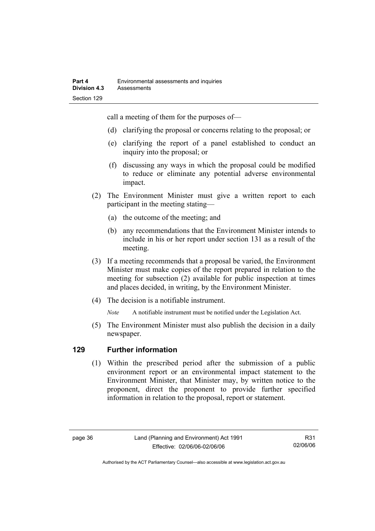call a meeting of them for the purposes of—

- (d) clarifying the proposal or concerns relating to the proposal; or
- (e) clarifying the report of a panel established to conduct an inquiry into the proposal; or
- (f) discussing any ways in which the proposal could be modified to reduce or eliminate any potential adverse environmental impact.
- (2) The Environment Minister must give a written report to each participant in the meeting stating—
	- (a) the outcome of the meeting; and
	- (b) any recommendations that the Environment Minister intends to include in his or her report under section 131 as a result of the meeting.
- (3) If a meeting recommends that a proposal be varied, the Environment Minister must make copies of the report prepared in relation to the meeting for subsection (2) available for public inspection at times and places decided, in writing, by the Environment Minister.
- (4) The decision is a notifiable instrument.

*Note* A notifiable instrument must be notified under the Legislation Act.

(5) The Environment Minister must also publish the decision in a daily newspaper.

# **129 Further information**

 (1) Within the prescribed period after the submission of a public environment report or an environmental impact statement to the Environment Minister, that Minister may, by written notice to the proponent, direct the proponent to provide further specified information in relation to the proposal, report or statement.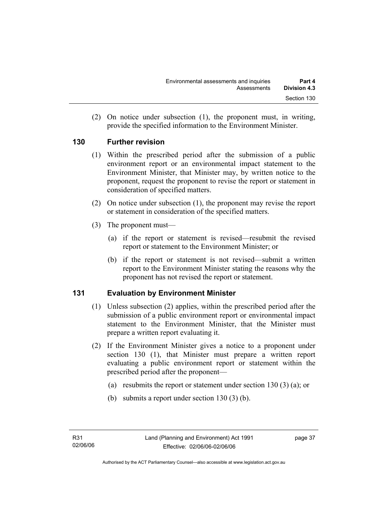(2) On notice under subsection (1), the proponent must, in writing, provide the specified information to the Environment Minister.

# **130 Further revision**

- (1) Within the prescribed period after the submission of a public environment report or an environmental impact statement to the Environment Minister, that Minister may, by written notice to the proponent, request the proponent to revise the report or statement in consideration of specified matters.
- (2) On notice under subsection (1), the proponent may revise the report or statement in consideration of the specified matters.
- (3) The proponent must—
	- (a) if the report or statement is revised—resubmit the revised report or statement to the Environment Minister; or
	- (b) if the report or statement is not revised—submit a written report to the Environment Minister stating the reasons why the proponent has not revised the report or statement.

# **131 Evaluation by Environment Minister**

- (1) Unless subsection (2) applies, within the prescribed period after the submission of a public environment report or environmental impact statement to the Environment Minister, that the Minister must prepare a written report evaluating it.
- (2) If the Environment Minister gives a notice to a proponent under section 130 (1), that Minister must prepare a written report evaluating a public environment report or statement within the prescribed period after the proponent—
	- (a) resubmits the report or statement under section 130 (3) (a); or
	- (b) submits a report under section 130 (3) (b).

page 37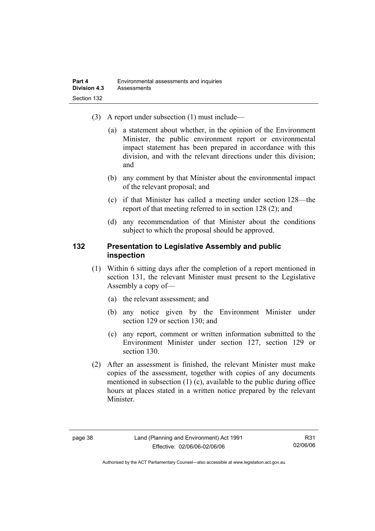- (3) A report under subsection (1) must include—
	- (a) a statement about whether, in the opinion of the Environment Minister, the public environment report or environmental impact statement has been prepared in accordance with this division, and with the relevant directions under this division; and
	- (b) any comment by that Minister about the environmental impact of the relevant proposal; and
	- (c) if that Minister has called a meeting under section 128—the report of that meeting referred to in section 128 (2); and
	- (d) any recommendation of that Minister about the conditions subject to which the proposal should be approved.

#### **132 Presentation to Legislative Assembly and public inspection**

- (1) Within 6 sitting days after the completion of a report mentioned in section 131, the relevant Minister must present to the Legislative Assembly a copy of—
	- (a) the relevant assessment; and
	- (b) any notice given by the Environment Minister under section 129 or section 130; and
	- (c) any report, comment or written information submitted to the Environment Minister under section 127, section 129 or section 130.
- (2) After an assessment is finished, the relevant Minister must make copies of the assessment, together with copies of any documents mentioned in subsection (1) (c), available to the public during office hours at places stated in a written notice prepared by the relevant Minister.

R31 02/06/06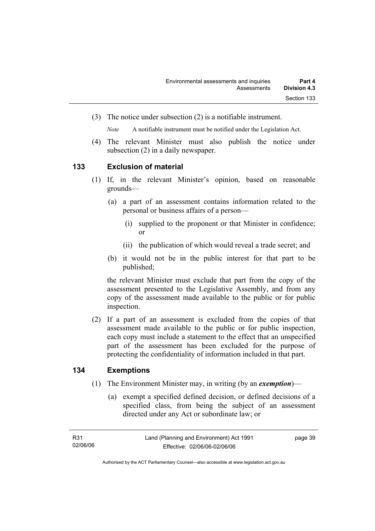(3) The notice under subsection (2) is a notifiable instrument.

*Note* A notifiable instrument must be notified under the Legislation Act.

(4) The relevant Minister must also publish the notice under subsection (2) in a daily newspaper.

#### **133 Exclusion of material**

- (1) If, in the relevant Minister's opinion, based on reasonable grounds—
	- (a) a part of an assessment contains information related to the personal or business affairs of a person—
		- (i) supplied to the proponent or that Minister in confidence; or
		- (ii) the publication of which would reveal a trade secret; and
	- (b) it would not be in the public interest for that part to be published;

the relevant Minister must exclude that part from the copy of the assessment presented to the Legislative Assembly, and from any copy of the assessment made available to the public or for public inspection.

 (2) If a part of an assessment is excluded from the copies of that assessment made available to the public or for public inspection, each copy must include a statement to the effect that an unspecified part of the assessment has been excluded for the purpose of protecting the confidentiality of information included in that part.

# **134 Exemptions**

- (1) The Environment Minister may, in writing (by an *exemption*)—
	- (a) exempt a specified defined decision, or defined decisions of a specified class, from being the subject of an assessment directed under any Act or subordinate law; or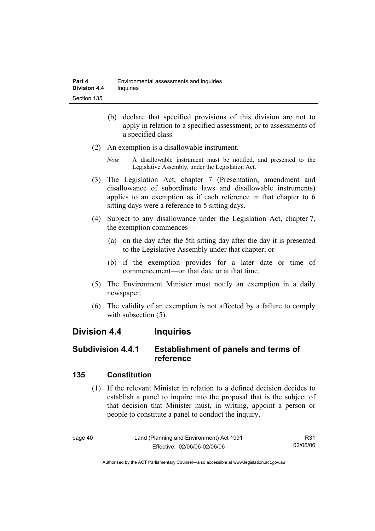- (b) declare that specified provisions of this division are not to apply in relation to a specified assessment, or to assessments of a specified class.
- (2) An exemption is a disallowable instrument.
	- *Note* A disallowable instrument must be notified, and presented to the Legislative Assembly, under the Legislation Act.
- (3) The Legislation Act, chapter 7 (Presentation, amendment and disallowance of subordinate laws and disallowable instruments) applies to an exemption as if each reference in that chapter to 6 sitting days were a reference to 5 sitting days.
- (4) Subject to any disallowance under the Legislation Act, chapter 7, the exemption commences—
	- (a) on the day after the 5th sitting day after the day it is presented to the Legislative Assembly under that chapter; or
	- (b) if the exemption provides for a later date or time of commencement—on that date or at that time.
- (5) The Environment Minister must notify an exemption in a daily newspaper.
- (6) The validity of an exemption is not affected by a failure to comply with subsection  $(5)$ .

# **Division 4.4 Inquiries**

# **Subdivision 4.4.1 Establishment of panels and terms of reference**

# **135 Constitution**

 (1) If the relevant Minister in relation to a defined decision decides to establish a panel to inquire into the proposal that is the subject of that decision that Minister must, in writing, appoint a person or people to constitute a panel to conduct the inquiry.

page 40 Land (Planning and Environment) Act 1991 Effective: 02/06/06-02/06/06 R31 02/06/06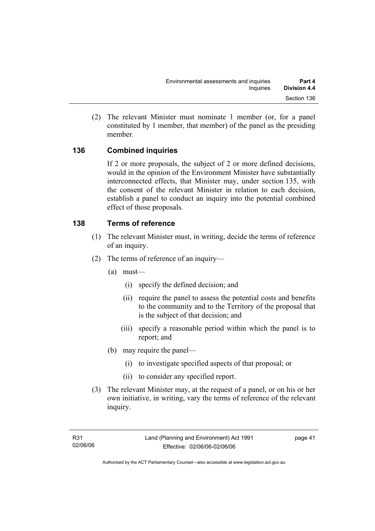(2) The relevant Minister must nominate 1 member (or, for a panel constituted by 1 member, that member) of the panel as the presiding member.

# **136 Combined inquiries**

If 2 or more proposals, the subject of 2 or more defined decisions, would in the opinion of the Environment Minister have substantially interconnected effects, that Minister may, under section 135, with the consent of the relevant Minister in relation to each decision, establish a panel to conduct an inquiry into the potential combined effect of those proposals.

# **138 Terms of reference**

- (1) The relevant Minister must, in writing, decide the terms of reference of an inquiry.
- (2) The terms of reference of an inquiry—
	- (a) must—
		- (i) specify the defined decision; and
		- (ii) require the panel to assess the potential costs and benefits to the community and to the Territory of the proposal that is the subject of that decision; and
		- (iii) specify a reasonable period within which the panel is to report; and
	- (b) may require the panel—
		- (i) to investigate specified aspects of that proposal; or
		- (ii) to consider any specified report.
- (3) The relevant Minister may, at the request of a panel, or on his or her own initiative, in writing, vary the terms of reference of the relevant inquiry.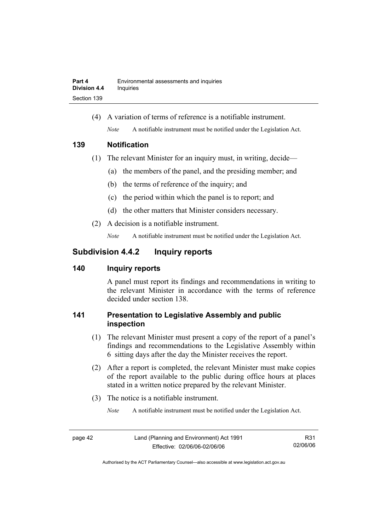(4) A variation of terms of reference is a notifiable instrument. *Note* A notifiable instrument must be notified under the Legislation Act.

#### **139 Notification**

- (1) The relevant Minister for an inquiry must, in writing, decide—
	- (a) the members of the panel, and the presiding member; and
	- (b) the terms of reference of the inquiry; and
	- (c) the period within which the panel is to report; and
	- (d) the other matters that Minister considers necessary.
- (2) A decision is a notifiable instrument.

*Note* A notifiable instrument must be notified under the Legislation Act.

# **Subdivision 4.4.2 Inquiry reports**

# **140 Inquiry reports**

A panel must report its findings and recommendations in writing to the relevant Minister in accordance with the terms of reference decided under section 138.

# **141 Presentation to Legislative Assembly and public inspection**

- (1) The relevant Minister must present a copy of the report of a panel's findings and recommendations to the Legislative Assembly within 6 sitting days after the day the Minister receives the report.
- (2) After a report is completed, the relevant Minister must make copies of the report available to the public during office hours at places stated in a written notice prepared by the relevant Minister.
- (3) The notice is a notifiable instrument.

*Note* A notifiable instrument must be notified under the Legislation Act.

R31 02/06/06

Authorised by the ACT Parliamentary Counsel—also accessible at www.legislation.act.gov.au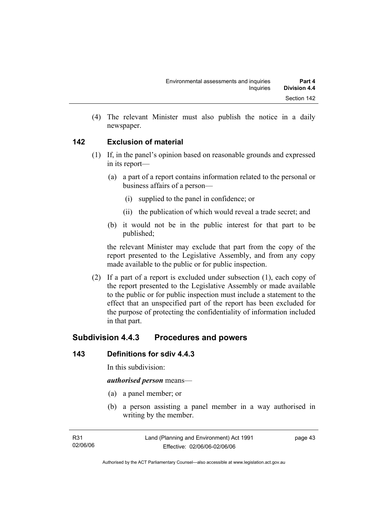(4) The relevant Minister must also publish the notice in a daily newspaper.

# **142 Exclusion of material**

- (1) If, in the panel's opinion based on reasonable grounds and expressed in its report—
	- (a) a part of a report contains information related to the personal or business affairs of a person—
		- (i) supplied to the panel in confidence; or
		- (ii) the publication of which would reveal a trade secret; and
	- (b) it would not be in the public interest for that part to be published;

the relevant Minister may exclude that part from the copy of the report presented to the Legislative Assembly, and from any copy made available to the public or for public inspection.

 (2) If a part of a report is excluded under subsection (1), each copy of the report presented to the Legislative Assembly or made available to the public or for public inspection must include a statement to the effect that an unspecified part of the report has been excluded for the purpose of protecting the confidentiality of information included in that part.

# **Subdivision 4.4.3 Procedures and powers**

# **143 Definitions for sdiv 4.4.3**

In this subdivision:

#### *authorised person* means—

- (a) a panel member; or
- (b) a person assisting a panel member in a way authorised in writing by the member.

page 43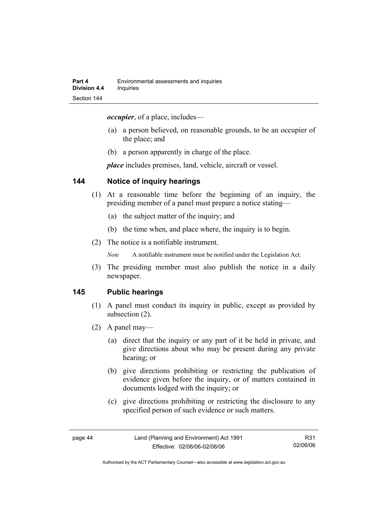*occupier*, of a place, includes—

- (a) a person believed, on reasonable grounds, to be an occupier of the place; and
- (b) a person apparently in charge of the place.

*place* includes premises, land, vehicle, aircraft or vessel.

#### **144 Notice of inquiry hearings**

- (1) At a reasonable time before the beginning of an inquiry, the presiding member of a panel must prepare a notice stating—
	- (a) the subject matter of the inquiry; and
	- (b) the time when, and place where, the inquiry is to begin.
- (2) The notice is a notifiable instrument.

*Note* A notifiable instrument must be notified under the Legislation Act.

(3) The presiding member must also publish the notice in a daily newspaper.

#### **145 Public hearings**

- (1) A panel must conduct its inquiry in public, except as provided by subsection (2).
- (2) A panel may—
	- (a) direct that the inquiry or any part of it be held in private, and give directions about who may be present during any private hearing; or
	- (b) give directions prohibiting or restricting the publication of evidence given before the inquiry, or of matters contained in documents lodged with the inquiry; or
	- (c) give directions prohibiting or restricting the disclosure to any specified person of such evidence or such matters.

R31 02/06/06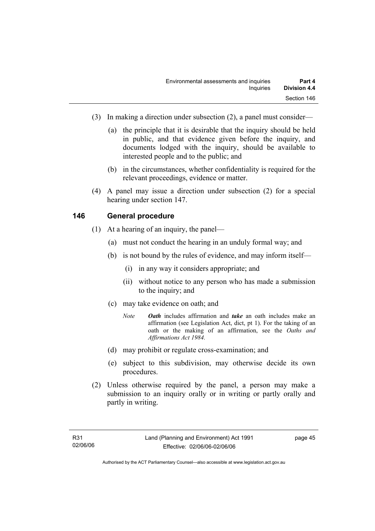- (3) In making a direction under subsection (2), a panel must consider—
	- (a) the principle that it is desirable that the inquiry should be held in public, and that evidence given before the inquiry, and documents lodged with the inquiry, should be available to interested people and to the public; and
	- (b) in the circumstances, whether confidentiality is required for the relevant proceedings, evidence or matter.
- (4) A panel may issue a direction under subsection (2) for a special hearing under section 147.

#### **146 General procedure**

- (1) At a hearing of an inquiry, the panel—
	- (a) must not conduct the hearing in an unduly formal way; and
	- (b) is not bound by the rules of evidence, and may inform itself—
		- (i) in any way it considers appropriate; and
		- (ii) without notice to any person who has made a submission to the inquiry; and
	- (c) may take evidence on oath; and
		- *Note Oath* includes affirmation and *take* an oath includes make an affirmation (see Legislation Act, dict, pt 1). For the taking of an oath or the making of an affirmation, see the *Oaths and Affirmations Act 1984.*
	- (d) may prohibit or regulate cross-examination; and
	- (e) subject to this subdivision, may otherwise decide its own procedures.
- (2) Unless otherwise required by the panel, a person may make a submission to an inquiry orally or in writing or partly orally and partly in writing.

page 45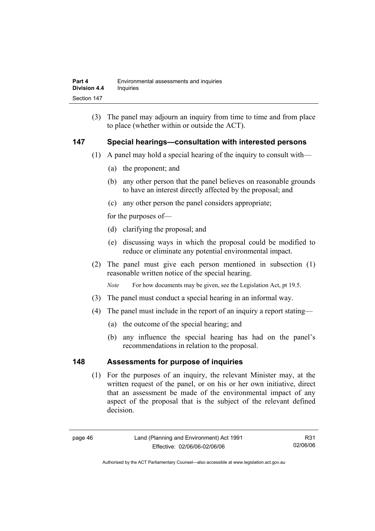(3) The panel may adjourn an inquiry from time to time and from place to place (whether within or outside the ACT).

#### **147 Special hearings—consultation with interested persons**

- (1) A panel may hold a special hearing of the inquiry to consult with—
	- (a) the proponent; and
	- (b) any other person that the panel believes on reasonable grounds to have an interest directly affected by the proposal; and
	- (c) any other person the panel considers appropriate;

for the purposes of—

- (d) clarifying the proposal; and
- (e) discussing ways in which the proposal could be modified to reduce or eliminate any potential environmental impact.
- (2) The panel must give each person mentioned in subsection (1) reasonable written notice of the special hearing.

*Note* For how documents may be given, see the Legislation Act, pt 19.5.

- (3) The panel must conduct a special hearing in an informal way.
- (4) The panel must include in the report of an inquiry a report stating—
	- (a) the outcome of the special hearing; and
	- (b) any influence the special hearing has had on the panel's recommendations in relation to the proposal.

#### **148 Assessments for purpose of inquiries**

 (1) For the purposes of an inquiry, the relevant Minister may, at the written request of the panel, or on his or her own initiative, direct that an assessment be made of the environmental impact of any aspect of the proposal that is the subject of the relevant defined decision.

R31 02/06/06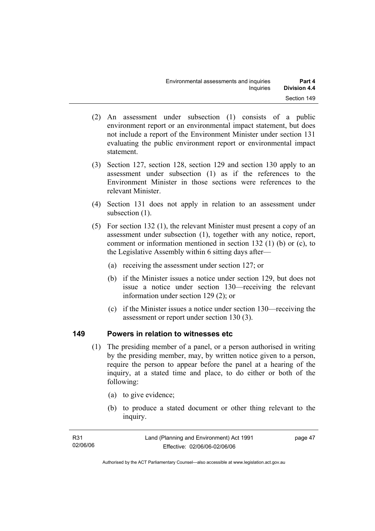- (2) An assessment under subsection (1) consists of a public environment report or an environmental impact statement, but does not include a report of the Environment Minister under section 131 evaluating the public environment report or environmental impact statement.
- (3) Section 127, section 128, section 129 and section 130 apply to an assessment under subsection (1) as if the references to the Environment Minister in those sections were references to the relevant Minister.
- (4) Section 131 does not apply in relation to an assessment under subsection  $(1)$ .
- (5) For section 132 (1), the relevant Minister must present a copy of an assessment under subsection (1), together with any notice, report, comment or information mentioned in section 132 (1) (b) or (c), to the Legislative Assembly within 6 sitting days after—
	- (a) receiving the assessment under section 127; or
	- (b) if the Minister issues a notice under section 129, but does not issue a notice under section 130—receiving the relevant information under section 129 (2); or
	- (c) if the Minister issues a notice under section 130—receiving the assessment or report under section 130 (3).

#### **149 Powers in relation to witnesses etc**

- (1) The presiding member of a panel, or a person authorised in writing by the presiding member, may, by written notice given to a person, require the person to appear before the panel at a hearing of the inquiry, at a stated time and place, to do either or both of the following:
	- (a) to give evidence;
	- (b) to produce a stated document or other thing relevant to the inquiry.

| R31      | Land (Planning and Environment) Act 1991 | page 47 |
|----------|------------------------------------------|---------|
| 02/06/06 | Effective: 02/06/06-02/06/06             |         |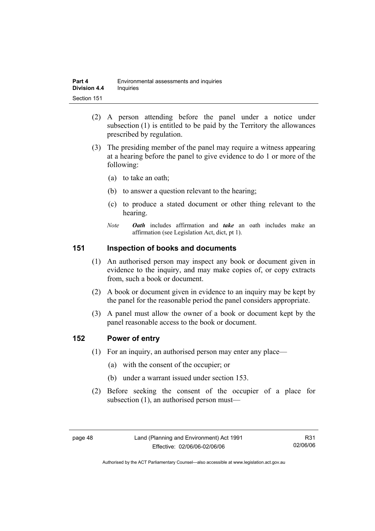| Part 4              | Environmental assessments and inquiries |
|---------------------|-----------------------------------------|
| <b>Division 4.4</b> | Inquiries                               |
| Section 151         |                                         |

- (2) A person attending before the panel under a notice under subsection (1) is entitled to be paid by the Territory the allowances prescribed by regulation.
- (3) The presiding member of the panel may require a witness appearing at a hearing before the panel to give evidence to do 1 or more of the following:
	- (a) to take an oath;
	- (b) to answer a question relevant to the hearing;
	- (c) to produce a stated document or other thing relevant to the hearing.
	- *Note Oath* includes affirmation and *take* an oath includes make an affirmation (see Legislation Act, dict, pt 1).

#### **151 Inspection of books and documents**

- (1) An authorised person may inspect any book or document given in evidence to the inquiry, and may make copies of, or copy extracts from, such a book or document.
- (2) A book or document given in evidence to an inquiry may be kept by the panel for the reasonable period the panel considers appropriate.
- (3) A panel must allow the owner of a book or document kept by the panel reasonable access to the book or document.

#### **152 Power of entry**

- (1) For an inquiry, an authorised person may enter any place—
	- (a) with the consent of the occupier; or
	- (b) under a warrant issued under section 153.
- (2) Before seeking the consent of the occupier of a place for subsection (1), an authorised person must—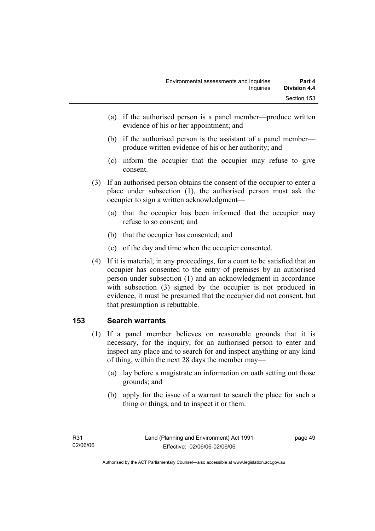- (a) if the authorised person is a panel member—produce written evidence of his or her appointment; and
- (b) if the authorised person is the assistant of a panel member produce written evidence of his or her authority; and
- (c) inform the occupier that the occupier may refuse to give consent.
- (3) If an authorised person obtains the consent of the occupier to enter a place under subsection (1), the authorised person must ask the occupier to sign a written acknowledgment—
	- (a) that the occupier has been informed that the occupier may refuse to so consent; and
	- (b) that the occupier has consented; and
	- (c) of the day and time when the occupier consented.
- (4) If it is material, in any proceedings, for a court to be satisfied that an occupier has consented to the entry of premises by an authorised person under subsection (1) and an acknowledgment in accordance with subsection (3) signed by the occupier is not produced in evidence, it must be presumed that the occupier did not consent, but that presumption is rebuttable.

# **153 Search warrants**

- (1) If a panel member believes on reasonable grounds that it is necessary, for the inquiry, for an authorised person to enter and inspect any place and to search for and inspect anything or any kind of thing, within the next 28 days the member may—
	- (a) lay before a magistrate an information on oath setting out those grounds; and
	- (b) apply for the issue of a warrant to search the place for such a thing or things, and to inspect it or them.

page 49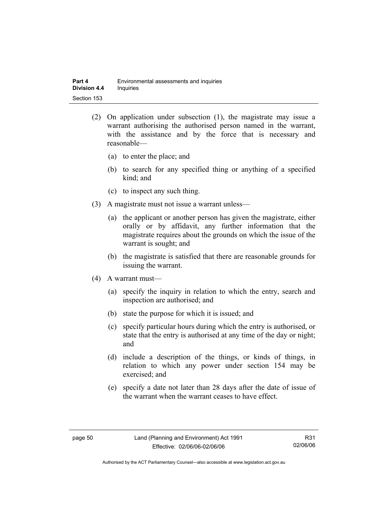- (2) On application under subsection (1), the magistrate may issue a warrant authorising the authorised person named in the warrant, with the assistance and by the force that is necessary and reasonable—
	- (a) to enter the place; and
	- (b) to search for any specified thing or anything of a specified kind; and
	- (c) to inspect any such thing.
- (3) A magistrate must not issue a warrant unless—
	- (a) the applicant or another person has given the magistrate, either orally or by affidavit, any further information that the magistrate requires about the grounds on which the issue of the warrant is sought; and
	- (b) the magistrate is satisfied that there are reasonable grounds for issuing the warrant.
- (4) A warrant must—
	- (a) specify the inquiry in relation to which the entry, search and inspection are authorised; and
	- (b) state the purpose for which it is issued; and
	- (c) specify particular hours during which the entry is authorised, or state that the entry is authorised at any time of the day or night; and
	- (d) include a description of the things, or kinds of things, in relation to which any power under section 154 may be exercised; and
	- (e) specify a date not later than 28 days after the date of issue of the warrant when the warrant ceases to have effect.

R31 02/06/06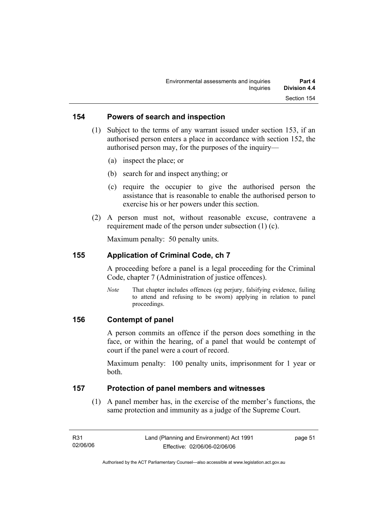#### **154 Powers of search and inspection**

- (1) Subject to the terms of any warrant issued under section 153, if an authorised person enters a place in accordance with section 152, the authorised person may, for the purposes of the inquiry—
	- (a) inspect the place; or
	- (b) search for and inspect anything; or
	- (c) require the occupier to give the authorised person the assistance that is reasonable to enable the authorised person to exercise his or her powers under this section.
- (2) A person must not, without reasonable excuse, contravene a requirement made of the person under subsection (1) (c).

Maximum penalty: 50 penalty units.

#### **155 Application of Criminal Code, ch 7**

A proceeding before a panel is a legal proceeding for the Criminal Code, chapter 7 (Administration of justice offences).

*Note* That chapter includes offences (eg perjury, falsifying evidence, failing to attend and refusing to be sworn) applying in relation to panel proceedings.

#### **156 Contempt of panel**

A person commits an offence if the person does something in the face, or within the hearing, of a panel that would be contempt of court if the panel were a court of record.

Maximum penalty: 100 penalty units, imprisonment for 1 year or both.

#### **157 Protection of panel members and witnesses**

 (1) A panel member has, in the exercise of the member's functions, the same protection and immunity as a judge of the Supreme Court.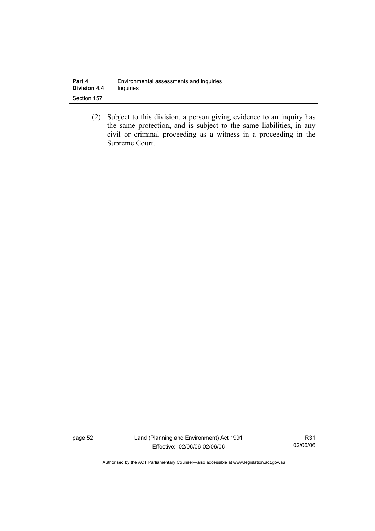| Part 4              | Environmental assessments and inquiries |
|---------------------|-----------------------------------------|
| <b>Division 4.4</b> | <b>Inquiries</b>                        |
| Section 157         |                                         |

 (2) Subject to this division, a person giving evidence to an inquiry has the same protection, and is subject to the same liabilities, in any civil or criminal proceeding as a witness in a proceeding in the Supreme Court.

page 52 Land (Planning and Environment) Act 1991 Effective: 02/06/06-02/06/06

R31 02/06/06

Authorised by the ACT Parliamentary Counsel—also accessible at www.legislation.act.gov.au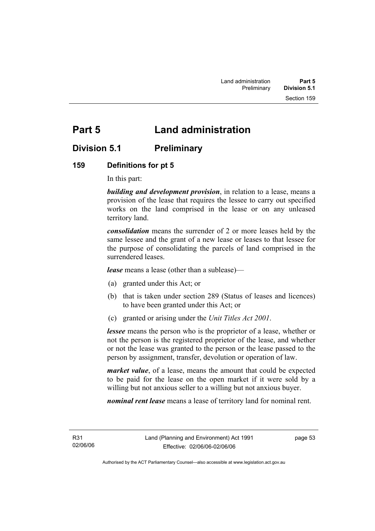# **Part 5 Land administration**

# **Division 5.1 Preliminary**

# **159 Definitions for pt 5**

In this part:

*building and development provision*, in relation to a lease, means a provision of the lease that requires the lessee to carry out specified works on the land comprised in the lease or on any unleased territory land.

*consolidation* means the surrender of 2 or more leases held by the same lessee and the grant of a new lease or leases to that lessee for the purpose of consolidating the parcels of land comprised in the surrendered leases.

*lease* means a lease (other than a sublease)—

- (a) granted under this Act; or
- (b) that is taken under section 289 (Status of leases and licences) to have been granted under this Act; or
- (c) granted or arising under the *Unit Titles Act 2001*.

*lessee* means the person who is the proprietor of a lease, whether or not the person is the registered proprietor of the lease, and whether or not the lease was granted to the person or the lease passed to the person by assignment, transfer, devolution or operation of law.

*market value*, of a lease, means the amount that could be expected to be paid for the lease on the open market if it were sold by a willing but not anxious seller to a willing but not anxious buyer.

*nominal rent lease* means a lease of territory land for nominal rent.

R31 02/06/06 page 53

Authorised by the ACT Parliamentary Counsel—also accessible at www.legislation.act.gov.au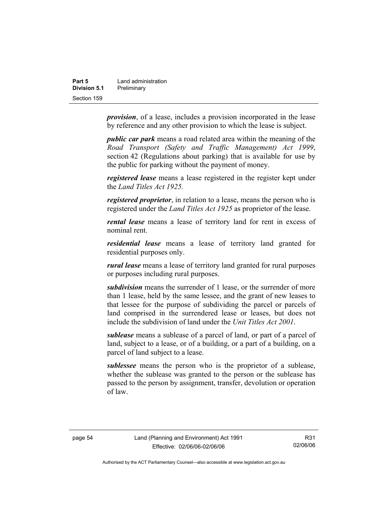| Part 5       | Land administration |
|--------------|---------------------|
| Division 5.1 | Preliminary         |
| Section 159  |                     |

*provision*, of a lease, includes a provision incorporated in the lease by reference and any other provision to which the lease is subject.

*public car park* means a road related area within the meaning of the *Road Transport (Safety and Traffic Management) Act 1999*, section 42 (Regulations about parking) that is available for use by the public for parking without the payment of money.

*registered lease* means a lease registered in the register kept under the *Land Titles Act 1925.*

*registered proprietor*, in relation to a lease, means the person who is registered under the *Land Titles Act 1925* as proprietor of the lease.

*rental lease* means a lease of territory land for rent in excess of nominal rent.

*residential lease* means a lease of territory land granted for residential purposes only.

*rural lease* means a lease of territory land granted for rural purposes or purposes including rural purposes.

*subdivision* means the surrender of 1 lease, or the surrender of more than 1 lease, held by the same lessee, and the grant of new leases to that lessee for the purpose of subdividing the parcel or parcels of land comprised in the surrendered lease or leases, but does not include the subdivision of land under the *Unit Titles Act 2001*.

*sublease* means a sublease of a parcel of land, or part of a parcel of land, subject to a lease, or of a building, or a part of a building, on a parcel of land subject to a lease.

*sublessee* means the person who is the proprietor of a sublease, whether the sublease was granted to the person or the sublease has passed to the person by assignment, transfer, devolution or operation of law.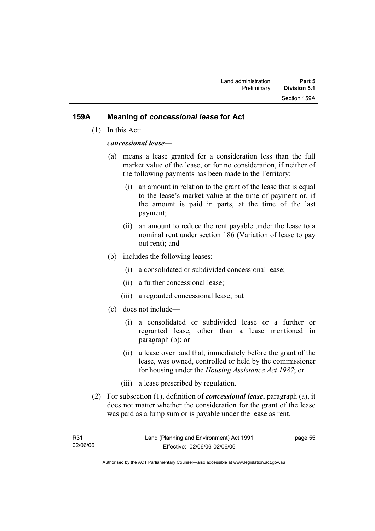#### **159A Meaning of** *concessional lease* **for Act**

(1) In this Act:

#### *concessional lease*—

- (a) means a lease granted for a consideration less than the full market value of the lease, or for no consideration, if neither of the following payments has been made to the Territory:
	- (i) an amount in relation to the grant of the lease that is equal to the lease's market value at the time of payment or, if the amount is paid in parts, at the time of the last payment;
	- (ii) an amount to reduce the rent payable under the lease to a nominal rent under section 186 (Variation of lease to pay out rent); and
- (b) includes the following leases:
	- (i) a consolidated or subdivided concessional lease;
	- (ii) a further concessional lease;
	- (iii) a regranted concessional lease; but
- (c) does not include—
	- (i) a consolidated or subdivided lease or a further or regranted lease, other than a lease mentioned in paragraph (b); or
	- (ii) a lease over land that, immediately before the grant of the lease, was owned, controlled or held by the commissioner for housing under the *Housing Assistance Act 1987*; or
	- (iii) a lease prescribed by regulation.
- (2) For subsection (1), definition of *concessional lease*, paragraph (a), it does not matter whether the consideration for the grant of the lease was paid as a lump sum or is payable under the lease as rent.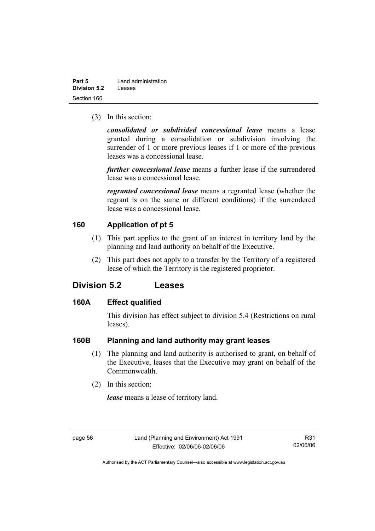| Part 5       | Land administration |
|--------------|---------------------|
| Division 5.2 | Leases              |
| Section 160  |                     |

(3) In this section:

*consolidated or subdivided concessional lease* means a lease granted during a consolidation or subdivision involving the surrender of 1 or more previous leases if 1 or more of the previous leases was a concessional lease.

*further concessional lease* means a further lease if the surrendered lease was a concessional lease.

*regranted concessional lease* means a regranted lease (whether the regrant is on the same or different conditions) if the surrendered lease was a concessional lease.

#### **160 Application of pt 5**

- (1) This part applies to the grant of an interest in territory land by the planning and land authority on behalf of the Executive.
- (2) This part does not apply to a transfer by the Territory of a registered lease of which the Territory is the registered proprietor.

# **Division 5.2 Leases**

#### **160A Effect qualified**

This division has effect subject to division 5.4 (Restrictions on rural leases).

#### **160B Planning and land authority may grant leases**

- (1) The planning and land authority is authorised to grant, on behalf of the Executive, leases that the Executive may grant on behalf of the Commonwealth.
- (2) In this section:

*lease* means a lease of territory land.

R31 02/06/06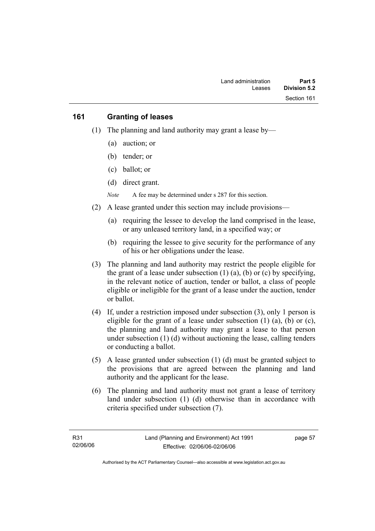#### **161 Granting of leases**

- (1) The planning and land authority may grant a lease by—
	- (a) auction; or
	- (b) tender; or
	- (c) ballot; or
	- (d) direct grant.

*Note* A fee may be determined under s 287 for this section.

- (2) A lease granted under this section may include provisions—
	- (a) requiring the lessee to develop the land comprised in the lease, or any unleased territory land, in a specified way; or
	- (b) requiring the lessee to give security for the performance of any of his or her obligations under the lease.
- (3) The planning and land authority may restrict the people eligible for the grant of a lease under subsection  $(1)$   $(a)$ ,  $(b)$  or  $(c)$  by specifying, in the relevant notice of auction, tender or ballot, a class of people eligible or ineligible for the grant of a lease under the auction, tender or ballot.
- (4) If, under a restriction imposed under subsection (3), only 1 person is eligible for the grant of a lease under subsection  $(1)$   $(a)$ ,  $(b)$  or  $(c)$ , the planning and land authority may grant a lease to that person under subsection (1) (d) without auctioning the lease, calling tenders or conducting a ballot.
- (5) A lease granted under subsection (1) (d) must be granted subject to the provisions that are agreed between the planning and land authority and the applicant for the lease.
- (6) The planning and land authority must not grant a lease of territory land under subsection (1) (d) otherwise than in accordance with criteria specified under subsection (7).

page 57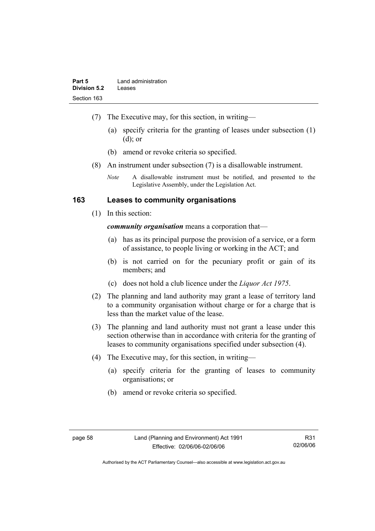- (7) The Executive may, for this section, in writing—
	- (a) specify criteria for the granting of leases under subsection (1) (d); or
	- (b) amend or revoke criteria so specified.
- (8) An instrument under subsection (7) is a disallowable instrument.
	- *Note* A disallowable instrument must be notified, and presented to the Legislative Assembly, under the Legislation Act.

#### **163 Leases to community organisations**

(1) In this section:

*community organisation* means a corporation that—

- (a) has as its principal purpose the provision of a service, or a form of assistance, to people living or working in the ACT; and
- (b) is not carried on for the pecuniary profit or gain of its members; and
- (c) does not hold a club licence under the *Liquor Act 1975*.
- (2) The planning and land authority may grant a lease of territory land to a community organisation without charge or for a charge that is less than the market value of the lease.
- (3) The planning and land authority must not grant a lease under this section otherwise than in accordance with criteria for the granting of leases to community organisations specified under subsection (4).
- (4) The Executive may, for this section, in writing—
	- (a) specify criteria for the granting of leases to community organisations; or
	- (b) amend or revoke criteria so specified.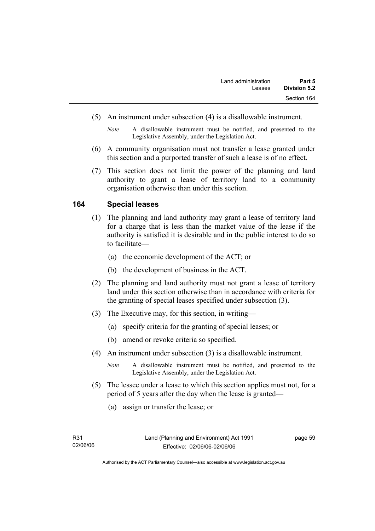- (5) An instrument under subsection (4) is a disallowable instrument.
	- *Note* A disallowable instrument must be notified, and presented to the Legislative Assembly, under the Legislation Act.
- (6) A community organisation must not transfer a lease granted under this section and a purported transfer of such a lease is of no effect.
- (7) This section does not limit the power of the planning and land authority to grant a lease of territory land to a community organisation otherwise than under this section.

#### **164 Special leases**

- (1) The planning and land authority may grant a lease of territory land for a charge that is less than the market value of the lease if the authority is satisfied it is desirable and in the public interest to do so to facilitate—
	- (a) the economic development of the ACT; or
	- (b) the development of business in the ACT.
- (2) The planning and land authority must not grant a lease of territory land under this section otherwise than in accordance with criteria for the granting of special leases specified under subsection (3).
- (3) The Executive may, for this section, in writing—
	- (a) specify criteria for the granting of special leases; or
	- (b) amend or revoke criteria so specified.
- (4) An instrument under subsection (3) is a disallowable instrument.
	- *Note* A disallowable instrument must be notified, and presented to the Legislative Assembly, under the Legislation Act.
- (5) The lessee under a lease to which this section applies must not, for a period of 5 years after the day when the lease is granted—
	- (a) assign or transfer the lease; or

Authorised by the ACT Parliamentary Counsel—also accessible at www.legislation.act.gov.au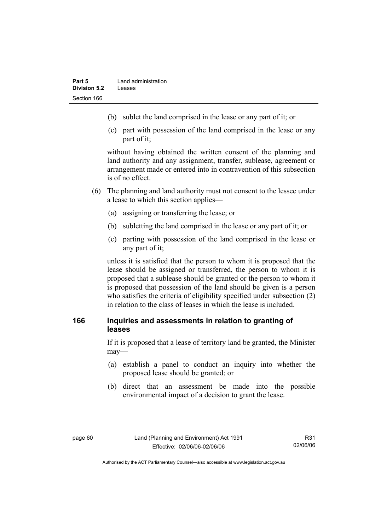- (b) sublet the land comprised in the lease or any part of it; or
- (c) part with possession of the land comprised in the lease or any part of it;

without having obtained the written consent of the planning and land authority and any assignment, transfer, sublease, agreement or arrangement made or entered into in contravention of this subsection is of no effect.

- (6) The planning and land authority must not consent to the lessee under a lease to which this section applies—
	- (a) assigning or transferring the lease; or
	- (b) subletting the land comprised in the lease or any part of it; or
	- (c) parting with possession of the land comprised in the lease or any part of it;

unless it is satisfied that the person to whom it is proposed that the lease should be assigned or transferred, the person to whom it is proposed that a sublease should be granted or the person to whom it is proposed that possession of the land should be given is a person who satisfies the criteria of eligibility specified under subsection (2) in relation to the class of leases in which the lease is included.

## **166 Inquiries and assessments in relation to granting of leases**

If it is proposed that a lease of territory land be granted, the Minister may—

- (a) establish a panel to conduct an inquiry into whether the proposed lease should be granted; or
- (b) direct that an assessment be made into the possible environmental impact of a decision to grant the lease.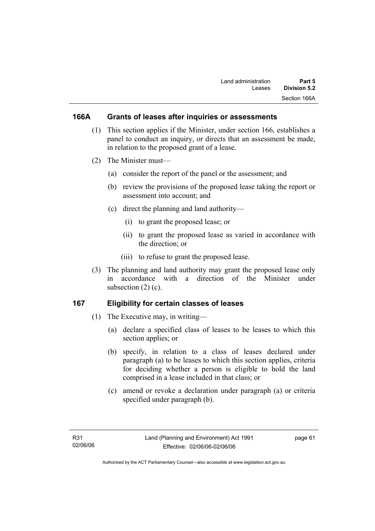## **166A Grants of leases after inquiries or assessments**

- (1) This section applies if the Minister, under section 166, establishes a panel to conduct an inquiry, or directs that an assessment be made, in relation to the proposed grant of a lease.
- (2) The Minister must—
	- (a) consider the report of the panel or the assessment; and
	- (b) review the provisions of the proposed lease taking the report or assessment into account; and
	- (c) direct the planning and land authority—
		- (i) to grant the proposed lease; or
		- (ii) to grant the proposed lease as varied in accordance with the direction; or
		- (iii) to refuse to grant the proposed lease.
- (3) The planning and land authority may grant the proposed lease only in accordance with a direction of the Minister under subsection  $(2)$   $(c)$ .

## **167 Eligibility for certain classes of leases**

- (1) The Executive may, in writing—
	- (a) declare a specified class of leases to be leases to which this section applies; or
	- (b) specify, in relation to a class of leases declared under paragraph (a) to be leases to which this section applies, criteria for deciding whether a person is eligible to hold the land comprised in a lease included in that class; or
	- (c) amend or revoke a declaration under paragraph (a) or criteria specified under paragraph (b).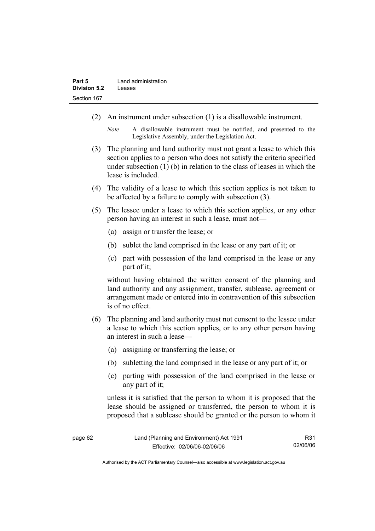- (2) An instrument under subsection (1) is a disallowable instrument.
	- *Note* A disallowable instrument must be notified, and presented to the Legislative Assembly, under the Legislation Act.
- (3) The planning and land authority must not grant a lease to which this section applies to a person who does not satisfy the criteria specified under subsection (1) (b) in relation to the class of leases in which the lease is included.
- (4) The validity of a lease to which this section applies is not taken to be affected by a failure to comply with subsection (3).
- (5) The lessee under a lease to which this section applies, or any other person having an interest in such a lease, must not—
	- (a) assign or transfer the lease; or
	- (b) sublet the land comprised in the lease or any part of it; or
	- (c) part with possession of the land comprised in the lease or any part of it;

without having obtained the written consent of the planning and land authority and any assignment, transfer, sublease, agreement or arrangement made or entered into in contravention of this subsection is of no effect.

- (6) The planning and land authority must not consent to the lessee under a lease to which this section applies, or to any other person having an interest in such a lease—
	- (a) assigning or transferring the lease; or
	- (b) subletting the land comprised in the lease or any part of it; or
	- (c) parting with possession of the land comprised in the lease or any part of it;

unless it is satisfied that the person to whom it is proposed that the lease should be assigned or transferred, the person to whom it is proposed that a sublease should be granted or the person to whom it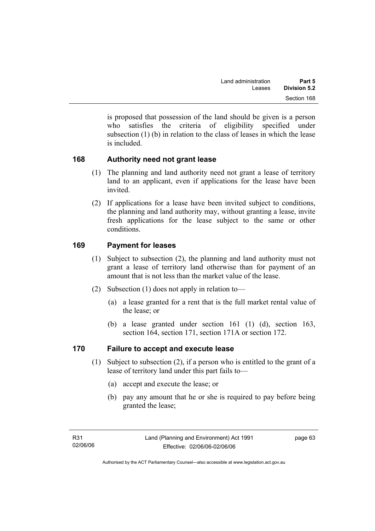is proposed that possession of the land should be given is a person who satisfies the criteria of eligibility specified under subsection (1) (b) in relation to the class of leases in which the lease is included.

## **168 Authority need not grant lease**

- (1) The planning and land authority need not grant a lease of territory land to an applicant, even if applications for the lease have been invited.
- (2) If applications for a lease have been invited subject to conditions, the planning and land authority may, without granting a lease, invite fresh applications for the lease subject to the same or other conditions.

## **169 Payment for leases**

- (1) Subject to subsection (2), the planning and land authority must not grant a lease of territory land otherwise than for payment of an amount that is not less than the market value of the lease.
- (2) Subsection (1) does not apply in relation to—
	- (a) a lease granted for a rent that is the full market rental value of the lease; or
	- (b) a lease granted under section 161 (1) (d), section 163, section 164, section 171, section 171A or section 172.

## **170 Failure to accept and execute lease**

- (1) Subject to subsection (2), if a person who is entitled to the grant of a lease of territory land under this part fails to—
	- (a) accept and execute the lease; or
	- (b) pay any amount that he or she is required to pay before being granted the lease;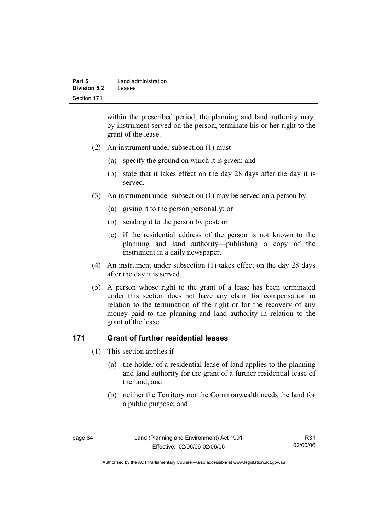| Part 5       | Land administration |
|--------------|---------------------|
| Division 5.2 | Leases              |
| Section 171  |                     |

within the prescribed period, the planning and land authority may, by instrument served on the person, terminate his or her right to the grant of the lease.

- (2) An instrument under subsection (1) must—
	- (a) specify the ground on which it is given; and
	- (b) state that it takes effect on the day 28 days after the day it is served.
- (3) An instrument under subsection (1) may be served on a person by—
	- (a) giving it to the person personally; or
	- (b) sending it to the person by post; or
	- (c) if the residential address of the person is not known to the planning and land authority—publishing a copy of the instrument in a daily newspaper.
- (4) An instrument under subsection (1) takes effect on the day 28 days after the day it is served.
- (5) A person whose right to the grant of a lease has been terminated under this section does not have any claim for compensation in relation to the termination of the right or for the recovery of any money paid to the planning and land authority in relation to the grant of the lease.

#### **171 Grant of further residential leases**

- (1) This section applies if—
	- (a) the holder of a residential lease of land applies to the planning and land authority for the grant of a further residential lease of the land; and
	- (b) neither the Territory nor the Commonwealth needs the land for a public purpose; and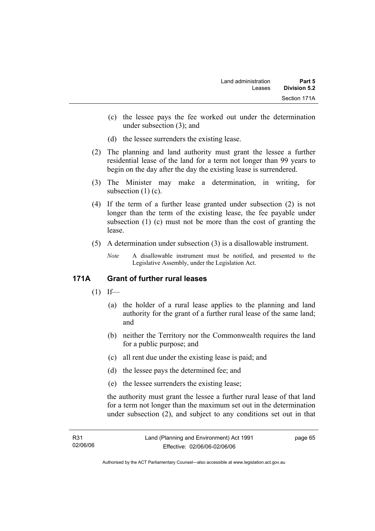- (c) the lessee pays the fee worked out under the determination under subsection (3); and
- (d) the lessee surrenders the existing lease.
- (2) The planning and land authority must grant the lessee a further residential lease of the land for a term not longer than 99 years to begin on the day after the day the existing lease is surrendered.
- (3) The Minister may make a determination, in writing, for subsection  $(1)(c)$ .
- (4) If the term of a further lease granted under subsection (2) is not longer than the term of the existing lease, the fee payable under subsection (1) (c) must not be more than the cost of granting the lease.
- (5) A determination under subsection (3) is a disallowable instrument.
	- *Note* A disallowable instrument must be notified, and presented to the Legislative Assembly, under the Legislation Act.

## **171A Grant of further rural leases**

- $(1)$  If—
	- (a) the holder of a rural lease applies to the planning and land authority for the grant of a further rural lease of the same land; and
	- (b) neither the Territory nor the Commonwealth requires the land for a public purpose; and
	- (c) all rent due under the existing lease is paid; and
	- (d) the lessee pays the determined fee; and
	- (e) the lessee surrenders the existing lease;

the authority must grant the lessee a further rural lease of that land for a term not longer than the maximum set out in the determination under subsection (2), and subject to any conditions set out in that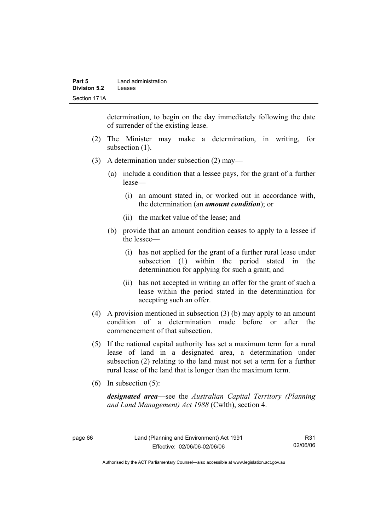determination, to begin on the day immediately following the date of surrender of the existing lease.

- (2) The Minister may make a determination, in writing, for subsection (1).
- (3) A determination under subsection (2) may—
	- (a) include a condition that a lessee pays, for the grant of a further lease—
		- (i) an amount stated in, or worked out in accordance with, the determination (an *amount condition*); or
		- (ii) the market value of the lease; and
	- (b) provide that an amount condition ceases to apply to a lessee if the lessee—
		- (i) has not applied for the grant of a further rural lease under subsection (1) within the period stated in the determination for applying for such a grant; and
		- (ii) has not accepted in writing an offer for the grant of such a lease within the period stated in the determination for accepting such an offer.
- (4) A provision mentioned in subsection (3) (b) may apply to an amount condition of a determination made before or after the commencement of that subsection.
- (5) If the national capital authority has set a maximum term for a rural lease of land in a designated area, a determination under subsection (2) relating to the land must not set a term for a further rural lease of the land that is longer than the maximum term.
- (6) In subsection (5):

*designated area*—see the *Australian Capital Territory (Planning and Land Management) Act 1988* (Cwlth), section 4.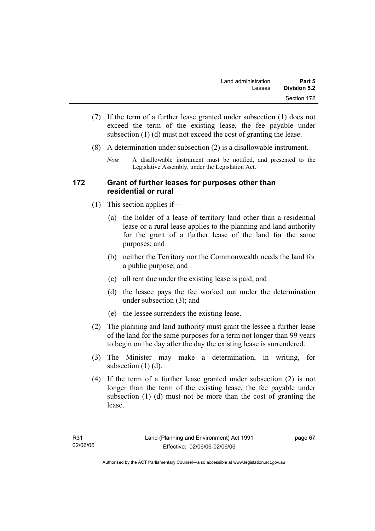- (7) If the term of a further lease granted under subsection (1) does not exceed the term of the existing lease, the fee payable under subsection (1) (d) must not exceed the cost of granting the lease.
- (8) A determination under subsection (2) is a disallowable instrument.
	- *Note* A disallowable instrument must be notified, and presented to the Legislative Assembly, under the Legislation Act.

#### **172 Grant of further leases for purposes other than residential or rural**

- (1) This section applies if—
	- (a) the holder of a lease of territory land other than a residential lease or a rural lease applies to the planning and land authority for the grant of a further lease of the land for the same purposes; and
	- (b) neither the Territory nor the Commonwealth needs the land for a public purpose; and
	- (c) all rent due under the existing lease is paid; and
	- (d) the lessee pays the fee worked out under the determination under subsection (3); and
	- (e) the lessee surrenders the existing lease.
- (2) The planning and land authority must grant the lessee a further lease of the land for the same purposes for a term not longer than 99 years to begin on the day after the day the existing lease is surrendered.
- (3) The Minister may make a determination, in writing, for subsection  $(1)$   $(d)$ .
- (4) If the term of a further lease granted under subsection (2) is not longer than the term of the existing lease, the fee payable under subsection (1) (d) must not be more than the cost of granting the lease.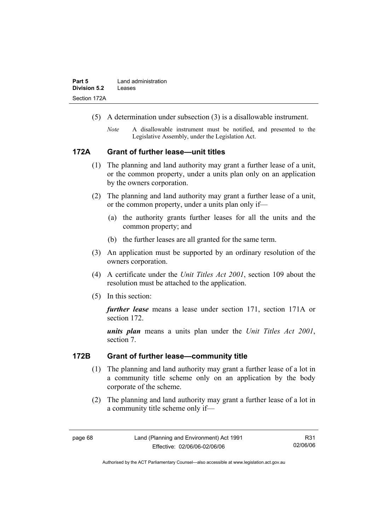- (5) A determination under subsection (3) is a disallowable instrument.
	- *Note* A disallowable instrument must be notified, and presented to the Legislative Assembly, under the Legislation Act.

#### **172A Grant of further lease—unit titles**

- (1) The planning and land authority may grant a further lease of a unit, or the common property, under a units plan only on an application by the owners corporation.
- (2) The planning and land authority may grant a further lease of a unit, or the common property, under a units plan only if—
	- (a) the authority grants further leases for all the units and the common property; and
	- (b) the further leases are all granted for the same term.
- (3) An application must be supported by an ordinary resolution of the owners corporation.
- (4) A certificate under the *Unit Titles Act 2001*, section 109 about the resolution must be attached to the application.
- (5) In this section:

*further lease* means a lease under section 171, section 171A or section 172.

*units plan* means a units plan under the *Unit Titles Act 2001*, section 7.

#### **172B Grant of further lease—community title**

- (1) The planning and land authority may grant a further lease of a lot in a community title scheme only on an application by the body corporate of the scheme.
- (2) The planning and land authority may grant a further lease of a lot in a community title scheme only if—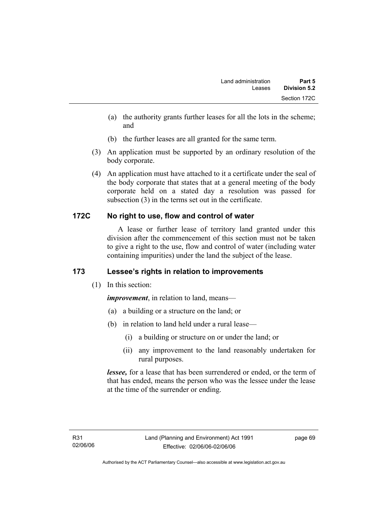- (a) the authority grants further leases for all the lots in the scheme; and
- (b) the further leases are all granted for the same term.
- (3) An application must be supported by an ordinary resolution of the body corporate.
- (4) An application must have attached to it a certificate under the seal of the body corporate that states that at a general meeting of the body corporate held on a stated day a resolution was passed for subsection (3) in the terms set out in the certificate.

## **172C No right to use, flow and control of water**

 A lease or further lease of territory land granted under this division after the commencement of this section must not be taken to give a right to the use, flow and control of water (including water containing impurities) under the land the subject of the lease.

# **173 Lessee's rights in relation to improvements**

(1) In this section:

*improvement*, in relation to land, means—

- (a) a building or a structure on the land; or
- (b) in relation to land held under a rural lease—
	- (i) a building or structure on or under the land; or
	- (ii) any improvement to the land reasonably undertaken for rural purposes.

*lessee,* for a lease that has been surrendered or ended, or the term of that has ended, means the person who was the lessee under the lease at the time of the surrender or ending.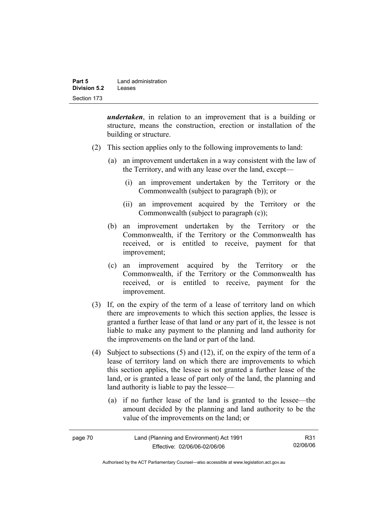| Part 5       | Land administration |  |
|--------------|---------------------|--|
| Division 5.2 | Leases              |  |
| Section 173  |                     |  |

*undertaken*, in relation to an improvement that is a building or structure, means the construction, erection or installation of the building or structure.

- (2) This section applies only to the following improvements to land:
	- (a) an improvement undertaken in a way consistent with the law of the Territory, and with any lease over the land, except—
		- (i) an improvement undertaken by the Territory or the Commonwealth (subject to paragraph (b)); or
		- (ii) an improvement acquired by the Territory or the Commonwealth (subject to paragraph (c));
	- (b) an improvement undertaken by the Territory or the Commonwealth, if the Territory or the Commonwealth has received, or is entitled to receive, payment for that improvement;
	- (c) an improvement acquired by the Territory or the Commonwealth, if the Territory or the Commonwealth has received, or is entitled to receive, payment for the improvement.
- (3) If, on the expiry of the term of a lease of territory land on which there are improvements to which this section applies, the lessee is granted a further lease of that land or any part of it, the lessee is not liable to make any payment to the planning and land authority for the improvements on the land or part of the land.
- (4) Subject to subsections (5) and (12), if, on the expiry of the term of a lease of territory land on which there are improvements to which this section applies, the lessee is not granted a further lease of the land, or is granted a lease of part only of the land, the planning and land authority is liable to pay the lessee—
	- (a) if no further lease of the land is granted to the lessee—the amount decided by the planning and land authority to be the value of the improvements on the land; or

| page 70 | Land (Planning and Environment) Act 1991 | R31      |
|---------|------------------------------------------|----------|
|         | Effective: 02/06/06-02/06/06             | 02/06/06 |

Authorised by the ACT Parliamentary Counsel—also accessible at www.legislation.act.gov.au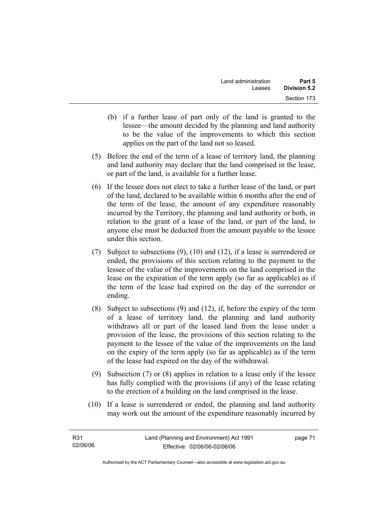- (b) if a further lease of part only of the land is granted to the lessee—the amount decided by the planning and land authority to be the value of the improvements to which this section applies on the part of the land not so leased.
- (5) Before the end of the term of a lease of territory land, the planning and land authority may declare that the land comprised in the lease, or part of the land, is available for a further lease.
- (6) If the lessee does not elect to take a further lease of the land, or part of the land, declared to be available within 6 months after the end of the term of the lease, the amount of any expenditure reasonably incurred by the Territory, the planning and land authority or both, in relation to the grant of a lease of the land, or part of the land, to anyone else must be deducted from the amount payable to the lessee under this section.
- (7) Subject to subsections (9), (10) and (12), if a lease is surrendered or ended, the provisions of this section relating to the payment to the lessee of the value of the improvements on the land comprised in the lease on the expiration of the term apply (so far as applicable) as if the term of the lease had expired on the day of the surrender or ending.
- (8) Subject to subsections (9) and (12), if, before the expiry of the term of a lease of territory land, the planning and land authority withdraws all or part of the leased land from the lease under a provision of the lease, the provisions of this section relating to the payment to the lessee of the value of the improvements on the land on the expiry of the term apply (so far as applicable) as if the term of the lease had expired on the day of the withdrawal.
- (9) Subsection (7) or (8) applies in relation to a lease only if the lessee has fully complied with the provisions (if any) of the lease relating to the erection of a building on the land comprised in the lease.
- (10) If a lease is surrendered or ended, the planning and land authority may work out the amount of the expenditure reasonably incurred by

| R31      | Land (Planning and Environment) Act 1991 | page 71 |
|----------|------------------------------------------|---------|
| 02/06/06 | Effective: 02/06/06-02/06/06             |         |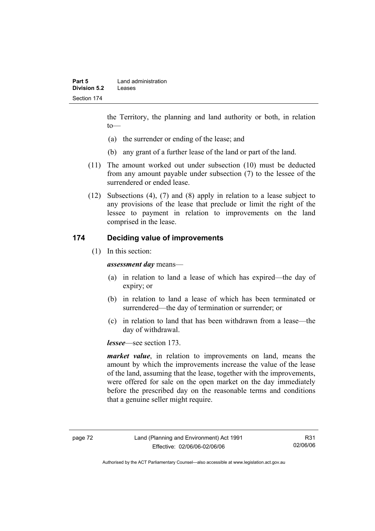the Territory, the planning and land authority or both, in relation to—

- (a) the surrender or ending of the lease; and
- (b) any grant of a further lease of the land or part of the land.
- (11) The amount worked out under subsection (10) must be deducted from any amount payable under subsection (7) to the lessee of the surrendered or ended lease.
- (12) Subsections (4), (7) and (8) apply in relation to a lease subject to any provisions of the lease that preclude or limit the right of the lessee to payment in relation to improvements on the land comprised in the lease.

## **174 Deciding value of improvements**

(1) In this section:

*assessment day* means—

- (a) in relation to land a lease of which has expired—the day of expiry; or
- (b) in relation to land a lease of which has been terminated or surrendered—the day of termination or surrender; or
- (c) in relation to land that has been withdrawn from a lease—the day of withdrawal.

*lessee*—see section 173.

*market value*, in relation to improvements on land, means the amount by which the improvements increase the value of the lease of the land, assuming that the lease, together with the improvements, were offered for sale on the open market on the day immediately before the prescribed day on the reasonable terms and conditions that a genuine seller might require.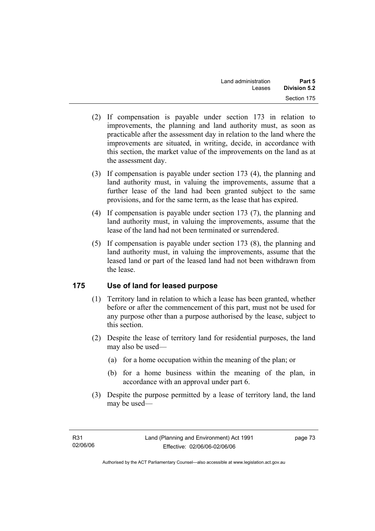- (2) If compensation is payable under section 173 in relation to improvements, the planning and land authority must, as soon as practicable after the assessment day in relation to the land where the improvements are situated, in writing, decide, in accordance with this section, the market value of the improvements on the land as at the assessment day.
- (3) If compensation is payable under section 173 (4), the planning and land authority must, in valuing the improvements, assume that a further lease of the land had been granted subject to the same provisions, and for the same term, as the lease that has expired.
- (4) If compensation is payable under section 173 (7), the planning and land authority must, in valuing the improvements, assume that the lease of the land had not been terminated or surrendered.
- (5) If compensation is payable under section 173 (8), the planning and land authority must, in valuing the improvements, assume that the leased land or part of the leased land had not been withdrawn from the lease.

## **175 Use of land for leased purpose**

- (1) Territory land in relation to which a lease has been granted, whether before or after the commencement of this part, must not be used for any purpose other than a purpose authorised by the lease, subject to this section.
- (2) Despite the lease of territory land for residential purposes, the land may also be used—
	- (a) for a home occupation within the meaning of the plan; or
	- (b) for a home business within the meaning of the plan, in accordance with an approval under part 6.
- (3) Despite the purpose permitted by a lease of territory land, the land may be used—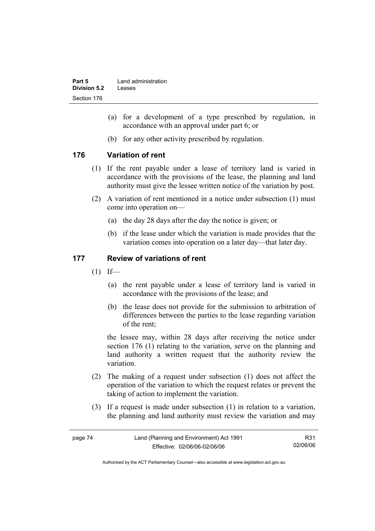| Part 5       | Land administration |
|--------------|---------------------|
| Division 5.2 | Leases              |
| Section 176  |                     |

- (a) for a development of a type prescribed by regulation, in accordance with an approval under part 6; or
- (b) for any other activity prescribed by regulation.

## **176 Variation of rent**

- (1) If the rent payable under a lease of territory land is varied in accordance with the provisions of the lease, the planning and land authority must give the lessee written notice of the variation by post.
- (2) A variation of rent mentioned in a notice under subsection (1) must come into operation on—
	- (a) the day 28 days after the day the notice is given; or
	- (b) if the lease under which the variation is made provides that the variation comes into operation on a later day—that later day.

## **177 Review of variations of rent**

- $(1)$  If—
	- (a) the rent payable under a lease of territory land is varied in accordance with the provisions of the lease; and
	- (b) the lease does not provide for the submission to arbitration of differences between the parties to the lease regarding variation of the rent;

the lessee may, within 28 days after receiving the notice under section 176 (1) relating to the variation, serve on the planning and land authority a written request that the authority review the variation.

- (2) The making of a request under subsection (1) does not affect the operation of the variation to which the request relates or prevent the taking of action to implement the variation.
- (3) If a request is made under subsection (1) in relation to a variation, the planning and land authority must review the variation and may

| page 74 | Land (Planning and Environment) Act 1991 | R31      |
|---------|------------------------------------------|----------|
|         | Effective: 02/06/06-02/06/06             | 02/06/06 |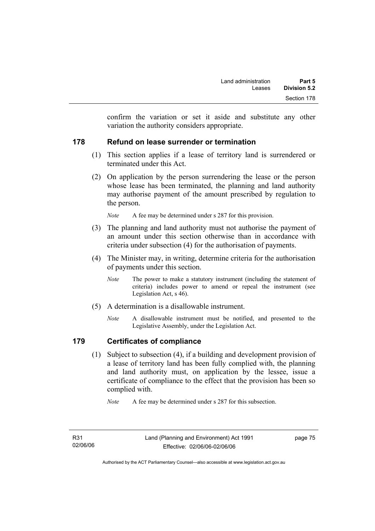confirm the variation or set it aside and substitute any other variation the authority considers appropriate.

## **178 Refund on lease surrender or termination**

- (1) This section applies if a lease of territory land is surrendered or terminated under this Act.
- (2) On application by the person surrendering the lease or the person whose lease has been terminated, the planning and land authority may authorise payment of the amount prescribed by regulation to the person.

*Note* A fee may be determined under s 287 for this provision.

- (3) The planning and land authority must not authorise the payment of an amount under this section otherwise than in accordance with criteria under subsection (4) for the authorisation of payments.
- (4) The Minister may, in writing, determine criteria for the authorisation of payments under this section.
	- *Note* The power to make a statutory instrument (including the statement of criteria) includes power to amend or repeal the instrument (see Legislation Act, s 46).
- (5) A determination is a disallowable instrument.
	- *Note* A disallowable instrument must be notified, and presented to the Legislative Assembly, under the Legislation Act.

## **179 Certificates of compliance**

 (1) Subject to subsection (4), if a building and development provision of a lease of territory land has been fully complied with, the planning and land authority must, on application by the lessee, issue a certificate of compliance to the effect that the provision has been so complied with.

*Note* A fee may be determined under s 287 for this subsection.

Authorised by the ACT Parliamentary Counsel—also accessible at www.legislation.act.gov.au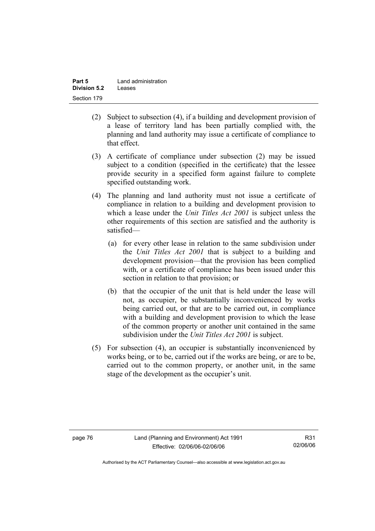| Part 5       | Land administration |
|--------------|---------------------|
| Division 5.2 | Leases              |
| Section 179  |                     |

- (2) Subject to subsection (4), if a building and development provision of a lease of territory land has been partially complied with, the planning and land authority may issue a certificate of compliance to that effect.
- (3) A certificate of compliance under subsection (2) may be issued subject to a condition (specified in the certificate) that the lessee provide security in a specified form against failure to complete specified outstanding work.
- (4) The planning and land authority must not issue a certificate of compliance in relation to a building and development provision to which a lease under the *Unit Titles Act 2001* is subject unless the other requirements of this section are satisfied and the authority is satisfied—
	- (a) for every other lease in relation to the same subdivision under the *Unit Titles Act 2001* that is subject to a building and development provision—that the provision has been complied with, or a certificate of compliance has been issued under this section in relation to that provision; or
	- (b) that the occupier of the unit that is held under the lease will not, as occupier, be substantially inconvenienced by works being carried out, or that are to be carried out, in compliance with a building and development provision to which the lease of the common property or another unit contained in the same subdivision under the *Unit Titles Act 2001* is subject.
- (5) For subsection (4), an occupier is substantially inconvenienced by works being, or to be, carried out if the works are being, or are to be, carried out to the common property, or another unit, in the same stage of the development as the occupier's unit.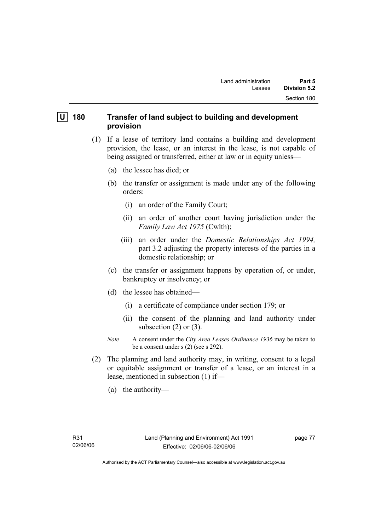## **U** 180 Transfer of land subject to building and development **provision**

- (1) If a lease of territory land contains a building and development provision, the lease, or an interest in the lease, is not capable of being assigned or transferred, either at law or in equity unless—
	- (a) the lessee has died; or
	- (b) the transfer or assignment is made under any of the following orders:
		- (i) an order of the Family Court;
		- (ii) an order of another court having jurisdiction under the *Family Law Act 1975* (Cwlth);
		- (iii) an order under the *Domestic Relationships Act 1994,*  part 3.2 adjusting the property interests of the parties in a domestic relationship; or
	- (c) the transfer or assignment happens by operation of, or under, bankruptcy or insolvency; or
	- (d) the lessee has obtained—
		- (i) a certificate of compliance under section 179; or
		- (ii) the consent of the planning and land authority under subsection  $(2)$  or  $(3)$ .
	- *Note* A consent under the *City Area Leases Ordinance 1936* may be taken to be a consent under s (2) (see s 292).
- (2) The planning and land authority may, in writing, consent to a legal or equitable assignment or transfer of a lease, or an interest in a lease, mentioned in subsection (1) if—
	- (a) the authority—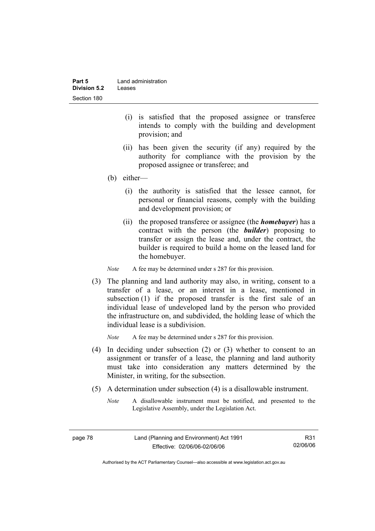| Part 5       | Land administration |
|--------------|---------------------|
| Division 5.2 | Leases              |
| Section 180  |                     |

- (i) is satisfied that the proposed assignee or transferee intends to comply with the building and development provision; and
- (ii) has been given the security (if any) required by the authority for compliance with the provision by the proposed assignee or transferee; and
- (b) either—
	- (i) the authority is satisfied that the lessee cannot, for personal or financial reasons, comply with the building and development provision; or
	- (ii) the proposed transferee or assignee (the *homebuyer*) has a contract with the person (the *builder*) proposing to transfer or assign the lease and, under the contract, the builder is required to build a home on the leased land for the homebuyer.

*Note* A fee may be determined under s 287 for this provision.

 (3) The planning and land authority may also, in writing, consent to a transfer of a lease, or an interest in a lease, mentioned in subsection (1) if the proposed transfer is the first sale of an individual lease of undeveloped land by the person who provided the infrastructure on, and subdivided, the holding lease of which the individual lease is a subdivision.

*Note* A fee may be determined under s 287 for this provision.

- (4) In deciding under subsection (2) or (3) whether to consent to an assignment or transfer of a lease, the planning and land authority must take into consideration any matters determined by the Minister, in writing, for the subsection.
- (5) A determination under subsection (4) is a disallowable instrument.
	- *Note* A disallowable instrument must be notified, and presented to the Legislative Assembly, under the Legislation Act.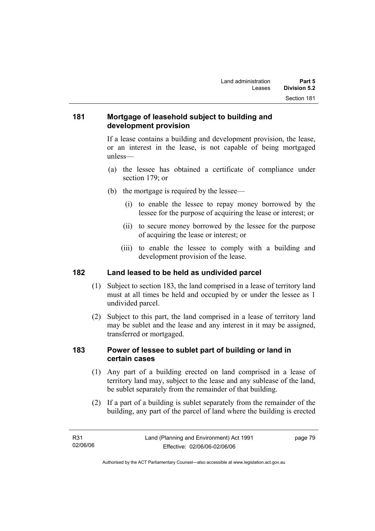## **181 Mortgage of leasehold subject to building and development provision**

If a lease contains a building and development provision, the lease, or an interest in the lease, is not capable of being mortgaged unless—

- (a) the lessee has obtained a certificate of compliance under section 179; or
- (b) the mortgage is required by the lessee—
	- (i) to enable the lessee to repay money borrowed by the lessee for the purpose of acquiring the lease or interest; or
	- (ii) to secure money borrowed by the lessee for the purpose of acquiring the lease or interest; or
	- (iii) to enable the lessee to comply with a building and development provision of the lease.

## **182 Land leased to be held as undivided parcel**

- (1) Subject to section 183, the land comprised in a lease of territory land must at all times be held and occupied by or under the lessee as 1 undivided parcel.
- (2) Subject to this part, the land comprised in a lease of territory land may be sublet and the lease and any interest in it may be assigned, transferred or mortgaged.

## **183 Power of lessee to sublet part of building or land in certain cases**

- (1) Any part of a building erected on land comprised in a lease of territory land may, subject to the lease and any sublease of the land, be sublet separately from the remainder of that building.
- (2) If a part of a building is sublet separately from the remainder of the building, any part of the parcel of land where the building is erected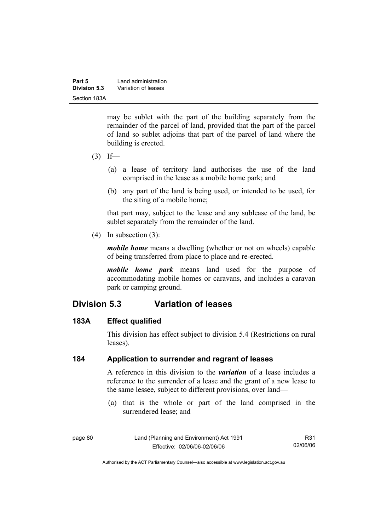| Part 5       | Land administration |  |
|--------------|---------------------|--|
| Division 5.3 | Variation of leases |  |
| Section 183A |                     |  |

may be sublet with the part of the building separately from the remainder of the parcel of land, provided that the part of the parcel of land so sublet adjoins that part of the parcel of land where the building is erected.

- $(3)$  If—
	- (a) a lease of territory land authorises the use of the land comprised in the lease as a mobile home park; and
	- (b) any part of the land is being used, or intended to be used, for the siting of a mobile home;

that part may, subject to the lease and any sublease of the land, be sublet separately from the remainder of the land.

(4) In subsection (3):

*mobile home* means a dwelling (whether or not on wheels) capable of being transferred from place to place and re-erected.

*mobile home park* means land used for the purpose of accommodating mobile homes or caravans, and includes a caravan park or camping ground.

# **Division 5.3 Variation of leases**

#### **183A Effect qualified**

This division has effect subject to division 5.4 (Restrictions on rural leases).

## **184 Application to surrender and regrant of leases**

A reference in this division to the *variation* of a lease includes a reference to the surrender of a lease and the grant of a new lease to the same lessee, subject to different provisions, over land—

 (a) that is the whole or part of the land comprised in the surrendered lease; and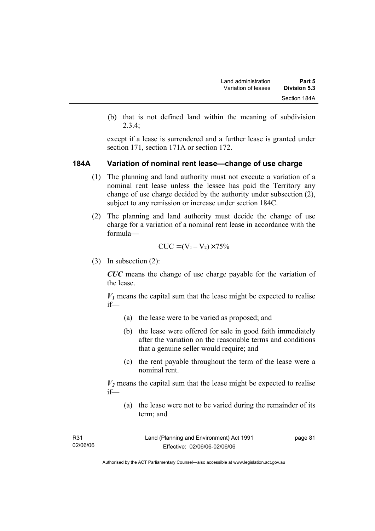(b) that is not defined land within the meaning of subdivision 2.3.4;

except if a lease is surrendered and a further lease is granted under section 171, section 171A or section 172.

#### **184A Variation of nominal rent lease—change of use charge**

- (1) The planning and land authority must not execute a variation of a nominal rent lease unless the lessee has paid the Territory any change of use charge decided by the authority under subsection (2), subject to any remission or increase under section 184C.
- (2) The planning and land authority must decide the change of use charge for a variation of a nominal rent lease in accordance with the formula—

$$
CUC = (V_1 - V_2) \times 75\%
$$

(3) In subsection (2):

*CUC* means the change of use charge payable for the variation of the lease.

 $V_1$  means the capital sum that the lease might be expected to realise if—

- (a) the lease were to be varied as proposed; and
- (b) the lease were offered for sale in good faith immediately after the variation on the reasonable terms and conditions that a genuine seller would require; and
- (c) the rent payable throughout the term of the lease were a nominal rent.

 $V_2$  means the capital sum that the lease might be expected to realise if—

 (a) the lease were not to be varied during the remainder of its term; and

| R31      | Land (Planning and Environment) Act 1991 | page 81 |
|----------|------------------------------------------|---------|
| 02/06/06 | Effective: 02/06/06-02/06/06             |         |
|          |                                          |         |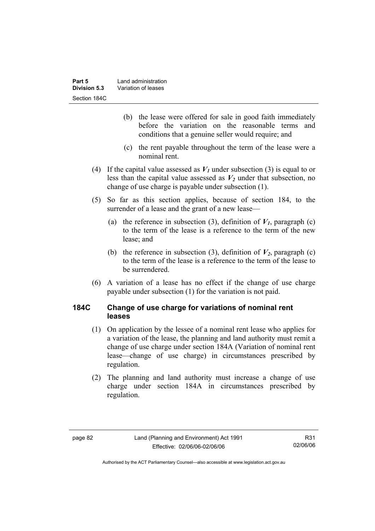- (b) the lease were offered for sale in good faith immediately before the variation on the reasonable terms and conditions that a genuine seller would require; and
- (c) the rent payable throughout the term of the lease were a nominal rent.
- (4) If the capital value assessed as  $V_1$  under subsection (3) is equal to or less than the capital value assessed as  $V_2$  under that subsection, no change of use charge is payable under subsection (1).
- (5) So far as this section applies, because of section 184, to the surrender of a lease and the grant of a new lease—
	- (a) the reference in subsection (3), definition of  $V_I$ , paragraph (c) to the term of the lease is a reference to the term of the new lease; and
	- (b) the reference in subsection (3), definition of  $V_2$ , paragraph (c) to the term of the lease is a reference to the term of the lease to be surrendered.
- (6) A variation of a lease has no effect if the change of use charge payable under subsection (1) for the variation is not paid.

## **184C Change of use charge for variations of nominal rent leases**

- (1) On application by the lessee of a nominal rent lease who applies for a variation of the lease, the planning and land authority must remit a change of use charge under section 184A (Variation of nominal rent lease—change of use charge) in circumstances prescribed by regulation.
- (2) The planning and land authority must increase a change of use charge under section 184A in circumstances prescribed by regulation.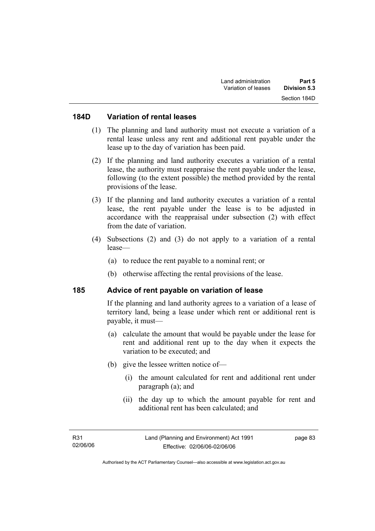#### **184D Variation of rental leases**

- (1) The planning and land authority must not execute a variation of a rental lease unless any rent and additional rent payable under the lease up to the day of variation has been paid.
- (2) If the planning and land authority executes a variation of a rental lease, the authority must reappraise the rent payable under the lease, following (to the extent possible) the method provided by the rental provisions of the lease.
- (3) If the planning and land authority executes a variation of a rental lease, the rent payable under the lease is to be adjusted in accordance with the reappraisal under subsection (2) with effect from the date of variation.
- (4) Subsections (2) and (3) do not apply to a variation of a rental lease—
	- (a) to reduce the rent payable to a nominal rent; or
	- (b) otherwise affecting the rental provisions of the lease.

#### **185 Advice of rent payable on variation of lease**

If the planning and land authority agrees to a variation of a lease of territory land, being a lease under which rent or additional rent is payable, it must—

- (a) calculate the amount that would be payable under the lease for rent and additional rent up to the day when it expects the variation to be executed; and
- (b) give the lessee written notice of—
	- (i) the amount calculated for rent and additional rent under paragraph (a); and
	- (ii) the day up to which the amount payable for rent and additional rent has been calculated; and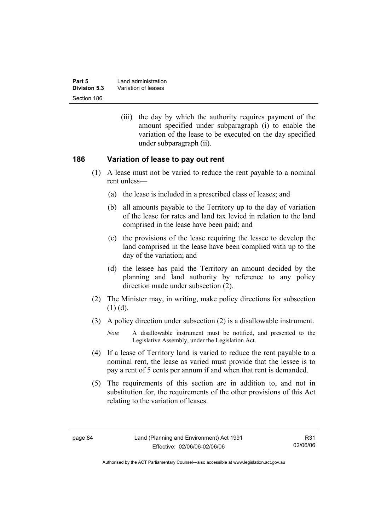| Part 5       | Land administration |  |
|--------------|---------------------|--|
| Division 5.3 | Variation of leases |  |
| Section 186  |                     |  |

 (iii) the day by which the authority requires payment of the amount specified under subparagraph (i) to enable the variation of the lease to be executed on the day specified under subparagraph (ii).

#### **186 Variation of lease to pay out rent**

- (1) A lease must not be varied to reduce the rent payable to a nominal rent unless—
	- (a) the lease is included in a prescribed class of leases; and
	- (b) all amounts payable to the Territory up to the day of variation of the lease for rates and land tax levied in relation to the land comprised in the lease have been paid; and
	- (c) the provisions of the lease requiring the lessee to develop the land comprised in the lease have been complied with up to the day of the variation; and
	- (d) the lessee has paid the Territory an amount decided by the planning and land authority by reference to any policy direction made under subsection (2).
- (2) The Minister may, in writing, make policy directions for subsection  $(1)$   $(d)$ .
- (3) A policy direction under subsection (2) is a disallowable instrument.

- (4) If a lease of Territory land is varied to reduce the rent payable to a nominal rent, the lease as varied must provide that the lessee is to pay a rent of 5 cents per annum if and when that rent is demanded.
- (5) The requirements of this section are in addition to, and not in substitution for, the requirements of the other provisions of this Act relating to the variation of leases.

*Note* A disallowable instrument must be notified, and presented to the Legislative Assembly, under the Legislation Act.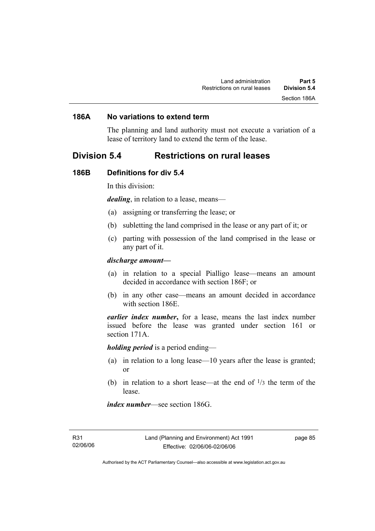#### **186A No variations to extend term**

The planning and land authority must not execute a variation of a lease of territory land to extend the term of the lease.

## **Division 5.4 Restrictions on rural leases**

#### **186B Definitions for div 5.4**

In this division:

*dealing*, in relation to a lease, means—

- (a) assigning or transferring the lease; or
- (b) subletting the land comprised in the lease or any part of it; or
- (c) parting with possession of the land comprised in the lease or any part of it.

#### *discharge amount—*

- (a) in relation to a special Pialligo lease—means an amount decided in accordance with section 186F; or
- (b) in any other case—means an amount decided in accordance with section 186E.

*earlier index number***,** for a lease, means the last index number issued before the lease was granted under section 161 or section 171A.

*holding period* is a period ending—

- (a) in relation to a long lease—10 years after the lease is granted; or
- (b) in relation to a short lease—at the end of  $\frac{1}{3}$  the term of the lease.

*index number*—see section 186G.

page 85

Authorised by the ACT Parliamentary Counsel—also accessible at www.legislation.act.gov.au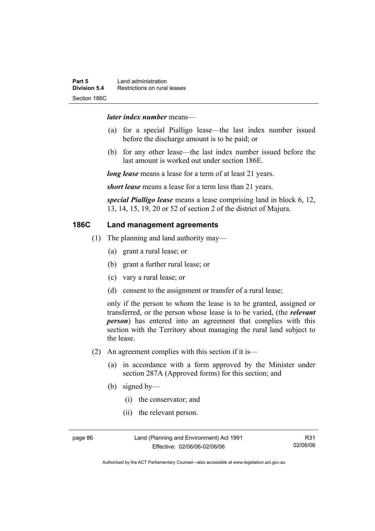#### *later index number* means—

- (a) for a special Pialligo lease—the last index number issued before the discharge amount is to be paid; or
- (b) for any other lease—the last index number issued before the last amount is worked out under section 186E.

*long lease* means a lease for a term of at least 21 years.

*short lease* means a lease for a term less than 21 years.

*special Pialligo lease* means a lease comprising land in block 6, 12, 13, 14, 15, 19, 20 or 52 of section 2 of the district of Majura.

## **186C Land management agreements**

- (1) The planning and land authority may—
	- (a) grant a rural lease; or
	- (b) grant a further rural lease; or
	- (c) vary a rural lease; or
	- (d) consent to the assignment or transfer of a rural lease;

only if the person to whom the lease is to be granted, assigned or transferred, or the person whose lease is to be varied, (the *relevant person*) has entered into an agreement that complies with this section with the Territory about managing the rural land subject to the lease.

- (2) An agreement complies with this section if it is—
	- (a) in accordance with a form approved by the Minister under section 287A (Approved forms) for this section; and
	- (b) signed by—
		- (i) the conservator; and
		- (ii) the relevant person.

page 86 Land (Planning and Environment) Act 1991 Effective: 02/06/06-02/06/06

Authorised by the ACT Parliamentary Counsel—also accessible at www.legislation.act.gov.au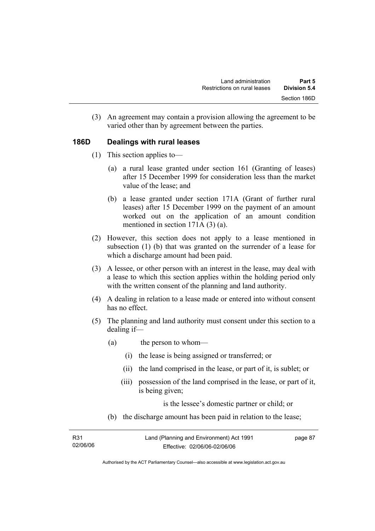(3) An agreement may contain a provision allowing the agreement to be varied other than by agreement between the parties.

## **186D Dealings with rural leases**

- (1) This section applies to—
	- (a) a rural lease granted under section 161 (Granting of leases) after 15 December 1999 for consideration less than the market value of the lease; and
	- (b) a lease granted under section 171A (Grant of further rural leases) after 15 December 1999 on the payment of an amount worked out on the application of an amount condition mentioned in section 171A (3) (a).
- (2) However, this section does not apply to a lease mentioned in subsection (1) (b) that was granted on the surrender of a lease for which a discharge amount had been paid.
- (3) A lessee, or other person with an interest in the lease, may deal with a lease to which this section applies within the holding period only with the written consent of the planning and land authority.
- (4) A dealing in relation to a lease made or entered into without consent has no effect.
- (5) The planning and land authority must consent under this section to a dealing if—
	- (a) the person to whom—
		- (i) the lease is being assigned or transferred; or
		- (ii) the land comprised in the lease, or part of it, is sublet; or
		- (iii) possession of the land comprised in the lease, or part of it, is being given;

is the lessee's domestic partner or child; or

(b) the discharge amount has been paid in relation to the lease;

| R31      | Land (Planning and Environment) Act 1991 | page 87 |
|----------|------------------------------------------|---------|
| 02/06/06 | Effective: 02/06/06-02/06/06             |         |

Authorised by the ACT Parliamentary Counsel—also accessible at www.legislation.act.gov.au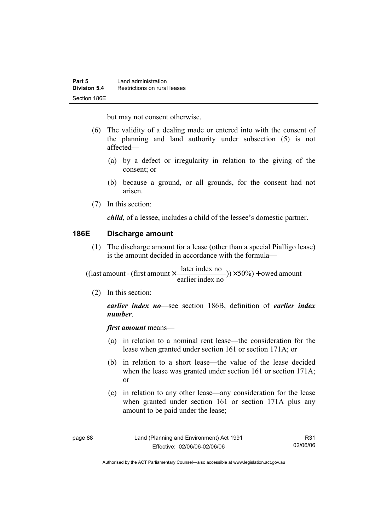but may not consent otherwise.

- (6) The validity of a dealing made or entered into with the consent of the planning and land authority under subsection (5) is not affected—
	- (a) by a defect or irregularity in relation to the giving of the consent; or
	- (b) because a ground, or all grounds, for the consent had not arisen.
- (7) In this section:

*child*, of a lessee, includes a child of the lessee's domestic partner.

## **186E Discharge amount**

 (1) The discharge amount for a lease (other than a special Pialligo lease) is the amount decided in accordance with the formula—

 $(y) \times 50\%$  + owed amount earlier index no ((last amount - (first amount  $\times \frac{\text{later index no}}{\text{in} \cdot \cdot \cdot \cdot}$ )) $\times$  50%) +

(2) In this section:

*earlier index no*—see section 186B, definition of *earlier index number*.

*first amount* means—

- (a) in relation to a nominal rent lease—the consideration for the lease when granted under section 161 or section 171A; or
- (b) in relation to a short lease—the value of the lease decided when the lease was granted under section 161 or section 171A; or
- (c) in relation to any other lease—any consideration for the lease when granted under section 161 or section 171A plus any amount to be paid under the lease;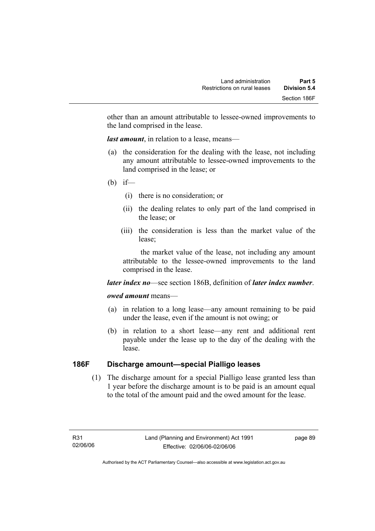other than an amount attributable to lessee-owned improvements to the land comprised in the lease.

*last amount*, in relation to a lease, means—

- (a) the consideration for the dealing with the lease, not including any amount attributable to lessee-owned improvements to the land comprised in the lease; or
- (b) if—
	- (i) there is no consideration; or
	- (ii) the dealing relates to only part of the land comprised in the lease; or
	- (iii) the consideration is less than the market value of the lease;

 the market value of the lease, not including any amount attributable to the lessee-owned improvements to the land comprised in the lease.

#### *later index no*—see section 186B, definition of *later index number*.

#### *owed amount* means—

- (a) in relation to a long lease—any amount remaining to be paid under the lease, even if the amount is not owing; or
- (b) in relation to a short lease—any rent and additional rent payable under the lease up to the day of the dealing with the lease.

## **186F Discharge amount—special Pialligo leases**

 (1) The discharge amount for a special Pialligo lease granted less than 1 year before the discharge amount is to be paid is an amount equal to the total of the amount paid and the owed amount for the lease.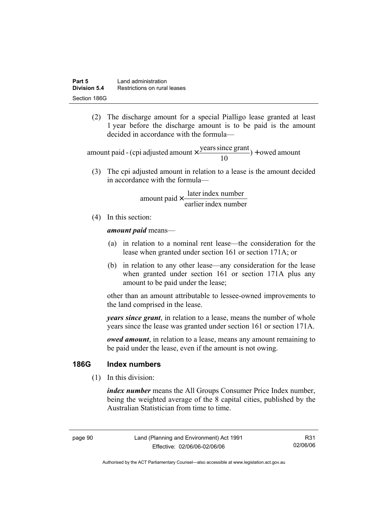(2) The discharge amount for a special Pialligo lease granted at least 1 year before the discharge amount is to be paid is the amount decided in accordance with the formula—

 $) +$  owed amount 10 amount paid - (cpi adjusted amount  $\times \frac{\text{years since grant}}{10}$ ) +

 (3) The cpi adjusted amount in relation to a lease is the amount decided in accordance with the formula—

> earlier index number amount paid  $\times \frac{\text{later index number}}{\text{lintermax}}$

(4) In this section:

*amount paid* means—

- (a) in relation to a nominal rent lease—the consideration for the lease when granted under section 161 or section 171A; or
- (b) in relation to any other lease—any consideration for the lease when granted under section 161 or section 171A plus any amount to be paid under the lease;

other than an amount attributable to lessee-owned improvements to the land comprised in the lease.

*years since grant*, in relation to a lease, means the number of whole years since the lease was granted under section 161 or section 171A.

*owed amount*, in relation to a lease, means any amount remaining to be paid under the lease, even if the amount is not owing.

## **186G Index numbers**

(1) In this division:

*index number* means the All Groups Consumer Price Index number, being the weighted average of the 8 capital cities, published by the Australian Statistician from time to time.

page 90 Land (Planning and Environment) Act 1991 Effective: 02/06/06-02/06/06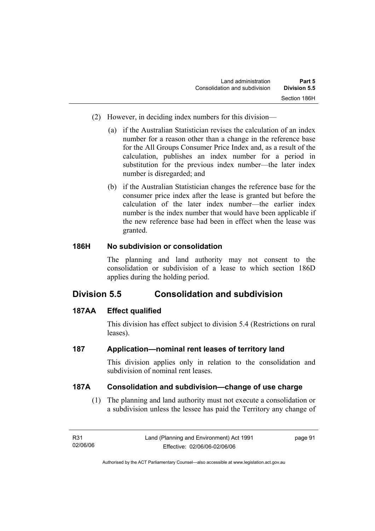- (2) However, in deciding index numbers for this division—
	- (a) if the Australian Statistician revises the calculation of an index number for a reason other than a change in the reference base for the All Groups Consumer Price Index and, as a result of the calculation, publishes an index number for a period in substitution for the previous index number—the later index number is disregarded; and
	- (b) if the Australian Statistician changes the reference base for the consumer price index after the lease is granted but before the calculation of the later index number—the earlier index number is the index number that would have been applicable if the new reference base had been in effect when the lease was granted.

## **186H No subdivision or consolidation**

The planning and land authority may not consent to the consolidation or subdivision of a lease to which section 186D applies during the holding period.

# **Division 5.5 Consolidation and subdivision**

# **187AA Effect qualified**

This division has effect subject to division 5.4 (Restrictions on rural leases).

# **187 Application—nominal rent leases of territory land**

This division applies only in relation to the consolidation and subdivision of nominal rent leases.

## **187A Consolidation and subdivision—change of use charge**

 (1) The planning and land authority must not execute a consolidation or a subdivision unless the lessee has paid the Territory any change of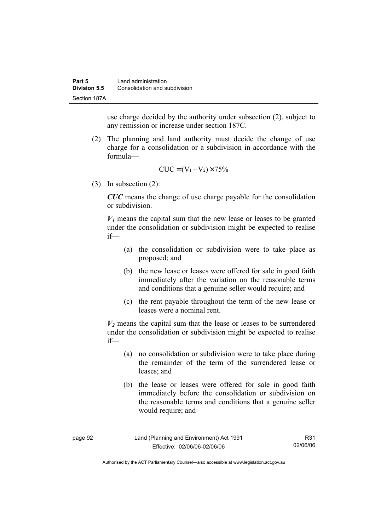use charge decided by the authority under subsection (2), subject to any remission or increase under section 187C.

 (2) The planning and land authority must decide the change of use charge for a consolidation or a subdivision in accordance with the formula—

$$
CUC = (V_1 - V_2) \times 75\%
$$

(3) In subsection (2):

*CUC* means the change of use charge payable for the consolidation or subdivision.

 $V_1$  means the capital sum that the new lease or leases to be granted under the consolidation or subdivision might be expected to realise if—

- (a) the consolidation or subdivision were to take place as proposed; and
- (b) the new lease or leases were offered for sale in good faith immediately after the variation on the reasonable terms and conditions that a genuine seller would require; and
- (c) the rent payable throughout the term of the new lease or leases were a nominal rent.

 $V_2$  means the capital sum that the lease or leases to be surrendered under the consolidation or subdivision might be expected to realise if—

- (a) no consolidation or subdivision were to take place during the remainder of the term of the surrendered lease or leases; and
- (b) the lease or leases were offered for sale in good faith immediately before the consolidation or subdivision on the reasonable terms and conditions that a genuine seller would require; and

| page 92 | Land (Planning and Environment) Act 1991 | R31      |
|---------|------------------------------------------|----------|
|         | Effective: 02/06/06-02/06/06             | 02/06/06 |

Authorised by the ACT Parliamentary Counsel—also accessible at www.legislation.act.gov.au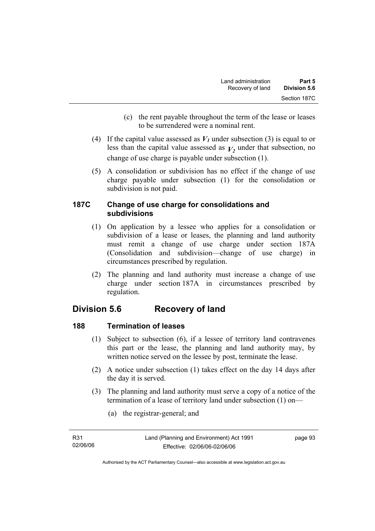- (c) the rent payable throughout the term of the lease or leases to be surrendered were a nominal rent.
- (4) If the capital value assessed as  $V_I$  under subsection (3) is equal to or less than the capital value assessed as  $V_2$  under that subsection, no change of use charge is payable under subsection (1).
- (5) A consolidation or subdivision has no effect if the change of use charge payable under subsection (1) for the consolidation or subdivision is not paid.

## **187C Change of use charge for consolidations and subdivisions**

- (1) On application by a lessee who applies for a consolidation or subdivision of a lease or leases, the planning and land authority must remit a change of use charge under section 187A (Consolidation and subdivision—change of use charge) in circumstances prescribed by regulation.
- (2) The planning and land authority must increase a change of use charge under section 187A in circumstances prescribed by regulation.

# **Division 5.6 Recovery of land**

# **188 Termination of leases**

- (1) Subject to subsection (6), if a lessee of territory land contravenes this part or the lease, the planning and land authority may, by written notice served on the lessee by post, terminate the lease.
- (2) A notice under subsection (1) takes effect on the day 14 days after the day it is served.
- (3) The planning and land authority must serve a copy of a notice of the termination of a lease of territory land under subsection (1) on—
	- (a) the registrar-general; and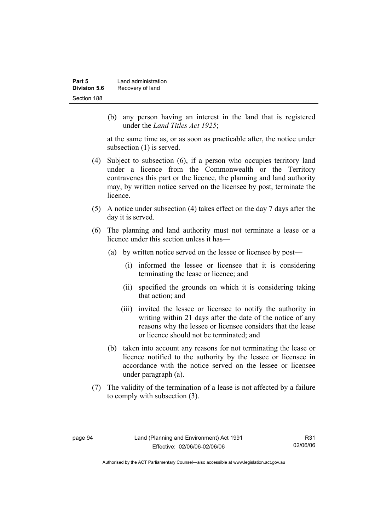| Part 5       | Land administration |
|--------------|---------------------|
| Division 5.6 | Recovery of land    |
| Section 188  |                     |

 (b) any person having an interest in the land that is registered under the *Land Titles Act 1925*;

at the same time as, or as soon as practicable after, the notice under subsection (1) is served.

- (4) Subject to subsection (6), if a person who occupies territory land under a licence from the Commonwealth or the Territory contravenes this part or the licence, the planning and land authority may, by written notice served on the licensee by post, terminate the licence.
- (5) A notice under subsection (4) takes effect on the day 7 days after the day it is served.
- (6) The planning and land authority must not terminate a lease or a licence under this section unless it has—
	- (a) by written notice served on the lessee or licensee by post—
		- (i) informed the lessee or licensee that it is considering terminating the lease or licence; and
		- (ii) specified the grounds on which it is considering taking that action; and
		- (iii) invited the lessee or licensee to notify the authority in writing within 21 days after the date of the notice of any reasons why the lessee or licensee considers that the lease or licence should not be terminated; and
	- (b) taken into account any reasons for not terminating the lease or licence notified to the authority by the lessee or licensee in accordance with the notice served on the lessee or licensee under paragraph (a).
- (7) The validity of the termination of a lease is not affected by a failure to comply with subsection (3).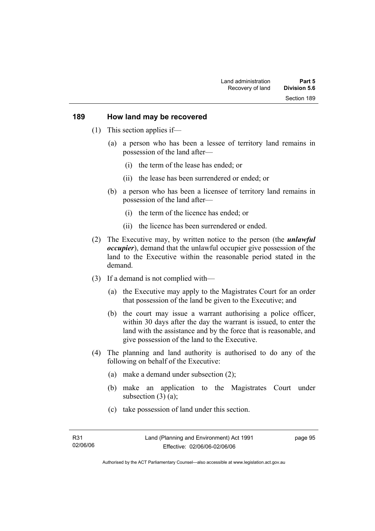#### **189 How land may be recovered**

- (1) This section applies if—
	- (a) a person who has been a lessee of territory land remains in possession of the land after—
		- (i) the term of the lease has ended; or
		- (ii) the lease has been surrendered or ended; or
	- (b) a person who has been a licensee of territory land remains in possession of the land after—
		- (i) the term of the licence has ended; or
		- (ii) the licence has been surrendered or ended.
- (2) The Executive may, by written notice to the person (the *unlawful occupier*), demand that the unlawful occupier give possession of the land to the Executive within the reasonable period stated in the demand.
- (3) If a demand is not complied with—
	- (a) the Executive may apply to the Magistrates Court for an order that possession of the land be given to the Executive; and
	- (b) the court may issue a warrant authorising a police officer, within 30 days after the day the warrant is issued, to enter the land with the assistance and by the force that is reasonable, and give possession of the land to the Executive.
- (4) The planning and land authority is authorised to do any of the following on behalf of the Executive:
	- (a) make a demand under subsection (2);
	- (b) make an application to the Magistrates Court under subsection  $(3)$   $(a)$ ;
	- (c) take possession of land under this section.

page 95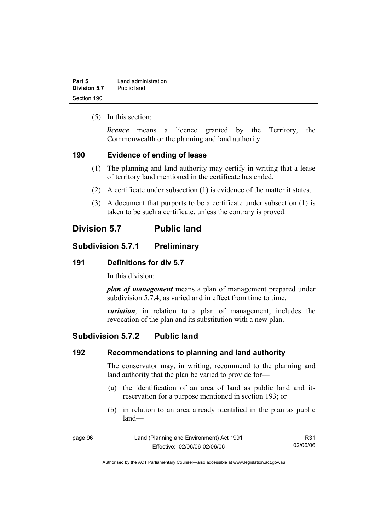| Part 5       | Land administration |
|--------------|---------------------|
| Division 5.7 | Public land         |
| Section 190  |                     |

(5) In this section:

*licence* means a licence granted by the Territory, the Commonwealth or the planning and land authority.

#### **190 Evidence of ending of lease**

- (1) The planning and land authority may certify in writing that a lease of territory land mentioned in the certificate has ended.
- (2) A certificate under subsection (1) is evidence of the matter it states.
- (3) A document that purports to be a certificate under subsection (1) is taken to be such a certificate, unless the contrary is proved.

# **Division 5.7 Public land**

## **Subdivision 5.7.1 Preliminary**

#### **191 Definitions for div 5.7**

In this division:

*plan of management* means a plan of management prepared under subdivision 5.7.4, as varied and in effect from time to time.

*variation*, in relation to a plan of management, includes the revocation of the plan and its substitution with a new plan.

## **Subdivision 5.7.2 Public land**

#### **192 Recommendations to planning and land authority**

The conservator may, in writing, recommend to the planning and land authority that the plan be varied to provide for—

- (a) the identification of an area of land as public land and its reservation for a purpose mentioned in section 193; or
- (b) in relation to an area already identified in the plan as public land—

| page 96 | Land (Planning and Environment) Act 1991 | R31      |
|---------|------------------------------------------|----------|
|         | Effective: 02/06/06-02/06/06             | 02/06/06 |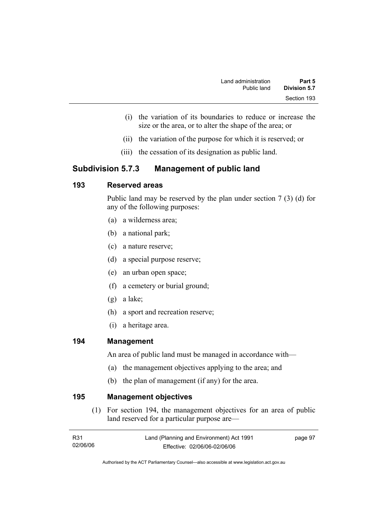- (i) the variation of its boundaries to reduce or increase the size or the area, or to alter the shape of the area; or
- (ii) the variation of the purpose for which it is reserved; or
- (iii) the cessation of its designation as public land.

## **Subdivision 5.7.3 Management of public land**

## **193 Reserved areas**

Public land may be reserved by the plan under section 7 (3) (d) for any of the following purposes:

- (a) a wilderness area;
- (b) a national park;
- (c) a nature reserve;
- (d) a special purpose reserve;
- (e) an urban open space;
- (f) a cemetery or burial ground;
- (g) a lake;
- (h) a sport and recreation reserve;
- (i) a heritage area.

#### **194 Management**

An area of public land must be managed in accordance with—

- (a) the management objectives applying to the area; and
- (b) the plan of management (if any) for the area.

**195 Management objectives** 

 (1) For section 194, the management objectives for an area of public land reserved for a particular purpose are—

| R31      | Land (Planning and Environment) Act 1991 | page 97 |
|----------|------------------------------------------|---------|
| 02/06/06 | Effective: 02/06/06-02/06/06             |         |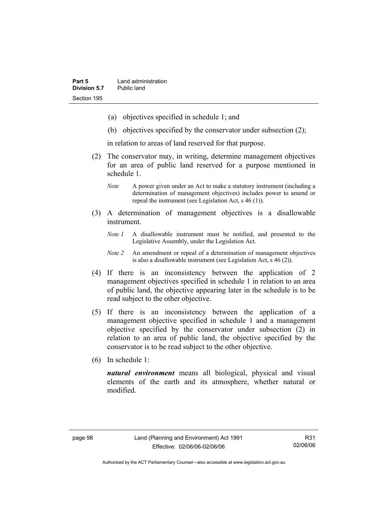- (a) objectives specified in schedule 1; and
- (b) objectives specified by the conservator under subsection (2);

in relation to areas of land reserved for that purpose.

- (2) The conservator may, in writing, determine management objectives for an area of public land reserved for a purpose mentioned in schedule 1.
	- *Note* A power given under an Act to make a statutory instrument (including a determination of management objectives) includes power to amend or repeal the instrument (see Legislation Act, s 46 (1)).
- (3) A determination of management objectives is a disallowable instrument.
	- *Note 1* A disallowable instrument must be notified, and presented to the Legislative Assembly, under the Legislation Act.
	- *Note 2* An amendment or repeal of a determination of management objectives is also a disallowable instrument (see Legislation Act, s 46 (2))*.*
- (4) If there is an inconsistency between the application of 2 management objectives specified in schedule 1 in relation to an area of public land, the objective appearing later in the schedule is to be read subject to the other objective.
- (5) If there is an inconsistency between the application of a management objective specified in schedule 1 and a management objective specified by the conservator under subsection (2) in relation to an area of public land, the objective specified by the conservator is to be read subject to the other objective.
- (6) In schedule 1:

*natural environment* means all biological, physical and visual elements of the earth and its atmosphere, whether natural or modified.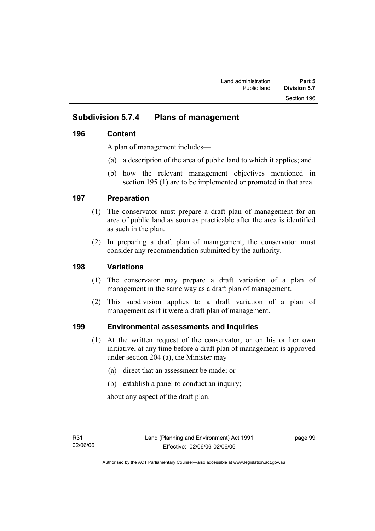# **Subdivision 5.7.4 Plans of management**

## **196 Content**

A plan of management includes—

- (a) a description of the area of public land to which it applies; and
- (b) how the relevant management objectives mentioned in section 195 (1) are to be implemented or promoted in that area.

## **197 Preparation**

- (1) The conservator must prepare a draft plan of management for an area of public land as soon as practicable after the area is identified as such in the plan.
- (2) In preparing a draft plan of management, the conservator must consider any recommendation submitted by the authority.

## **198 Variations**

- (1) The conservator may prepare a draft variation of a plan of management in the same way as a draft plan of management.
- (2) This subdivision applies to a draft variation of a plan of management as if it were a draft plan of management.

## **199 Environmental assessments and inquiries**

- (1) At the written request of the conservator, or on his or her own initiative, at any time before a draft plan of management is approved under section 204 (a), the Minister may—
	- (a) direct that an assessment be made; or
	- (b) establish a panel to conduct an inquiry;

about any aspect of the draft plan.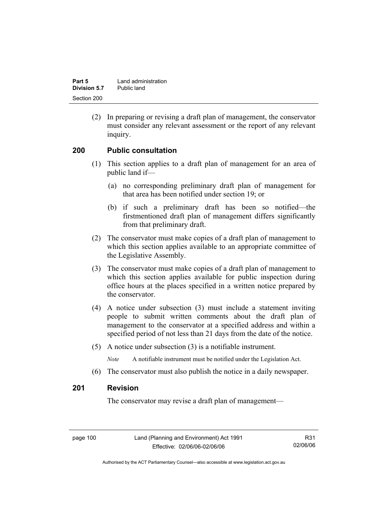| Part 5              | Land administration |
|---------------------|---------------------|
| <b>Division 5.7</b> | Public land         |
| Section 200         |                     |

 (2) In preparing or revising a draft plan of management, the conservator must consider any relevant assessment or the report of any relevant inquiry.

#### **200 Public consultation**

- (1) This section applies to a draft plan of management for an area of public land if—
	- (a) no corresponding preliminary draft plan of management for that area has been notified under section 19; or
	- (b) if such a preliminary draft has been so notified—the firstmentioned draft plan of management differs significantly from that preliminary draft.
- (2) The conservator must make copies of a draft plan of management to which this section applies available to an appropriate committee of the Legislative Assembly.
- (3) The conservator must make copies of a draft plan of management to which this section applies available for public inspection during office hours at the places specified in a written notice prepared by the conservator.
- (4) A notice under subsection (3) must include a statement inviting people to submit written comments about the draft plan of management to the conservator at a specified address and within a specified period of not less than 21 days from the date of the notice.
- (5) A notice under subsection (3) is a notifiable instrument.

*Note* A notifiable instrument must be notified under the Legislation Act.

(6) The conservator must also publish the notice in a daily newspaper.

#### **201 Revision**

The conservator may revise a draft plan of management—

page 100 Land (Planning and Environment) Act 1991 Effective: 02/06/06-02/06/06

R31 02/06/06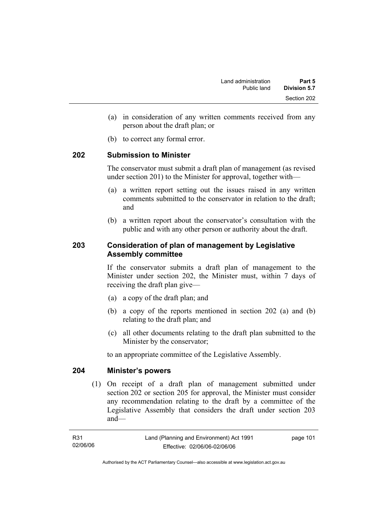- (a) in consideration of any written comments received from any person about the draft plan; or
- (b) to correct any formal error.

#### **202 Submission to Minister**

The conservator must submit a draft plan of management (as revised under section 201) to the Minister for approval, together with—

- (a) a written report setting out the issues raised in any written comments submitted to the conservator in relation to the draft; and
- (b) a written report about the conservator's consultation with the public and with any other person or authority about the draft.

## **203 Consideration of plan of management by Legislative Assembly committee**

If the conservator submits a draft plan of management to the Minister under section 202, the Minister must, within 7 days of receiving the draft plan give—

- (a) a copy of the draft plan; and
- (b) a copy of the reports mentioned in section 202 (a) and (b) relating to the draft plan; and
- (c) all other documents relating to the draft plan submitted to the Minister by the conservator;

to an appropriate committee of the Legislative Assembly.

#### **204 Minister's powers**

 (1) On receipt of a draft plan of management submitted under section 202 or section 205 for approval, the Minister must consider any recommendation relating to the draft by a committee of the Legislative Assembly that considers the draft under section 203 and—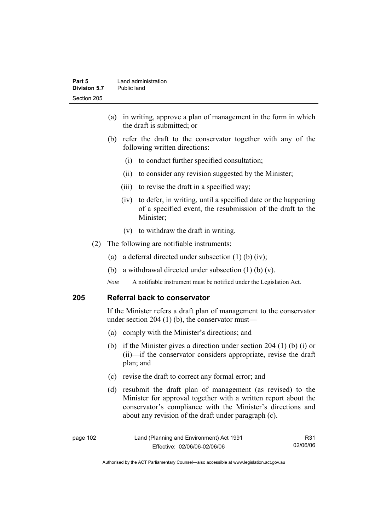- (a) in writing, approve a plan of management in the form in which the draft is submitted; or
- (b) refer the draft to the conservator together with any of the following written directions:
	- (i) to conduct further specified consultation;
	- (ii) to consider any revision suggested by the Minister;
	- (iii) to revise the draft in a specified way;
	- (iv) to defer, in writing, until a specified date or the happening of a specified event, the resubmission of the draft to the Minister;
	- (v) to withdraw the draft in writing.
- (2) The following are notifiable instruments:
	- (a) a deferral directed under subsection (1) (b) (iv);
	- (b) a withdrawal directed under subsection  $(1)$  (b)  $(v)$ .
	- *Note* A notifiable instrument must be notified under the Legislation Act.

#### **205 Referral back to conservator**

If the Minister refers a draft plan of management to the conservator under section 204 (1) (b), the conservator must—

- (a) comply with the Minister's directions; and
- (b) if the Minister gives a direction under section 204 (1) (b) (i) or (ii)—if the conservator considers appropriate, revise the draft plan; and
- (c) revise the draft to correct any formal error; and
- (d) resubmit the draft plan of management (as revised) to the Minister for approval together with a written report about the conservator's compliance with the Minister's directions and about any revision of the draft under paragraph (c).

| page 102 | Land (Planning and Environment) Act 1991 | R31      |
|----------|------------------------------------------|----------|
|          | Effective: 02/06/06-02/06/06             | 02/06/06 |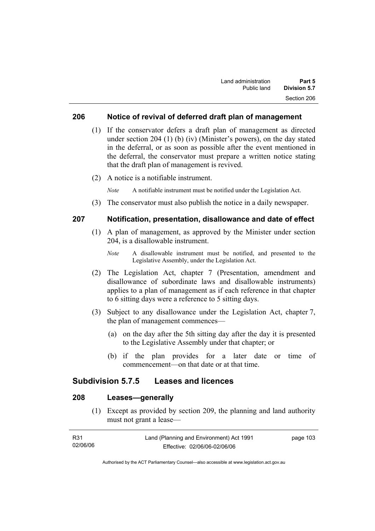#### **206 Notice of revival of deferred draft plan of management**

- (1) If the conservator defers a draft plan of management as directed under section 204 (1) (b) (iv) (Minister's powers), on the day stated in the deferral, or as soon as possible after the event mentioned in the deferral, the conservator must prepare a written notice stating that the draft plan of management is revived.
- (2) A notice is a notifiable instrument.

*Note* A notifiable instrument must be notified under the Legislation Act.

(3) The conservator must also publish the notice in a daily newspaper.

#### **207 Notification, presentation, disallowance and date of effect**

- (1) A plan of management, as approved by the Minister under section 204, is a disallowable instrument.
	- *Note* A disallowable instrument must be notified, and presented to the Legislative Assembly, under the Legislation Act.
- (2) The Legislation Act, chapter 7 (Presentation, amendment and disallowance of subordinate laws and disallowable instruments) applies to a plan of management as if each reference in that chapter to 6 sitting days were a reference to 5 sitting days.
- (3) Subject to any disallowance under the Legislation Act, chapter 7, the plan of management commences—
	- (a) on the day after the 5th sitting day after the day it is presented to the Legislative Assembly under that chapter; or
	- (b) if the plan provides for a later date or time of commencement—on that date or at that time.

#### **Subdivision 5.7.5 Leases and licences**

## **208 Leases—generally**

 (1) Except as provided by section 209, the planning and land authority must not grant a lease—

| R31      | Land (Planning and Environment) Act 1991 | page 103 |
|----------|------------------------------------------|----------|
| 02/06/06 | Effective: 02/06/06-02/06/06             |          |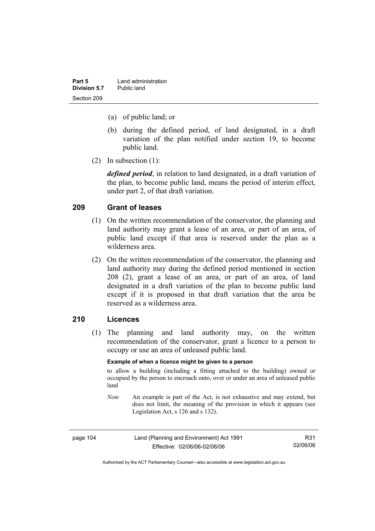| Part 5       | Land administration |
|--------------|---------------------|
| Division 5.7 | Public land         |
| Section 209  |                     |

- (a) of public land; or
- (b) during the defined period, of land designated, in a draft variation of the plan notified under section 19, to become public land.
- (2) In subsection (1):

*defined period*, in relation to land designated, in a draft variation of the plan, to become public land, means the period of interim effect, under part 2, of that draft variation.

#### **209 Grant of leases**

- (1) On the written recommendation of the conservator, the planning and land authority may grant a lease of an area, or part of an area, of public land except if that area is reserved under the plan as a wilderness area.
- (2) On the written recommendation of the conservator, the planning and land authority may during the defined period mentioned in section 208 (2), grant a lease of an area, or part of an area, of land designated in a draft variation of the plan to become public land except if it is proposed in that draft variation that the area be reserved as a wilderness area.

#### **210 Licences**

 (1) The planning and land authority may, on the written recommendation of the conservator, grant a licence to a person to occupy or use an area of unleased public land.

#### **Example of when a licence might be given to a person**

to allow a building (including a fitting attached to the building) owned or occupied by the person to encroach onto, over or under an area of unleased public land

*Note* An example is part of the Act, is not exhaustive and may extend, but does not limit, the meaning of the provision in which it appears (see Legislation Act, s 126 and s 132).

| page 104 | Land (Planning and Environment) Act 1991 | R31      |
|----------|------------------------------------------|----------|
|          | Effective: 02/06/06-02/06/06             | 02/06/06 |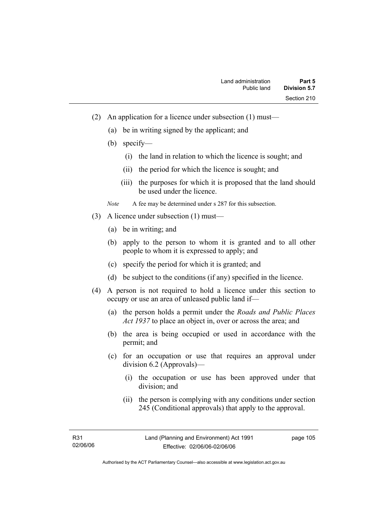- (2) An application for a licence under subsection (1) must—
	- (a) be in writing signed by the applicant; and
	- (b) specify—
		- (i) the land in relation to which the licence is sought; and
		- (ii) the period for which the licence is sought; and
		- (iii) the purposes for which it is proposed that the land should be used under the licence.

*Note* A fee may be determined under s 287 for this subsection.

- (3) A licence under subsection (1) must—
	- (a) be in writing; and
	- (b) apply to the person to whom it is granted and to all other people to whom it is expressed to apply; and
	- (c) specify the period for which it is granted; and
	- (d) be subject to the conditions (if any) specified in the licence.
- (4) A person is not required to hold a licence under this section to occupy or use an area of unleased public land if—
	- (a) the person holds a permit under the *Roads and Public Places Act 1937* to place an object in, over or across the area; and
	- (b) the area is being occupied or used in accordance with the permit; and
	- (c) for an occupation or use that requires an approval under division 6.2 (Approvals)—
		- (i) the occupation or use has been approved under that division; and
		- (ii) the person is complying with any conditions under section 245 (Conditional approvals) that apply to the approval.

page 105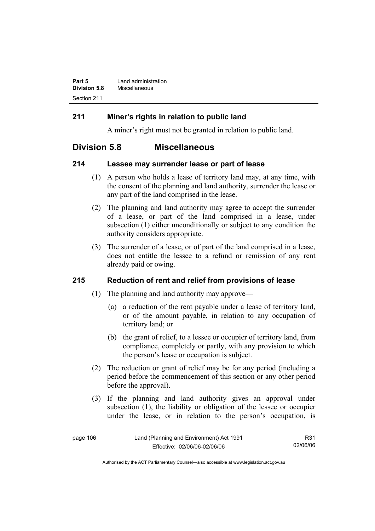| Part 5              | Land administration |
|---------------------|---------------------|
| <b>Division 5.8</b> | Miscellaneous       |
| Section 211         |                     |

## **211 Miner's rights in relation to public land**

A miner's right must not be granted in relation to public land.

# **Division 5.8 Miscellaneous**

#### **214 Lessee may surrender lease or part of lease**

- (1) A person who holds a lease of territory land may, at any time, with the consent of the planning and land authority, surrender the lease or any part of the land comprised in the lease.
- (2) The planning and land authority may agree to accept the surrender of a lease, or part of the land comprised in a lease, under subsection (1) either unconditionally or subject to any condition the authority considers appropriate.
- (3) The surrender of a lease, or of part of the land comprised in a lease, does not entitle the lessee to a refund or remission of any rent already paid or owing.

## **215 Reduction of rent and relief from provisions of lease**

- (1) The planning and land authority may approve—
	- (a) a reduction of the rent payable under a lease of territory land, or of the amount payable, in relation to any occupation of territory land; or
	- (b) the grant of relief, to a lessee or occupier of territory land, from compliance, completely or partly, with any provision to which the person's lease or occupation is subject.
- (2) The reduction or grant of relief may be for any period (including a period before the commencement of this section or any other period before the approval).
- (3) If the planning and land authority gives an approval under subsection (1), the liability or obligation of the lessee or occupier under the lease, or in relation to the person's occupation, is

| page 106 | Land (Planning and Environment) Act 1991 | R31      |
|----------|------------------------------------------|----------|
|          | Effective: 02/06/06-02/06/06             | 02/06/06 |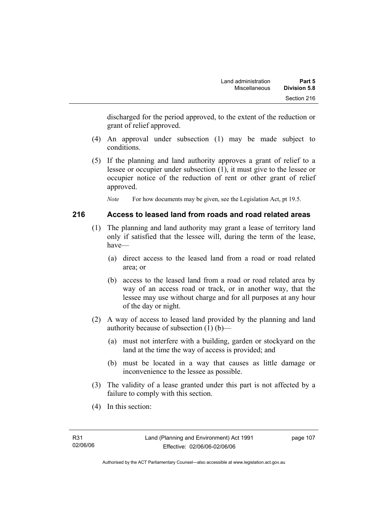discharged for the period approved, to the extent of the reduction or grant of relief approved.

- (4) An approval under subsection (1) may be made subject to conditions.
- (5) If the planning and land authority approves a grant of relief to a lessee or occupier under subsection (1), it must give to the lessee or occupier notice of the reduction of rent or other grant of relief approved.

*Note* For how documents may be given, see the Legislation Act, pt 19.5.

## **216 Access to leased land from roads and road related areas**

- (1) The planning and land authority may grant a lease of territory land only if satisfied that the lessee will, during the term of the lease, have—
	- (a) direct access to the leased land from a road or road related area; or
	- (b) access to the leased land from a road or road related area by way of an access road or track, or in another way, that the lessee may use without charge and for all purposes at any hour of the day or night.
- (2) A way of access to leased land provided by the planning and land authority because of subsection (1) (b)—
	- (a) must not interfere with a building, garden or stockyard on the land at the time the way of access is provided; and
	- (b) must be located in a way that causes as little damage or inconvenience to the lessee as possible.
- (3) The validity of a lease granted under this part is not affected by a failure to comply with this section.
- (4) In this section: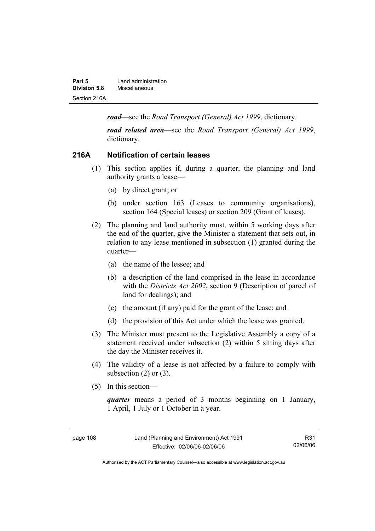| Part 5       | Land administration |
|--------------|---------------------|
| Division 5.8 | Miscellaneous       |
| Section 216A |                     |

*road*—see the *Road Transport (General) Act 1999*, dictionary.

*road related area*—see the *Road Transport (General) Act 1999*, dictionary.

#### **216A Notification of certain leases**

- (1) This section applies if, during a quarter, the planning and land authority grants a lease—
	- (a) by direct grant; or
	- (b) under section 163 (Leases to community organisations), section 164 (Special leases) or section 209 (Grant of leases).
- (2) The planning and land authority must, within 5 working days after the end of the quarter, give the Minister a statement that sets out, in relation to any lease mentioned in subsection (1) granted during the quarter—
	- (a) the name of the lessee; and
	- (b) a description of the land comprised in the lease in accordance with the *Districts Act 2002*, section 9 (Description of parcel of land for dealings); and
	- (c) the amount (if any) paid for the grant of the lease; and
	- (d) the provision of this Act under which the lease was granted.
- (3) The Minister must present to the Legislative Assembly a copy of a statement received under subsection (2) within 5 sitting days after the day the Minister receives it.
- (4) The validity of a lease is not affected by a failure to comply with subsection  $(2)$  or  $(3)$ .
- (5) In this section—

*quarter* means a period of 3 months beginning on 1 January, 1 April, 1 July or 1 October in a year.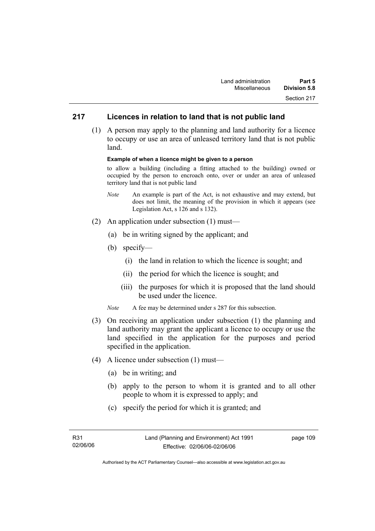## **217 Licences in relation to land that is not public land**

 (1) A person may apply to the planning and land authority for a licence to occupy or use an area of unleased territory land that is not public land.

#### **Example of when a licence might be given to a person**

to allow a building (including a fitting attached to the building) owned or occupied by the person to encroach onto, over or under an area of unleased territory land that is not public land

- *Note* An example is part of the Act, is not exhaustive and may extend, but does not limit, the meaning of the provision in which it appears (see Legislation Act, s 126 and s 132).
- (2) An application under subsection (1) must—
	- (a) be in writing signed by the applicant; and
	- (b) specify—
		- (i) the land in relation to which the licence is sought; and
		- (ii) the period for which the licence is sought; and
		- (iii) the purposes for which it is proposed that the land should be used under the licence.
	- *Note* A fee may be determined under s 287 for this subsection.
- (3) On receiving an application under subsection (1) the planning and land authority may grant the applicant a licence to occupy or use the land specified in the application for the purposes and period specified in the application.
- (4) A licence under subsection (1) must—
	- (a) be in writing; and
	- (b) apply to the person to whom it is granted and to all other people to whom it is expressed to apply; and
	- (c) specify the period for which it is granted; and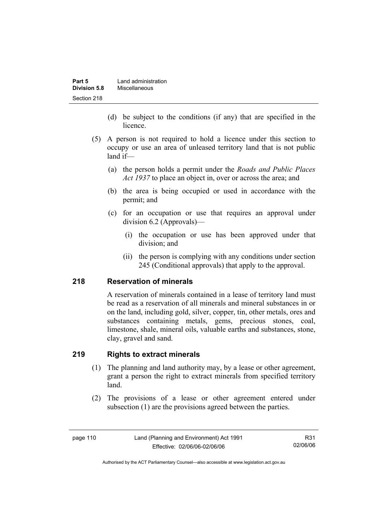| Part 5       | Land administration |
|--------------|---------------------|
| Division 5.8 | Miscellaneous       |
| Section 218  |                     |

- (d) be subject to the conditions (if any) that are specified in the licence.
- (5) A person is not required to hold a licence under this section to occupy or use an area of unleased territory land that is not public land if—
	- (a) the person holds a permit under the *Roads and Public Places Act 1937* to place an object in, over or across the area; and
	- (b) the area is being occupied or used in accordance with the permit; and
	- (c) for an occupation or use that requires an approval under division 6.2 (Approvals)—
		- (i) the occupation or use has been approved under that division; and
		- (ii) the person is complying with any conditions under section 245 (Conditional approvals) that apply to the approval.

## **218 Reservation of minerals**

A reservation of minerals contained in a lease of territory land must be read as a reservation of all minerals and mineral substances in or on the land, including gold, silver, copper, tin, other metals, ores and substances containing metals, gems, precious stones, coal, limestone, shale, mineral oils, valuable earths and substances, stone, clay, gravel and sand.

## **219 Rights to extract minerals**

- (1) The planning and land authority may, by a lease or other agreement, grant a person the right to extract minerals from specified territory land.
- (2) The provisions of a lease or other agreement entered under subsection (1) are the provisions agreed between the parties.

page 110 Land (Planning and Environment) Act 1991 Effective: 02/06/06-02/06/06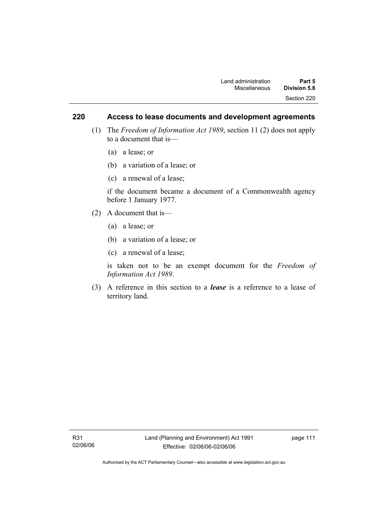## **220 Access to lease documents and development agreements**

- (1) The *Freedom of Information Act 1989*, section 11 (2) does not apply to a document that is—
	- (a) a lease; or
	- (b) a variation of a lease; or
	- (c) a renewal of a lease;

if the document became a document of a Commonwealth agency before 1 January 1977.

- (2) A document that is—
	- (a) a lease; or
	- (b) a variation of a lease; or
	- (c) a renewal of a lease;

is taken not to be an exempt document for the *Freedom of Information Act 1989*.

 (3) A reference in this section to a *lease* is a reference to a lease of territory land.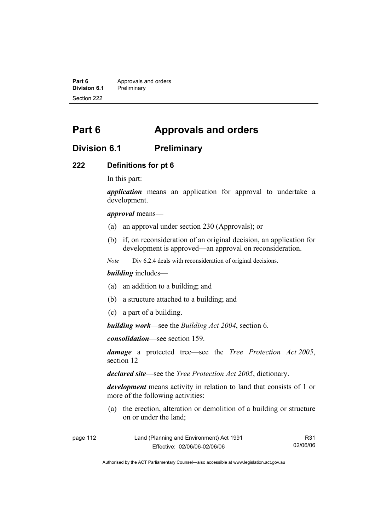**Part 6 Approvals and orders**<br>**Division 6.1 Preliminary Division 6.1** Preliminary Section 222

# **Part 6 Approvals and orders**

## **Division 6.1 Preliminary**

#### **222 Definitions for pt 6**

In this part:

*application* means an application for approval to undertake a development.

*approval* means—

- (a) an approval under section 230 (Approvals); or
- (b) if, on reconsideration of an original decision, an application for development is approved—an approval on reconsideration.

*Note* Div 6.2.4 deals with reconsideration of original decisions.

#### *building* includes—

- (a) an addition to a building; and
- (b) a structure attached to a building; and
- (c) a part of a building.

*building work*—see the *Building Act 2004*, section 6.

*consolidation*—see section 159.

*damage* a protected tree—see the *Tree Protection Act 2005*, section 12

*declared site*—see the *Tree Protection Act 2005*, dictionary.

*development* means activity in relation to land that consists of 1 or more of the following activities:

 (a) the erection, alteration or demolition of a building or structure on or under the land;

| page 112 | Land (Planning and Environment) Act 1991 | R31      |
|----------|------------------------------------------|----------|
|          | Effective: 02/06/06-02/06/06             | 02/06/06 |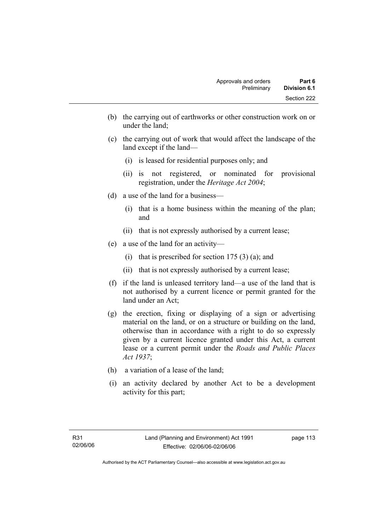- (b) the carrying out of earthworks or other construction work on or under the land;
- (c) the carrying out of work that would affect the landscape of the land except if the land—
	- (i) is leased for residential purposes only; and
	- (ii) is not registered, or nominated for provisional registration, under the *Heritage Act 2004*;
- (d) a use of the land for a business—
	- (i) that is a home business within the meaning of the plan; and
	- (ii) that is not expressly authorised by a current lease;
- (e) a use of the land for an activity—
	- (i) that is prescribed for section  $175(3)(a)$ ; and
	- (ii) that is not expressly authorised by a current lease;
- (f) if the land is unleased territory land—a use of the land that is not authorised by a current licence or permit granted for the land under an Act;
- (g) the erection, fixing or displaying of a sign or advertising material on the land, or on a structure or building on the land, otherwise than in accordance with a right to do so expressly given by a current licence granted under this Act, a current lease or a current permit under the *Roads and Public Places Act 1937*;
- (h) a variation of a lease of the land;
- (i) an activity declared by another Act to be a development activity for this part;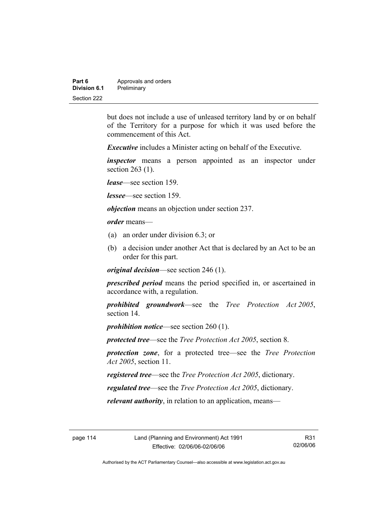| Part 6       | Approvals and orders |  |
|--------------|----------------------|--|
| Division 6.1 | Preliminary          |  |
| Section 222  |                      |  |

but does not include a use of unleased territory land by or on behalf of the Territory for a purpose for which it was used before the commencement of this Act.

*Executive* includes a Minister acting on behalf of the Executive.

*inspector* means a person appointed as an inspector under section 263 (1).

*lease*—see section 159.

*lessee*—see section 159.

*objection* means an objection under section 237.

*order* means—

- (a) an order under division 6.3; or
- (b) a decision under another Act that is declared by an Act to be an order for this part.

*original decision*—see section 246 (1).

*prescribed period* means the period specified in, or ascertained in accordance with, a regulation.

*prohibited groundwork*—see the *Tree Protection Act 2005*, section 14.

*prohibition notice*—see section 260 (1).

*protected tree*—see the *Tree Protection Act 2005*, section 8.

*protection zone*, for a protected tree—see the *Tree Protection Act 2005*, section 11.

*registered tree*—see the *Tree Protection Act 2005*, dictionary.

*regulated tree*—see the *Tree Protection Act 2005*, dictionary.

*relevant authority*, in relation to an application, means—

R31 02/06/06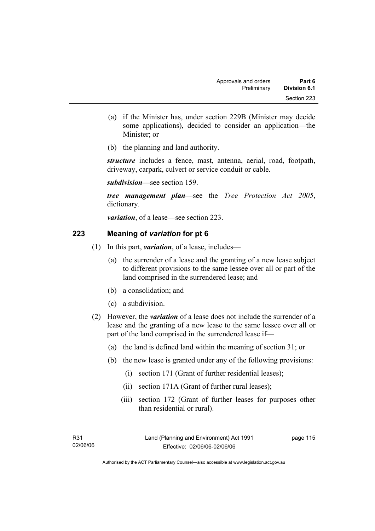- (a) if the Minister has, under section 229B (Minister may decide some applications), decided to consider an application—the Minister; or
- (b) the planning and land authority.

*structure* includes a fence, mast, antenna, aerial, road, footpath, driveway, carpark, culvert or service conduit or cable.

*subdivision—*see section 159.

*tree management plan*—see the *Tree Protection Act 2005*, dictionary.

*variation*, of a lease—see section 223.

## **223 Meaning of** *variation* **for pt 6**

- (1) In this part, *variation*, of a lease, includes—
	- (a) the surrender of a lease and the granting of a new lease subject to different provisions to the same lessee over all or part of the land comprised in the surrendered lease; and
	- (b) a consolidation; and
	- (c) a subdivision.
- (2) However, the *variation* of a lease does not include the surrender of a lease and the granting of a new lease to the same lessee over all or part of the land comprised in the surrendered lease if—
	- (a) the land is defined land within the meaning of section 31; or
	- (b) the new lease is granted under any of the following provisions:
		- (i) section 171 (Grant of further residential leases);
		- (ii) section 171A (Grant of further rural leases);
		- (iii) section 172 (Grant of further leases for purposes other than residential or rural).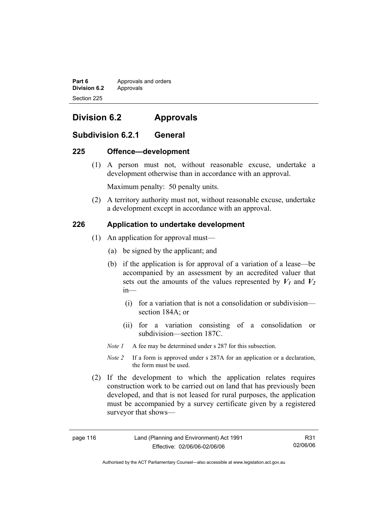**Part 6 Approvals and orders Division 6.2** Approvals Section 225

# **Division 6.2 Approvals**

## **Subdivision 6.2.1 General**

#### **225 Offence—development**

 (1) A person must not, without reasonable excuse, undertake a development otherwise than in accordance with an approval.

Maximum penalty: 50 penalty units.

 (2) A territory authority must not, without reasonable excuse, undertake a development except in accordance with an approval.

## **226 Application to undertake development**

- (1) An application for approval must—
	- (a) be signed by the applicant; and
	- (b) if the application is for approval of a variation of a lease—be accompanied by an assessment by an accredited valuer that sets out the amounts of the values represented by  $V_1$  and  $V_2$ in—
		- (i) for a variation that is not a consolidation or subdivision section 184A; or
		- (ii) for a variation consisting of a consolidation or subdivision—section 187C.
	- *Note 1* A fee may be determined under s 287 for this subsection.
	- *Note 2* If a form is approved under s 287A for an application or a declaration, the form must be used.
- (2) If the development to which the application relates requires construction work to be carried out on land that has previously been developed, and that is not leased for rural purposes, the application must be accompanied by a survey certificate given by a registered surveyor that shows—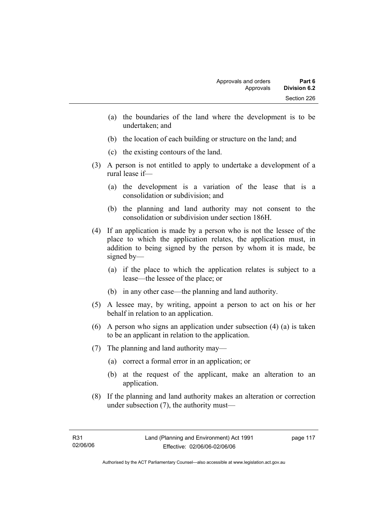- (a) the boundaries of the land where the development is to be undertaken; and
- (b) the location of each building or structure on the land; and
- (c) the existing contours of the land.
- (3) A person is not entitled to apply to undertake a development of a rural lease if—
	- (a) the development is a variation of the lease that is a consolidation or subdivision; and
	- (b) the planning and land authority may not consent to the consolidation or subdivision under section 186H.
- (4) If an application is made by a person who is not the lessee of the place to which the application relates, the application must, in addition to being signed by the person by whom it is made, be signed by—
	- (a) if the place to which the application relates is subject to a lease—the lessee of the place; or
	- (b) in any other case—the planning and land authority.
- (5) A lessee may, by writing, appoint a person to act on his or her behalf in relation to an application.
- (6) A person who signs an application under subsection (4) (a) is taken to be an applicant in relation to the application.
- (7) The planning and land authority may—
	- (a) correct a formal error in an application; or
	- (b) at the request of the applicant, make an alteration to an application.
- (8) If the planning and land authority makes an alteration or correction under subsection (7), the authority must—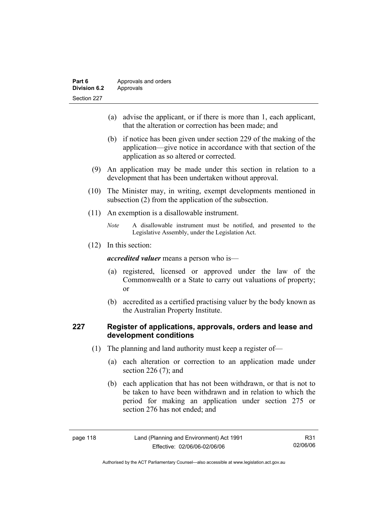| Part 6       | Approvals and orders |  |
|--------------|----------------------|--|
| Division 6.2 | Approvals            |  |
| Section 227  |                      |  |

- (a) advise the applicant, or if there is more than 1, each applicant, that the alteration or correction has been made; and
- (b) if notice has been given under section 229 of the making of the application—give notice in accordance with that section of the application as so altered or corrected.
- (9) An application may be made under this section in relation to a development that has been undertaken without approval.
- (10) The Minister may, in writing, exempt developments mentioned in subsection (2) from the application of the subsection.
- (11) An exemption is a disallowable instrument.
	- *Note* A disallowable instrument must be notified, and presented to the Legislative Assembly, under the Legislation Act.
- (12) In this section:

*accredited valuer* means a person who is—

- (a) registered, licensed or approved under the law of the Commonwealth or a State to carry out valuations of property; or
- (b) accredited as a certified practising valuer by the body known as the Australian Property Institute.

## **227 Register of applications, approvals, orders and lease and development conditions**

- (1) The planning and land authority must keep a register of—
	- (a) each alteration or correction to an application made under section 226 (7); and
	- (b) each application that has not been withdrawn, or that is not to be taken to have been withdrawn and in relation to which the period for making an application under section 275 or section 276 has not ended; and

| nage |  |  |
|------|--|--|
|------|--|--|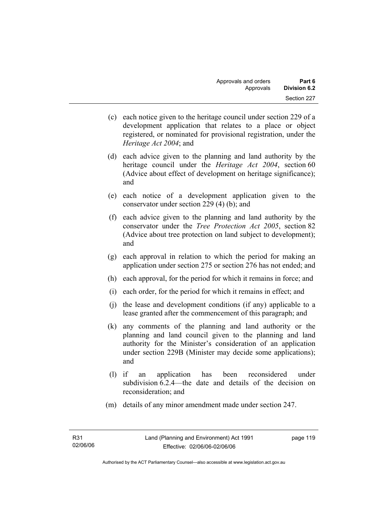- (c) each notice given to the heritage council under section 229 of a development application that relates to a place or object registered, or nominated for provisional registration, under the *Heritage Act 2004*; and
- (d) each advice given to the planning and land authority by the heritage council under the *Heritage Act 2004*, section 60 (Advice about effect of development on heritage significance); and
- (e) each notice of a development application given to the conservator under section 229 (4) (b); and
- (f) each advice given to the planning and land authority by the conservator under the *Tree Protection Act 2005*, section 82 (Advice about tree protection on land subject to development); and
- (g) each approval in relation to which the period for making an application under section 275 or section 276 has not ended; and
- (h) each approval, for the period for which it remains in force; and
- (i) each order, for the period for which it remains in effect; and
- (j) the lease and development conditions (if any) applicable to a lease granted after the commencement of this paragraph; and
- (k) any comments of the planning and land authority or the planning and land council given to the planning and land authority for the Minister's consideration of an application under section 229B (Minister may decide some applications); and
- (l) if an application has been reconsidered under subdivision 6.2.4—the date and details of the decision on reconsideration; and
- (m) details of any minor amendment made under section 247.

page 119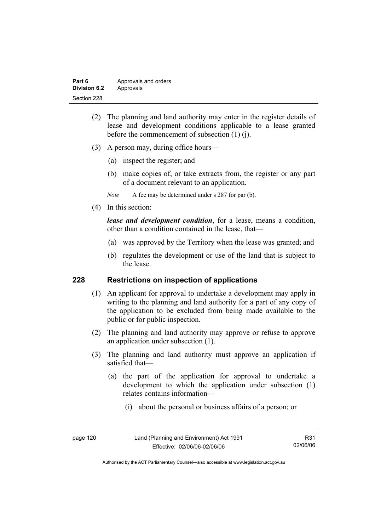| Part 6       | Approvals and orders |  |
|--------------|----------------------|--|
| Division 6.2 | Approvals            |  |
| Section 228  |                      |  |

- (2) The planning and land authority may enter in the register details of lease and development conditions applicable to a lease granted before the commencement of subsection (1) (j).
- (3) A person may, during office hours—
	- (a) inspect the register; and
	- (b) make copies of, or take extracts from, the register or any part of a document relevant to an application.
	- *Note* A fee may be determined under s 287 for par (b).
- (4) In this section:

*lease and development condition*, for a lease, means a condition, other than a condition contained in the lease, that—

- (a) was approved by the Territory when the lease was granted; and
- (b) regulates the development or use of the land that is subject to the lease.

#### **228 Restrictions on inspection of applications**

- (1) An applicant for approval to undertake a development may apply in writing to the planning and land authority for a part of any copy of the application to be excluded from being made available to the public or for public inspection.
- (2) The planning and land authority may approve or refuse to approve an application under subsection (1).
- (3) The planning and land authority must approve an application if satisfied that—
	- (a) the part of the application for approval to undertake a development to which the application under subsection (1) relates contains information—
		- (i) about the personal or business affairs of a person; or

| page 120 |
|----------|
|          |

Authorised by the ACT Parliamentary Counsel—also accessible at www.legislation.act.gov.au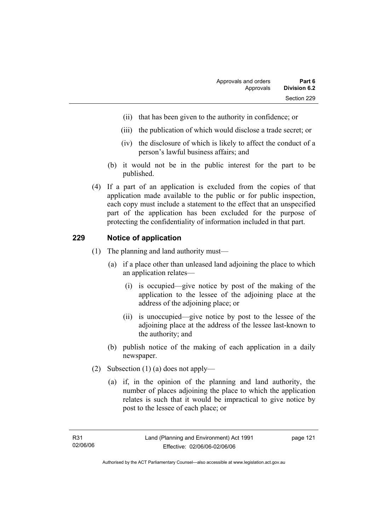- (ii) that has been given to the authority in confidence; or
- (iii) the publication of which would disclose a trade secret; or
- (iv) the disclosure of which is likely to affect the conduct of a person's lawful business affairs; and
- (b) it would not be in the public interest for the part to be published.
- (4) If a part of an application is excluded from the copies of that application made available to the public or for public inspection, each copy must include a statement to the effect that an unspecified part of the application has been excluded for the purpose of protecting the confidentiality of information included in that part.

## **229 Notice of application**

- (1) The planning and land authority must—
	- (a) if a place other than unleased land adjoining the place to which an application relates—
		- (i) is occupied—give notice by post of the making of the application to the lessee of the adjoining place at the address of the adjoining place; or
		- (ii) is unoccupied—give notice by post to the lessee of the adjoining place at the address of the lessee last-known to the authority; and
	- (b) publish notice of the making of each application in a daily newspaper.
- (2) Subsection (1) (a) does not apply—
	- (a) if, in the opinion of the planning and land authority, the number of places adjoining the place to which the application relates is such that it would be impractical to give notice by post to the lessee of each place; or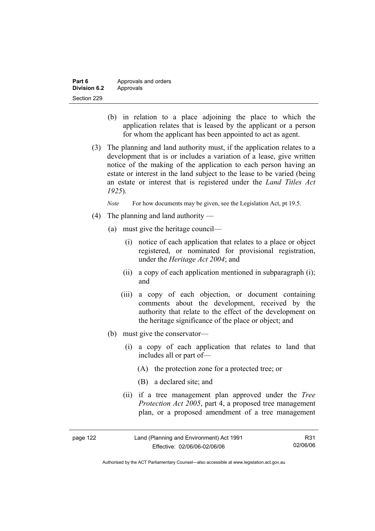| Part 6       | Approvals and orders |  |
|--------------|----------------------|--|
| Division 6.2 | Approvals            |  |
| Section 229  |                      |  |

- (b) in relation to a place adjoining the place to which the application relates that is leased by the applicant or a person for whom the applicant has been appointed to act as agent.
- (3) The planning and land authority must, if the application relates to a development that is or includes a variation of a lease, give written notice of the making of the application to each person having an estate or interest in the land subject to the lease to be varied (being an estate or interest that is registered under the *Land Titles Act 1925*).

*Note* For how documents may be given, see the Legislation Act, pt 19.5.

- (4) The planning and land authority
	- (a) must give the heritage council—
		- (i) notice of each application that relates to a place or object registered, or nominated for provisional registration, under the *Heritage Act 2004*; and
		- (ii) a copy of each application mentioned in subparagraph (i); and
		- (iii) a copy of each objection, or document containing comments about the development, received by the authority that relate to the effect of the development on the heritage significance of the place or object; and
	- (b) must give the conservator—
		- (i) a copy of each application that relates to land that includes all or part of—
			- (A) the protection zone for a protected tree; or
			- (B) a declared site; and
		- (ii) if a tree management plan approved under the *Tree Protection Act 2005*, part 4, a proposed tree management plan, or a proposed amendment of a tree management

| page 122 | Land (Planning and Environment) Act 1991 | R31      |
|----------|------------------------------------------|----------|
|          | Effective: 02/06/06-02/06/06             | 02/06/06 |

Authorised by the ACT Parliamentary Counsel—also accessible at www.legislation.act.gov.au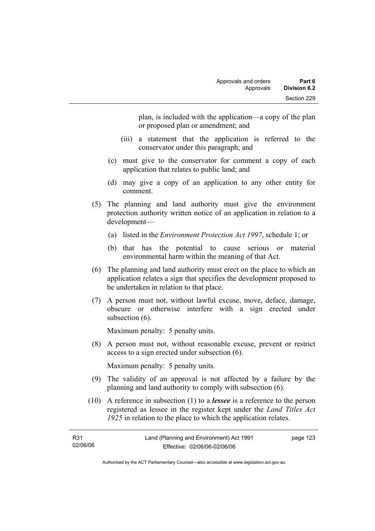plan, is included with the application—a copy of the plan or proposed plan or amendment; and

- (iii) a statement that the application is referred to the conservator under this paragraph; and
- (c) must give to the conservator for comment a copy of each application that relates to public land; and
- (d) may give a copy of an application to any other entity for comment.
- (5) The planning and land authority must give the environment protection authority written notice of an application in relation to a development—
	- (a) listed in the *Environment Protection Act 1997*, schedule 1; or
	- (b) that has the potential to cause serious or material environmental harm within the meaning of that Act.
- (6) The planning and land authority must erect on the place to which an application relates a sign that specifies the development proposed to be undertaken in relation to that place.
- (7) A person must not, without lawful excuse, move, deface, damage, obscure or otherwise interfere with a sign erected under subsection  $(6)$ .

Maximum penalty: 5 penalty units.

 (8) A person must not, without reasonable excuse, prevent or restrict access to a sign erected under subsection (6).

Maximum penalty: 5 penalty units.

- (9) The validity of an approval is not affected by a failure by the planning and land authority to comply with subsection (6).
- (10) A reference in subsection (1) to a *lessee* is a reference to the person registered as lessee in the register kept under the *Land Titles Act 1925* in relation to the place to which the application relates.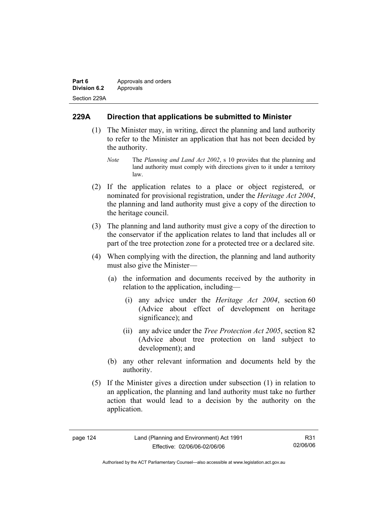| Part 6              | Approvals and orders |  |
|---------------------|----------------------|--|
| <b>Division 6.2</b> | Approvals            |  |
| Section 229A        |                      |  |

## **229A Direction that applications be submitted to Minister**

- (1) The Minister may, in writing, direct the planning and land authority to refer to the Minister an application that has not been decided by the authority.
	- *Note* The *Planning and Land Act 2002*, s 10 provides that the planning and land authority must comply with directions given to it under a territory law.
- (2) If the application relates to a place or object registered, or nominated for provisional registration, under the *Heritage Act 2004*, the planning and land authority must give a copy of the direction to the heritage council.
- (3) The planning and land authority must give a copy of the direction to the conservator if the application relates to land that includes all or part of the tree protection zone for a protected tree or a declared site.
- (4) When complying with the direction, the planning and land authority must also give the Minister—
	- (a) the information and documents received by the authority in relation to the application, including—
		- (i) any advice under the *Heritage Act 2004*, section 60 (Advice about effect of development on heritage significance); and
		- (ii) any advice under the *Tree Protection Act 2005*, section 82 (Advice about tree protection on land subject to development); and
	- (b) any other relevant information and documents held by the authority.
- (5) If the Minister gives a direction under subsection (1) in relation to an application, the planning and land authority must take no further action that would lead to a decision by the authority on the application.

| 124 |
|-----|
|     |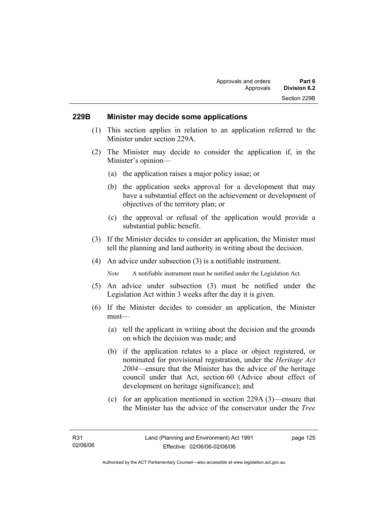#### **229B Minister may decide some applications**

- (1) This section applies in relation to an application referred to the Minister under section 229A.
- (2) The Minister may decide to consider the application if, in the Minister's opinion—
	- (a) the application raises a major policy issue; or
	- (b) the application seeks approval for a development that may have a substantial effect on the achievement or development of objectives of the territory plan; or
	- (c) the approval or refusal of the application would provide a substantial public benefit.
- (3) If the Minister decides to consider an application, the Minister must tell the planning and land authority in writing about the decision.
- (4) An advice under subsection (3) is a notifiable instrument.

*Note* A notifiable instrument must be notified under the Legislation Act.

- (5) An advice under subsection (3) must be notified under the Legislation Act within 3 weeks after the day it is given.
- (6) If the Minister decides to consider an application, the Minister must—
	- (a) tell the applicant in writing about the decision and the grounds on which the decision was made; and
	- (b) if the application relates to a place or object registered, or nominated for provisional registration, under the *Heritage Act 2004*—ensure that the Minister has the advice of the heritage council under that Act, section 60 (Advice about effect of development on heritage significance); and
	- (c) for an application mentioned in section 229A (3)—ensure that the Minister has the advice of the conservator under the *Tree*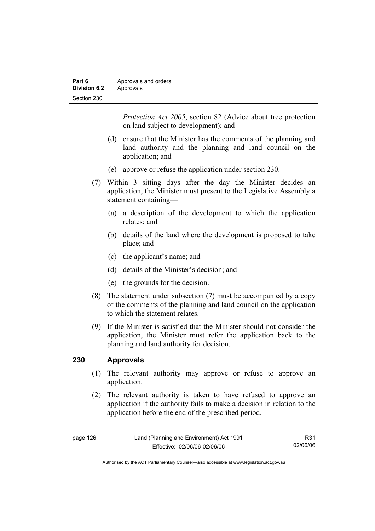| Part 6              | Approvals and orders |  |
|---------------------|----------------------|--|
| <b>Division 6.2</b> | Approvals            |  |
| Section 230         |                      |  |

*Protection Act 2005*, section 82 (Advice about tree protection on land subject to development); and

- (d) ensure that the Minister has the comments of the planning and land authority and the planning and land council on the application; and
- (e) approve or refuse the application under section 230.
- (7) Within 3 sitting days after the day the Minister decides an application, the Minister must present to the Legislative Assembly a statement containing—
	- (a) a description of the development to which the application relates; and
	- (b) details of the land where the development is proposed to take place; and
	- (c) the applicant's name; and
	- (d) details of the Minister's decision; and
	- (e) the grounds for the decision.
- (8) The statement under subsection (7) must be accompanied by a copy of the comments of the planning and land council on the application to which the statement relates.
- (9) If the Minister is satisfied that the Minister should not consider the application, the Minister must refer the application back to the planning and land authority for decision.

#### **230 Approvals**

- (1) The relevant authority may approve or refuse to approve an application.
- (2) The relevant authority is taken to have refused to approve an application if the authority fails to make a decision in relation to the application before the end of the prescribed period.

| page 126 | Land (Planning and Environment) Act 1991 | R31      |
|----------|------------------------------------------|----------|
|          | Effective: 02/06/06-02/06/06             | 02/06/06 |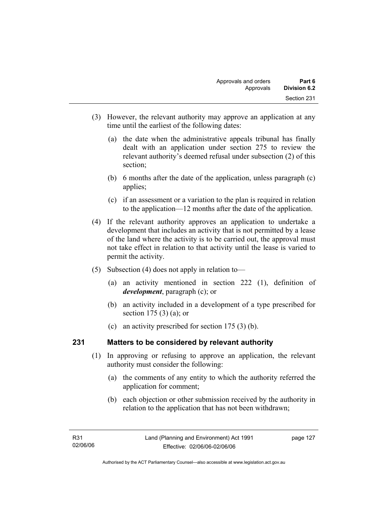- (3) However, the relevant authority may approve an application at any time until the earliest of the following dates:
	- (a) the date when the administrative appeals tribunal has finally dealt with an application under section 275 to review the relevant authority's deemed refusal under subsection (2) of this section;
	- (b) 6 months after the date of the application, unless paragraph (c) applies;
	- (c) if an assessment or a variation to the plan is required in relation to the application—12 months after the date of the application.
- (4) If the relevant authority approves an application to undertake a development that includes an activity that is not permitted by a lease of the land where the activity is to be carried out, the approval must not take effect in relation to that activity until the lease is varied to permit the activity.
- (5) Subsection (4) does not apply in relation to—
	- (a) an activity mentioned in section 222 (1), definition of *development*, paragraph (c); or
	- (b) an activity included in a development of a type prescribed for section 175 (3) (a); or
	- (c) an activity prescribed for section 175 (3) (b).

## **231 Matters to be considered by relevant authority**

- (1) In approving or refusing to approve an application, the relevant authority must consider the following:
	- (a) the comments of any entity to which the authority referred the application for comment;
	- (b) each objection or other submission received by the authority in relation to the application that has not been withdrawn;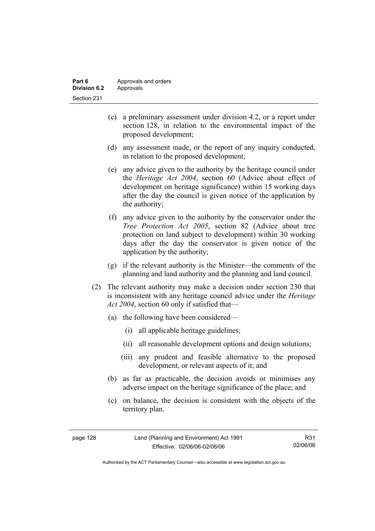| Part 6       | Approvals and orders |
|--------------|----------------------|
| Division 6.2 | Approvals            |
| Section 231  |                      |

- (c) a preliminary assessment under division 4.2, or a report under section 128, in relation to the environmental impact of the proposed development;
- (d) any assessment made, or the report of any inquiry conducted, in relation to the proposed development;
- (e) any advice given to the authority by the heritage council under the *Heritage Act 2004*, section 60 (Advice about effect of development on heritage significance) within 15 working days after the day the council is given notice of the application by the authority;
- (f) any advice given to the authority by the conservator under the *Tree Protection Act 2005*, section 82 (Advice about tree protection on land subject to development) within 30 working days after the day the conservator is given notice of the application by the authority;
- (g) if the relevant authority is the Minister—the comments of the planning and land authority and the planning and land council.
- (2) The relevant authority may make a decision under section 230 that is inconsistent with any heritage council advice under the *Heritage Act 2004*, section 60 only if satisfied that—
	- (a) the following have been considered—
		- (i) all applicable heritage guidelines;
		- (ii) all reasonable development options and design solutions;
		- (iii) any prudent and feasible alternative to the proposed development, or relevant aspects of it; and
	- (b) as far as practicable, the decision avoids or minimises any adverse impact on the heritage significance of the place; and
	- (c) on balance, the decision is consistent with the objects of the territory plan.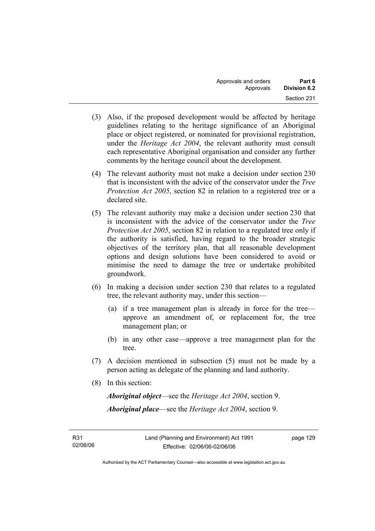- (3) Also, if the proposed development would be affected by heritage guidelines relating to the heritage significance of an Aboriginal place or object registered, or nominated for provisional registration, under the *Heritage Act 2004*, the relevant authority must consult each representative Aboriginal organisation and consider any further comments by the heritage council about the development.
- (4) The relevant authority must not make a decision under section 230 that is inconsistent with the advice of the conservator under the *Tree Protection Act 2005*, section 82 in relation to a registered tree or a declared site.
- (5) The relevant authority may make a decision under section 230 that is inconsistent with the advice of the conservator under the *Tree Protection Act 2005*, section 82 in relation to a regulated tree only if the authority is satisfied, having regard to the broader strategic objectives of the territory plan, that all reasonable development options and design solutions have been considered to avoid or minimise the need to damage the tree or undertake prohibited groundwork.
- (6) In making a decision under section 230 that relates to a regulated tree, the relevant authority may, under this section—
	- (a) if a tree management plan is already in force for the tree approve an amendment of, or replacement for, the tree management plan; or
	- (b) in any other case—approve a tree management plan for the tree.
- (7) A decision mentioned in subsection (5) must not be made by a person acting as delegate of the planning and land authority.
- (8) In this section:

*Aboriginal object*—see the *Heritage Act 2004*, section 9. *Aboriginal place*—see the *Heritage Act 2004*, section 9.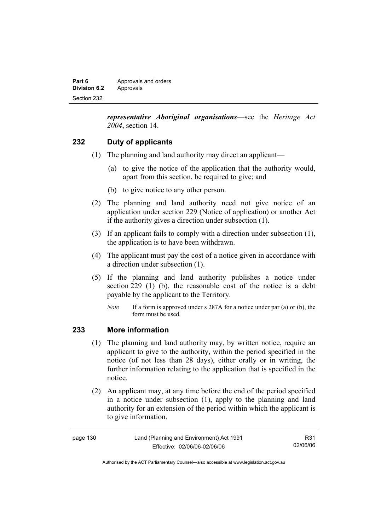| Part 6       | Approvals and orders |
|--------------|----------------------|
| Division 6.2 | Approvals            |
| Section 232  |                      |

*representative Aboriginal organisations*—see the *Heritage Act 2004*, section 14.

## **232 Duty of applicants**

- (1) The planning and land authority may direct an applicant—
	- (a) to give the notice of the application that the authority would, apart from this section, be required to give; and
	- (b) to give notice to any other person.
- (2) The planning and land authority need not give notice of an application under section 229 (Notice of application) or another Act if the authority gives a direction under subsection (1).
- (3) If an applicant fails to comply with a direction under subsection (1), the application is to have been withdrawn.
- (4) The applicant must pay the cost of a notice given in accordance with a direction under subsection (1).
- (5) If the planning and land authority publishes a notice under section 229 (1) (b), the reasonable cost of the notice is a debt payable by the applicant to the Territory.
	- *Note* If a form is approved under s 287A for a notice under par (a) or (b), the form must be used.

#### **233 More information**

- (1) The planning and land authority may, by written notice, require an applicant to give to the authority, within the period specified in the notice (of not less than 28 days), either orally or in writing, the further information relating to the application that is specified in the notice.
- (2) An applicant may, at any time before the end of the period specified in a notice under subsection (1), apply to the planning and land authority for an extension of the period within which the applicant is to give information.

| Land (Planning and Environment) Act 1991<br>page 130 |                              | R31      |
|------------------------------------------------------|------------------------------|----------|
|                                                      | Effective: 02/06/06-02/06/06 | 02/06/06 |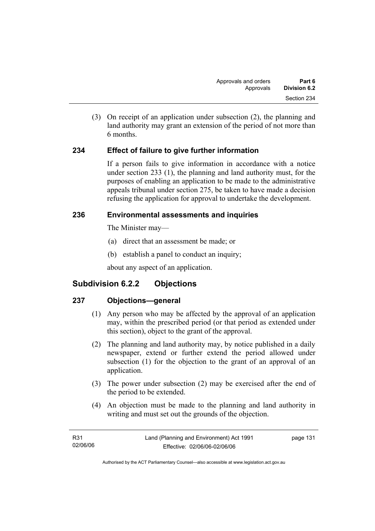(3) On receipt of an application under subsection (2), the planning and land authority may grant an extension of the period of not more than 6 months.

## **234 Effect of failure to give further information**

If a person fails to give information in accordance with a notice under section 233 (1), the planning and land authority must, for the purposes of enabling an application to be made to the administrative appeals tribunal under section 275, be taken to have made a decision refusing the application for approval to undertake the development.

## **236 Environmental assessments and inquiries**

The Minister may—

- (a) direct that an assessment be made; or
- (b) establish a panel to conduct an inquiry;

about any aspect of an application.

# **Subdivision 6.2.2 Objections**

## **237 Objections—general**

- (1) Any person who may be affected by the approval of an application may, within the prescribed period (or that period as extended under this section), object to the grant of the approval.
- (2) The planning and land authority may, by notice published in a daily newspaper, extend or further extend the period allowed under subsection (1) for the objection to the grant of an approval of an application.
- (3) The power under subsection (2) may be exercised after the end of the period to be extended.
- (4) An objection must be made to the planning and land authority in writing and must set out the grounds of the objection.

| R31      | Land (Planning and Environment) Act 1991 | page 131 |
|----------|------------------------------------------|----------|
| 02/06/06 | Effective: 02/06/06-02/06/06             |          |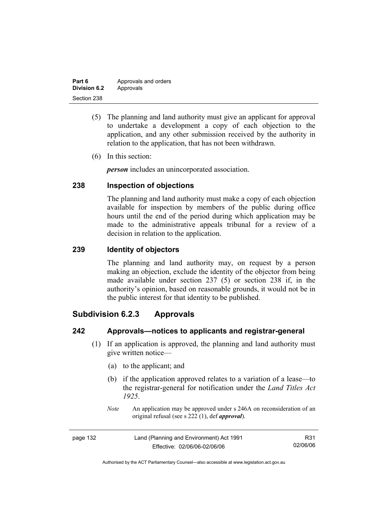| Part 6              | Approvals and orders |
|---------------------|----------------------|
| <b>Division 6.2</b> | Approvals            |
| Section 238         |                      |

- (5) The planning and land authority must give an applicant for approval to undertake a development a copy of each objection to the application, and any other submission received by the authority in relation to the application, that has not been withdrawn.
- (6) In this section:

*person* includes an unincorporated association.

## **238 Inspection of objections**

The planning and land authority must make a copy of each objection available for inspection by members of the public during office hours until the end of the period during which application may be made to the administrative appeals tribunal for a review of a decision in relation to the application.

### **239 Identity of objectors**

The planning and land authority may, on request by a person making an objection, exclude the identity of the objector from being made available under section 237 (5) or section 238 if, in the authority's opinion, based on reasonable grounds, it would not be in the public interest for that identity to be published.

# **Subdivision 6.2.3 Approvals**

### **242 Approvals—notices to applicants and registrar-general**

- (1) If an application is approved, the planning and land authority must give written notice—
	- (a) to the applicant; and
	- (b) if the application approved relates to a variation of a lease—to the registrar-general for notification under the *Land Titles Act 1925*.
	- *Note* An application may be approved under s 246A on reconsideration of an original refusal (see s 222 (1), def *approval*).

| page 132 | Land (Planning and Environment) Act 1991 | R31      |
|----------|------------------------------------------|----------|
|          | Effective: 02/06/06-02/06/06             | 02/06/06 |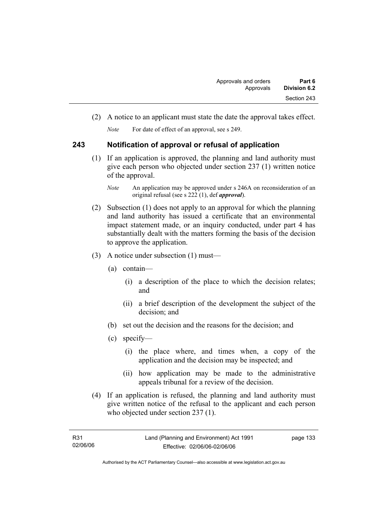(2) A notice to an applicant must state the date the approval takes effect.

*Note* For date of effect of an approval, see s 249.

## **243 Notification of approval or refusal of application**

 (1) If an application is approved, the planning and land authority must give each person who objected under section 237 (1) written notice of the approval.

- (2) Subsection (1) does not apply to an approval for which the planning and land authority has issued a certificate that an environmental impact statement made, or an inquiry conducted, under part 4 has substantially dealt with the matters forming the basis of the decision to approve the application.
- (3) A notice under subsection (1) must—
	- (a) contain—
		- (i) a description of the place to which the decision relates; and
		- (ii) a brief description of the development the subject of the decision; and
	- (b) set out the decision and the reasons for the decision; and
	- (c) specify—
		- (i) the place where, and times when, a copy of the application and the decision may be inspected; and
		- (ii) how application may be made to the administrative appeals tribunal for a review of the decision.
- (4) If an application is refused, the planning and land authority must give written notice of the refusal to the applicant and each person who objected under section 237 (1).

*Note* An application may be approved under s 246A on reconsideration of an original refusal (see s 222 (1), def *approval*).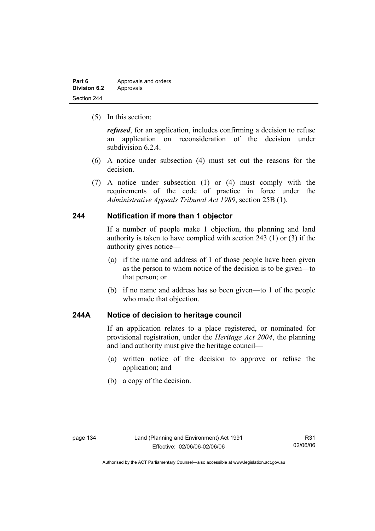| Part 6              | Approvals and orders |
|---------------------|----------------------|
| <b>Division 6.2</b> | Approvals            |
| Section 244         |                      |

(5) In this section:

*refused*, for an application, includes confirming a decision to refuse an application on reconsideration of the decision under subdivision 6.2.4.

- (6) A notice under subsection (4) must set out the reasons for the decision.
- (7) A notice under subsection (1) or (4) must comply with the requirements of the code of practice in force under the *Administrative Appeals Tribunal Act 1989*, section 25B (1).

### **244 Notification if more than 1 objector**

If a number of people make 1 objection, the planning and land authority is taken to have complied with section 243 (1) or (3) if the authority gives notice—

- (a) if the name and address of 1 of those people have been given as the person to whom notice of the decision is to be given—to that person; or
- (b) if no name and address has so been given—to 1 of the people who made that objection.

## **244A Notice of decision to heritage council**

If an application relates to a place registered, or nominated for provisional registration, under the *Heritage Act 2004*, the planning and land authority must give the heritage council—

- (a) written notice of the decision to approve or refuse the application; and
- (b) a copy of the decision.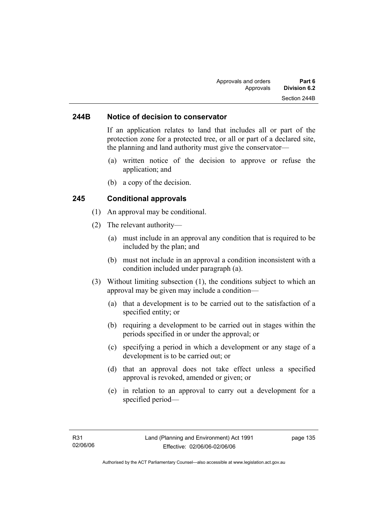### **244B Notice of decision to conservator**

If an application relates to land that includes all or part of the protection zone for a protected tree, or all or part of a declared site, the planning and land authority must give the conservator—

- (a) written notice of the decision to approve or refuse the application; and
- (b) a copy of the decision.

#### **245 Conditional approvals**

- (1) An approval may be conditional.
- (2) The relevant authority—
	- (a) must include in an approval any condition that is required to be included by the plan; and
	- (b) must not include in an approval a condition inconsistent with a condition included under paragraph (a).
- (3) Without limiting subsection (1), the conditions subject to which an approval may be given may include a condition—
	- (a) that a development is to be carried out to the satisfaction of a specified entity; or
	- (b) requiring a development to be carried out in stages within the periods specified in or under the approval; or
	- (c) specifying a period in which a development or any stage of a development is to be carried out; or
	- (d) that an approval does not take effect unless a specified approval is revoked, amended or given; or
	- (e) in relation to an approval to carry out a development for a specified period—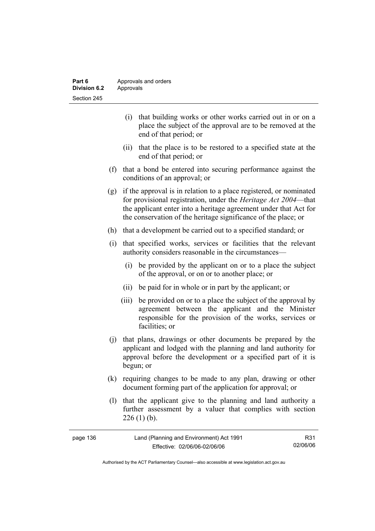| Part 6       | Approvals and orders |
|--------------|----------------------|
| Division 6.2 | Approvals            |
| Section 245  |                      |

- (i) that building works or other works carried out in or on a place the subject of the approval are to be removed at the end of that period; or
- (ii) that the place is to be restored to a specified state at the end of that period; or
- (f) that a bond be entered into securing performance against the conditions of an approval; or
- (g) if the approval is in relation to a place registered, or nominated for provisional registration, under the *Heritage Act 2004*—that the applicant enter into a heritage agreement under that Act for the conservation of the heritage significance of the place; or
- (h) that a development be carried out to a specified standard; or
- (i) that specified works, services or facilities that the relevant authority considers reasonable in the circumstances—
	- (i) be provided by the applicant on or to a place the subject of the approval, or on or to another place; or
	- (ii) be paid for in whole or in part by the applicant; or
	- (iii) be provided on or to a place the subject of the approval by agreement between the applicant and the Minister responsible for the provision of the works, services or facilities; or
- (j) that plans, drawings or other documents be prepared by the applicant and lodged with the planning and land authority for approval before the development or a specified part of it is begun; or
- (k) requiring changes to be made to any plan, drawing or other document forming part of the application for approval; or
- (l) that the applicant give to the planning and land authority a further assessment by a valuer that complies with section  $226(1)$  (b).

| page 136 | Land (Planning and Environment) Act 1991 | R31      |
|----------|------------------------------------------|----------|
|          | Effective: 02/06/06-02/06/06             | 02/06/06 |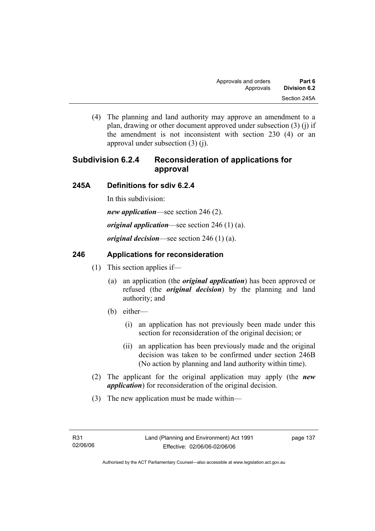(4) The planning and land authority may approve an amendment to a plan, drawing or other document approved under subsection (3) (j) if the amendment is not inconsistent with section 230 (4) or an approval under subsection (3) (j).

# **Subdivision 6.2.4 Reconsideration of applications for approval**

## **245A Definitions for sdiv 6.2.4**

In this subdivision:

*new application*—see section 246 (2).

*original application*—see section 246 (1) (a).

*original decision*—see section 246 (1) (a).

## **246 Applications for reconsideration**

- (1) This section applies if—
	- (a) an application (the *original application*) has been approved or refused (the *original decision*) by the planning and land authority; and
	- (b) either—
		- (i) an application has not previously been made under this section for reconsideration of the original decision; or
		- (ii) an application has been previously made and the original decision was taken to be confirmed under section 246B (No action by planning and land authority within time).
- (2) The applicant for the original application may apply (the *new application*) for reconsideration of the original decision.
- (3) The new application must be made within—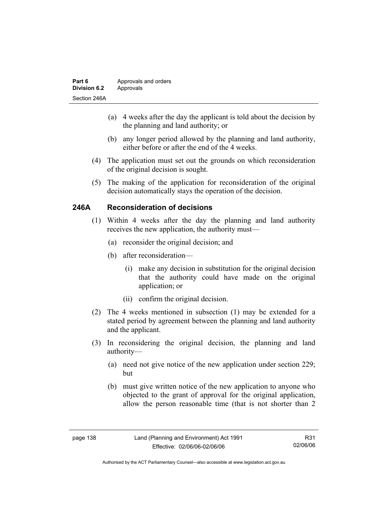| Part 6              | Approvals and orders |
|---------------------|----------------------|
| <b>Division 6.2</b> | Approvals            |
| Section 246A        |                      |

- (a) 4 weeks after the day the applicant is told about the decision by the planning and land authority; or
- (b) any longer period allowed by the planning and land authority, either before or after the end of the 4 weeks.
- (4) The application must set out the grounds on which reconsideration of the original decision is sought.
- (5) The making of the application for reconsideration of the original decision automatically stays the operation of the decision.

## **246A Reconsideration of decisions**

- (1) Within 4 weeks after the day the planning and land authority receives the new application, the authority must—
	- (a) reconsider the original decision; and
	- (b) after reconsideration—
		- (i) make any decision in substitution for the original decision that the authority could have made on the original application; or
		- (ii) confirm the original decision.
- (2) The 4 weeks mentioned in subsection (1) may be extended for a stated period by agreement between the planning and land authority and the applicant.
- (3) In reconsidering the original decision, the planning and land authority—
	- (a) need not give notice of the new application under section 229; but
	- (b) must give written notice of the new application to anyone who objected to the grant of approval for the original application, allow the person reasonable time (that is not shorter than 2

R31 02/06/06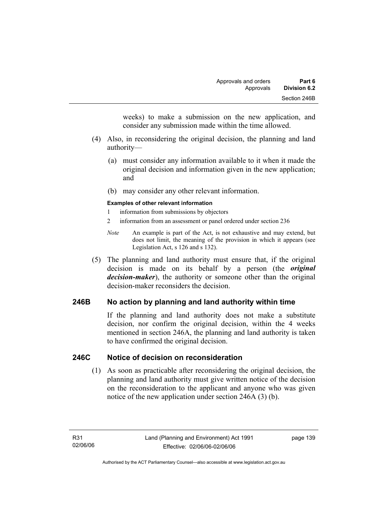weeks) to make a submission on the new application, and consider any submission made within the time allowed.

- (4) Also, in reconsidering the original decision, the planning and land authority—
	- (a) must consider any information available to it when it made the original decision and information given in the new application; and
	- (b) may consider any other relevant information.

#### **Examples of other relevant information**

- 1 information from submissions by objectors
- 2 information from an assessment or panel ordered under section 236
- *Note* An example is part of the Act, is not exhaustive and may extend, but does not limit, the meaning of the provision in which it appears (see Legislation Act, s 126 and s 132).
- (5) The planning and land authority must ensure that, if the original decision is made on its behalf by a person (the *original decision-maker*), the authority or someone other than the original decision-maker reconsiders the decision.

## **246B No action by planning and land authority within time**

If the planning and land authority does not make a substitute decision, nor confirm the original decision, within the 4 weeks mentioned in section 246A, the planning and land authority is taken to have confirmed the original decision.

### **246C Notice of decision on reconsideration**

 (1) As soon as practicable after reconsidering the original decision, the planning and land authority must give written notice of the decision on the reconsideration to the applicant and anyone who was given notice of the new application under section 246A (3) (b).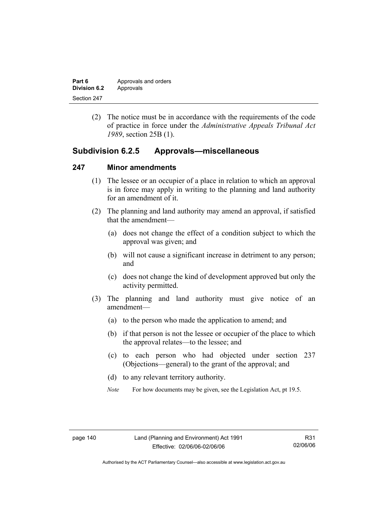| Part 6       | Approvals and orders |
|--------------|----------------------|
| Division 6.2 | Approvals            |
| Section 247  |                      |

 (2) The notice must be in accordance with the requirements of the code of practice in force under the *Administrative Appeals Tribunal Act 1989*, section 25B (1).

## **Subdivision 6.2.5 Approvals—miscellaneous**

#### **247 Minor amendments**

- (1) The lessee or an occupier of a place in relation to which an approval is in force may apply in writing to the planning and land authority for an amendment of it.
- (2) The planning and land authority may amend an approval, if satisfied that the amendment—
	- (a) does not change the effect of a condition subject to which the approval was given; and
	- (b) will not cause a significant increase in detriment to any person; and
	- (c) does not change the kind of development approved but only the activity permitted.
- (3) The planning and land authority must give notice of an amendment—
	- (a) to the person who made the application to amend; and
	- (b) if that person is not the lessee or occupier of the place to which the approval relates—to the lessee; and
	- (c) to each person who had objected under section 237 (Objections—general) to the grant of the approval; and
	- (d) to any relevant territory authority.
	- *Note* For how documents may be given, see the Legislation Act, pt 19.5.

Authorised by the ACT Parliamentary Counsel—also accessible at www.legislation.act.gov.au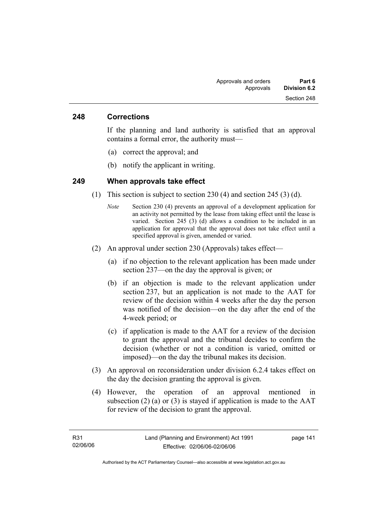#### **248 Corrections**

If the planning and land authority is satisfied that an approval contains a formal error, the authority must—

- (a) correct the approval; and
- (b) notify the applicant in writing.

#### **249 When approvals take effect**

- (1) This section is subject to section 230 (4) and section 245 (3) (d).
	- *Note* Section 230 (4) prevents an approval of a development application for an activity not permitted by the lease from taking effect until the lease is varied. Section 245 (3) (d) allows a condition to be included in an application for approval that the approval does not take effect until a specified approval is given, amended or varied.
- (2) An approval under section 230 (Approvals) takes effect—
	- (a) if no objection to the relevant application has been made under section 237—on the day the approval is given; or
	- (b) if an objection is made to the relevant application under section 237, but an application is not made to the AAT for review of the decision within 4 weeks after the day the person was notified of the decision—on the day after the end of the 4-week period; or
	- (c) if application is made to the AAT for a review of the decision to grant the approval and the tribunal decides to confirm the decision (whether or not a condition is varied, omitted or imposed)—on the day the tribunal makes its decision.
- (3) An approval on reconsideration under division 6.2.4 takes effect on the day the decision granting the approval is given.
- (4) However, the operation of an approval mentioned in subsection  $(2)$  (a) or  $(3)$  is stayed if application is made to the AAT for review of the decision to grant the approval.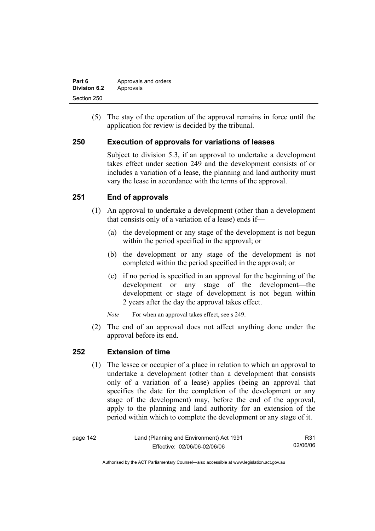| Part 6       | Approvals and orders |
|--------------|----------------------|
| Division 6.2 | Approvals            |
| Section 250  |                      |

 (5) The stay of the operation of the approval remains in force until the application for review is decided by the tribunal.

## **250 Execution of approvals for variations of leases**

Subject to division 5.3, if an approval to undertake a development takes effect under section 249 and the development consists of or includes a variation of a lease, the planning and land authority must vary the lease in accordance with the terms of the approval.

## **251 End of approvals**

- (1) An approval to undertake a development (other than a development that consists only of a variation of a lease) ends if—
	- (a) the development or any stage of the development is not begun within the period specified in the approval; or
	- (b) the development or any stage of the development is not completed within the period specified in the approval; or
	- (c) if no period is specified in an approval for the beginning of the development or any stage of the development—the development or stage of development is not begun within 2 years after the day the approval takes effect.

*Note* For when an approval takes effect, see s 249.

 (2) The end of an approval does not affect anything done under the approval before its end.

### **252 Extension of time**

 (1) The lessee or occupier of a place in relation to which an approval to undertake a development (other than a development that consists only of a variation of a lease) applies (being an approval that specifies the date for the completion of the development or any stage of the development) may, before the end of the approval, apply to the planning and land authority for an extension of the period within which to complete the development or any stage of it.

| page 142 | Land (Planning and Environment) Act 1991 | R31      |
|----------|------------------------------------------|----------|
|          | Effective: 02/06/06-02/06/06             | 02/06/06 |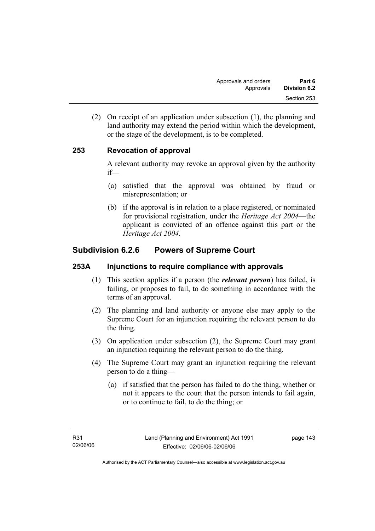(2) On receipt of an application under subsection (1), the planning and land authority may extend the period within which the development, or the stage of the development, is to be completed.

## **253 Revocation of approval**

A relevant authority may revoke an approval given by the authority if—

- (a) satisfied that the approval was obtained by fraud or misrepresentation; or
- (b) if the approval is in relation to a place registered, or nominated for provisional registration, under the *Heritage Act 2004*—the applicant is convicted of an offence against this part or the *Heritage Act 2004*.

# **Subdivision 6.2.6 Powers of Supreme Court**

## **253A Injunctions to require compliance with approvals**

- (1) This section applies if a person (the *relevant person*) has failed, is failing, or proposes to fail, to do something in accordance with the terms of an approval.
- (2) The planning and land authority or anyone else may apply to the Supreme Court for an injunction requiring the relevant person to do the thing.
- (3) On application under subsection (2), the Supreme Court may grant an injunction requiring the relevant person to do the thing.
- (4) The Supreme Court may grant an injunction requiring the relevant person to do a thing—
	- (a) if satisfied that the person has failed to do the thing, whether or not it appears to the court that the person intends to fail again, or to continue to fail, to do the thing; or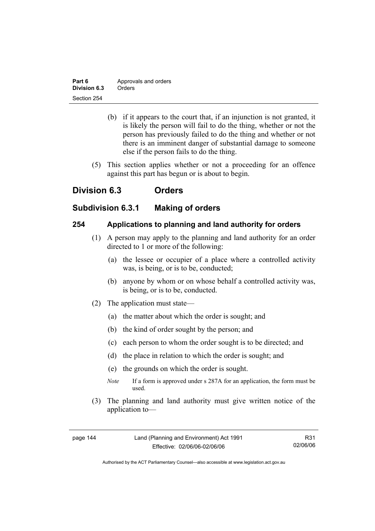| Part 6       | Approvals and orders |
|--------------|----------------------|
| Division 6.3 | Orders               |
| Section 254  |                      |

- (b) if it appears to the court that, if an injunction is not granted, it is likely the person will fail to do the thing, whether or not the person has previously failed to do the thing and whether or not there is an imminent danger of substantial damage to someone else if the person fails to do the thing.
- (5) This section applies whether or not a proceeding for an offence against this part has begun or is about to begin.

# **Division 6.3 Orders**

## **Subdivision 6.3.1 Making of orders**

## **254 Applications to planning and land authority for orders**

- (1) A person may apply to the planning and land authority for an order directed to 1 or more of the following:
	- (a) the lessee or occupier of a place where a controlled activity was, is being, or is to be, conducted;
	- (b) anyone by whom or on whose behalf a controlled activity was, is being, or is to be, conducted.
- (2) The application must state—
	- (a) the matter about which the order is sought; and
	- (b) the kind of order sought by the person; and
	- (c) each person to whom the order sought is to be directed; and
	- (d) the place in relation to which the order is sought; and
	- (e) the grounds on which the order is sought.
	- *Note* If a form is approved under s 287A for an application, the form must be used.
- (3) The planning and land authority must give written notice of the application to—

R31 02/06/06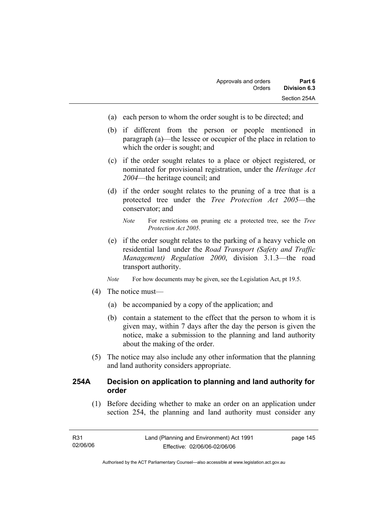- (a) each person to whom the order sought is to be directed; and
- (b) if different from the person or people mentioned in paragraph (a)—the lessee or occupier of the place in relation to which the order is sought; and
- (c) if the order sought relates to a place or object registered, or nominated for provisional registration, under the *Heritage Act 2004*—the heritage council; and
- (d) if the order sought relates to the pruning of a tree that is a protected tree under the *Tree Protection Act 2005*—the conservator; and
	- *Note* For restrictions on pruning etc a protected tree, see the *Tree Protection Act 2005*.
- (e) if the order sought relates to the parking of a heavy vehicle on residential land under the *Road Transport (Safety and Traffic Management) Regulation 2000*, division 3.1.3—the road transport authority.
- *Note* For how documents may be given, see the Legislation Act, pt 19.5.
- (4) The notice must—
	- (a) be accompanied by a copy of the application; and
	- (b) contain a statement to the effect that the person to whom it is given may, within 7 days after the day the person is given the notice, make a submission to the planning and land authority about the making of the order.
- (5) The notice may also include any other information that the planning and land authority considers appropriate.

## **254A Decision on application to planning and land authority for order**

 (1) Before deciding whether to make an order on an application under section 254, the planning and land authority must consider any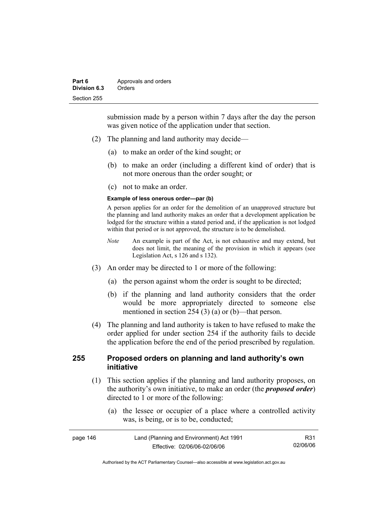submission made by a person within 7 days after the day the person was given notice of the application under that section.

- (2) The planning and land authority may decide—
	- (a) to make an order of the kind sought; or
	- (b) to make an order (including a different kind of order) that is not more onerous than the order sought; or
	- (c) not to make an order.

#### **Example of less onerous order—par (b)**

A person applies for an order for the demolition of an unapproved structure but the planning and land authority makes an order that a development application be lodged for the structure within a stated period and, if the application is not lodged within that period or is not approved, the structure is to be demolished.

- *Note* An example is part of the Act, is not exhaustive and may extend, but does not limit, the meaning of the provision in which it appears (see Legislation Act, s 126 and s 132).
- (3) An order may be directed to 1 or more of the following:
	- (a) the person against whom the order is sought to be directed;
	- (b) if the planning and land authority considers that the order would be more appropriately directed to someone else mentioned in section 254 (3) (a) or (b)—that person.
- (4) The planning and land authority is taken to have refused to make the order applied for under section 254 if the authority fails to decide the application before the end of the period prescribed by regulation.

## **255 Proposed orders on planning and land authority's own initiative**

- (1) This section applies if the planning and land authority proposes, on the authority's own initiative, to make an order (the *proposed order*) directed to 1 or more of the following:
	- (a) the lessee or occupier of a place where a controlled activity was, is being, or is to be, conducted;

| page 146 | Land (Planning and Environment) Act 1991 | R31      |
|----------|------------------------------------------|----------|
|          | Effective: 02/06/06-02/06/06             | 02/06/06 |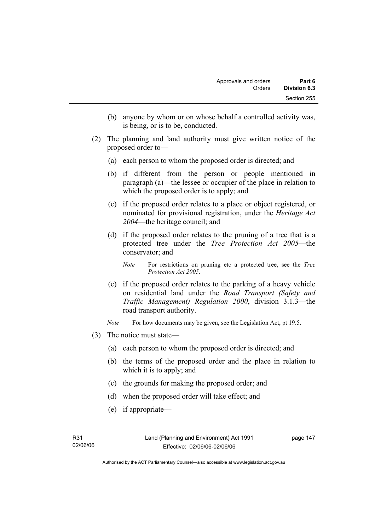- (b) anyone by whom or on whose behalf a controlled activity was, is being, or is to be, conducted.
- (2) The planning and land authority must give written notice of the proposed order to—
	- (a) each person to whom the proposed order is directed; and
	- (b) if different from the person or people mentioned in paragraph (a)—the lessee or occupier of the place in relation to which the proposed order is to apply; and
	- (c) if the proposed order relates to a place or object registered, or nominated for provisional registration, under the *Heritage Act 2004*—the heritage council; and
	- (d) if the proposed order relates to the pruning of a tree that is a protected tree under the *Tree Protection Act 2005*—the conservator; and
		- *Note* For restrictions on pruning etc a protected tree, see the *Tree Protection Act 2005*.
	- (e) if the proposed order relates to the parking of a heavy vehicle on residential land under the *Road Transport (Safety and Traffic Management) Regulation 2000*, division 3.1.3—the road transport authority.
	- *Note* For how documents may be given, see the Legislation Act, pt 19.5.
- (3) The notice must state—
	- (a) each person to whom the proposed order is directed; and
	- (b) the terms of the proposed order and the place in relation to which it is to apply; and
	- (c) the grounds for making the proposed order; and
	- (d) when the proposed order will take effect; and
	- (e) if appropriate—

Authorised by the ACT Parliamentary Counsel—also accessible at www.legislation.act.gov.au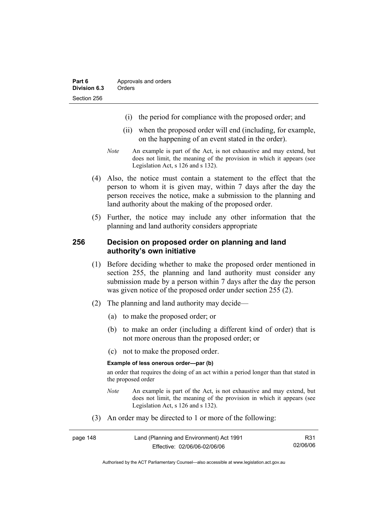- (i) the period for compliance with the proposed order; and
- (ii) when the proposed order will end (including, for example, on the happening of an event stated in the order).
- *Note* An example is part of the Act, is not exhaustive and may extend, but does not limit, the meaning of the provision in which it appears (see Legislation Act, s 126 and s 132).
- (4) Also, the notice must contain a statement to the effect that the person to whom it is given may, within 7 days after the day the person receives the notice, make a submission to the planning and land authority about the making of the proposed order.
- (5) Further, the notice may include any other information that the planning and land authority considers appropriate

#### **256 Decision on proposed order on planning and land authority's own initiative**

- (1) Before deciding whether to make the proposed order mentioned in section 255, the planning and land authority must consider any submission made by a person within 7 days after the day the person was given notice of the proposed order under section 255 (2).
- (2) The planning and land authority may decide—
	- (a) to make the proposed order; or
	- (b) to make an order (including a different kind of order) that is not more onerous than the proposed order; or
	- (c) not to make the proposed order.

#### **Example of less onerous order—par (b)**

an order that requires the doing of an act within a period longer than that stated in the proposed order

- *Note* An example is part of the Act, is not exhaustive and may extend, but does not limit, the meaning of the provision in which it appears (see Legislation Act, s 126 and s 132).
- (3) An order may be directed to 1 or more of the following:

| page 148 | Land (Planning and Environment) Act 1991 | R31      |
|----------|------------------------------------------|----------|
|          | Effective: 02/06/06-02/06/06             | 02/06/06 |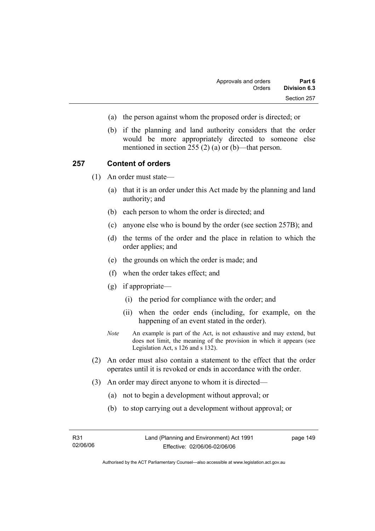- (a) the person against whom the proposed order is directed; or
- (b) if the planning and land authority considers that the order would be more appropriately directed to someone else mentioned in section 255 (2) (a) or (b)—that person.

#### **257 Content of orders**

(1) An order must state—

- (a) that it is an order under this Act made by the planning and land authority; and
- (b) each person to whom the order is directed; and
- (c) anyone else who is bound by the order (see section 257B); and
- (d) the terms of the order and the place in relation to which the order applies; and
- (e) the grounds on which the order is made; and
- (f) when the order takes effect; and
- (g) if appropriate—
	- (i) the period for compliance with the order; and
	- (ii) when the order ends (including, for example, on the happening of an event stated in the order).
- *Note* An example is part of the Act, is not exhaustive and may extend, but does not limit, the meaning of the provision in which it appears (see Legislation Act, s 126 and s 132).
- (2) An order must also contain a statement to the effect that the order operates until it is revoked or ends in accordance with the order.
- (3) An order may direct anyone to whom it is directed—
	- (a) not to begin a development without approval; or
	- (b) to stop carrying out a development without approval; or

Authorised by the ACT Parliamentary Counsel—also accessible at www.legislation.act.gov.au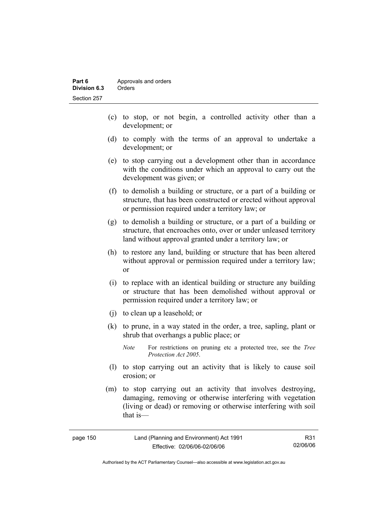- (c) to stop, or not begin, a controlled activity other than a development; or
- (d) to comply with the terms of an approval to undertake a development; or
- (e) to stop carrying out a development other than in accordance with the conditions under which an approval to carry out the development was given; or
- (f) to demolish a building or structure, or a part of a building or structure, that has been constructed or erected without approval or permission required under a territory law; or
- (g) to demolish a building or structure, or a part of a building or structure, that encroaches onto, over or under unleased territory land without approval granted under a territory law; or
- (h) to restore any land, building or structure that has been altered without approval or permission required under a territory law; or
- (i) to replace with an identical building or structure any building or structure that has been demolished without approval or permission required under a territory law; or
- (j) to clean up a leasehold; or
- (k) to prune, in a way stated in the order, a tree, sapling, plant or shrub that overhangs a public place; or
	- *Note* For restrictions on pruning etc a protected tree, see the *Tree Protection Act 2005*.
- (l) to stop carrying out an activity that is likely to cause soil erosion; or
- (m) to stop carrying out an activity that involves destroying, damaging, removing or otherwise interfering with vegetation (living or dead) or removing or otherwise interfering with soil that is—

| page 150 | Land (Planning and Environment) Act 1991 | R31      |
|----------|------------------------------------------|----------|
|          | Effective: 02/06/06-02/06/06             | 02/06/06 |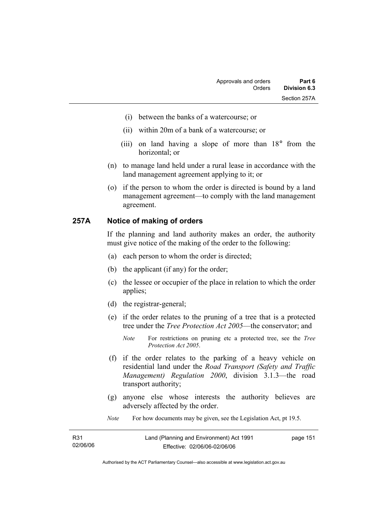- (i) between the banks of a watercourse; or
- (ii) within 20m of a bank of a watercourse; or
- (iii) on land having a slope of more than 18° from the horizontal; or
- (n) to manage land held under a rural lease in accordance with the land management agreement applying to it; or
- (o) if the person to whom the order is directed is bound by a land management agreement—to comply with the land management agreement.

#### **257A Notice of making of orders**

If the planning and land authority makes an order, the authority must give notice of the making of the order to the following:

- (a) each person to whom the order is directed;
- (b) the applicant (if any) for the order;
- (c) the lessee or occupier of the place in relation to which the order applies;
- (d) the registrar-general;
- (e) if the order relates to the pruning of a tree that is a protected tree under the *Tree Protection Act 2005*—the conservator; and
	- *Note* For restrictions on pruning etc a protected tree, see the *Tree Protection Act 2005*.
- (f) if the order relates to the parking of a heavy vehicle on residential land under the *Road Transport (Safety and Traffic Management) Regulation 2000*, division 3.1.3—the road transport authority;
- (g) anyone else whose interests the authority believes are adversely affected by the order.
- *Note* For how documents may be given, see the Legislation Act, pt 19.5.

| R31      | Land (Planning and Environment) Act 1991 | page 151 |
|----------|------------------------------------------|----------|
| 02/06/06 | Effective: 02/06/06-02/06/06             |          |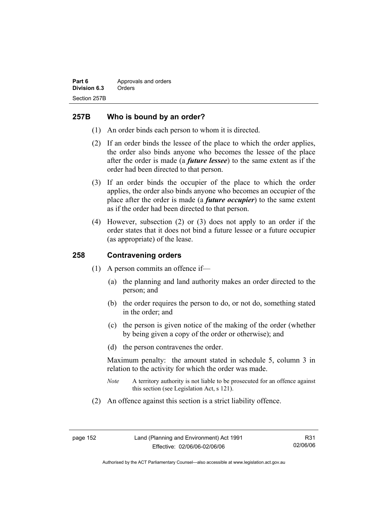## **257B Who is bound by an order?**

- (1) An order binds each person to whom it is directed.
- (2) If an order binds the lessee of the place to which the order applies, the order also binds anyone who becomes the lessee of the place after the order is made (a *future lessee*) to the same extent as if the order had been directed to that person.
- (3) If an order binds the occupier of the place to which the order applies, the order also binds anyone who becomes an occupier of the place after the order is made (a *future occupier*) to the same extent as if the order had been directed to that person.
- (4) However, subsection (2) or (3) does not apply to an order if the order states that it does not bind a future lessee or a future occupier (as appropriate) of the lease.

## **258 Contravening orders**

- (1) A person commits an offence if—
	- (a) the planning and land authority makes an order directed to the person; and
	- (b) the order requires the person to do, or not do, something stated in the order; and
	- (c) the person is given notice of the making of the order (whether by being given a copy of the order or otherwise); and
	- (d) the person contravenes the order.

Maximum penalty: the amount stated in schedule 5, column 3 in relation to the activity for which the order was made.

- *Note* A territory authority is not liable to be prosecuted for an offence against this section (see Legislation Act, s 121).
- (2) An offence against this section is a strict liability offence.

R31 02/06/06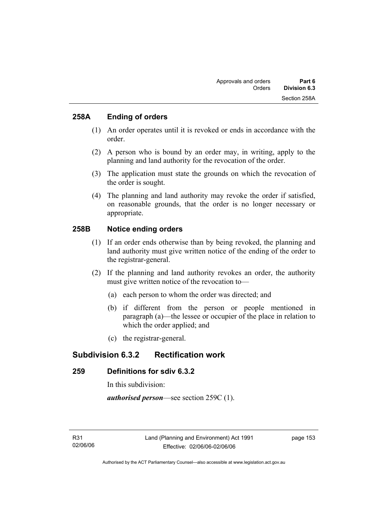## **258A Ending of orders**

- (1) An order operates until it is revoked or ends in accordance with the order.
- (2) A person who is bound by an order may, in writing, apply to the planning and land authority for the revocation of the order.
- (3) The application must state the grounds on which the revocation of the order is sought.
- (4) The planning and land authority may revoke the order if satisfied, on reasonable grounds, that the order is no longer necessary or appropriate.

## **258B Notice ending orders**

- (1) If an order ends otherwise than by being revoked, the planning and land authority must give written notice of the ending of the order to the registrar-general.
- (2) If the planning and land authority revokes an order, the authority must give written notice of the revocation to—
	- (a) each person to whom the order was directed; and
	- (b) if different from the person or people mentioned in paragraph (a)—the lessee or occupier of the place in relation to which the order applied; and
	- (c) the registrar-general.

## **Subdivision 6.3.2 Rectification work**

## **259 Definitions for sdiv 6.3.2**

In this subdivision:

*authorised person*—see section 259C (1).

page 153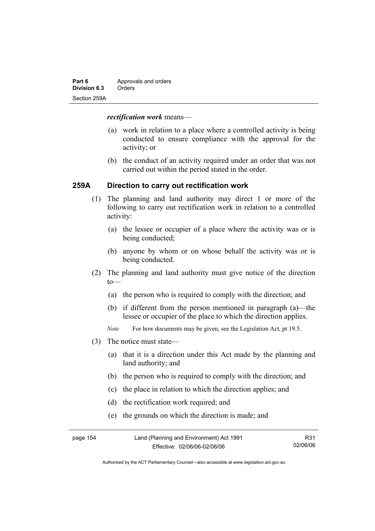| Part 6       | Approvals and orders |  |
|--------------|----------------------|--|
| Division 6.3 | Orders               |  |
| Section 259A |                      |  |

#### *rectification work* means—

- (a) work in relation to a place where a controlled activity is being conducted to ensure compliance with the approval for the activity; or
- (b) the conduct of an activity required under an order that was not carried out within the period stated in the order.

## **259A Direction to carry out rectification work**

- (1) The planning and land authority may direct 1 or more of the following to carry out rectification work in relation to a controlled activity:
	- (a) the lessee or occupier of a place where the activity was or is being conducted;
	- (b) anyone by whom or on whose behalf the activity was or is being conducted.
- (2) The planning and land authority must give notice of the direction  $to$ —
	- (a) the person who is required to comply with the direction; and
	- (b) if different from the person mentioned in paragraph (a)—the lessee or occupier of the place to which the direction applies.
	- *Note* For how documents may be given, see the Legislation Act, pt 19.5.
- (3) The notice must state—
	- (a) that it is a direction under this Act made by the planning and land authority; and
	- (b) the person who is required to comply with the direction; and
	- (c) the place in relation to which the direction applies; and
	- (d) the rectification work required; and
	- (e) the grounds on which the direction is made; and

| page 154 | Land (Planning and Environment) Act 1991 | R31      |
|----------|------------------------------------------|----------|
|          | Effective: 02/06/06-02/06/06             | 02/06/06 |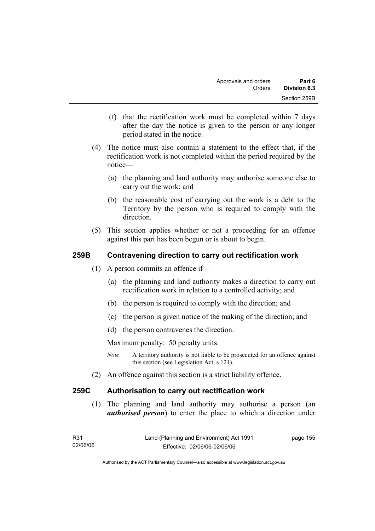- (f) that the rectification work must be completed within 7 days after the day the notice is given to the person or any longer period stated in the notice.
- (4) The notice must also contain a statement to the effect that, if the rectification work is not completed within the period required by the notice—
	- (a) the planning and land authority may authorise someone else to carry out the work; and
	- (b) the reasonable cost of carrying out the work is a debt to the Territory by the person who is required to comply with the direction.
- (5) This section applies whether or not a proceeding for an offence against this part has been begun or is about to begin.

## **259B Contravening direction to carry out rectification work**

- (1) A person commits an offence if—
	- (a) the planning and land authority makes a direction to carry out rectification work in relation to a controlled activity; and
	- (b) the person is required to comply with the direction; and
	- (c) the person is given notice of the making of the direction; and
	- (d) the person contravenes the direction.

Maximum penalty: 50 penalty units.

- *Note* A territory authority is not liable to be prosecuted for an offence against this section (see Legislation Act, s 121).
- (2) An offence against this section is a strict liability offence.

## **259C Authorisation to carry out rectification work**

 (1) The planning and land authority may authorise a person (an *authorised person*) to enter the place to which a direction under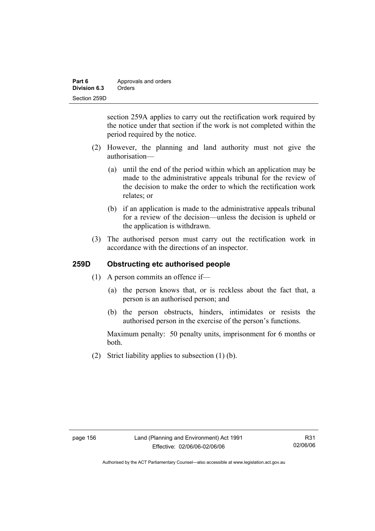| Part 6       | Approvals and orders |  |
|--------------|----------------------|--|
| Division 6.3 | Orders               |  |
| Section 259D |                      |  |

section 259A applies to carry out the rectification work required by the notice under that section if the work is not completed within the period required by the notice.

- (2) However, the planning and land authority must not give the authorisation—
	- (a) until the end of the period within which an application may be made to the administrative appeals tribunal for the review of the decision to make the order to which the rectification work relates; or
	- (b) if an application is made to the administrative appeals tribunal for a review of the decision—unless the decision is upheld or the application is withdrawn.
- (3) The authorised person must carry out the rectification work in accordance with the directions of an inspector.

## **259D Obstructing etc authorised people**

- (1) A person commits an offence if—
	- (a) the person knows that, or is reckless about the fact that, a person is an authorised person; and
	- (b) the person obstructs, hinders, intimidates or resists the authorised person in the exercise of the person's functions.

Maximum penalty: 50 penalty units, imprisonment for 6 months or both.

(2) Strict liability applies to subsection (1) (b).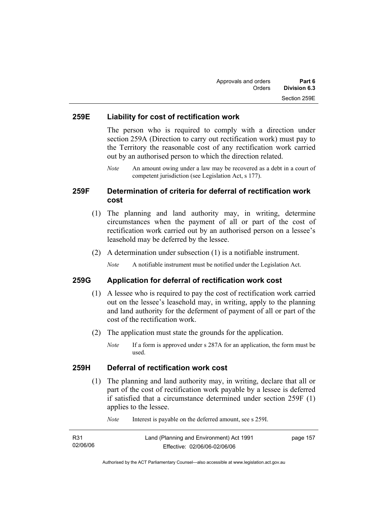### **259E Liability for cost of rectification work**

The person who is required to comply with a direction under section 259A (Direction to carry out rectification work) must pay to the Territory the reasonable cost of any rectification work carried out by an authorised person to which the direction related.

*Note* An amount owing under a law may be recovered as a debt in a court of competent jurisdiction (see Legislation Act, s 177).

## **259F Determination of criteria for deferral of rectification work cost**

- (1) The planning and land authority may, in writing, determine circumstances when the payment of all or part of the cost of rectification work carried out by an authorised person on a lessee's leasehold may be deferred by the lessee.
- (2) A determination under subsection (1) is a notifiable instrument.

*Note* A notifiable instrument must be notified under the Legislation Act.

### **259G Application for deferral of rectification work cost**

- (1) A lessee who is required to pay the cost of rectification work carried out on the lessee's leasehold may, in writing, apply to the planning and land authority for the deferment of payment of all or part of the cost of the rectification work.
- (2) The application must state the grounds for the application.
	- *Note* If a form is approved under s 287A for an application, the form must be used.

### **259H Deferral of rectification work cost**

 (1) The planning and land authority may, in writing, declare that all or part of the cost of rectification work payable by a lessee is deferred if satisfied that a circumstance determined under section 259F (1) applies to the lessee.

| R31      | Land (Planning and Environment) Act 1991 | page 157 |
|----------|------------------------------------------|----------|
| 02/06/06 | Effective: 02/06/06-02/06/06             |          |

*Note* Interest is payable on the deferred amount, see s 259I.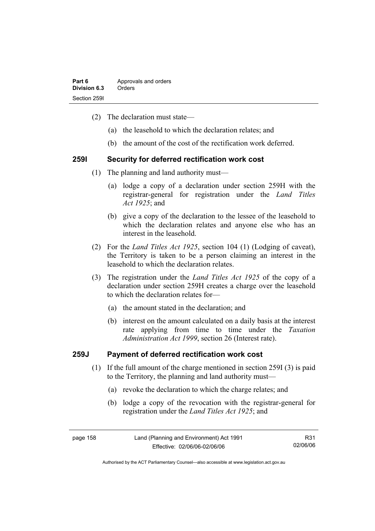| Part 6       | Approvals and orders |  |
|--------------|----------------------|--|
| Division 6.3 | Orders               |  |
| Section 2591 |                      |  |

- (2) The declaration must state—
	- (a) the leasehold to which the declaration relates; and
	- (b) the amount of the cost of the rectification work deferred.

#### **259I Security for deferred rectification work cost**

- (1) The planning and land authority must—
	- (a) lodge a copy of a declaration under section 259H with the registrar-general for registration under the *Land Titles Act 1925*; and
	- (b) give a copy of the declaration to the lessee of the leasehold to which the declaration relates and anyone else who has an interest in the leasehold.
- (2) For the *Land Titles Act 1925*, section 104 (1) (Lodging of caveat), the Territory is taken to be a person claiming an interest in the leasehold to which the declaration relates.
- (3) The registration under the *Land Titles Act 1925* of the copy of a declaration under section 259H creates a charge over the leasehold to which the declaration relates for—
	- (a) the amount stated in the declaration; and
	- (b) interest on the amount calculated on a daily basis at the interest rate applying from time to time under the *Taxation Administration Act 1999*, section 26 (Interest rate).

### **259J Payment of deferred rectification work cost**

- (1) If the full amount of the charge mentioned in section 259I (3) is paid to the Territory, the planning and land authority must—
	- (a) revoke the declaration to which the charge relates; and
	- (b) lodge a copy of the revocation with the registrar-general for registration under the *Land Titles Act 1925*; and

page 158 Land (Planning and Environment) Act 1991 Effective: 02/06/06-02/06/06 R31 02/06/06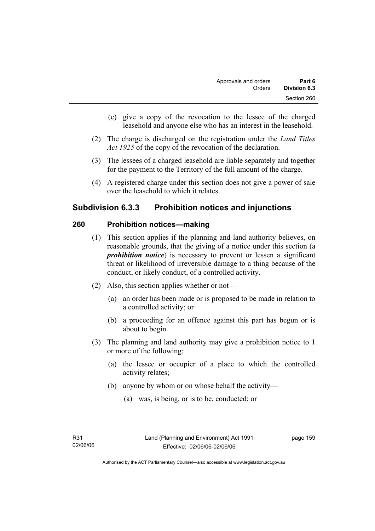- (c) give a copy of the revocation to the lessee of the charged leasehold and anyone else who has an interest in the leasehold.
- (2) The charge is discharged on the registration under the *Land Titles Act 1925* of the copy of the revocation of the declaration.
- (3) The lessees of a charged leasehold are liable separately and together for the payment to the Territory of the full amount of the charge.
- (4) A registered charge under this section does not give a power of sale over the leasehold to which it relates.

# **Subdivision 6.3.3 Prohibition notices and injunctions**

## **260 Prohibition notices—making**

- (1) This section applies if the planning and land authority believes, on reasonable grounds, that the giving of a notice under this section (a *prohibition notice*) is necessary to prevent or lessen a significant threat or likelihood of irreversible damage to a thing because of the conduct, or likely conduct, of a controlled activity.
- (2) Also, this section applies whether or not—
	- (a) an order has been made or is proposed to be made in relation to a controlled activity; or
	- (b) a proceeding for an offence against this part has begun or is about to begin.
- (3) The planning and land authority may give a prohibition notice to 1 or more of the following:
	- (a) the lessee or occupier of a place to which the controlled activity relates;
	- (b) anyone by whom or on whose behalf the activity—
		- (a) was, is being, or is to be, conducted; or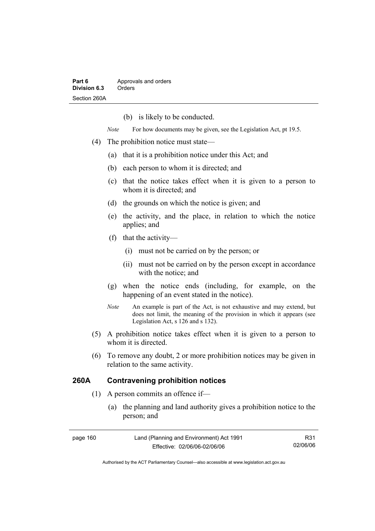(b) is likely to be conducted.

*Note* For how documents may be given, see the Legislation Act, pt 19.5.

- (4) The prohibition notice must state—
	- (a) that it is a prohibition notice under this Act; and
	- (b) each person to whom it is directed; and
	- (c) that the notice takes effect when it is given to a person to whom it is directed; and
	- (d) the grounds on which the notice is given; and
	- (e) the activity, and the place, in relation to which the notice applies; and
	- (f) that the activity—
		- (i) must not be carried on by the person; or
		- (ii) must not be carried on by the person except in accordance with the notice; and
	- (g) when the notice ends (including, for example, on the happening of an event stated in the notice).
	- *Note* An example is part of the Act, is not exhaustive and may extend, but does not limit, the meaning of the provision in which it appears (see Legislation Act, s 126 and s 132).
- (5) A prohibition notice takes effect when it is given to a person to whom it is directed.
- (6) To remove any doubt, 2 or more prohibition notices may be given in relation to the same activity.

## **260A Contravening prohibition notices**

- (1) A person commits an offence if—
	- (a) the planning and land authority gives a prohibition notice to the person; and

| page 160 | Land (Planning and Environment) Act 1991 | R31      |
|----------|------------------------------------------|----------|
|          | Effective: 02/06/06-02/06/06             | 02/06/06 |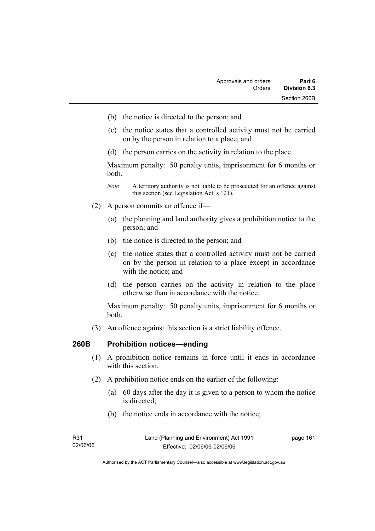- (b) the notice is directed to the person; and
- (c) the notice states that a controlled activity must not be carried on by the person in relation to a place; and
- (d) the person carries on the activity in relation to the place.

Maximum penalty: 50 penalty units, imprisonment for 6 months or both.

- *Note* A territory authority is not liable to be prosecuted for an offence against this section (see Legislation Act, s 121).
- (2) A person commits an offence if—
	- (a) the planning and land authority gives a prohibition notice to the person; and
	- (b) the notice is directed to the person; and
	- (c) the notice states that a controlled activity must not be carried on by the person in relation to a place except in accordance with the notice; and
	- (d) the person carries on the activity in relation to the place otherwise than in accordance with the notice.

Maximum penalty: 50 penalty units, imprisonment for 6 months or both.

(3) An offence against this section is a strict liability offence.

### **260B Prohibition notices—ending**

- (1) A prohibition notice remains in force until it ends in accordance with this section
- (2) A prohibition notice ends on the earlier of the following:
	- (a) 60 days after the day it is given to a person to whom the notice is directed;
	- (b) the notice ends in accordance with the notice;

| R31      | Land (Planning and Environment) Act 1991 | page 161 |
|----------|------------------------------------------|----------|
| 02/06/06 | Effective: 02/06/06-02/06/06             |          |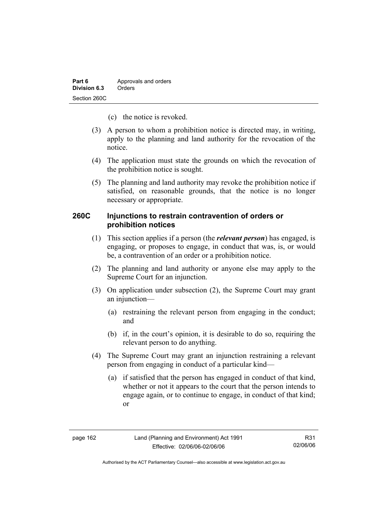- (c) the notice is revoked.
- (3) A person to whom a prohibition notice is directed may, in writing, apply to the planning and land authority for the revocation of the notice.
- (4) The application must state the grounds on which the revocation of the prohibition notice is sought.
- (5) The planning and land authority may revoke the prohibition notice if satisfied, on reasonable grounds, that the notice is no longer necessary or appropriate.

## **260C Injunctions to restrain contravention of orders or prohibition notices**

- (1) This section applies if a person (the *relevant person*) has engaged, is engaging, or proposes to engage, in conduct that was, is, or would be, a contravention of an order or a prohibition notice.
- (2) The planning and land authority or anyone else may apply to the Supreme Court for an injunction.
- (3) On application under subsection (2), the Supreme Court may grant an injunction—
	- (a) restraining the relevant person from engaging in the conduct; and
	- (b) if, in the court's opinion, it is desirable to do so, requiring the relevant person to do anything.
- (4) The Supreme Court may grant an injunction restraining a relevant person from engaging in conduct of a particular kind—
	- (a) if satisfied that the person has engaged in conduct of that kind, whether or not it appears to the court that the person intends to engage again, or to continue to engage, in conduct of that kind; or

R31 02/06/06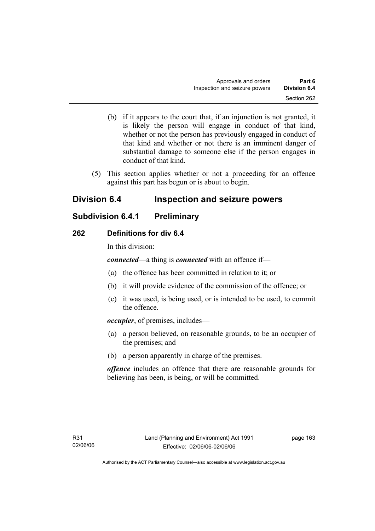- (b) if it appears to the court that, if an injunction is not granted, it is likely the person will engage in conduct of that kind, whether or not the person has previously engaged in conduct of that kind and whether or not there is an imminent danger of substantial damage to someone else if the person engages in conduct of that kind.
- (5) This section applies whether or not a proceeding for an offence against this part has begun or is about to begin.

# **Division 6.4 Inspection and seizure powers**

# **Subdivision 6.4.1 Preliminary**

## **262 Definitions for div 6.4**

In this division:

*connected*—a thing is *connected* with an offence if—

- (a) the offence has been committed in relation to it; or
- (b) it will provide evidence of the commission of the offence; or
- (c) it was used, is being used, or is intended to be used, to commit the offence.

*occupier*, of premises, includes—

- (a) a person believed, on reasonable grounds, to be an occupier of the premises; and
- (b) a person apparently in charge of the premises.

*offence* includes an offence that there are reasonable grounds for believing has been, is being, or will be committed.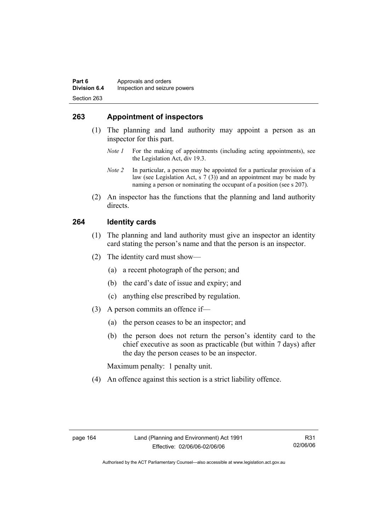## **263 Appointment of inspectors**

- (1) The planning and land authority may appoint a person as an inspector for this part.
	- *Note 1* For the making of appointments (including acting appointments), see the Legislation Act, div 19.3.
	- *Note 2* In particular, a person may be appointed for a particular provision of a law (see Legislation Act, s 7 (3)) and an appointment may be made by naming a person or nominating the occupant of a position (see s 207).
- (2) An inspector has the functions that the planning and land authority directs.

## **264 Identity cards**

- (1) The planning and land authority must give an inspector an identity card stating the person's name and that the person is an inspector.
- (2) The identity card must show—
	- (a) a recent photograph of the person; and
	- (b) the card's date of issue and expiry; and
	- (c) anything else prescribed by regulation.
- (3) A person commits an offence if—
	- (a) the person ceases to be an inspector; and
	- (b) the person does not return the person's identity card to the chief executive as soon as practicable (but within 7 days) after the day the person ceases to be an inspector.

Maximum penalty: 1 penalty unit.

(4) An offence against this section is a strict liability offence.

R31 02/06/06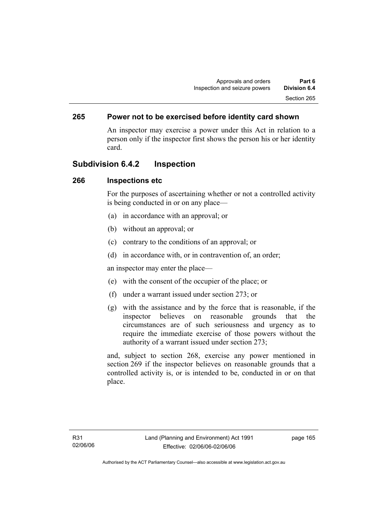## **265 Power not to be exercised before identity card shown**

An inspector may exercise a power under this Act in relation to a person only if the inspector first shows the person his or her identity card.

## **Subdivision 6.4.2 Inspection**

### **266 Inspections etc**

For the purposes of ascertaining whether or not a controlled activity is being conducted in or on any place—

- (a) in accordance with an approval; or
- (b) without an approval; or
- (c) contrary to the conditions of an approval; or
- (d) in accordance with, or in contravention of, an order;

an inspector may enter the place—

- (e) with the consent of the occupier of the place; or
- (f) under a warrant issued under section 273; or
- (g) with the assistance and by the force that is reasonable, if the inspector believes on reasonable grounds that the circumstances are of such seriousness and urgency as to require the immediate exercise of those powers without the authority of a warrant issued under section 273;

and, subject to section 268, exercise any power mentioned in section 269 if the inspector believes on reasonable grounds that a controlled activity is, or is intended to be, conducted in or on that place.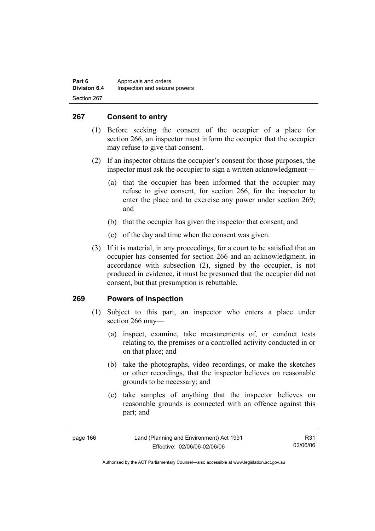| Part 6              | Approvals and orders          |
|---------------------|-------------------------------|
| <b>Division 6.4</b> | Inspection and seizure powers |
| Section 267         |                               |

## **267 Consent to entry**

- (1) Before seeking the consent of the occupier of a place for section 266, an inspector must inform the occupier that the occupier may refuse to give that consent.
- (2) If an inspector obtains the occupier's consent for those purposes, the inspector must ask the occupier to sign a written acknowledgment—
	- (a) that the occupier has been informed that the occupier may refuse to give consent, for section 266, for the inspector to enter the place and to exercise any power under section 269; and
	- (b) that the occupier has given the inspector that consent; and
	- (c) of the day and time when the consent was given.
- (3) If it is material, in any proceedings, for a court to be satisfied that an occupier has consented for section 266 and an acknowledgment, in accordance with subsection (2), signed by the occupier, is not produced in evidence, it must be presumed that the occupier did not consent, but that presumption is rebuttable.

### **269 Powers of inspection**

- (1) Subject to this part, an inspector who enters a place under section 266 may—
	- (a) inspect, examine, take measurements of, or conduct tests relating to, the premises or a controlled activity conducted in or on that place; and
	- (b) take the photographs, video recordings, or make the sketches or other recordings, that the inspector believes on reasonable grounds to be necessary; and
	- (c) take samples of anything that the inspector believes on reasonable grounds is connected with an offence against this part; and

| page 166 |  |
|----------|--|
|----------|--|

R31 02/06/06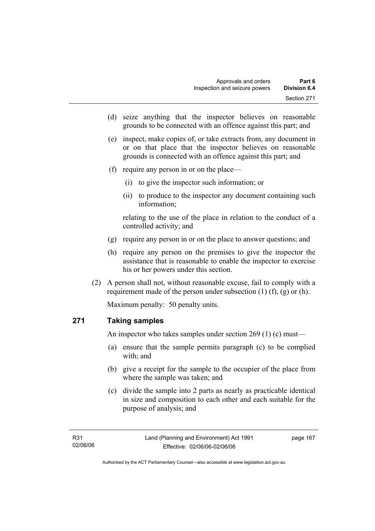- (d) seize anything that the inspector believes on reasonable grounds to be connected with an offence against this part; and
- (e) inspect, make copies of, or take extracts from, any document in or on that place that the inspector believes on reasonable grounds is connected with an offence against this part; and
- (f) require any person in or on the place—
	- (i) to give the inspector such information; or
	- (ii) to produce to the inspector any document containing such information;

relating to the use of the place in relation to the conduct of a controlled activity; and

- (g) require any person in or on the place to answer questions; and
- (h) require any person on the premises to give the inspector the assistance that is reasonable to enable the inspector to exercise his or her powers under this section.
- (2) A person shall not, without reasonable excuse, fail to comply with a requirement made of the person under subsection  $(1)$   $(f)$ ,  $(g)$  or  $(h)$ .

Maximum penalty: 50 penalty units.

# **271 Taking samples**

An inspector who takes samples under section 269 (1) (c) must—

- (a) ensure that the sample permits paragraph (c) to be complied with; and
- (b) give a receipt for the sample to the occupier of the place from where the sample was taken; and
- (c) divide the sample into 2 parts as nearly as practicable identical in size and composition to each other and each suitable for the purpose of analysis; and

page 167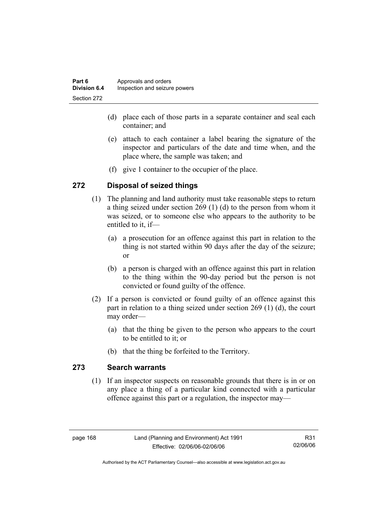| Part 6              | Approvals and orders          |
|---------------------|-------------------------------|
| <b>Division 6.4</b> | Inspection and seizure powers |
| Section 272         |                               |

- (d) place each of those parts in a separate container and seal each container; and
- (e) attach to each container a label bearing the signature of the inspector and particulars of the date and time when, and the place where, the sample was taken; and
- (f) give 1 container to the occupier of the place.

### **272 Disposal of seized things**

- (1) The planning and land authority must take reasonable steps to return a thing seized under section 269 (1) (d) to the person from whom it was seized, or to someone else who appears to the authority to be entitled to it, if—
	- (a) a prosecution for an offence against this part in relation to the thing is not started within 90 days after the day of the seizure; or
	- (b) a person is charged with an offence against this part in relation to the thing within the 90-day period but the person is not convicted or found guilty of the offence.
- (2) If a person is convicted or found guilty of an offence against this part in relation to a thing seized under section 269 (1) (d), the court may order—
	- (a) that the thing be given to the person who appears to the court to be entitled to it; or
	- (b) that the thing be forfeited to the Territory.

#### **273 Search warrants**

 (1) If an inspector suspects on reasonable grounds that there is in or on any place a thing of a particular kind connected with a particular offence against this part or a regulation, the inspector may—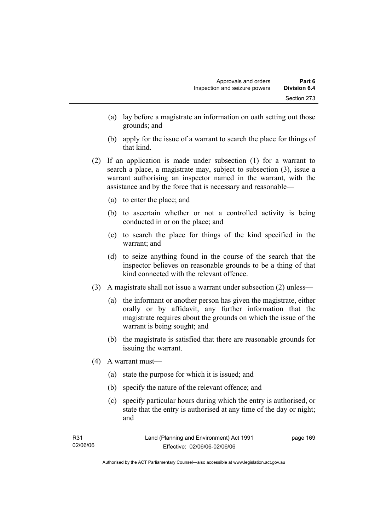- (a) lay before a magistrate an information on oath setting out those grounds; and
- (b) apply for the issue of a warrant to search the place for things of that kind.
- (2) If an application is made under subsection (1) for a warrant to search a place, a magistrate may, subject to subsection (3), issue a warrant authorising an inspector named in the warrant, with the assistance and by the force that is necessary and reasonable—
	- (a) to enter the place; and
	- (b) to ascertain whether or not a controlled activity is being conducted in or on the place; and
	- (c) to search the place for things of the kind specified in the warrant; and
	- (d) to seize anything found in the course of the search that the inspector believes on reasonable grounds to be a thing of that kind connected with the relevant offence.
- (3) A magistrate shall not issue a warrant under subsection (2) unless—
	- (a) the informant or another person has given the magistrate, either orally or by affidavit, any further information that the magistrate requires about the grounds on which the issue of the warrant is being sought; and
	- (b) the magistrate is satisfied that there are reasonable grounds for issuing the warrant.
- (4) A warrant must—
	- (a) state the purpose for which it is issued; and
	- (b) specify the nature of the relevant offence; and
	- (c) specify particular hours during which the entry is authorised, or state that the entry is authorised at any time of the day or night; and

| R31      | Land (Planning and Environment) Act 1991 | page 169 |
|----------|------------------------------------------|----------|
| 02/06/06 | Effective: 02/06/06-02/06/06             |          |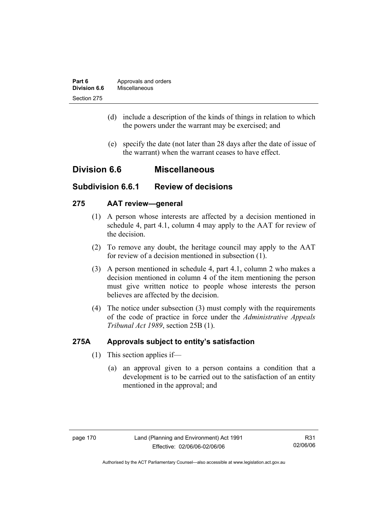| Part 6       | Approvals and orders |
|--------------|----------------------|
| Division 6.6 | Miscellaneous        |
| Section 275  |                      |

- (d) include a description of the kinds of things in relation to which the powers under the warrant may be exercised; and
- (e) specify the date (not later than 28 days after the date of issue of the warrant) when the warrant ceases to have effect.

# **Division 6.6 Miscellaneous**

# **Subdivision 6.6.1 Review of decisions**

#### **275 AAT review—general**

- (1) A person whose interests are affected by a decision mentioned in schedule 4, part 4.1, column 4 may apply to the AAT for review of the decision.
- (2) To remove any doubt, the heritage council may apply to the AAT for review of a decision mentioned in subsection (1).
- (3) A person mentioned in schedule 4, part 4.1, column 2 who makes a decision mentioned in column 4 of the item mentioning the person must give written notice to people whose interests the person believes are affected by the decision.
- (4) The notice under subsection (3) must comply with the requirements of the code of practice in force under the *Administrative Appeals Tribunal Act 1989*, section 25B (1).

### **275A Approvals subject to entity's satisfaction**

- (1) This section applies if—
	- (a) an approval given to a person contains a condition that a development is to be carried out to the satisfaction of an entity mentioned in the approval; and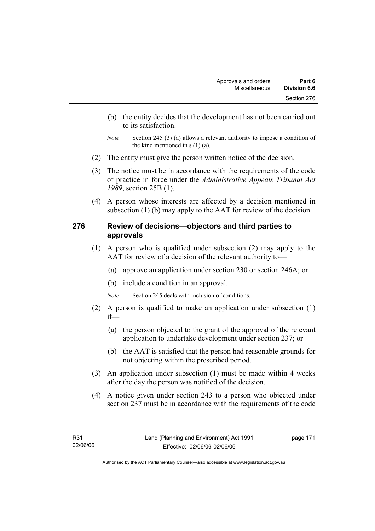- (b) the entity decides that the development has not been carried out to its satisfaction.
- *Note* Section 245 (3) (a) allows a relevant authority to impose a condition of the kind mentioned in  $s(1)(a)$ .
- (2) The entity must give the person written notice of the decision.
- (3) The notice must be in accordance with the requirements of the code of practice in force under the *Administrative Appeals Tribunal Act 1989*, section 25B (1).
- (4) A person whose interests are affected by a decision mentioned in subsection (1) (b) may apply to the AAT for review of the decision.

## **276 Review of decisions—objectors and third parties to approvals**

- (1) A person who is qualified under subsection (2) may apply to the AAT for review of a decision of the relevant authority to—
	- (a) approve an application under section 230 or section 246A; or
	- (b) include a condition in an approval.

*Note* Section 245 deals with inclusion of conditions.

- (2) A person is qualified to make an application under subsection (1) if—
	- (a) the person objected to the grant of the approval of the relevant application to undertake development under section 237; or
	- (b) the AAT is satisfied that the person had reasonable grounds for not objecting within the prescribed period.
- (3) An application under subsection (1) must be made within 4 weeks after the day the person was notified of the decision.
- (4) A notice given under section 243 to a person who objected under section 237 must be in accordance with the requirements of the code

page 171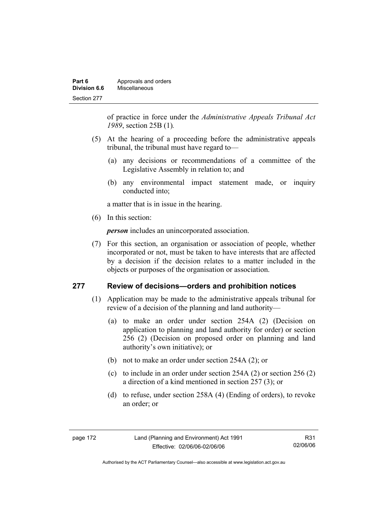| Part 6       | Approvals and orders |
|--------------|----------------------|
| Division 6.6 | Miscellaneous        |
| Section 277  |                      |

of practice in force under the *Administrative Appeals Tribunal Act 1989*, section 25B (1)*.*

- (5) At the hearing of a proceeding before the administrative appeals tribunal, the tribunal must have regard to—
	- (a) any decisions or recommendations of a committee of the Legislative Assembly in relation to; and
	- (b) any environmental impact statement made, or inquiry conducted into;

a matter that is in issue in the hearing.

(6) In this section:

*person* includes an unincorporated association.

 (7) For this section, an organisation or association of people, whether incorporated or not, must be taken to have interests that are affected by a decision if the decision relates to a matter included in the objects or purposes of the organisation or association.

#### **277 Review of decisions—orders and prohibition notices**

- (1) Application may be made to the administrative appeals tribunal for review of a decision of the planning and land authority—
	- (a) to make an order under section 254A (2) (Decision on application to planning and land authority for order) or section 256 (2) (Decision on proposed order on planning and land authority's own initiative); or
	- (b) not to make an order under section 254A (2); or
	- (c) to include in an order under section 254A (2) or section 256 (2) a direction of a kind mentioned in section 257 (3); or
	- (d) to refuse, under section 258A (4) (Ending of orders), to revoke an order; or

page 172 Land (Planning and Environment) Act 1991 Effective: 02/06/06-02/06/06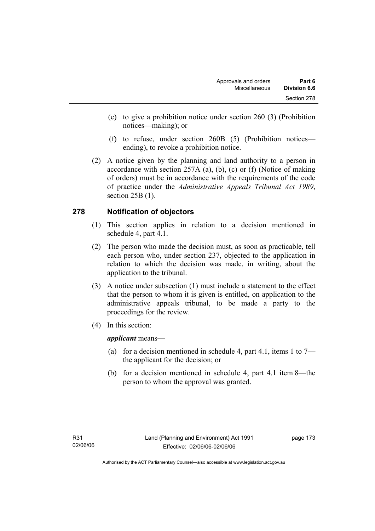- (e) to give a prohibition notice under section 260 (3) (Prohibition notices—making); or
- (f) to refuse, under section 260B (5) (Prohibition notices ending), to revoke a prohibition notice.
- (2) A notice given by the planning and land authority to a person in accordance with section 257A (a), (b), (c) or (f) (Notice of making of orders) must be in accordance with the requirements of the code of practice under the *Administrative Appeals Tribunal Act 1989*, section 25B (1).

# **278 Notification of objectors**

- (1) This section applies in relation to a decision mentioned in schedule 4, part 4.1.
- (2) The person who made the decision must, as soon as practicable, tell each person who, under section 237, objected to the application in relation to which the decision was made, in writing, about the application to the tribunal.
- (3) A notice under subsection (1) must include a statement to the effect that the person to whom it is given is entitled, on application to the administrative appeals tribunal, to be made a party to the proceedings for the review.
- (4) In this section:

*applicant* means—

- (a) for a decision mentioned in schedule 4, part 4.1, items 1 to  $7$ the applicant for the decision; or
- (b) for a decision mentioned in schedule 4, part 4.1 item 8—the person to whom the approval was granted.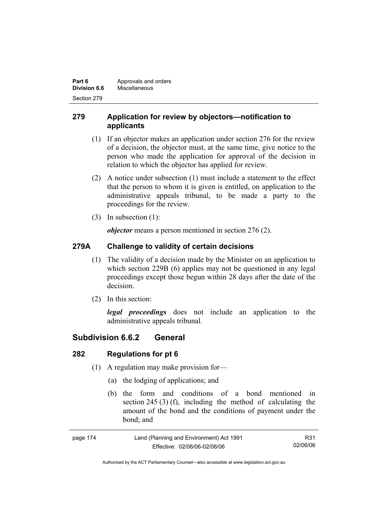| Part 6       | Approvals and orders |
|--------------|----------------------|
| Division 6.6 | Miscellaneous        |
| Section 279  |                      |

# **279 Application for review by objectors—notification to applicants**

- (1) If an objector makes an application under section 276 for the review of a decision, the objector must, at the same time, give notice to the person who made the application for approval of the decision in relation to which the objector has applied for review.
- (2) A notice under subsection (1) must include a statement to the effect that the person to whom it is given is entitled, on application to the administrative appeals tribunal, to be made a party to the proceedings for the review.
- (3) In subsection (1):

*objector* means a person mentioned in section 276 (2).

# **279A Challenge to validity of certain decisions**

- (1) The validity of a decision made by the Minister on an application to which section 229B (6) applies may not be questioned in any legal proceedings except those begun within 28 days after the date of the decision.
- (2) In this section:

*legal proceedings* does not include an application to the administrative appeals tribunal.

# **Subdivision 6.6.2 General**

# **282 Regulations for pt 6**

- (1) A regulation may make provision for—
	- (a) the lodging of applications; and
	- (b) the form and conditions of a bond mentioned in section 245 (3) (f), including the method of calculating the amount of the bond and the conditions of payment under the bond; and

| page 174 | Land (Planning and Environment) Act 1991 | R31      |
|----------|------------------------------------------|----------|
|          | Effective: 02/06/06-02/06/06             | 02/06/06 |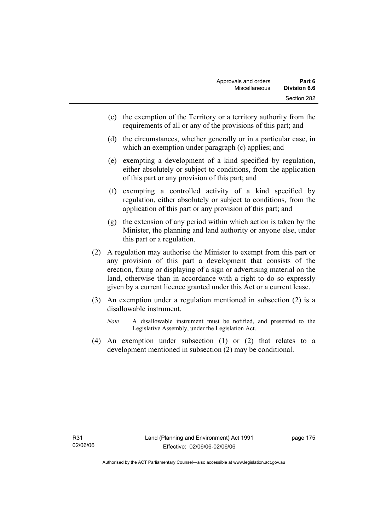- (c) the exemption of the Territory or a territory authority from the requirements of all or any of the provisions of this part; and
- (d) the circumstances, whether generally or in a particular case, in which an exemption under paragraph (c) applies; and
- (e) exempting a development of a kind specified by regulation, either absolutely or subject to conditions, from the application of this part or any provision of this part; and
- (f) exempting a controlled activity of a kind specified by regulation, either absolutely or subject to conditions, from the application of this part or any provision of this part; and
- (g) the extension of any period within which action is taken by the Minister, the planning and land authority or anyone else, under this part or a regulation.
- (2) A regulation may authorise the Minister to exempt from this part or any provision of this part a development that consists of the erection, fixing or displaying of a sign or advertising material on the land, otherwise than in accordance with a right to do so expressly given by a current licence granted under this Act or a current lease.
- (3) An exemption under a regulation mentioned in subsection (2) is a disallowable instrument.
	- *Note* A disallowable instrument must be notified, and presented to the Legislative Assembly, under the Legislation Act.
- (4) An exemption under subsection (1) or (2) that relates to a development mentioned in subsection (2) may be conditional.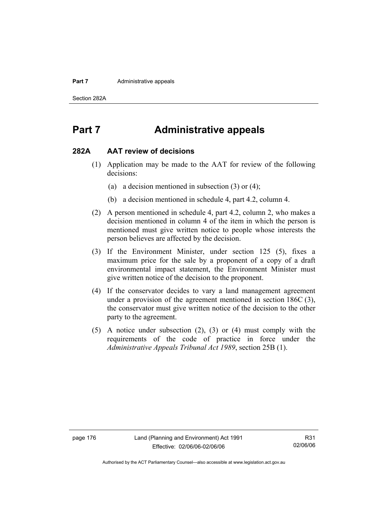#### **Part 7 Administrative appeals**

Section 282A

# **Part 7 Administrative appeals**

#### **282A AAT review of decisions**

- (1) Application may be made to the AAT for review of the following decisions:
	- (a) a decision mentioned in subsection (3) or (4);
	- (b) a decision mentioned in schedule 4, part 4.2, column 4.
- (2) A person mentioned in schedule 4, part 4.2, column 2, who makes a decision mentioned in column 4 of the item in which the person is mentioned must give written notice to people whose interests the person believes are affected by the decision.
- (3) If the Environment Minister, under section 125 (5), fixes a maximum price for the sale by a proponent of a copy of a draft environmental impact statement, the Environment Minister must give written notice of the decision to the proponent.
- (4) If the conservator decides to vary a land management agreement under a provision of the agreement mentioned in section 186C (3), the conservator must give written notice of the decision to the other party to the agreement.
- (5) A notice under subsection (2), (3) or (4) must comply with the requirements of the code of practice in force under the *Administrative Appeals Tribunal Act 1989*, section 25B (1).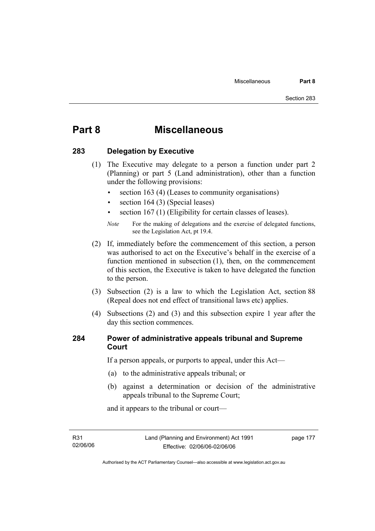# **Part 8 Miscellaneous**

### **283 Delegation by Executive**

- (1) The Executive may delegate to a person a function under part 2 (Planning) or part 5 (Land administration), other than a function under the following provisions:
	- section 163 (4) (Leases to community organisations)
	- section 164 (3) (Special leases)
	- section 167 (1) (Eligibility for certain classes of leases).

- (2) If, immediately before the commencement of this section, a person was authorised to act on the Executive's behalf in the exercise of a function mentioned in subsection (1), then, on the commencement of this section, the Executive is taken to have delegated the function to the person.
- (3) Subsection (2) is a law to which the Legislation Act, section 88 (Repeal does not end effect of transitional laws etc) applies.
- (4) Subsections (2) and (3) and this subsection expire 1 year after the day this section commences.

### **284 Power of administrative appeals tribunal and Supreme Court**

If a person appeals, or purports to appeal, under this Act—

- (a) to the administrative appeals tribunal; or
- (b) against a determination or decision of the administrative appeals tribunal to the Supreme Court;

and it appears to the tribunal or court—

R31 02/06/06 page 177

*Note* For the making of delegations and the exercise of delegated functions, see the Legislation Act, pt 19.4.

Authorised by the ACT Parliamentary Counsel—also accessible at www.legislation.act.gov.au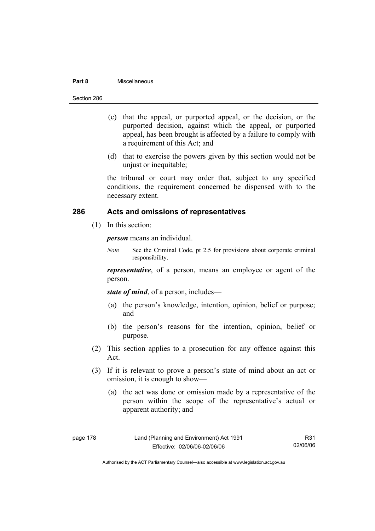#### **Part 8** Miscellaneous

- (c) that the appeal, or purported appeal, or the decision, or the purported decision, against which the appeal, or purported appeal, has been brought is affected by a failure to comply with a requirement of this Act; and
- (d) that to exercise the powers given by this section would not be unjust or inequitable;

the tribunal or court may order that, subject to any specified conditions, the requirement concerned be dispensed with to the necessary extent.

### **286 Acts and omissions of representatives**

(1) In this section:

*person* means an individual.

*Note* See the Criminal Code, pt 2.5 for provisions about corporate criminal responsibility.

*representative*, of a person, means an employee or agent of the person.

*state of mind*, of a person, includes—

- (a) the person's knowledge, intention, opinion, belief or purpose; and
- (b) the person's reasons for the intention, opinion, belief or purpose.
- (2) This section applies to a prosecution for any offence against this Act.
- (3) If it is relevant to prove a person's state of mind about an act or omission, it is enough to show—
	- (a) the act was done or omission made by a representative of the person within the scope of the representative's actual or apparent authority; and

| page | 78<br>-1 |
|------|----------|
|------|----------|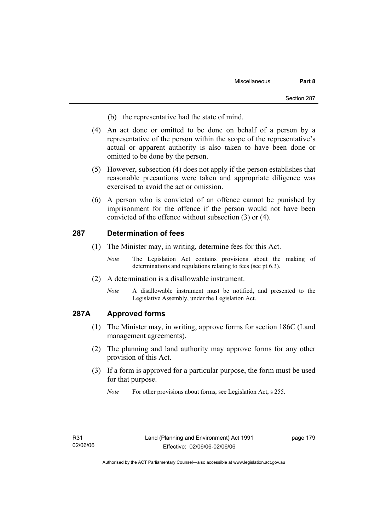- (b) the representative had the state of mind.
- (4) An act done or omitted to be done on behalf of a person by a representative of the person within the scope of the representative's actual or apparent authority is also taken to have been done or omitted to be done by the person.
- (5) However, subsection (4) does not apply if the person establishes that reasonable precautions were taken and appropriate diligence was exercised to avoid the act or omission.
- (6) A person who is convicted of an offence cannot be punished by imprisonment for the offence if the person would not have been convicted of the offence without subsection (3) or (4).

#### **287 Determination of fees**

- (1) The Minister may, in writing, determine fees for this Act.
	- *Note* The Legislation Act contains provisions about the making of determinations and regulations relating to fees (see pt 6.3).
- (2) A determination is a disallowable instrument.
	- *Note* A disallowable instrument must be notified, and presented to the Legislative Assembly, under the Legislation Act.

#### **287A Approved forms**

- (1) The Minister may, in writing, approve forms for section 186C (Land management agreements).
- (2) The planning and land authority may approve forms for any other provision of this Act.
- (3) If a form is approved for a particular purpose, the form must be used for that purpose.
	- *Note* For other provisions about forms, see Legislation Act, s 255.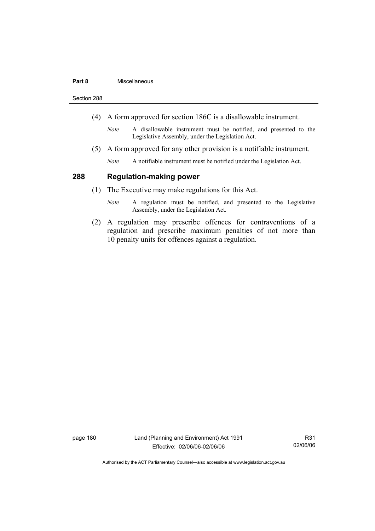#### **Part 8** Miscellaneous

Section 288

- (4) A form approved for section 186C is a disallowable instrument.
	- *Note* A disallowable instrument must be notified, and presented to the Legislative Assembly, under the Legislation Act.
- (5) A form approved for any other provision is a notifiable instrument.
	- *Note* A notifiable instrument must be notified under the Legislation Act.

#### **288 Regulation-making power**

- (1) The Executive may make regulations for this Act.
	- *Note* A regulation must be notified, and presented to the Legislative Assembly, under the Legislation Act.
- (2) A regulation may prescribe offences for contraventions of a regulation and prescribe maximum penalties of not more than 10 penalty units for offences against a regulation.

page 180 Land (Planning and Environment) Act 1991 Effective: 02/06/06-02/06/06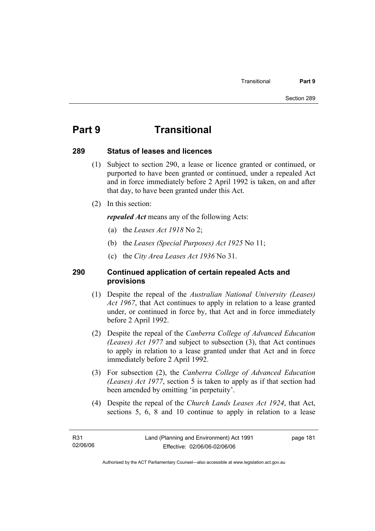# **Part 9 Transitional**

#### **289 Status of leases and licences**

- (1) Subject to section 290, a lease or licence granted or continued, or purported to have been granted or continued, under a repealed Act and in force immediately before 2 April 1992 is taken, on and after that day, to have been granted under this Act.
- (2) In this section:

*repealed Act* means any of the following Acts:

- (a) the *Leases Act 1918* No 2;
- (b) the *Leases (Special Purposes) Act 1925* No 11;
- (c) the *City Area Leases Act 1936* No 31.

### **290 Continued application of certain repealed Acts and provisions**

- (1) Despite the repeal of the *Australian National University (Leases) Act 1967*, that Act continues to apply in relation to a lease granted under, or continued in force by, that Act and in force immediately before 2 April 1992.
- (2) Despite the repeal of the *Canberra College of Advanced Education (Leases) Act 1977* and subject to subsection (3), that Act continues to apply in relation to a lease granted under that Act and in force immediately before 2 April 1992.
- (3) For subsection (2), the *Canberra College of Advanced Education (Leases) Act 1977*, section 5 is taken to apply as if that section had been amended by omitting 'in perpetuity'.
- (4) Despite the repeal of the *Church Lands Leases Act 1924*, that Act, sections 5, 6, 8 and 10 continue to apply in relation to a lease

page 181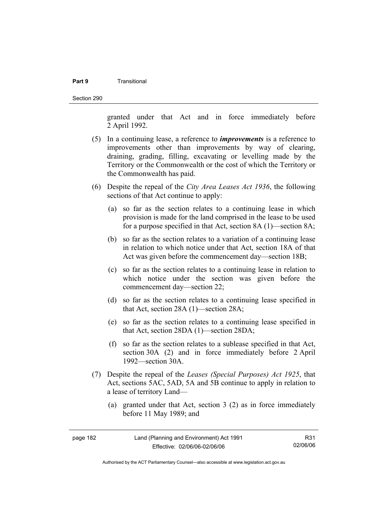#### **Part 9** Transitional

Section 290

granted under that Act and in force immediately before 2 April 1992.

- (5) In a continuing lease, a reference to *improvements* is a reference to improvements other than improvements by way of clearing, draining, grading, filling, excavating or levelling made by the Territory or the Commonwealth or the cost of which the Territory or the Commonwealth has paid.
- (6) Despite the repeal of the *City Area Leases Act 1936*, the following sections of that Act continue to apply:
	- (a) so far as the section relates to a continuing lease in which provision is made for the land comprised in the lease to be used for a purpose specified in that Act, section 8A (1)—section 8A;
	- (b) so far as the section relates to a variation of a continuing lease in relation to which notice under that Act, section 18A of that Act was given before the commencement day—section 18B;
	- (c) so far as the section relates to a continuing lease in relation to which notice under the section was given before the commencement day—section 22;
	- (d) so far as the section relates to a continuing lease specified in that Act, section 28A (1)—section 28A;
	- (e) so far as the section relates to a continuing lease specified in that Act, section 28DA (1)—section 28DA;
	- (f) so far as the section relates to a sublease specified in that Act, section 30A (2) and in force immediately before 2 April 1992—section 30A.
- (7) Despite the repeal of the *Leases (Special Purposes) Act 1925*, that Act, sections 5AC, 5AD, 5A and 5B continue to apply in relation to a lease of territory Land—
	- (a) granted under that Act, section 3 (2) as in force immediately before 11 May 1989; and

| page 182 | Land (Planning and Environment) Act 1991 | R31      |
|----------|------------------------------------------|----------|
|          | Effective: 02/06/06-02/06/06             | 02/06/06 |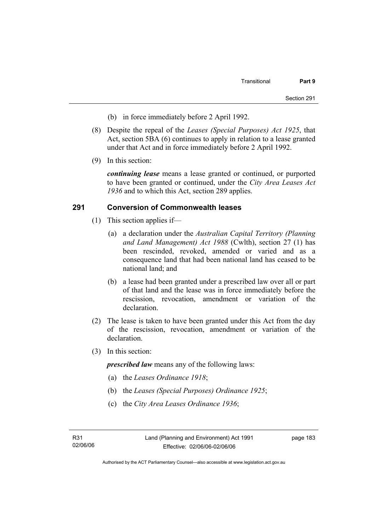- (b) in force immediately before 2 April 1992.
- (8) Despite the repeal of the *Leases (Special Purposes) Act 1925*, that Act, section 5BA (6) continues to apply in relation to a lease granted under that Act and in force immediately before 2 April 1992.
- (9) In this section:

*continuing lease* means a lease granted or continued, or purported to have been granted or continued, under the *City Area Leases Act 1936* and to which this Act, section 289 applies.

#### **291 Conversion of Commonwealth leases**

- (1) This section applies if—
	- (a) a declaration under the *Australian Capital Territory (Planning and Land Management) Act 1988* (Cwlth), section 27 (1) has been rescinded, revoked, amended or varied and as a consequence land that had been national land has ceased to be national land; and
	- (b) a lease had been granted under a prescribed law over all or part of that land and the lease was in force immediately before the rescission, revocation, amendment or variation of the declaration.
- (2) The lease is taken to have been granted under this Act from the day of the rescission, revocation, amendment or variation of the declaration.
- (3) In this section:

*prescribed law* means any of the following laws:

- (a) the *Leases Ordinance 1918*;
- (b) the *Leases (Special Purposes) Ordinance 1925*;
- (c) the *City Area Leases Ordinance 1936*;

page 183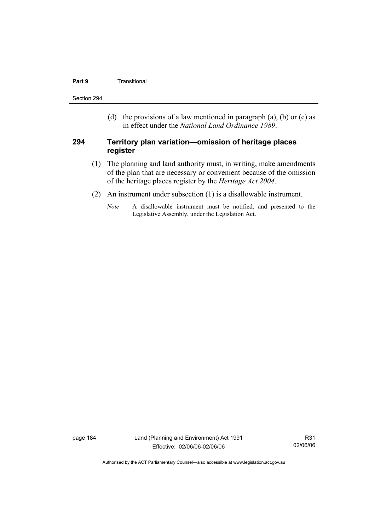#### **Part 9 Transitional**

Section 294

(d) the provisions of a law mentioned in paragraph (a), (b) or (c) as in effect under the *National Land Ordinance 1989*.

#### **294 Territory plan variation—omission of heritage places register**

- (1) The planning and land authority must, in writing, make amendments of the plan that are necessary or convenient because of the omission of the heritage places register by the *Heritage Act 2004*.
- (2) An instrument under subsection (1) is a disallowable instrument.
	- *Note* A disallowable instrument must be notified, and presented to the Legislative Assembly, under the Legislation Act.

page 184 Land (Planning and Environment) Act 1991 Effective: 02/06/06-02/06/06

R31 02/06/06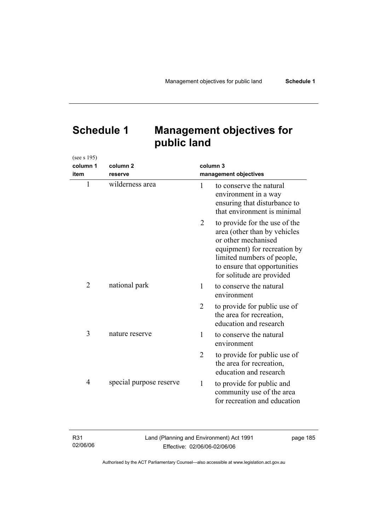# **Schedule 1 Management objectives for public land**

| (see s 195)    |                         |                       |                                                                                                                                                                                                                 |
|----------------|-------------------------|-----------------------|-----------------------------------------------------------------------------------------------------------------------------------------------------------------------------------------------------------------|
| column 1       | column <sub>2</sub>     |                       | column 3                                                                                                                                                                                                        |
| item           | reserve                 | management objectives |                                                                                                                                                                                                                 |
| $\mathbf{1}$   | wilderness area         | 1                     | to conserve the natural<br>environment in a way<br>ensuring that disturbance to<br>that environment is minimal                                                                                                  |
|                |                         | 2                     | to provide for the use of the<br>area (other than by vehicles<br>or other mechanised<br>equipment) for recreation by<br>limited numbers of people,<br>to ensure that opportunities<br>for solitude are provided |
| $\overline{2}$ | national park           | 1                     | to conserve the natural<br>environment                                                                                                                                                                          |
|                |                         | $\overline{2}$        | to provide for public use of<br>the area for recreation,<br>education and research                                                                                                                              |
| 3              | nature reserve          | 1                     | to conserve the natural<br>environment                                                                                                                                                                          |
|                |                         | $\overline{2}$        | to provide for public use of<br>the area for recreation,<br>education and research                                                                                                                              |
| 4              | special purpose reserve | 1                     | to provide for public and<br>community use of the area<br>for recreation and education                                                                                                                          |

| R <sub>31</sub> | Land (Planning and Environment) Act 1991 | page 185 |
|-----------------|------------------------------------------|----------|
| 02/06/06        | Effective: 02/06/06-02/06/06             |          |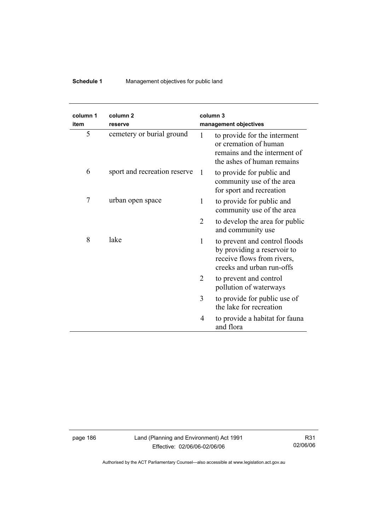# **Schedule 1** Management objectives for public land

| column 1<br>item | column <sub>2</sub><br>reserve | column <sub>3</sub><br>management objectives |                                                                                                                         |
|------------------|--------------------------------|----------------------------------------------|-------------------------------------------------------------------------------------------------------------------------|
| 5                | cemetery or burial ground      | 1                                            | to provide for the interment<br>or cremation of human<br>remains and the interment of<br>the ashes of human remains     |
| 6                | sport and recreation reserve   | -1                                           | to provide for public and<br>community use of the area<br>for sport and recreation                                      |
| 7                | urban open space               | 1                                            | to provide for public and<br>community use of the area                                                                  |
|                  |                                | 2                                            | to develop the area for public<br>and community use                                                                     |
| 8                | lake                           | 1                                            | to prevent and control floods<br>by providing a reservoir to<br>receive flows from rivers,<br>creeks and urban run-offs |
|                  |                                | 2                                            | to prevent and control<br>pollution of waterways                                                                        |
|                  |                                | 3                                            | to provide for public use of<br>the lake for recreation                                                                 |
|                  |                                | 4<br>and flora                               | to provide a habitat for fauna                                                                                          |

page 186 Land (Planning and Environment) Act 1991 Effective: 02/06/06-02/06/06

R31 02/06/06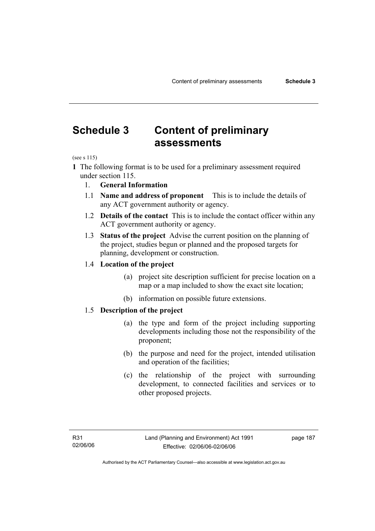# **Schedule 3 Content of preliminary assessments**

(see s 115)

- **1** The following format is to be used for a preliminary assessment required under section 115.
	- 1. **General Information**
	- 1.1 **Name and address of proponent** This is to include the details of any ACT government authority or agency.
	- 1.2 **Details of the contact** This is to include the contact officer within any ACT government authority or agency.
	- 1.3 **Status of the project** Advise the current position on the planning of the project, studies begun or planned and the proposed targets for planning, development or construction.

#### 1.4 **Location of the project**

- (a) project site description sufficient for precise location on a map or a map included to show the exact site location;
- (b) information on possible future extensions.

#### 1.5 **Description of the project**

- (a) the type and form of the project including supporting developments including those not the responsibility of the proponent;
- (b) the purpose and need for the project, intended utilisation and operation of the facilities;
- (c) the relationship of the project with surrounding development, to connected facilities and services or to other proposed projects.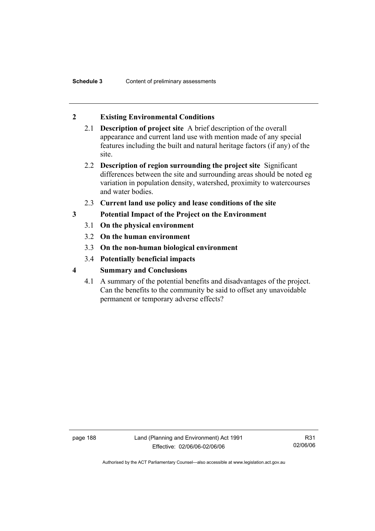# **2 Existing Environmental Conditions**

- 2.1 **Description of project site** A brief description of the overall appearance and current land use with mention made of any special features including the built and natural heritage factors (if any) of the site.
- 2.2 **Description of region surrounding the project site** Significant differences between the site and surrounding areas should be noted eg variation in population density, watershed, proximity to watercourses and water bodies.
- 2.3 **Current land use policy and lease conditions of the site**
- **3 Potential Impact of the Project on the Environment** 
	- 3.1 **On the physical environment**
	- 3.2 **On the human environment**
	- 3.3 **On the non-human biological environment**
	- 3.4 **Potentially beneficial impacts**
- **4 Summary and Conclusions** 
	- 4.1 A summary of the potential benefits and disadvantages of the project. Can the benefits to the community be said to offset any unavoidable permanent or temporary adverse effects?

page 188 Land (Planning and Environment) Act 1991 Effective: 02/06/06-02/06/06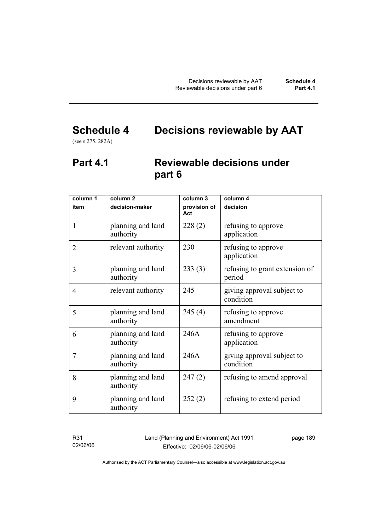# **Schedule 4 Decisions reviewable by AAT**

(see s 275, 282A)

# **Part 4.1 Reviewable decisions under part 6**

| column 1<br>item | column <sub>2</sub><br>decision-maker | column 3<br>provision of | column 4<br>decision                     |
|------------------|---------------------------------------|--------------------------|------------------------------------------|
|                  |                                       | Act                      |                                          |
| 1                | planning and land<br>authority        | 228(2)                   | refusing to approve<br>application       |
| $\overline{2}$   | relevant authority                    | 230                      | refusing to approve<br>application       |
| 3                | planning and land<br>authority        | 233(3)                   | refusing to grant extension of<br>period |
| $\overline{4}$   | relevant authority                    | 245                      | giving approval subject to<br>condition  |
| 5                | planning and land<br>authority        | 245(4)                   | refusing to approve<br>amendment         |
| 6                | planning and land<br>authority        | 246A                     | refusing to approve<br>application       |
| 7                | planning and land<br>authority        | 246A                     | giving approval subject to<br>condition  |
| 8                | planning and land<br>authority        | 247(2)                   | refusing to amend approval               |
| 9                | planning and land<br>authority        | 252(2)                   | refusing to extend period                |

R31 02/06/06 Land (Planning and Environment) Act 1991 Effective: 02/06/06-02/06/06

page 189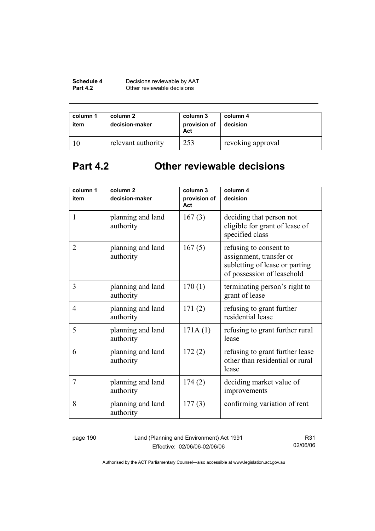| Schedule 4      | Decisions reviewable by AAT |
|-----------------|-----------------------------|
| <b>Part 4.2</b> | Other reviewable decisions  |

| column 1<br>item | column 2<br>decision-maker | column 3<br>provision of<br>Act | column 4<br>decision |
|------------------|----------------------------|---------------------------------|----------------------|
|                  | relevant authority         | 253                             | revoking approval    |

# **Part 4.2 Other reviewable decisions**

| column 1       | column <sub>2</sub>            | column 3            | column 4                                                                                                          |
|----------------|--------------------------------|---------------------|-------------------------------------------------------------------------------------------------------------------|
| item           | decision-maker                 | provision of<br>Act | decision                                                                                                          |
| $\mathbf{1}$   | planning and land<br>authority | 167(3)              | deciding that person not<br>eligible for grant of lease of<br>specified class                                     |
| $\overline{2}$ | planning and land<br>authority | 167(5)              | refusing to consent to<br>assignment, transfer or<br>subletting of lease or parting<br>of possession of leasehold |
| 3              | planning and land<br>authority | 170(1)              | terminating person's right to<br>grant of lease                                                                   |
| 4              | planning and land<br>authority | 171(2)              | refusing to grant further<br>residential lease                                                                    |
| 5              | planning and land<br>authority | 171A(1)             | refusing to grant further rural<br>lease                                                                          |
| 6              | planning and land<br>authority | 172(2)              | refusing to grant further lease<br>other than residential or rural<br>lease                                       |
| 7              | planning and land<br>authority | 174(2)              | deciding market value of<br>improvements                                                                          |
| 8              | planning and land<br>authority | 177(3)              | confirming variation of rent                                                                                      |

page 190 Land (Planning and Environment) Act 1991 Effective: 02/06/06-02/06/06

R31 02/06/06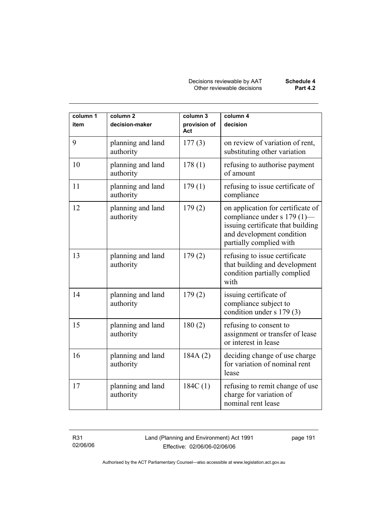| column 1<br>item | column <sub>2</sub><br>decision-maker | column 3<br>provision of<br>Act | column 4<br>decision                                                                                                                                          |
|------------------|---------------------------------------|---------------------------------|---------------------------------------------------------------------------------------------------------------------------------------------------------------|
| 9                | planning and land<br>authority        | 177(3)                          | on review of variation of rent,<br>substituting other variation                                                                                               |
| 10               | planning and land<br>authority        | 178(1)                          | refusing to authorise payment<br>of amount                                                                                                                    |
| 11               | planning and land<br>authority        | 179(1)                          | refusing to issue certificate of<br>compliance                                                                                                                |
| 12               | planning and land<br>authority        | 179(2)                          | on application for certificate of<br>compliance under s 179 (1)—<br>issuing certificate that building<br>and development condition<br>partially complied with |
| 13               | planning and land<br>authority        | 179(2)                          | refusing to issue certificate<br>that building and development<br>condition partially complied<br>with                                                        |
| 14               | planning and land<br>authority        | 179(2)                          | issuing certificate of<br>compliance subject to<br>condition under s 179 (3)                                                                                  |
| 15               | planning and land<br>authority        | 180(2)                          | refusing to consent to<br>assignment or transfer of lease<br>or interest in lease                                                                             |
| 16               | planning and land<br>authority        | 184A(2)                         | deciding change of use charge<br>for variation of nominal rent<br>lease                                                                                       |
| 17               | planning and land<br>authority        | 184C(1)                         | refusing to remit change of use<br>charge for variation of<br>nominal rent lease                                                                              |

R31 02/06/06 Land (Planning and Environment) Act 1991 Effective: 02/06/06-02/06/06

page 191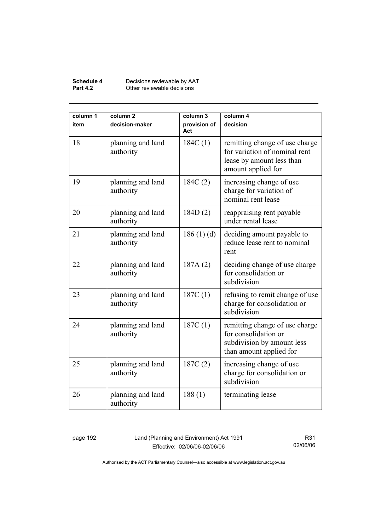#### **Schedule 4** Decisions reviewable by AAT **Part 4.2 Other reviewable decisions**

| column 1<br>item | column <sub>2</sub><br>decision-maker | column 3<br>provision of<br>Act | column 4<br>decision                                                                                               |
|------------------|---------------------------------------|---------------------------------|--------------------------------------------------------------------------------------------------------------------|
| 18               | planning and land<br>authority        | 184C(1)                         | remitting change of use charge<br>for variation of nominal rent<br>lease by amount less than<br>amount applied for |
| 19               | planning and land<br>authority        | 184C(2)                         | increasing change of use<br>charge for variation of<br>nominal rent lease                                          |
| 20               | planning and land<br>authority        | 184D(2)                         | reappraising rent payable<br>under rental lease                                                                    |
| 21               | planning and land<br>authority        | 186(1)(d)                       | deciding amount payable to<br>reduce lease rent to nominal<br>rent                                                 |
| 22               | planning and land<br>authority        | 187A(2)                         | deciding change of use charge<br>for consolidation or<br>subdivision                                               |
| 23               | planning and land<br>authority        | 187C(1)                         | refusing to remit change of use<br>charge for consolidation or<br>subdivision                                      |
| 24               | planning and land<br>authority        | 187C(1)                         | remitting change of use charge<br>for consolidation or<br>subdivision by amount less<br>than amount applied for    |
| 25               | planning and land<br>authority        | 187C(2)                         | increasing change of use<br>charge for consolidation or<br>subdivision                                             |
| 26               | planning and land<br>authority        | 188(1)                          | terminating lease                                                                                                  |

page 192 Land (Planning and Environment) Act 1991 Effective: 02/06/06-02/06/06

R31 02/06/06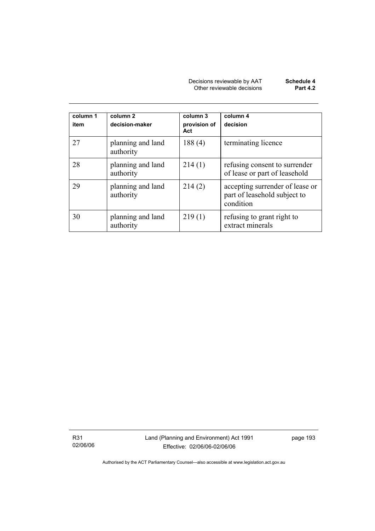| Decisions reviewable by AAT | Schedule 4      |
|-----------------------------|-----------------|
| Other reviewable decisions  | <b>Part 4.2</b> |

| column 1<br>item | column 2<br>decision-maker     | column 3<br>provision of<br>Act | column 4<br>decision                                                         |
|------------------|--------------------------------|---------------------------------|------------------------------------------------------------------------------|
| 27               | planning and land<br>authority | 188(4)                          | terminating licence                                                          |
| 28               | planning and land<br>authority | 214(1)                          | refusing consent to surrender<br>of lease or part of leasehold               |
| 29               | planning and land<br>authority | 214(2)                          | accepting surrender of lease or<br>part of leasehold subject to<br>condition |
| 30               | planning and land<br>authority | 219(1)                          | refusing to grant right to<br>extract minerals                               |

R31 02/06/06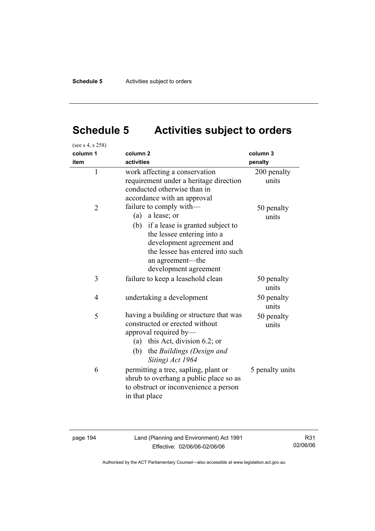# **Schedule 5 Activities subject to orders**

| (see s 4, s 258) |                                                                                                                                                                                                                                      |                      |
|------------------|--------------------------------------------------------------------------------------------------------------------------------------------------------------------------------------------------------------------------------------|----------------------|
| column 1         | column <sub>2</sub>                                                                                                                                                                                                                  | column 3             |
| item             | activities                                                                                                                                                                                                                           | penalty              |
| $\mathbf{1}$     | work affecting a conservation<br>requirement under a heritage direction<br>conducted otherwise than in<br>accordance with an approval                                                                                                | 200 penalty<br>units |
| $\overline{2}$   | failure to comply with-<br>a lease; or<br>(a)<br>if a lease is granted subject to<br>(b)<br>the lessee entering into a<br>development agreement and<br>the lessee has entered into such<br>an agreement-the<br>development agreement | 50 penalty<br>units  |
| 3                | failure to keep a leasehold clean                                                                                                                                                                                                    | 50 penalty<br>units  |
| $\overline{4}$   | undertaking a development                                                                                                                                                                                                            | 50 penalty<br>units  |
| 5                | having a building or structure that was<br>constructed or erected without<br>approval required by-<br>this Act, division 6.2; or<br>(a)<br>(b)<br>the Buildings (Design and<br>Siting) Act 1964                                      | 50 penalty<br>units  |
| 6                | permitting a tree, sapling, plant or<br>shrub to overhang a public place so as<br>to obstruct or inconvenience a person<br>in that place                                                                                             | 5 penalty units      |

page 194 Land (Planning and Environment) Act 1991 Effective: 02/06/06-02/06/06

R31 02/06/06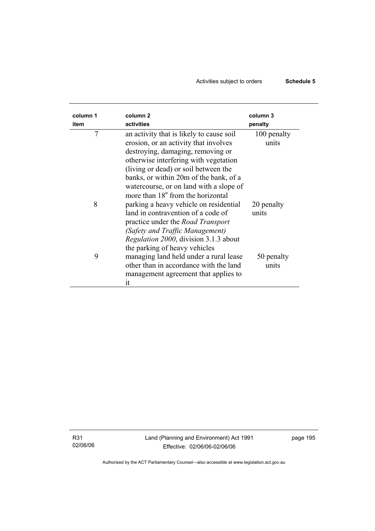# Activities subject to orders **Schedule 5**

| column 1<br>item | column <sub>2</sub><br>activities                                                                                                                                                                                                                                                                                                             | column 3<br>penalty  |
|------------------|-----------------------------------------------------------------------------------------------------------------------------------------------------------------------------------------------------------------------------------------------------------------------------------------------------------------------------------------------|----------------------|
| 7                | an activity that is likely to cause soil<br>erosion, or an activity that involves<br>destroying, damaging, removing or<br>otherwise interfering with vegetation<br>(living or dead) or soil between the<br>banks, or within 20m of the bank, of a<br>watercourse, or on land with a slope of<br>more than 18 <sup>°</sup> from the horizontal | 100 penalty<br>units |
| 8                | parking a heavy vehicle on residential<br>land in contravention of a code of<br>practice under the <i>Road Transport</i><br>(Safety and Traffic Management)<br>Regulation 2000, division 3.1.3 about<br>the parking of heavy vehicles                                                                                                         | 20 penalty<br>units  |
| 9                | managing land held under a rural lease<br>other than in accordance with the land<br>management agreement that applies to<br>it                                                                                                                                                                                                                | 50 penalty<br>units  |

R31 02/06/06 page 195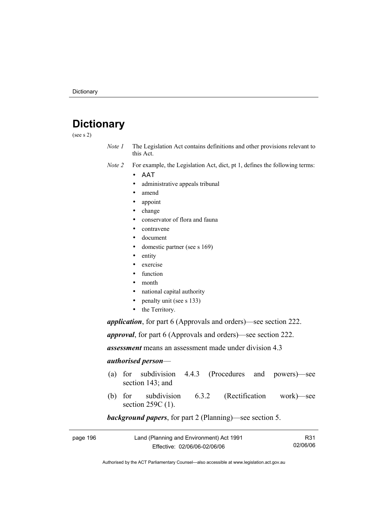# **Dictionary**

(see s 2)

- *Note 1* The Legislation Act contains definitions and other provisions relevant to this Act.
- *Note 2* For example, the Legislation Act, dict, pt 1, defines the following terms:
	- ΑΑΤ
		- administrative appeals tribunal
		- amend
		- appoint
		- change
		- conservator of flora and fauna
		- contravene
		- document
		- domestic partner (see s 169)
		- entity
		- exercise
		- function
		- month
		- national capital authority
		- penalty unit (see s 133)
		- the Territory.

*application*, for part 6 (Approvals and orders)—see section 222.

*approval*, for part 6 (Approvals and orders)—see section 222.

*assessment* means an assessment made under division 4.3

#### *authorised person*—

- (a) for subdivision 4.4.3 (Procedures and powers)—see section 143; and
- (b) for subdivision 6.3.2 (Rectification work)—see section 259C (1).

#### *background papers*, for part 2 (Planning)—see section 5.

| page 196 | Land (Planning and Environment) Act 1991 | R31      |
|----------|------------------------------------------|----------|
|          | Effective: 02/06/06-02/06/06             | 02/06/06 |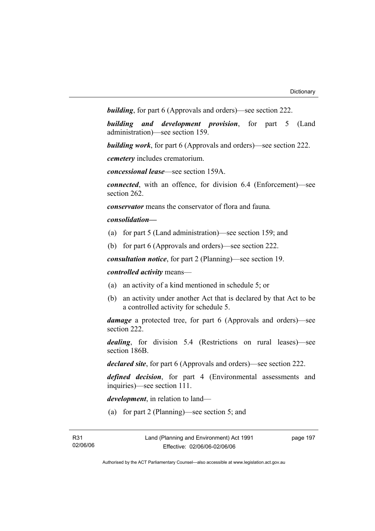*building*, for part 6 (Approvals and orders)—see section 222.

*building and development provision*, for part 5 (Land administration)—see section 159.

*building work*, for part 6 (Approvals and orders)—see section 222.

*cemetery* includes crematorium.

*concessional lease*—see section 159A.

*connected*, with an offence, for division 6.4 (Enforcement)—see section 262.

*conservator* means the conservator of flora and fauna*.*

#### *consolidation—*

- (a) for part 5 (Land administration)—see section 159; and
- (b) for part 6 (Approvals and orders)—see section 222.

*consultation notice*, for part 2 (Planning)—see section 19.

*controlled activity* means—

- (a) an activity of a kind mentioned in schedule 5; or
- (b) an activity under another Act that is declared by that Act to be a controlled activity for schedule 5.

*damage* a protected tree, for part 6 (Approvals and orders)—see section 222.

*dealing*, for division 5.4 (Restrictions on rural leases)—see section 186B.

*declared site*, for part 6 (Approvals and orders)—see section 222.

*defined decision*, for part 4 (Environmental assessments and inquiries)—see section 111.

*development*, in relation to land—

(a) for part 2 (Planning)—see section 5; and

page 197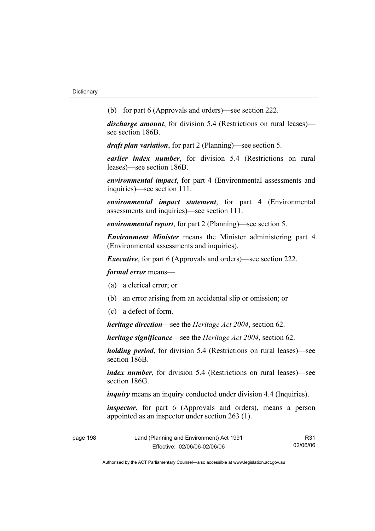(b) for part 6 (Approvals and orders)—see section 222.

*discharge amount*, for division 5.4 (Restrictions on rural leases) see section 186B.

*draft plan variation*, for part 2 (Planning)—see section 5.

*earlier index number*, for division 5.4 (Restrictions on rural leases)—see section 186B.

*environmental impact*, for part 4 (Environmental assessments and inquiries)—see section 111.

*environmental impact statement*, for part 4 (Environmental assessments and inquiries)—see section 111.

*environmental report*, for part 2 (Planning)—see section 5.

*Environment Minister* means the Minister administering part 4 (Environmental assessments and inquiries).

*Executive*, for part 6 (Approvals and orders)—see section 222.

*formal error* means—

- (a) a clerical error; or
- (b) an error arising from an accidental slip or omission; or
- (c) a defect of form.

*heritage direction*—see the *Heritage Act 2004*, section 62.

*heritage significance*—see the *Heritage Act 2004*, section 62.

*holding period*, for division 5.4 (Restrictions on rural leases)—see section 186B.

*index number*, for division 5.4 (Restrictions on rural leases)—see section 186G

*inquiry* means an inquiry conducted under division 4.4 (Inquiries).

*inspector*, for part 6 (Approvals and orders), means a person appointed as an inspector under section 263 (1).

| page 198 | Land (Planning and Environment) Act 1991 | R31      |
|----------|------------------------------------------|----------|
|          | Effective: 02/06/06-02/06/06             | 02/06/06 |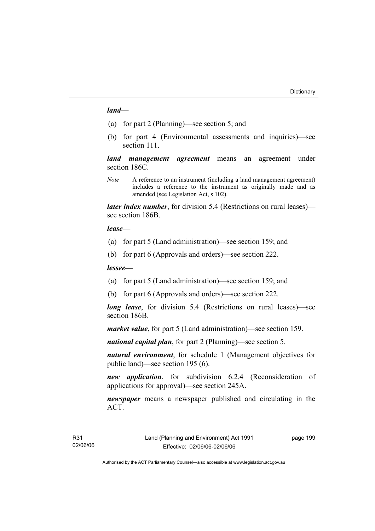#### *land*—

- (a) for part 2 (Planning)—see section 5; and
- (b) for part 4 (Environmental assessments and inquiries)—see section 111.

*land management agreement* means an agreement under section 186C.

*Note* A reference to an instrument (including a land management agreement) includes a reference to the instrument as originally made and as amended (see Legislation Act, s 102).

*later index number*, for division 5.4 (Restrictions on rural leases) see section 186B.

#### *lease—*

- (a) for part 5 (Land administration)—see section 159; and
- (b) for part 6 (Approvals and orders)—see section 222.

#### *lessee—*

- (a) for part 5 (Land administration)—see section 159; and
- (b) for part 6 (Approvals and orders)—see section 222.

*long lease*, for division 5.4 (Restrictions on rural leases)—see section 186B.

*market value*, for part 5 (Land administration)—see section 159.

*national capital plan*, for part 2 (Planning)—see section 5.

*natural environment*, for schedule 1 (Management objectives for public land)—see section 195 (6).

*new application*, for subdivision 6.2.4 (Reconsideration of applications for approval)—see section 245A.

*newspaper* means a newspaper published and circulating in the ACT.

page 199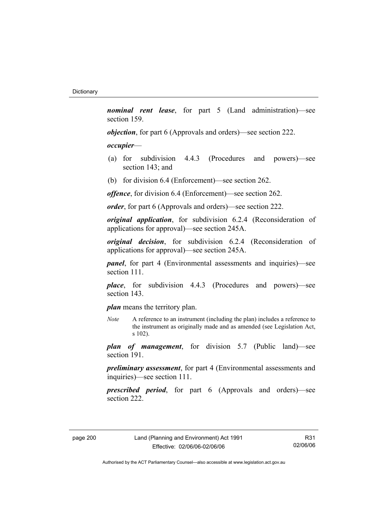*nominal rent lease*, for part 5 (Land administration)—see section 159.

*objection*, for part 6 (Approvals and orders)—see section 222.

#### *occupier*—

- (a) for subdivision 4.4.3 (Procedures and powers)—see section 143; and
- (b) for division 6.4 (Enforcement)—see section 262.

*offence*, for division 6.4 (Enforcement)—see section 262.

*order*, for part 6 (Approvals and orders)—see section 222.

*original application*, for subdivision 6.2.4 (Reconsideration of applications for approval)—see section 245A.

*original decision*, for subdivision 6.2.4 (Reconsideration of applications for approval)—see section 245A.

*panel*, for part 4 (Environmental assessments and inquiries)—see section 111.

*place*, for subdivision 4.4.3 (Procedures and powers)—see section 143.

*plan* means the territory plan.

*Note* A reference to an instrument (including the plan) includes a reference to the instrument as originally made and as amended (see Legislation Act, s 102).

*plan of management*, for division 5.7 (Public land)—see section 191.

*preliminary assessment*, for part 4 (Environmental assessments and inquiries)—see section 111.

*prescribed period*, for part 6 (Approvals and orders)—see section 222.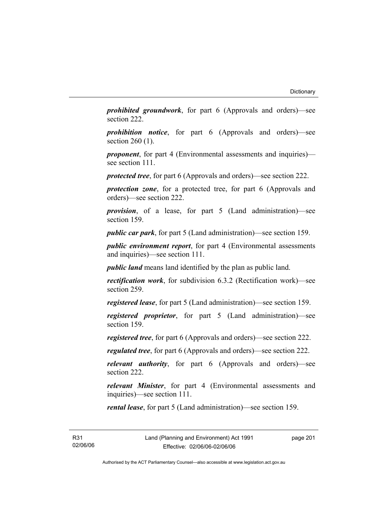*prohibited groundwork*, for part 6 (Approvals and orders)—see section 222.

*prohibition notice*, for part 6 (Approvals and orders)—see section 260 (1).

*proponent*, for part 4 (Environmental assessments and inquiries) see section 111.

*protected tree*, for part 6 (Approvals and orders)—see section 222.

*protection zone*, for a protected tree, for part 6 (Approvals and orders)—see section 222.

*provision*, of a lease, for part 5 (Land administration)—see section 159.

*public car park*, for part 5 (Land administration)—see section 159.

*public environment report*, for part 4 (Environmental assessments and inquiries)—see section 111.

*public land* means land identified by the plan as public land.

*rectification work*, for subdivision 6.3.2 (Rectification work)—see section 259.

*registered lease*, for part 5 (Land administration)—see section 159.

*registered proprietor*, for part 5 (Land administration)—see section 159.

*registered tree*, for part 6 (Approvals and orders)—see section 222.

*regulated tree*, for part 6 (Approvals and orders)—see section 222.

*relevant authority*, for part 6 (Approvals and orders)—see section 222.

*relevant Minister*, for part 4 (Environmental assessments and inquiries)—see section 111.

*rental lease*, for part 5 (Land administration)—see section 159.

R31 02/06/06 page 201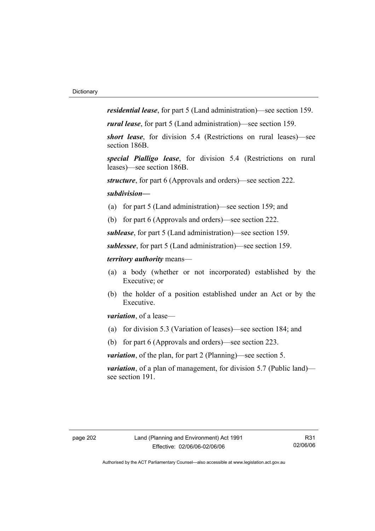*residential lease*, for part 5 (Land administration)—see section 159.

*rural lease*, for part 5 (Land administration)—see section 159.

*short lease*, for division 5.4 (Restrictions on rural leases)—see section 186B.

*special Pialligo lease*, for division 5.4 (Restrictions on rural leases)—see section 186B.

*structure*, for part 6 (Approvals and orders)—see section 222.

#### *subdivision—*

- (a) for part 5 (Land administration)—see section 159; and
- (b) for part 6 (Approvals and orders)—see section 222.

*sublease*, for part 5 (Land administration)—see section 159.

*sublessee*, for part 5 (Land administration)—see section 159.

#### *territory authority* means—

- (a) a body (whether or not incorporated) established by the Executive; or
- (b) the holder of a position established under an Act or by the Executive.

*variation*, of a lease—

- (a) for division 5.3 (Variation of leases)—see section 184; and
- (b) for part 6 (Approvals and orders)—see section 223.

*variation*, of the plan, for part 2 (Planning)—see section 5.

*variation*, of a plan of management, for division 5.7 (Public land) see section 191.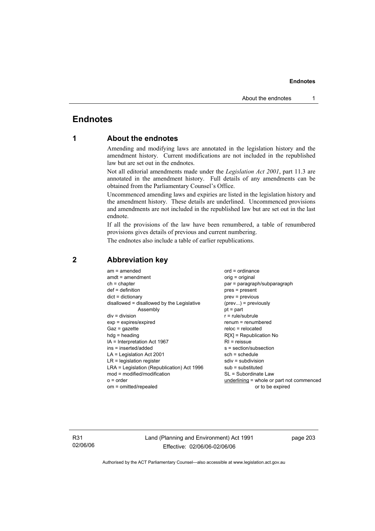# **Endnotes**

# **1 About the endnotes**

Amending and modifying laws are annotated in the legislation history and the amendment history. Current modifications are not included in the republished law but are set out in the endnotes.

Not all editorial amendments made under the *Legislation Act 2001*, part 11.3 are annotated in the amendment history. Full details of any amendments can be obtained from the Parliamentary Counsel's Office.

Uncommenced amending laws and expiries are listed in the legislation history and the amendment history. These details are underlined. Uncommenced provisions and amendments are not included in the republished law but are set out in the last endnote.

If all the provisions of the law have been renumbered, a table of renumbered provisions gives details of previous and current numbering.

The endnotes also include a table of earlier republications.

| $am = amended$                             | $ord = ordinance$                         |
|--------------------------------------------|-------------------------------------------|
| $amdt = amendment$                         | orig = original                           |
| $ch = chapter$                             | par = paragraph/subparagraph              |
| $def = definition$                         | pres = present                            |
| $dict = dictionary$                        | $prev = previous$                         |
| disallowed = disallowed by the Legislative | $(\text{prev})$ = previously              |
| Assembly                                   | $pt = part$                               |
| $div = division$                           | $r = rule/subrule$                        |
| $exp = expires/expired$                    | $renum = renumbered$                      |
| $Gaz = gazette$                            | $reloc = relocated$                       |
| $h dq =$ heading                           | $R[X]$ = Republication No                 |
| IA = Interpretation Act 1967               | $RI =$ reissue                            |
| ins = inserted/added                       | s = section/subsection                    |
| $LA =$ Legislation Act 2001                | $sch = schedule$                          |
| $LR =$ legislation register                | $sdiv = subdivision$                      |
| LRA = Legislation (Republication) Act 1996 | $sub =$ substituted                       |
| $mod = modified/modification$              | SL = Subordinate Law                      |
| $o = order$                                | underlining = whole or part not commenced |
| om = omitted/repealed                      | or to be expired                          |
|                                            |                                           |

# **2 Abbreviation key**

R31 02/06/06 Land (Planning and Environment) Act 1991 Effective: 02/06/06-02/06/06

page 203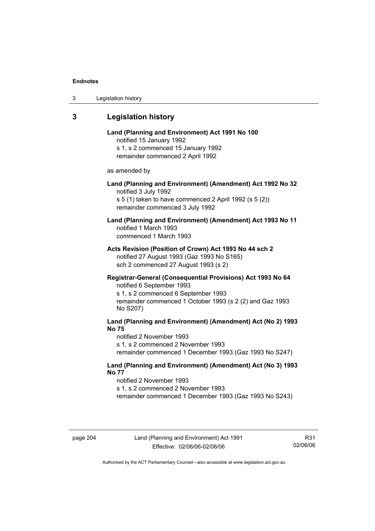| 3 | Legislation history |  |
|---|---------------------|--|
|---|---------------------|--|

# **3 Legislation history**

# **Land (Planning and Environment) Act 1991 No 100**  notified 15 January 1992 s 1, s 2 commenced 15 January 1992 remainder commenced 2 April 1992 as amended by **Land (Planning and Environment) (Amendment) Act 1992 No 32**  notified 3 July 1992 s 5 (1) taken to have commenced 2 April 1992 (s 5 (2)) remainder commenced 3 July 1992 **Land (Planning and Environment) (Amendment) Act 1993 No 11**  notified 1 March 1993 commenced 1 March 1993 **Acts Revision (Position of Crown) Act 1993 No 44 sch 2**  notified 27 August 1993 (Gaz 1993 No S165) sch 2 commenced 27 August 1993 (s 2) **Registrar-General (Consequential Provisions) Act 1993 No 64**  notified 6 September 1993 s 1, s 2 commenced 6 September 1993 remainder commenced 1 October 1993 (s 2 (2) and Gaz 1993 No S207) **Land (Planning and Environment) (Amendment) Act (No 2) 1993 No 75**  notified 2 November 1993 s 1, s 2 commenced 2 November 1993 remainder commenced 1 December 1993 (Gaz 1993 No S247)

**Land (Planning and Environment) (Amendment) Act (No 3) 1993 No 77** 

notified 2 November 1993 s 1, s 2 commenced 2 November 1993 remainder commenced 1 December 1993 (Gaz 1993 No S243)

R31 02/06/06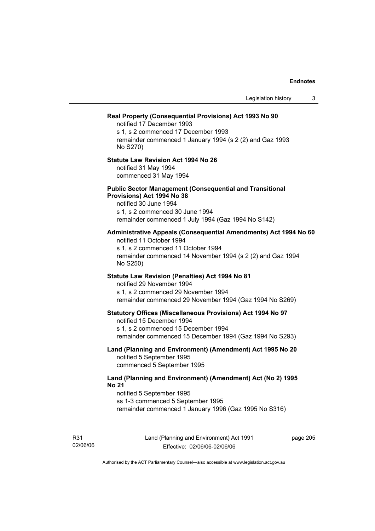|                                                                                                                                                                                                                 | Legislation history | 3 |
|-----------------------------------------------------------------------------------------------------------------------------------------------------------------------------------------------------------------|---------------------|---|
| Real Property (Consequential Provisions) Act 1993 No 90<br>notified 17 December 1993<br>s 1, s 2 commenced 17 December 1993<br>remainder commenced 1 January 1994 (s 2 (2) and Gaz 1993<br>No S270)             |                     |   |
| <b>Statute Law Revision Act 1994 No 26</b><br>notified 31 May 1994<br>commenced 31 May 1994                                                                                                                     |                     |   |
| <b>Public Sector Management (Consequential and Transitional</b><br>Provisions) Act 1994 No 38<br>notified 30 June 1994<br>s 1, s 2 commenced 30 June 1994<br>remainder commenced 1 July 1994 (Gaz 1994 No S142) |                     |   |
| Administrative Appeals (Consequential Amendments) Act 1994 No 60<br>notified 11 October 1994<br>s 1, s 2 commenced 11 October 1994<br>remainder commenced 14 November 1994 (s 2 (2) and Gaz 1994<br>No S250)    |                     |   |
| Statute Law Revision (Penalties) Act 1994 No 81<br>notified 29 November 1994<br>s 1, s 2 commenced 29 November 1994<br>remainder commenced 29 November 1994 (Gaz 1994 No S269)                                  |                     |   |
| <b>Statutory Offices (Miscellaneous Provisions) Act 1994 No 97</b><br>notified 15 December 1994<br>s 1, s 2 commenced 15 December 1994<br>remainder commenced 15 December 1994 (Gaz 1994 No S293)               |                     |   |
| Land (Planning and Environment) (Amendment) Act 1995 No 20<br>notified 5 September 1995<br>commenced 5 September 1995                                                                                           |                     |   |
| Land (Planning and Environment) (Amendment) Act (No 2) 1995<br><b>No 21</b><br>notified 5 September 1995<br>ss 1-3 commenced 5 September 1995<br>remainder commenced 1 January 1996 (Gaz 1995 No S316)          |                     |   |

R31 02/06/06 Land (Planning and Environment) Act 1991 Effective: 02/06/06-02/06/06

page 205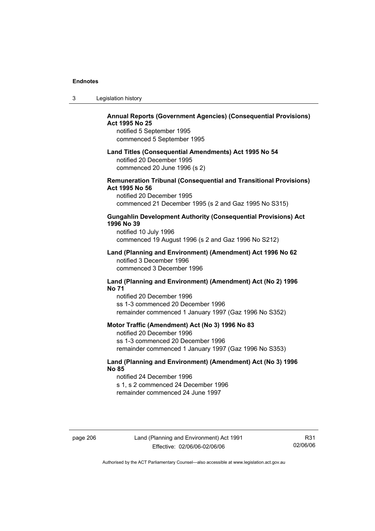| 3 | Legislation history |  |
|---|---------------------|--|
|---|---------------------|--|

# **Annual Reports (Government Agencies) (Consequential Provisions) Act 1995 No 25**

notified 5 September 1995 commenced 5 September 1995

#### **Land Titles (Consequential Amendments) Act 1995 No 54**

notified 20 December 1995 commenced 20 June 1996 (s 2)

### **Remuneration Tribunal (Consequential and Transitional Provisions) Act 1995 No 56**

notified 20 December 1995 commenced 21 December 1995 (s 2 and Gaz 1995 No S315)

### **Gungahlin Development Authority (Consequential Provisions) Act 1996 No 39**

notified 10 July 1996 commenced 19 August 1996 (s 2 and Gaz 1996 No S212)

#### **Land (Planning and Environment) (Amendment) Act 1996 No 62**  notified 3 December 1996 commenced 3 December 1996

#### **Land (Planning and Environment) (Amendment) Act (No 2) 1996 No 71**

notified 20 December 1996 ss 1-3 commenced 20 December 1996 remainder commenced 1 January 1997 (Gaz 1996 No S352)

### **Motor Traffic (Amendment) Act (No 3) 1996 No 83**

notified 20 December 1996 ss 1-3 commenced 20 December 1996 remainder commenced 1 January 1997 (Gaz 1996 No S353)

# **Land (Planning and Environment) (Amendment) Act (No 3) 1996 No 85**

notified 24 December 1996 s 1, s 2 commenced 24 December 1996 remainder commenced 24 June 1997

page 206 Land (Planning and Environment) Act 1991 Effective: 02/06/06-02/06/06

R31 02/06/06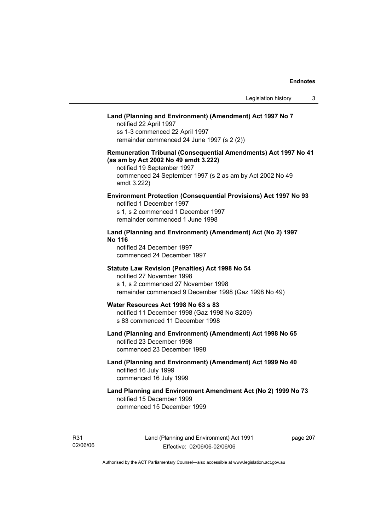# **Land (Planning and Environment) (Amendment) Act 1997 No 7**

notified 22 April 1997 ss 1-3 commenced 22 April 1997 remainder commenced 24 June 1997 (s 2 (2))

# **Remuneration Tribunal (Consequential Amendments) Act 1997 No 41 (as am by Act 2002 No 49 amdt 3.222)**

notified 19 September 1997 commenced 24 September 1997 (s 2 as am by Act 2002 No 49 amdt 3.222)

# **Environment Protection (Consequential Provisions) Act 1997 No 93**

notified 1 December 1997 s 1, s 2 commenced 1 December 1997 remainder commenced 1 June 1998

# **Land (Planning and Environment) (Amendment) Act (No 2) 1997 No 116**

notified 24 December 1997 commenced 24 December 1997

#### **Statute Law Revision (Penalties) Act 1998 No 54**

notified 27 November 1998 s 1, s 2 commenced 27 November 1998 remainder commenced 9 December 1998 (Gaz 1998 No 49)

# **Water Resources Act 1998 No 63 s 83**

notified 11 December 1998 (Gaz 1998 No S209) s 83 commenced 11 December 1998

# **Land (Planning and Environment) (Amendment) Act 1998 No 65**  notified 23 December 1998

commenced 23 December 1998

# **Land (Planning and Environment) (Amendment) Act 1999 No 40**  notified 16 July 1999 commenced 16 July 1999

# **Land Planning and Environment Amendment Act (No 2) 1999 No 73**  notified 15 December 1999 commenced 15 December 1999

R31 02/06/06 page 207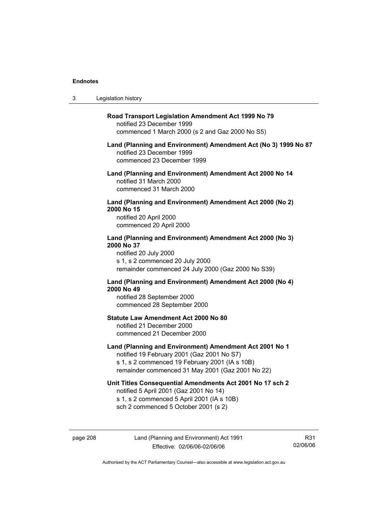$3<sub>1</sub>$ 

page 208 Land (Planning and Environment) Act 1991 Effective: 02/06/06-02/06/06

R31 02/06/06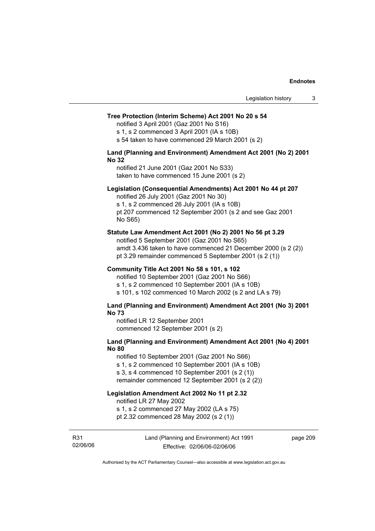#### **Tree Protection (Interim Scheme) Act 2001 No 20 s 54**

notified 3 April 2001 (Gaz 2001 No S16)

s 1, s 2 commenced 3 April 2001 (IA s 10B)

s 54 taken to have commenced 29 March 2001 (s 2)

#### **Land (Planning and Environment) Amendment Act 2001 (No 2) 2001 No 32**

notified 21 June 2001 (Gaz 2001 No S33) taken to have commenced 15 June 2001 (s 2)

#### **Legislation (Consequential Amendments) Act 2001 No 44 pt 207**

notified 26 July 2001 (Gaz 2001 No 30) s 1, s 2 commenced 26 July 2001 (IA s 10B) pt 207 commenced 12 September 2001 (s 2 and see Gaz 2001 No S65)

#### **Statute Law Amendment Act 2001 (No 2) 2001 No 56 pt 3.29**

notified 5 September 2001 (Gaz 2001 No S65) amdt 3.436 taken to have commenced 21 December 2000 (s 2 (2)) pt 3.29 remainder commenced 5 September 2001 (s 2 (1))

#### **Community Title Act 2001 No 58 s 101, s 102**

notified 10 September 2001 (Gaz 2001 No S66) s 1, s 2 commenced 10 September 2001 (IA s 10B) s 101, s 102 commenced 10 March 2002 (s 2 and LA s 79)

#### **Land (Planning and Environment) Amendment Act 2001 (No 3) 2001 No 73**

notified LR 12 September 2001 commenced 12 September 2001 (s 2)

# **Land (Planning and Environment) Amendment Act 2001 (No 4) 2001 No 80**

notified 10 September 2001 (Gaz 2001 No S66) s 1, s 2 commenced 10 September 2001 (IA s 10B) s 3, s 4 commenced 10 September 2001 (s 2 (1)) remainder commenced 12 September 2001 (s 2 (2))

# **Legislation Amendment Act 2002 No 11 pt 2.32**

notified LR 27 May 2002

s 1, s 2 commenced 27 May 2002 (LA s 75)

pt 2.32 commenced 28 May 2002 (s 2 (1))

R31 02/06/06 Land (Planning and Environment) Act 1991 Effective: 02/06/06-02/06/06

page 209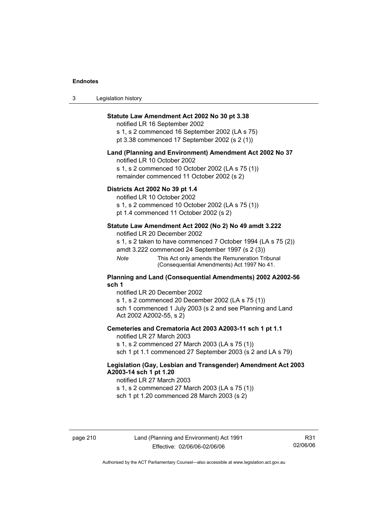| 3 | Legislation history |  |
|---|---------------------|--|
|---|---------------------|--|

# **Statute Law Amendment Act 2002 No 30 pt 3.38**

notified LR 16 September 2002 s 1, s 2 commenced 16 September 2002 (LA s 75) pt 3.38 commenced 17 September 2002 (s 2 (1))

#### **Land (Planning and Environment) Amendment Act 2002 No 37**

notified LR 10 October 2002

s 1, s 2 commenced 10 October 2002 (LA s 75 (1)) remainder commenced 11 October 2002 (s 2)

#### **Districts Act 2002 No 39 pt 1.4**

notified LR 10 October 2002

s 1, s 2 commenced 10 October 2002 (LA s 75 (1))

pt 1.4 commenced 11 October 2002 (s 2)

### **Statute Law Amendment Act 2002 (No 2) No 49 amdt 3.222**

notified LR 20 December 2002

s 1, s 2 taken to have commenced 7 October 1994 (LA s 75 (2)) amdt 3.222 commenced 24 September 1997 (s 2 (3))

*Note* This Act only amends the Remuneration Tribunal (Consequential Amendments) Act 1997 No 41.

#### **Planning and Land (Consequential Amendments) 2002 A2002-56 sch 1**

notified LR 20 December 2002 s 1, s 2 commenced 20 December 2002 (LA s 75 (1)) sch 1 commenced 1 July 2003 (s 2 and see Planning and Land Act 2002 A2002-55, s 2)

### **Cemeteries and Crematoria Act 2003 A2003-11 sch 1 pt 1.1**

notified LR 27 March 2003 s 1, s 2 commenced 27 March 2003 (LA s 75 (1)) sch 1 pt 1.1 commenced 27 September 2003 (s 2 and LA s 79)

# **Legislation (Gay, Lesbian and Transgender) Amendment Act 2003 A2003-14 sch 1 pt 1.20**

notified LR 27 March 2003 s 1, s 2 commenced 27 March 2003 (LA s 75 (1)) sch 1 pt 1.20 commenced 28 March 2003 (s 2)

R31 02/06/06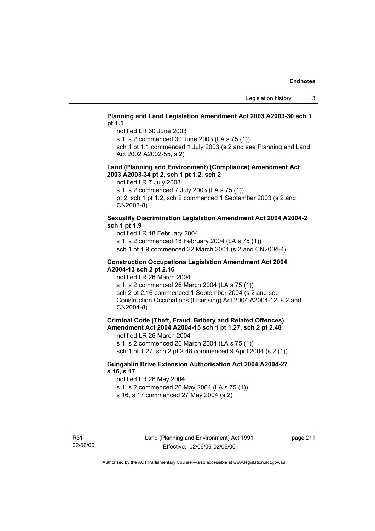# **Planning and Land Legislation Amendment Act 2003 A2003-30 sch 1 pt 1.1**

notified LR 30 June 2003

s 1, s 2 commenced 30 June 2003 (LA s 75 (1))

sch 1 pt 1.1 commenced 1 July 2003 (s 2 and see Planning and Land Act 2002 A2002-55, s 2)

#### **Land (Planning and Environment) (Compliance) Amendment Act 2003 A2003-34 pt 2, sch 1 pt 1.2, sch 2**

notified LR 7 July 2003

s 1, s 2 commenced 7 July 2003 (LA s 75 (1))

pt 2, sch 1 pt 1.2, sch 2 commenced 1 September 2003 (s 2 and CN2003-8)

# **Sexuality Discrimination Legislation Amendment Act 2004 A2004-2 sch 1 pt 1.9**

notified LR 18 February 2004

s 1, s 2 commenced 18 February 2004 (LA s 75 (1))

sch 1 pt 1.9 commenced 22 March 2004 (s 2 and CN2004-4)

#### **Construction Occupations Legislation Amendment Act 2004 A2004-13 sch 2 pt 2.16**

notified LR 26 March 2004

s 1, s 2 commenced 26 March 2004 (LA s 75 (1)) sch 2 pt 2.16 commenced 1 September 2004 (s 2 and see Construction Occupations (Licensing) Act 2004 A2004-12, s 2 and CN2004-8)

# **Criminal Code (Theft, Fraud, Bribery and Related Offences) Amendment Act 2004 A2004-15 sch 1 pt 1.27, sch 2 pt 2.48**

notified LR 26 March 2004

s 1, s 2 commenced 26 March 2004 (LA s 75 (1))

sch 1 pt 1.27, sch 2 pt 2.48 commenced 9 April 2004 (s 2 (1))

# **Gungahlin Drive Extension Authorisation Act 2004 A2004-27 s 16, s 17**

notified LR 26 May 2004

s 1, s 2 commenced 26 May 2004 (LA s 75 (1))

s 16, s 17 commenced 27 May 2004 (s 2)

page 211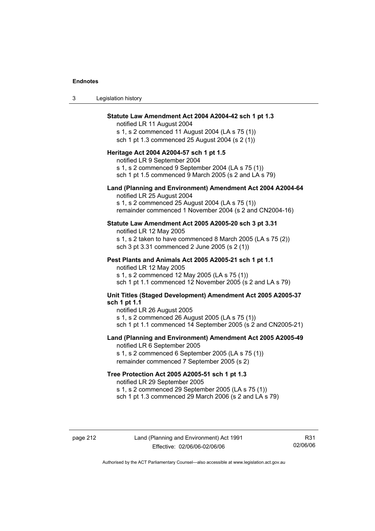| Legislation history<br>-3 |  |
|---------------------------|--|
|---------------------------|--|

#### **Statute Law Amendment Act 2004 A2004-42 sch 1 pt 1.3**

notified LR 11 August 2004 s 1, s 2 commenced 11 August 2004 (LA s 75 (1)) sch 1 pt 1.3 commenced 25 August 2004 (s 2 (1))

#### **Heritage Act 2004 A2004-57 sch 1 pt 1.5**

notified LR 9 September 2004 s 1, s 2 commenced 9 September 2004 (LA s 75 (1)) sch 1 pt 1.5 commenced 9 March 2005 (s 2 and LA s 79)

#### **Land (Planning and Environment) Amendment Act 2004 A2004-64**

notified LR 25 August 2004 s 1, s 2 commenced 25 August 2004 (LA s 75 (1)) remainder commenced 1 November 2004 (s 2 and CN2004-16)

#### **Statute Law Amendment Act 2005 A2005-20 sch 3 pt 3.31**

notified LR 12 May 2005 s 1, s 2 taken to have commenced 8 March 2005 (LA s 75 (2)) sch 3 pt 3.31 commenced 2 June 2005 (s 2 (1))

#### **Pest Plants and Animals Act 2005 A2005-21 sch 1 pt 1.1**

notified LR 12 May 2005 s 1, s 2 commenced 12 May 2005 (LA s 75 (1)) sch 1 pt 1.1 commenced 12 November 2005 (s 2 and LA s 79)

# **Unit Titles (Staged Development) Amendment Act 2005 A2005-37 sch 1 pt 1.1**

notified LR 26 August 2005 s 1, s 2 commenced 26 August 2005 (LA s 75 (1)) sch 1 pt 1.1 commenced 14 September 2005 (s 2 and CN2005-21)

#### **Land (Planning and Environment) Amendment Act 2005 A2005-49**

notified LR 6 September 2005 s 1, s 2 commenced 6 September 2005 (LA s 75 (1)) remainder commenced 7 September 2005 (s 2)

#### **Tree Protection Act 2005 A2005-51 sch 1 pt 1.3**

notified LR 29 September 2005 s 1, s 2 commenced 29 September 2005 (LA s 75 (1)) sch 1 pt 1.3 commenced 29 March 2006 (s 2 and LA s 79)

R31 02/06/06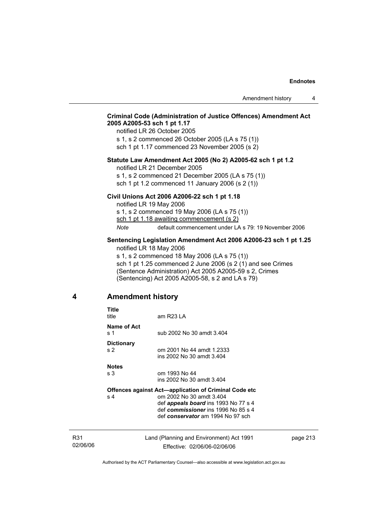# **Criminal Code (Administration of Justice Offences) Amendment Act 2005 A2005-53 sch 1 pt 1.17**

notified LR 26 October 2005 s 1, s 2 commenced 26 October 2005 (LA s 75 (1)) sch 1 pt 1.17 commenced 23 November 2005 (s 2)

#### **Statute Law Amendment Act 2005 (No 2) A2005-62 sch 1 pt 1.2**

notified LR 21 December 2005

s 1, s 2 commenced 21 December 2005 (LA s 75 (1)) sch 1 pt 1.2 commenced 11 January 2006 (s 2 (1))

#### **Civil Unions Act 2006 A2006-22 sch 1 pt 1.18**

notified LR 19 May 2006 s 1, s 2 commenced 19 May 2006 (LA s 75 (1)) sch 1 pt 1.18 awaiting commencement (s 2) *Note* default commencement under LA s 79: 19 November 2006

#### **Sentencing Legislation Amendment Act 2006 A2006-23 sch 1 pt 1.25**  notified LR 18 May 2006

s 1, s 2 commenced 18 May 2006 (LA s 75 (1)) sch 1 pt 1.25 commenced 2 June 2006 (s 2 (1) and see Crimes (Sentence Administration) Act 2005 A2005-59 s 2, Crimes (Sentencing) Act 2005 A2005-58, s 2 and LA s 79)

# **4 Amendment history**

| Title<br>title                      | am R23 LA                                                                                                                                                                                                           |
|-------------------------------------|---------------------------------------------------------------------------------------------------------------------------------------------------------------------------------------------------------------------|
| Name of Act<br>s 1                  | sub 2002 No 30 amdt 3.404                                                                                                                                                                                           |
| <b>Dictionary</b><br>s <sub>2</sub> | om 2001 No 44 amdt 1.2333<br>ins 2002 No 30 amdt 3.404                                                                                                                                                              |
| <b>Notes</b><br>s <sub>3</sub>      | om 1993 No 44<br>ins 2002 No 30 amdt 3.404                                                                                                                                                                          |
| s <sub>4</sub>                      | <b>Offences against Act—application of Criminal Code etc</b><br>om 2002 No 30 amdt 3.404<br>def <i>appeals board</i> ins 1993 No 77 s 4<br>def commissioner ins 1996 No 85 s 4<br>def conservator am 1994 No 97 sch |
|                                     |                                                                                                                                                                                                                     |

R31 02/06/06 Land (Planning and Environment) Act 1991 Effective: 02/06/06-02/06/06

page 213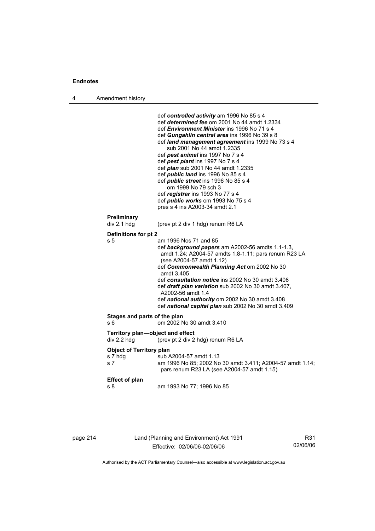| Amendment history<br>л |  |
|------------------------|--|
|------------------------|--|

| Preliminary<br>div 2.1 hdg<br>(prev pt 2 div 1 hdg) renum R6 LA<br>Definitions for pt 2<br>s 5<br>am 1996 Nos 71 and 85<br>def background papers am A2002-56 amdts 1.1-1.3,<br>amdt 1.24; A2004-57 amdts 1.8-1.11; pars renum R23 LA<br>(see A2004-57 amdt 1.12)<br>def Commonwealth Planning Act om 2002 No 30<br>amdt 3.405<br>def consultation notice ins 2002 No 30 amdt 3.406<br>def draft plan variation sub 2002 No 30 amdt 3.407,<br>A2002-56 amdt 1.4<br>def national authority om 2002 No 30 amdt 3.408<br>def national capital plan sub 2002 No 30 amdt 3.409<br>Stages and parts of the plan<br>om 2002 No 30 amdt 3.410<br>s 6<br>Territory plan-object and effect<br>div 2.2 hdg<br>(prev pt 2 div 2 hdg) renum R6 LA<br><b>Object of Territory plan</b><br>s 7 hdg<br>sub A2004-57 amdt 1.13<br>s 7<br>pars renum R23 LA (see A2004-57 amdt 1.15)<br><b>Effect of plan</b><br>am 1993 No 77; 1996 No 85<br>s 8 |  | def controlled activity am 1996 No 85 s 4<br>def determined fee om 2001 No 44 amdt 1.2334<br>def <i>Environment Minister</i> ins 1996 No 71 s 4<br>def Gungahlin central area ins 1996 No 39 s 8<br>def land management agreement ins 1999 No 73 s 4<br>sub 2001 No 44 amdt 1.2335<br>def pest animal ins 1997 No 7 s 4<br>def pest plant ins 1997 No 7 s 4<br>def <i>plan</i> sub 2001 No 44 amdt 1.2335<br>def <i>public land</i> ins 1996 No 85 s 4<br>def <i>public</i> street ins 1996 No 85 s 4<br>om 1999 No 79 sch 3<br>def registrar ins 1993 No 77 s 4<br>def <i>public</i> works om 1993 No 75 s 4<br>pres s 4 ins A2003-34 amdt 2.1 |
|-------------------------------------------------------------------------------------------------------------------------------------------------------------------------------------------------------------------------------------------------------------------------------------------------------------------------------------------------------------------------------------------------------------------------------------------------------------------------------------------------------------------------------------------------------------------------------------------------------------------------------------------------------------------------------------------------------------------------------------------------------------------------------------------------------------------------------------------------------------------------------------------------------------------------------|--|-------------------------------------------------------------------------------------------------------------------------------------------------------------------------------------------------------------------------------------------------------------------------------------------------------------------------------------------------------------------------------------------------------------------------------------------------------------------------------------------------------------------------------------------------------------------------------------------------------------------------------------------------|
|                                                                                                                                                                                                                                                                                                                                                                                                                                                                                                                                                                                                                                                                                                                                                                                                                                                                                                                               |  |                                                                                                                                                                                                                                                                                                                                                                                                                                                                                                                                                                                                                                                 |
|                                                                                                                                                                                                                                                                                                                                                                                                                                                                                                                                                                                                                                                                                                                                                                                                                                                                                                                               |  |                                                                                                                                                                                                                                                                                                                                                                                                                                                                                                                                                                                                                                                 |
|                                                                                                                                                                                                                                                                                                                                                                                                                                                                                                                                                                                                                                                                                                                                                                                                                                                                                                                               |  |                                                                                                                                                                                                                                                                                                                                                                                                                                                                                                                                                                                                                                                 |
|                                                                                                                                                                                                                                                                                                                                                                                                                                                                                                                                                                                                                                                                                                                                                                                                                                                                                                                               |  |                                                                                                                                                                                                                                                                                                                                                                                                                                                                                                                                                                                                                                                 |
|                                                                                                                                                                                                                                                                                                                                                                                                                                                                                                                                                                                                                                                                                                                                                                                                                                                                                                                               |  |                                                                                                                                                                                                                                                                                                                                                                                                                                                                                                                                                                                                                                                 |
|                                                                                                                                                                                                                                                                                                                                                                                                                                                                                                                                                                                                                                                                                                                                                                                                                                                                                                                               |  |                                                                                                                                                                                                                                                                                                                                                                                                                                                                                                                                                                                                                                                 |
|                                                                                                                                                                                                                                                                                                                                                                                                                                                                                                                                                                                                                                                                                                                                                                                                                                                                                                                               |  | am 1996 No 85; 2002 No 30 amdt 3.411; A2004-57 amdt 1.14;                                                                                                                                                                                                                                                                                                                                                                                                                                                                                                                                                                                       |
|                                                                                                                                                                                                                                                                                                                                                                                                                                                                                                                                                                                                                                                                                                                                                                                                                                                                                                                               |  |                                                                                                                                                                                                                                                                                                                                                                                                                                                                                                                                                                                                                                                 |

| page 214 |  |  |
|----------|--|--|
|----------|--|--|

page 214 Land (Planning and Environment) Act 1991 Effective: 02/06/06-02/06/06

R31 02/06/06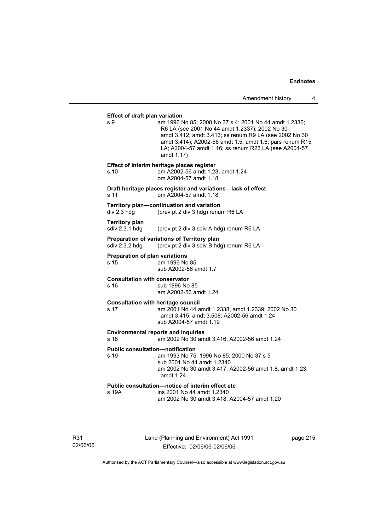#### **Effect of draft plan variation**

s 9 am 1996 No 85; 2000 No 37 s 4; 2001 No 44 amdt 1.2336; R6 LA (see 2001 No 44 amdt 1.2337); 2002 No 30 amdt 3.412, amdt 3.413; ss renum R9 LA (see 2002 No 30 amdt 3.414); A2002-56 amdt 1.5, amdt 1.6; pars renum R15 LA; A2004-57 amdt 1.16; ss renum R23 LA (see A2004-57 amdt 1.17) **Effect of interim heritage places register**  s 10 am A2002-56 amdt 1.23, amdt 1.24 om A2004-57 amdt 1.18 **Draft heritage places register and variations—lack of effect**  s 11 om A2004-57 amdt 1.18 **Territory plan—continuation and variation**  div 2.3 hdg (prev pt 2 div 3 hdg) renum R6 LA **Territory plan**  sdiv 2.3.1 hdg (prev pt 2 div 3 sdiv A hdg) renum R6 LA **Preparation of variations of Territory plan**  sdiv 2.3.2 hdg (prev pt 2 div 3 sdiv B hdg) renum R6 LA **Preparation of plan variations**  s 15 am 1996 No 85 sub A2002-56 amdt 1.7 **Consultation with conservator**  s 16 sub 1996 No 85 am A2002-56 amdt 1.24 **Consultation with heritage council**  s 17 am 2001 No 44 amdt 1.2338, amdt 1.2339; 2002 No 30 amdt 3.415, amdt 3.508; A2002-56 amdt 1.24 sub A2004-57 amdt 1.19 **Environmental reports and inquiries**  s 18 am 2002 No 30 amdt 3.416; A2002-56 amdt 1.24 **Public consultation—notification**  s 19 am 1993 No 75; 1996 No 85; 2000 No 37 s 5 sub 2001 No 44 amdt 1.2340 am 2002 No 30 amdt 3.417; A2002-56 amdt 1.8, amdt 1.23, amdt 1.24 **Public consultation—notice of interim effect etc**  s 19A ins 2001 No 44 amdt 1.2340 am 2002 No 30 amdt 3.418; A2004-57 amdt 1.20

R31 02/06/06 Land (Planning and Environment) Act 1991 Effective: 02/06/06-02/06/06

page 215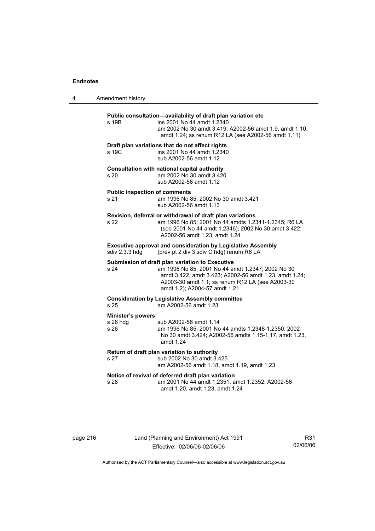| 4 | Amendment history                            |                                                                                                                                                                                                                                                     |
|---|----------------------------------------------|-----------------------------------------------------------------------------------------------------------------------------------------------------------------------------------------------------------------------------------------------------|
|   | s 19B                                        | Public consultation-availability of draft plan variation etc<br>ins 2001 No 44 amdt 1.2340<br>am 2002 No 30 amdt 3.419; A2002-56 amdt 1.9, amdt 1.10,<br>amdt 1.24; ss renum R12 LA (see A2002-56 amdt 1.11)                                        |
|   | s 19C                                        | Draft plan variations that do not affect rights<br>ins 2001 No 44 amdt 1.2340<br>sub A2002-56 amdt 1.12                                                                                                                                             |
|   | s 20                                         | Consultation with national capital authority<br>am 2002 No 30 amdt 3.420<br>sub A2002-56 amdt 1.12                                                                                                                                                  |
|   | <b>Public inspection of comments</b><br>s 21 | am 1996 No 85; 2002 No 30 amdt 3.421<br>sub A2002-56 amdt 1.13                                                                                                                                                                                      |
|   | s 22                                         | Revision, deferral or withdrawal of draft plan variations<br>am 1996 No 85; 2001 No 44 amdts 1.2341-1.2345; R6 LA<br>(see 2001 No 44 amdt 1.2346); 2002 No 30 amdt 3.422;<br>A2002-56 amdt 1.23, amdt 1.24                                          |
|   | sdiv 2.3.3 hdg                               | <b>Executive approval and consideration by Legislative Assembly</b><br>(prev pt 2 div 3 sdiv C hdg) renum R6 LA                                                                                                                                     |
|   | s 24                                         | Submission of draft plan variation to Executive<br>am 1996 No 85; 2001 No 44 amdt 1.2347; 2002 No 30<br>amdt 3.422, amdt 3.423; A2002-56 amdt 1.23, amdt 1.24;<br>A2003-30 amdt 1.1; ss renum R12 LA (see A2003-30<br>amdt 1.2); A2004-57 amdt 1.21 |
|   | s 25                                         | <b>Consideration by Legislative Assembly committee</b><br>am A2002-56 amdt 1.23                                                                                                                                                                     |
|   | Minister's powers<br>$s$ 26 hdg<br>s 26      | sub A2002-56 amdt 1.14<br>am 1996 No 85; 2001 No 44 amdts 1.2348-1.2350; 2002<br>No 30 amdt 3.424; A2002-56 amdts 1.15-1.17, amdt 1.23,<br>amdt 1.24                                                                                                |
|   | s 27                                         | Return of draft plan variation to authority<br>sub 2002 No 30 amdt 3.425<br>am A2002-56 amdt 1.18, amdt 1.19, amdt 1.23                                                                                                                             |
|   | s 28                                         | Notice of revival of deferred draft plan variation<br>am 2001 No 44 amdt 1.2351, amdt 1.2352; A2002-56<br>amdt 1.20, amdt 1.23, amdt 1.24                                                                                                           |

# page 216 Land (Planning and Environment) Act 1991 Effective: 02/06/06-02/06/06

R31 02/06/06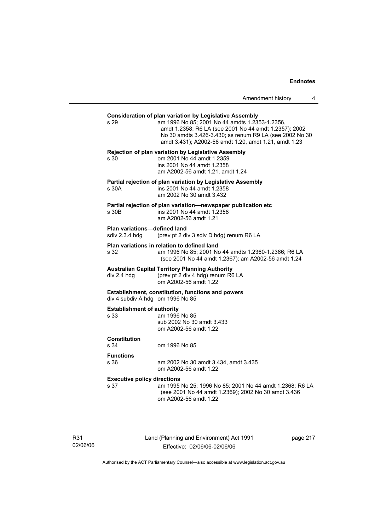| Amendment history |  |
|-------------------|--|
|-------------------|--|

| s <sub>29</sub>                                                                       | <b>Consideration of plan variation by Legislative Assembly</b><br>am 1996 No 85; 2001 No 44 amdts 1.2353-1.2356,<br>amdt 1.2358; R6 LA (see 2001 No 44 amdt 1.2357); 2002<br>No 30 amdts 3.426-3.430; ss renum R9 LA (see 2002 No 30<br>amdt 3.431); A2002-56 amdt 1.20, amdt 1.21, amdt 1.23 |  |  |
|---------------------------------------------------------------------------------------|-----------------------------------------------------------------------------------------------------------------------------------------------------------------------------------------------------------------------------------------------------------------------------------------------|--|--|
| s 30                                                                                  | <b>Rejection of plan variation by Legislative Assembly</b><br>om 2001 No 44 amdt 1.2359<br>ins 2001 No 44 amdt 1.2358<br>am A2002-56 amdt 1.21, amdt 1.24                                                                                                                                     |  |  |
| s 30A                                                                                 | Partial rejection of plan variation by Legislative Assembly<br>ins 2001 No 44 amdt 1.2358<br>am 2002 No 30 amdt 3.432                                                                                                                                                                         |  |  |
| s 30B                                                                                 | Partial rejection of plan variation-newspaper publication etc<br>ins 2001 No 44 amdt 1.2358<br>am A2002-56 amdt 1.21                                                                                                                                                                          |  |  |
| <b>Plan variations-defined land</b><br>sdiv 2.3.4 hdg                                 | (prev pt 2 div 3 sdiv D hdg) renum R6 LA                                                                                                                                                                                                                                                      |  |  |
| s 32                                                                                  | Plan variations in relation to defined land<br>am 1996 No 85; 2001 No 44 amdts 1.2360-1.2366; R6 LA<br>(see 2001 No 44 amdt 1.2367); am A2002-56 amdt 1.24                                                                                                                                    |  |  |
| div 2.4 hdg                                                                           | <b>Australian Capital Territory Planning Authority</b><br>(prev pt 2 div 4 hdg) renum R6 LA<br>om A2002-56 amdt 1.22                                                                                                                                                                          |  |  |
| Establishment, constitution, functions and powers<br>div 4 subdiv A hdg om 1996 No 85 |                                                                                                                                                                                                                                                                                               |  |  |
| <b>Establishment of authority</b><br>s 33                                             | am 1996 No 85<br>sub 2002 No 30 amdt 3.433<br>om A2002-56 amdt 1.22                                                                                                                                                                                                                           |  |  |
| <b>Constitution</b><br>s 34                                                           | om 1996 No 85                                                                                                                                                                                                                                                                                 |  |  |
| <b>Functions</b><br>s 36                                                              | am 2002 No 30 amdt 3.434, amdt 3.435<br>om A2002-56 amdt 1.22                                                                                                                                                                                                                                 |  |  |
| <b>Executive policy directions</b><br>s 37                                            | am 1995 No 25; 1996 No 85; 2001 No 44 amdt 1.2368; R6 LA<br>(see 2001 No 44 amdt 1.2369); 2002 No 30 amdt 3.436<br>om A2002-56 amdt 1.22                                                                                                                                                      |  |  |
|                                                                                       |                                                                                                                                                                                                                                                                                               |  |  |

R31 02/06/06 Land (Planning and Environment) Act 1991 Effective: 02/06/06-02/06/06

page 217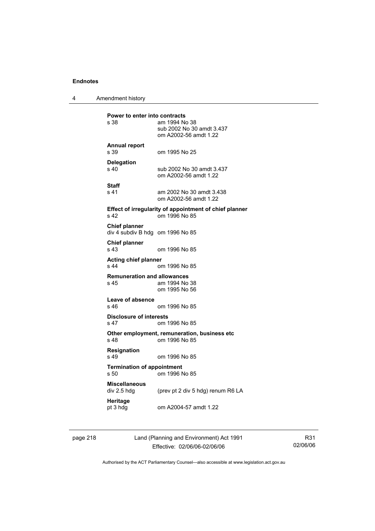4 Amendment history

**Power to enter into contracts**<br>s 38 am 1994 No am 1994 No 38 sub 2002 No 30 amdt 3.437 om A2002-56 amdt 1.22 **Annual report**  s 39 om 1995 No 25 **Delegation**  sub 2002 No 30 amdt 3.437 om A2002-56 amdt 1.22 **Staff**  s 41 am 2002 No 30 amdt 3.438 om A2002-56 amdt 1.22 **Effect of irregularity of appointment of chief planner**  s 42 om 1996 No 85 **Chief planner**  div 4 subdiv B hdg om 1996 No 85 **Chief planner**  s 43 om 1996 No 85 **Acting chief planner**  om 1996 No 85 **Remuneration and allowances**  s 45 am 1994 No 38 om 1995 No 56 **Leave of absence**  om 1996 No 85 **Disclosure of interests**  s 47 om 1996 No 85 **Other employment, remuneration, business etc**  s 48 om 1996 No 85 **Resignation**  s 49 om 1996 No 85 **Termination of appointment**  s 50 om 1996 No 85 **Miscellaneous**  (prev pt 2 div 5 hdg) renum R6 LA **Heritage**<br>pt 3 hdg om A2004-57 amdt 1.22

page 218 Land (Planning and Environment) Act 1991 Effective: 02/06/06-02/06/06

R31 02/06/06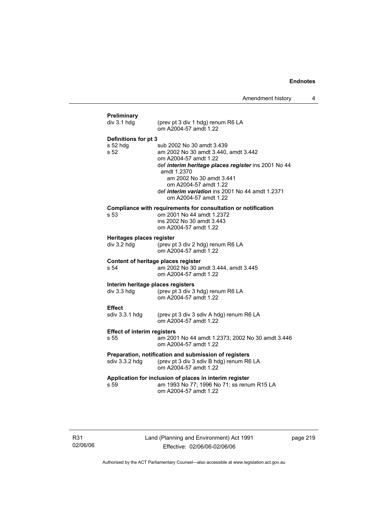| div 3.1 hdg                        | (prev pt 3 div 1 hdg) renum R6 LA                                                                                                                         |
|------------------------------------|-----------------------------------------------------------------------------------------------------------------------------------------------------------|
|                                    | om A2004-57 amdt 1.22                                                                                                                                     |
| Definitions for pt 3               |                                                                                                                                                           |
| s 52 hdg                           | sub 2002 No 30 amdt 3.439                                                                                                                                 |
| s <sub>52</sub>                    | am 2002 No 30 amdt 3.440, amdt 3.442                                                                                                                      |
|                                    | om A2004-57 amdt 1.22                                                                                                                                     |
|                                    | def interim heritage places register ins 2001 No 44<br>amdt 1.2370                                                                                        |
|                                    | am 2002 No 30 amdt 3.441                                                                                                                                  |
|                                    | om A2004-57 amdt 1.22                                                                                                                                     |
|                                    | def interim variation ins 2001 No 44 amdt 1.2371                                                                                                          |
|                                    | om A2004-57 amdt 1.22                                                                                                                                     |
|                                    | Compliance with requirements for consultation or notification                                                                                             |
| s 53                               | om 2001 No 44 amdt 1.2372                                                                                                                                 |
|                                    | ins 2002 No 30 amdt 3.443<br>om A2004-57 amdt 1.22                                                                                                        |
|                                    |                                                                                                                                                           |
| Heritages places register          |                                                                                                                                                           |
| div 3.2 hdg                        | (prev pt 3 div 2 hdg) renum R6 LA<br>om A2004-57 amdt 1.22                                                                                                |
|                                    | Content of heritage places register                                                                                                                       |
| s <sub>54</sub>                    | am 2002 No 30 amdt 3.444, amdt 3.445                                                                                                                      |
|                                    | om A2004-57 amdt 1.22                                                                                                                                     |
|                                    | Interim heritage places registers                                                                                                                         |
|                                    |                                                                                                                                                           |
| div 3.3 hdg                        | (prev pt 3 div 3 hdg) renum R6 LA                                                                                                                         |
|                                    | om A2004-57 amdt 1.22                                                                                                                                     |
| <b>Effect</b>                      |                                                                                                                                                           |
| sdiv 3.3.1 hdg                     | (prev pt 3 div 3 sdiv A hdg) renum R6 LA<br>om A2004-57 amdt 1.22                                                                                         |
| <b>Effect of interim registers</b> |                                                                                                                                                           |
| s 55                               | om A2004-57 amdt 1.22                                                                                                                                     |
|                                    | Preparation, notification and submission of registers                                                                                                     |
| sdiv 3.3.2 hdg                     | (prev pt 3 div 3 sdiv B hdg) renum R6 LA                                                                                                                  |
|                                    | om A2004-57 amdt 1.22                                                                                                                                     |
| s 59                               | am 2001 No 44 amdt 1.2373; 2002 No 30 amdt 3.446<br>Application for inclusion of places in interim register<br>am 1993 No 77; 1996 No 71; ss renum R15 LA |

R31 02/06/06 Land (Planning and Environment) Act 1991 Effective: 02/06/06-02/06/06

page 219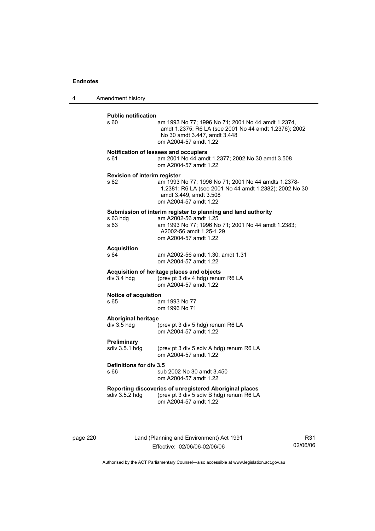4 Amendment history

| <b>Public notification</b><br>s 60.       | am 1993 No 77; 1996 No 71; 2001 No 44 amdt 1.2374,<br>amdt 1.2375; R6 LA (see 2001 No 44 amdt 1.2376); 2002<br>No 30 amdt 3.447, amdt 3.448<br>om A2004-57 amdt 1.22                             |
|-------------------------------------------|--------------------------------------------------------------------------------------------------------------------------------------------------------------------------------------------------|
| s 61                                      | Notification of lessees and occupiers<br>am 2001 No 44 amdt 1.2377; 2002 No 30 amdt 3.508<br>om A2004-57 amdt 1.22                                                                               |
| Revision of interim register<br>s 62      | am 1993 No 77; 1996 No 71; 2001 No 44 amdts 1.2378-<br>1.2381; R6 LA (see 2001 No 44 amdt 1.2382); 2002 No 30<br>amdt 3.449, amdt 3.508<br>om A2004-57 amdt 1.22                                 |
| s 63 hdg<br>s 63                          | Submission of interim register to planning and land authority<br>am A2002-56 amdt 1.25<br>am 1993 No 77; 1996 No 71; 2001 No 44 amdt 1.2383;<br>A2002-56 amdt 1.25-1.29<br>om A2004-57 amdt 1.22 |
| <b>Acquisition</b><br>s 64                | am A2002-56 amdt 1.30, amdt 1.31<br>om A2004-57 amdt 1.22                                                                                                                                        |
| div 3.4 hdg                               | Acquisition of heritage places and objects<br>(prev pt 3 div 4 hdg) renum R6 LA<br>om A2004-57 amdt 1.22                                                                                         |
| Notice of acquistion<br>s 65              | am 1993 No 77<br>om 1996 No 71                                                                                                                                                                   |
| <b>Aboriginal heritage</b><br>div 3.5 hdg | (prev pt 3 div 5 hdg) renum R6 LA<br>om A2004-57 amdt 1.22                                                                                                                                       |
| Preliminary<br>sdiv 3.5.1 hdg             | (prev pt 3 div 5 sdiv A hdg) renum R6 LA<br>om A2004-57 amdt 1.22                                                                                                                                |
| Definitions for div 3.5<br>s 66           | sub 2002 No 30 amdt 3.450<br>om A2004-57 amdt 1.22                                                                                                                                               |
| sdiv 3.5.2 hdg                            | Reporting discoveries of unregistered Aboriginal places<br>(prev pt 3 div 5 sdiv B hdg) renum R6 LA<br>om A2004-57 amdt 1.22                                                                     |
|                                           |                                                                                                                                                                                                  |

page 220 Land (Planning and Environment) Act 1991 Effective: 02/06/06-02/06/06

R31 02/06/06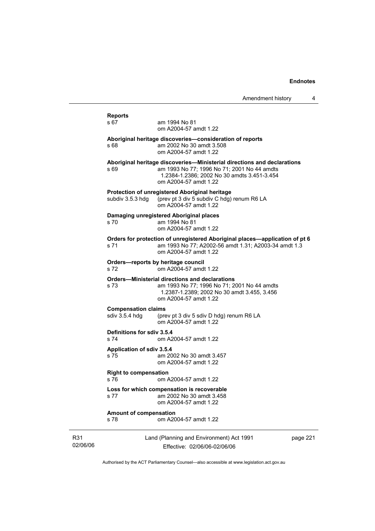|                 | <b>Reports</b>                                                                                                                                                                       |                                                                                                                                                                                                |          |  |
|-----------------|--------------------------------------------------------------------------------------------------------------------------------------------------------------------------------------|------------------------------------------------------------------------------------------------------------------------------------------------------------------------------------------------|----------|--|
|                 | s 67                                                                                                                                                                                 | am 1994 No 81<br>om A2004-57 amdt 1.22                                                                                                                                                         |          |  |
|                 | s 68                                                                                                                                                                                 | Aboriginal heritage discoveries-consideration of reports<br>am 2002 No 30 amdt 3.508<br>om A2004-57 amdt 1.22                                                                                  |          |  |
|                 | s 69                                                                                                                                                                                 | Aboriginal heritage discoveries—Ministerial directions and declarations<br>am 1993 No 77; 1996 No 71; 2001 No 44 amdts<br>1.2384-1.2386; 2002 No 30 amdts 3.451-3.454<br>om A2004-57 amdt 1.22 |          |  |
|                 | subdiv 3.5.3 hdg                                                                                                                                                                     | Protection of unregistered Aboriginal heritage<br>(prev pt 3 div 5 subdiv C hdg) renum R6 LA<br>om A2004-57 amdt 1.22                                                                          |          |  |
|                 | s 70                                                                                                                                                                                 | Damaging unregistered Aboriginal places<br>am 1994 No 81<br>om A2004-57 amdt 1.22                                                                                                              |          |  |
|                 | s 71                                                                                                                                                                                 | Orders for protection of unregistered Aboriginal places-application of pt 6<br>am 1993 No 77; A2002-56 amdt 1.31; A2003-34 amdt 1.3<br>om A2004-57 amdt 1.22                                   |          |  |
|                 | Orders-reports by heritage council<br>om A2004-57 amdt 1.22<br>s 72                                                                                                                  |                                                                                                                                                                                                |          |  |
|                 | <b>Orders-Ministerial directions and declarations</b><br>s 73<br>am 1993 No 77; 1996 No 71; 2001 No 44 amdts<br>1.2387-1.2389; 2002 No 30 amdt 3.455, 3.456<br>om A2004-57 amdt 1.22 |                                                                                                                                                                                                |          |  |
|                 | <b>Compensation claims</b><br>sdiv 3.5.4 hdg                                                                                                                                         | (prev pt 3 div 5 sdiv D hdg) renum R6 LA<br>om A2004-57 amdt 1.22                                                                                                                              |          |  |
|                 | Definitions for sdiv 3.5.4<br>s 74                                                                                                                                                   | om A2004-57 amdt 1.22                                                                                                                                                                          |          |  |
|                 | Application of sdiv 3.5.4<br>s 75                                                                                                                                                    | am 2002 No 30 amdt 3.457<br>om A2004-57 amdt 1.22                                                                                                                                              |          |  |
|                 | <b>Right to compensation</b><br>s 76                                                                                                                                                 | om A2004-57 amdt 1.22                                                                                                                                                                          |          |  |
|                 | Loss for which compensation is recoverable<br>am 2002 No 30 amdt 3.458<br>s 77<br>om A2004-57 amdt 1.22                                                                              |                                                                                                                                                                                                |          |  |
|                 | <b>Amount of compensation</b><br>s 78                                                                                                                                                | om A2004-57 amdt 1.22                                                                                                                                                                          |          |  |
| R31<br>02/06/06 |                                                                                                                                                                                      | Land (Planning and Environment) Act 1991<br>Effective: 02/06/06-02/06/06                                                                                                                       | page 221 |  |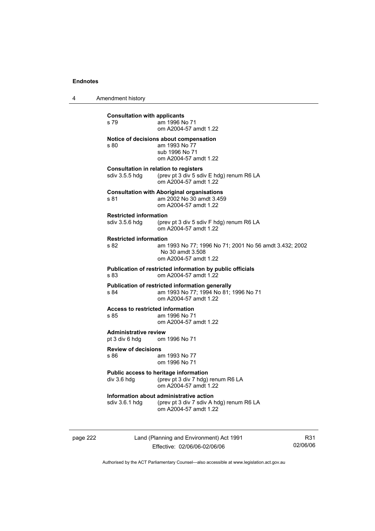4 Amendment history

| <b>Consultation with applicants</b><br>s 79                  | am 1996 No 71<br>om A2004-57 amdt 1.22                                                                            |  |  |  |  |
|--------------------------------------------------------------|-------------------------------------------------------------------------------------------------------------------|--|--|--|--|
| s 80                                                         | Notice of decisions about compensation<br>am 1993 No 77<br>sub 1996 No 71<br>om A2004-57 amdt 1.22                |  |  |  |  |
| sdiv 3.5.5 hdg                                               | <b>Consultation in relation to registers</b><br>(prev pt 3 div 5 sdiv E hdg) renum R6 LA<br>om A2004-57 amdt 1.22 |  |  |  |  |
| s 81                                                         | <b>Consultation with Aboriginal organisations</b><br>am 2002 No 30 amdt 3.459<br>om A2004-57 amdt 1.22            |  |  |  |  |
| <b>Restricted information</b>                                | sdiv 3.5.6 hdg (prev pt 3 div 5 sdiv F hdg) renum R6 LA<br>om A2004-57 amdt 1.22                                  |  |  |  |  |
| <b>Restricted information</b><br>s 82                        | am 1993 No 77; 1996 No 71; 2001 No 56 amdt 3.432; 2002<br>No 30 amdt 3.508<br>om A2004-57 amdt 1.22               |  |  |  |  |
| s 83                                                         | Publication of restricted information by public officials<br>om A2004-57 amdt 1.22                                |  |  |  |  |
| s 84                                                         | Publication of restricted information generally<br>am 1993 No 77; 1994 No 81; 1996 No 71<br>om A2004-57 amdt 1.22 |  |  |  |  |
| <b>Access to restricted information</b><br>s 85              | am 1996 No 71<br>om A2004-57 amdt 1.22                                                                            |  |  |  |  |
| <b>Administrative review</b><br>pt 3 div 6 hdg om 1996 No 71 |                                                                                                                   |  |  |  |  |
| <b>Review of decisions</b><br>s 86                           | am 1993 No 77<br>om 1996 No 71                                                                                    |  |  |  |  |
| div 3.6 hdg                                                  | Public access to heritage information<br>(prev pt 3 div 7 hdg) renum R6 LA<br>om A2004-57 amdt 1.22               |  |  |  |  |
| sdiv 3.6.1 hdg                                               | Information about administrative action<br>(prev pt 3 div 7 sdiv A hdg) renum R6 LA<br>om A2004-57 amdt 1.22      |  |  |  |  |
|                                                              |                                                                                                                   |  |  |  |  |

page 222 Land (Planning and Environment) Act 1991 Effective: 02/06/06-02/06/06

R31 02/06/06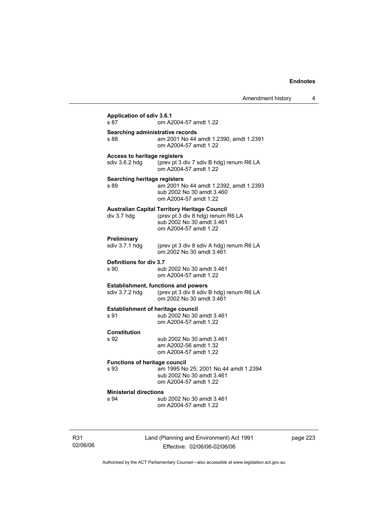| Amendment history |  |
|-------------------|--|
|-------------------|--|

| <b>Application of sdiv 3.6.1</b><br>s 87              | om A2004-57 amdt 1.22                                                                                                                           |
|-------------------------------------------------------|-------------------------------------------------------------------------------------------------------------------------------------------------|
| Searching administrative records                      |                                                                                                                                                 |
| s 88                                                  | am 2001 No 44 amdt 1.2390, amdt 1.2391<br>om A2004-57 amdt 1.22                                                                                 |
| <b>Access to heritage registers</b><br>sdiv 3.6.2 hdg | (prev pt 3 div 7 sdiv B hdg) renum R6 LA<br>om A2004-57 amdt 1.22                                                                               |
| <b>Searching heritage registers</b><br>s 89           | am 2001 No 44 amdt 1.2392, amdt 1.2393<br>sub 2002 No 30 amdt 3.460<br>om A2004-57 amdt 1.22                                                    |
| div 3.7 hdg                                           | <b>Australian Capital Territory Heritage Council</b><br>(prev pt 3 div 8 hdg) renum R6 LA<br>sub 2002 No 30 amdt 3.461<br>om A2004-57 amdt 1.22 |
| Preliminary<br>sdiv 3.7.1 hdg                         | (prev pt 3 div 8 sdiv A hdg) renum R6 LA<br>om 2002 No 30 amdt 3.461                                                                            |
| Definitions for div 3.7<br>s 90                       | sub 2002 No 30 amdt 3.461<br>om A2004-57 amdt 1.22                                                                                              |
| sdiv 3.7.2 hdg                                        | <b>Establishment, functions and powers</b><br>(prev pt 3 div 8 sdiv B hdg) renum R6 LA<br>om 2002 No 30 amdt 3.461                              |
| <b>Establishment of heritage council</b><br>s 91      | sub 2002 No 30 amdt 3.461<br>om A2004-57 amdt 1.22                                                                                              |
| <b>Constitution</b><br>s 92                           | sub 2002 No 30 amdt 3.461<br>am A2002-56 amdt 1.32<br>om A2004-57 amdt 1.22                                                                     |
| <b>Functions of heritage council</b><br>s 93          | am 1995 No 25; 2001 No 44 amdt 1.2394<br>sub 2002 No 30 amdt 3.461<br>om A2004-57 amdt 1.22                                                     |
| <b>Ministerial directions</b><br>s 94                 | sub 2002 No 30 amdt 3.461<br>om A2004-57 amdt 1.22                                                                                              |

R31 02/06/06 Land (Planning and Environment) Act 1991 Effective: 02/06/06-02/06/06

page 223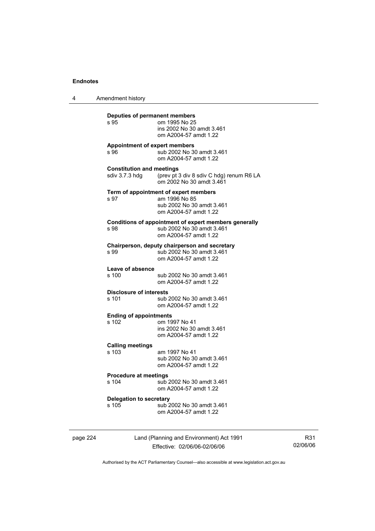4 Amendment history

| s 95                                               | om 1995 No 25<br>ins 2002 No 30 amdt 3.461<br>om A2004-57 amdt 1.22                                          |
|----------------------------------------------------|--------------------------------------------------------------------------------------------------------------|
| s 96                                               | <b>Appointment of expert members</b><br>sub 2002 No 30 amdt 3.461<br>om A2004-57 amdt 1.22                   |
| <b>Constitution and meetings</b><br>sdiv 3.7.3 hdq | (prev pt 3 div 8 sdiv C hdg) renum R6 LA<br>om 2002 No 30 amdt 3.461                                         |
| s 97                                               | Term of appointment of expert members<br>am 1996 No 85<br>sub 2002 No 30 amdt 3.461<br>om A2004-57 amdt 1.22 |
| s 98                                               | Conditions of appointment of expert members generally<br>sub 2002 No 30 amdt 3.461<br>om A2004-57 amdt 1.22  |
| s 99                                               | Chairperson, deputy chairperson and secretary<br>sub 2002 No 30 amdt 3.461<br>om A2004-57 amdt 1.22          |
| Leave of absence<br>s 100                          | sub 2002 No 30 amdt 3.461<br>om A2004-57 amdt 1.22                                                           |
| <b>Disclosure of interests</b><br>$s$ 101          | sub 2002 No 30 amdt 3.461<br>om A2004-57 amdt 1.22                                                           |
| <b>Ending of appointments</b><br>s 102             | om 1997 No 41<br>ins 2002 No 30 amdt 3.461<br>om A2004-57 amdt 1.22                                          |
| <b>Calling meetings</b><br>s 103                   | am 1997 No 41<br>sub 2002 No 30 amdt 3.461<br>om A2004-57 amdt 1.22                                          |
| Procedure at meetings<br>s 104                     | sub 2002 No 30 amdt 3.461<br>om A2004-57 amdt 1.22                                                           |
| <b>Delegation to secretary</b><br>s 105            | sub 2002 No 30 amdt 3.461<br>om A2004-57 amdt 1.22                                                           |

page 224 Land (Planning and Environment) Act 1991 Effective: 02/06/06-02/06/06

R31 02/06/06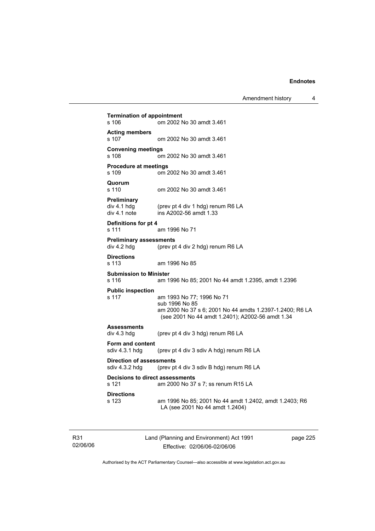Amendment history 4

**Termination of appointment**  s 106 om 2002 No 30 amdt 3.461 **Acting members**  s 107 om 2002 No 30 amdt 3.461 **Convening meetings**  s 108 om 2002 No 30 amdt 3.461 **Procedure at meetings**  s 109 om 2002 No 30 amdt 3.461 **Quorum**  om 2002 No 30 amdt 3.461 **Preliminary**  div 4.1 hdg (prev pt 4 div 1 hdg) renum R6 LA<br>div 4.1 note ins A2002-56 amdt 1.33  $ins$  A2002-56 amdt 1.33 **Definitions for pt 4**  s 111 am 1996 No 71 **Preliminary assessments**<br>div 4.2 hdg (prev pt (prev pt 4 div 2 hdg) renum R6 LA **Directions**  s 113 am 1996 No 85 **Submission to Minister**  s 116 am 1996 No 85; 2001 No 44 amdt 1.2395, amdt 1.2396 **Public inspection**  s 117 am 1993 No 77; 1996 No 71 sub 1996 No 85 am 2000 No 37 s 6; 2001 No 44 amdts 1.2397-1.2400; R6 LA (see 2001 No 44 amdt 1.2401); A2002-56 amdt 1.34 **Assessments**  div 4.3 hdg (prev pt 4 div 3 hdg) renum R6 LA **Form and content**  sdiv 4.3.1 hdg (prev pt 4 div 3 sdiv A hdg) renum R6 LA **Direction of assessments**  sdiv 4.3.2 hdg (prev pt 4 div 3 sdiv B hdg) renum R6 LA **Decisions to direct assessments**  s 121 am 2000 No 37 s 7; ss renum R15 LA **Directions**  s 123 am 1996 No 85; 2001 No 44 amdt 1.2402, amdt 1.2403; R6 LA (see 2001 No 44 amdt 1.2404)

R31 02/06/06 Land (Planning and Environment) Act 1991 Effective: 02/06/06-02/06/06

page 225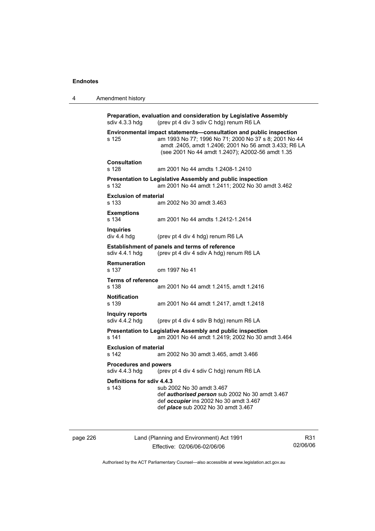| 4 | Amendment history                                                                                                       |                                                                                                                                                                                                                                          |
|---|-------------------------------------------------------------------------------------------------------------------------|------------------------------------------------------------------------------------------------------------------------------------------------------------------------------------------------------------------------------------------|
|   | sdiv 4.3.3 hdg                                                                                                          | Preparation, evaluation and consideration by Legislative Assembly<br>(prev pt 4 div 3 sdiv C hdg) renum R6 LA                                                                                                                            |
|   | s 125                                                                                                                   | Environmental impact statements-consultation and public inspection<br>am 1993 No 77; 1996 No 71; 2000 No 37 s 8; 2001 No 44<br>amdt .2405, amdt 1.2406; 2001 No 56 amdt 3.433; R6 LA<br>(see 2001 No 44 amdt 1.2407); A2002-56 amdt 1.35 |
|   | <b>Consultation</b><br>s 128                                                                                            | am 2001 No 44 amdts 1.2408-1.2410                                                                                                                                                                                                        |
|   | s 132                                                                                                                   | <b>Presentation to Legislative Assembly and public inspection</b><br>am 2001 No 44 amdt 1.2411; 2002 No 30 amdt 3.462                                                                                                                    |
|   | <b>Exclusion of material</b><br>s 133                                                                                   | am 2002 No 30 amdt 3.463                                                                                                                                                                                                                 |
|   | <b>Exemptions</b><br>s 134                                                                                              | am 2001 No 44 amdts 1.2412-1.2414                                                                                                                                                                                                        |
|   | <b>Inquiries</b><br>div 4.4 hdg                                                                                         | (prev pt 4 div 4 hdg) renum R6 LA                                                                                                                                                                                                        |
|   | <b>Establishment of panels and terms of reference</b><br>sdiv 4.4.1 hdg<br>(prev pt 4 div 4 sdiv A hdg) renum R6 LA     |                                                                                                                                                                                                                                          |
|   | <b>Remuneration</b><br>s 137                                                                                            | om 1997 No 41                                                                                                                                                                                                                            |
|   | <b>Terms of reference</b><br>s 138                                                                                      | am 2001 No 44 amdt 1.2415, amdt 1.2416                                                                                                                                                                                                   |
|   | <b>Notification</b><br>s 139                                                                                            | am 2001 No 44 amdt 1.2417, amdt 1.2418                                                                                                                                                                                                   |
|   | Inquiry reports<br>sdiv 4.4.2 hdg                                                                                       | (prev pt 4 div 4 sdiv B hdg) renum R6 LA                                                                                                                                                                                                 |
|   | Presentation to Legislative Assembly and public inspection<br>s 141<br>am 2001 No 44 amdt 1.2419; 2002 No 30 amdt 3.464 |                                                                                                                                                                                                                                          |
|   | <b>Exclusion of material</b><br>s 142                                                                                   | am 2002 No 30 amdt 3.465, amdt 3.466                                                                                                                                                                                                     |
|   | <b>Procedures and powers</b><br>sdiv 4.4.3 hdg                                                                          | (prev pt 4 div 4 sdiv C hdg) renum R6 LA                                                                                                                                                                                                 |
|   | Definitions for sdiv 4.4.3<br>s 143                                                                                     | sub 2002 No 30 amdt 3.467<br>def authorised person sub 2002 No 30 amdt 3.467<br>def occupier ins 2002 No 30 amdt 3.467<br>def <i>place</i> sub 2002 No 30 amdt 3.467                                                                     |

page 226 Land (Planning and Environment) Act 1991 Effective: 02/06/06-02/06/06

R31 02/06/06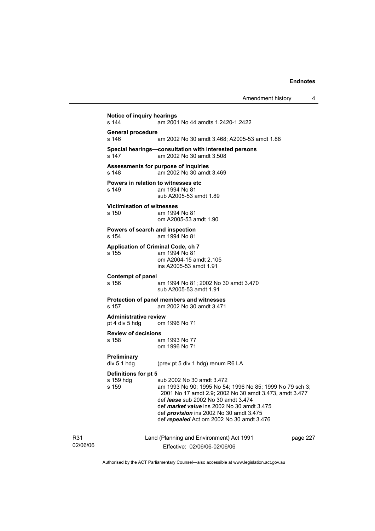Amendment history 4 **Notice of inquiry hearings**  s 144 am 2001 No 44 amdts 1.2420-1.2422 **General procedure**  am 2002 No 30 amdt 3.468; A2005-53 amdt 1.88 **Special hearings—consultation with interested persons**  s 147 am 2002 No 30 amdt 3.508 **Assessments for purpose of inquiries**  s 148 am 2002 No 30 amdt 3.469 **Powers in relation to witnesses etc**<br>s 149 am 1994 No 81 am 1994 No 81 sub A2005-53 amdt 1.89 **Victimisation of witnesses**  s 150 am 1994 No 81 om A2005-53 amdt 1.90 **Powers of search and inspection**  s 154 am 1994 No 81 **Application of Criminal Code, ch 7**  s 155 am 1994 No 81 om A2004-15 amdt 2.105 ins A2005-53 amdt 1.91 **Contempt of panel**  s 156 am 1994 No 81; 2002 No 30 amdt 3.470 sub A2005-53 amdt 1.91 **Protection of panel members and witnesses**  s 157 am 2002 No 30 amdt 3.471 **Administrative review**  pt 4 div 5 hdg om 1996 No 71 **Review of decisions**  s 158 am 1993 No 77 om 1996 No 71 **Preliminary**  (prev pt 5 div 1 hdg) renum R6 LA **Definitions for pt 5**  s 159 hdg sub 2002 No 30 amdt 3.472<br>s 159 s 159 s am 1993 No 90: 1995 No 54 am 1993 No 90; 1995 No 54; 1996 No 85; 1999 No 79 sch 3; 2001 No 17 amdt 2.9; 2002 No 30 amdt 3.473, amdt 3.477 def *lease* sub 2002 No 30 amdt 3.474 def *market value* ins 2002 No 30 amdt 3.475 def *provision* ins 2002 No 30 amdt 3.475 def *repealed* Act om 2002 No 30 amdt 3.476

R31 02/06/06 Land (Planning and Environment) Act 1991 Effective: 02/06/06-02/06/06

page 227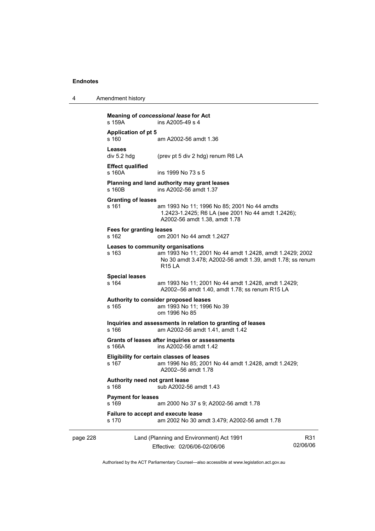| 4 | Amendment history |
|---|-------------------|
|---|-------------------|

|          | s 159A                                                                                                   | Meaning of concessional lease for Act<br>ins A2005-49 s 4                                                                                                                   |                 |  |
|----------|----------------------------------------------------------------------------------------------------------|-----------------------------------------------------------------------------------------------------------------------------------------------------------------------------|-----------------|--|
|          | <b>Application of pt 5</b><br>s 160                                                                      | am A2002-56 amdt 1.36                                                                                                                                                       |                 |  |
|          | <b>Leases</b><br>div 5.2 hdg                                                                             | (prev pt 5 div 2 hdg) renum R6 LA                                                                                                                                           |                 |  |
|          | <b>Effect qualified</b><br>s 160A                                                                        | ins 1999 No 73 s 5                                                                                                                                                          |                 |  |
|          | s 160B                                                                                                   | Planning and land authority may grant leases<br>ins A2002-56 amdt 1.37                                                                                                      |                 |  |
|          | <b>Granting of leases</b><br>s 161                                                                       | am 1993 No 11; 1996 No 85; 2001 No 44 amdts<br>1.2423-1.2425; R6 LA (see 2001 No 44 amdt 1.2426);<br>A2002-56 amdt 1.38, amdt 1.78                                          |                 |  |
|          | Fees for granting leases<br>s 162                                                                        | om 2001 No 44 amdt 1.2427                                                                                                                                                   |                 |  |
|          | s 163                                                                                                    | Leases to community organisations<br>am 1993 No 11; 2001 No 44 amdt 1.2428, amdt 1.2429; 2002<br>No 30 amdt 3.478; A2002-56 amdt 1.39, amdt 1.78; ss renum<br><b>R15 LA</b> |                 |  |
|          | <b>Special leases</b><br>s 164                                                                           | am 1993 No 11; 2001 No 44 amdt 1.2428, amdt 1.2429;<br>A2002-56 amdt 1.40, amdt 1.78; ss renum R15 LA                                                                       |                 |  |
|          | s 165                                                                                                    | Authority to consider proposed leases<br>am 1993 No 11; 1996 No 39<br>om 1996 No 85                                                                                         |                 |  |
|          | Inquiries and assessments in relation to granting of leases<br>s 166<br>am A2002-56 amdt 1.41, amdt 1.42 |                                                                                                                                                                             |                 |  |
|          | s 166A                                                                                                   | Grants of leases after inquiries or assessments<br>ins A2002-56 amdt 1.42                                                                                                   |                 |  |
|          | s 167                                                                                                    | <b>Eligibility for certain classes of leases</b><br>am 1996 No 85; 2001 No 44 amdt 1.2428, amdt 1.2429;<br>A2002-56 amdt 1.78                                               |                 |  |
|          | Authority need not grant lease<br>s 168<br>sub A2002-56 amdt 1.43                                        |                                                                                                                                                                             |                 |  |
|          | <b>Payment for leases</b><br>s 169                                                                       | am 2000 No 37 s 9; A2002-56 amdt 1.78                                                                                                                                       |                 |  |
|          | s 170                                                                                                    | Failure to accept and execute lease<br>am 2002 No 30 amdt 3.479; A2002-56 amdt 1.78                                                                                         |                 |  |
| page 228 |                                                                                                          | Land (Planning and Environment) Act 1991<br>Effective: 02/06/06-02/06/06                                                                                                    | R31<br>02/06/06 |  |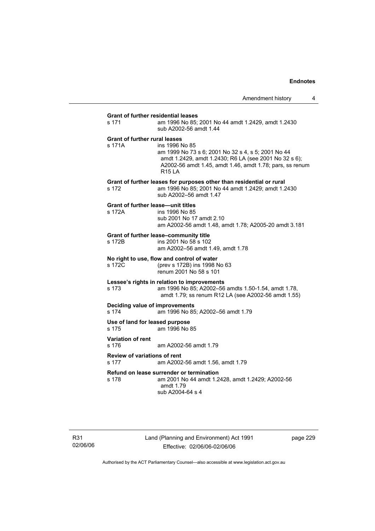# **Grant of further residential leases**  s 171 am 1996 No 85; 2001 No 44 amdt 1.2429, amdt 1.2430 sub A2002-56 amdt 1.44 **Grant of further rural leases**  s 171A ins 1996 No 85 am 1999 No 73 s 6; 2001 No 32 s 4, s 5; 2001 No 44 amdt 1.2429, amdt 1.2430; R6 LA (see 2001 No 32 s 6); A2002-56 amdt 1.45, amdt 1.46, amdt 1.78; pars, ss renum R15 LA **Grant of further leases for purposes other than residential or rural**  s 172 am 1996 No 85; 2001 No 44 amdt 1.2429; amdt 1.2430 sub A2002–56 amdt 1.47 **Grant of further lease—unit titles**  s 172A ins 1996 No 85 sub 2001 No 17 amdt 2.10 am A2002-56 amdt 1.48, amdt 1.78; A2005-20 amdt 3.181 **Grant of further lease–community title**  s 172B ins 2001 No 58 s 102 am A2002–56 amdt 1.49, amdt 1.78 **No right to use, flow and control of water**  s 172C (prev s 172B) ins 1998 No 63 renum 2001 No 58 s 101 **Lessee's rights in relation to improvements**  s 173 am 1996 No 85; A2002–56 amdts 1.50-1.54, amdt 1.78, amdt 1.79; ss renum R12 LA (see A2002-56 amdt 1.55) **Deciding value of improvements**  s 174 am 1996 No 85; A2002–56 amdt 1.79 **Use of land for leased purpose**  s 175 am 1996 No 85 **Variation of rent**  s 176 am A2002-56 amdt 1.79 **Review of variations of rent**  s 177 am A2002-56 amdt 1.56, amdt 1.79 **Refund on lease surrender or termination**  s 178 am 2001 No 44 amdt 1.2428, amdt 1.2429; A2002-56 amdt 1.79

R31 02/06/06 page 229

Authorised by the ACT Parliamentary Counsel—also accessible at www.legislation.act.gov.au

sub A2004-64 s 4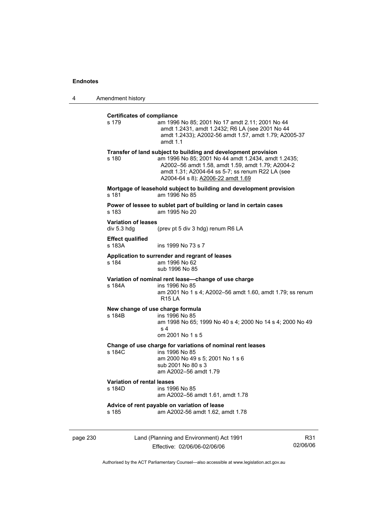4 Amendment history

| s 179                                     | am 1996 No 85; 2001 No 17 amdt 2.11; 2001 No 44<br>amdt 1.2431, amdt 1.2432; R6 LA (see 2001 No 44<br>amdt 1.2433); A2002-56 amdt 1.57, amdt 1.79; A2005-37<br>amdt $1.1$                                                                                           |
|-------------------------------------------|---------------------------------------------------------------------------------------------------------------------------------------------------------------------------------------------------------------------------------------------------------------------|
| s 180                                     | Transfer of land subject to building and development provision<br>am 1996 No 85; 2001 No 44 amdt 1.2434, amdt 1.2435;<br>A2002-56 amdt 1.58, amdt 1.59, amdt 1.79; A2004-2<br>amdt 1.31; A2004-64 ss 5-7; ss renum R22 LA (see<br>A2004-64 s 8); A2006-22 amdt 1.69 |
| s 181                                     | Mortgage of leasehold subject to building and development provision<br>am 1996 No 85                                                                                                                                                                                |
| s 183                                     | Power of lessee to sublet part of building or land in certain cases<br>am 1995 No 20                                                                                                                                                                                |
| <b>Variation of leases</b><br>div 5.3 hdg | (prev pt 5 div 3 hdg) renum R6 LA                                                                                                                                                                                                                                   |
| <b>Effect qualified</b><br>s 183A         | ins 1999 No 73 s 7                                                                                                                                                                                                                                                  |
| s 184                                     | Application to surrender and regrant of leases<br>am 1996 No 62<br>sub 1996 No 85                                                                                                                                                                                   |
| s 184A                                    | Variation of nominal rent lease-change of use charge<br>ins 1996 No 85<br>am 2001 No 1 s 4; A2002-56 amdt 1.60, amdt 1.79; ss renum<br><b>R15 LA</b>                                                                                                                |
| s 184B                                    | New change of use charge formula<br>ins 1996 No 85<br>am 1998 No 65; 1999 No 40 s 4; 2000 No 14 s 4; 2000 No 49<br>s <sub>4</sub><br>om 2001 No 1 s 5                                                                                                               |
| s 184C                                    | Change of use charge for variations of nominal rent leases<br>ins 1996 No 85<br>am 2000 No 49 s 5; 2001 No 1 s 6<br>sub 2001 No 80 s 3<br>am A2002-56 amdt 1.79                                                                                                     |
| Variation of rental leases<br>s 184D      | ins 1996 No 85<br>am A2002-56 amdt 1.61, amdt 1.78                                                                                                                                                                                                                  |
| s 185                                     | Advice of rent payable on variation of lease<br>am A2002-56 amdt 1.62, amdt 1.78                                                                                                                                                                                    |

page 230 Land (Planning and Environment) Act 1991 Effective: 02/06/06-02/06/06

R31 02/06/06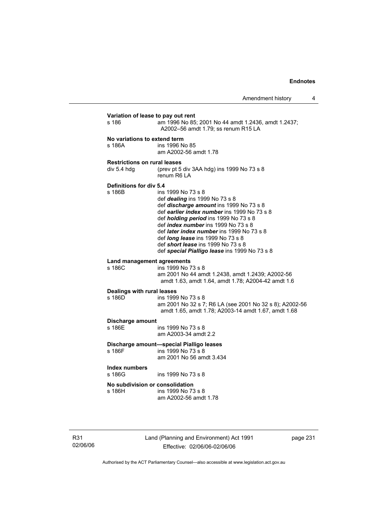| s 186                                              | am 1996 No 85; 2001 No 44 amdt 1.2436, amdt 1.2437;<br>A2002-56 amdt 1.79; ss renum R15 LA                                                                                                                                                                                                                                                                                                                                                 |
|----------------------------------------------------|--------------------------------------------------------------------------------------------------------------------------------------------------------------------------------------------------------------------------------------------------------------------------------------------------------------------------------------------------------------------------------------------------------------------------------------------|
| No variations to extend term<br>s 186A             | ins 1996 No 85<br>am A2002-56 amdt 1.78                                                                                                                                                                                                                                                                                                                                                                                                    |
| <b>Restrictions on rural leases</b><br>div 5.4 hdg | (prev pt 5 div 3AA hdg) ins 1999 No 73 s 8<br>renum R6 LA                                                                                                                                                                                                                                                                                                                                                                                  |
| <b>Definitions for div 5.4</b><br>s 186B           | ins 1999 No 73 s 8<br>def <i>dealing</i> ins 1999 No 73 s 8<br>def discharge amount ins 1999 No 73 s 8<br>def earlier index number ins 1999 No 73 s 8<br>def <i>holding period</i> ins 1999 No 73 s 8<br>def <i>index number</i> ins 1999 No 73 s 8<br>def <i>later index number</i> ins 1999 No 73 s 8<br>def <i>long lease</i> ins 1999 No 73 s 8<br>def short lease ins 1999 No 73 s 8<br>def special Pialligo lease ins 1999 No 73 s 8 |
| <b>Land management agreements</b><br>s 186C        | ins 1999 No 73 s 8<br>am 2001 No 44 amdt 1.2438, amdt 1.2439; A2002-56<br>amdt 1.63, amdt 1.64, amdt 1.78; A2004-42 amdt 1.6                                                                                                                                                                                                                                                                                                               |
| Dealings with rural leases<br>s 186D               | ins 1999 No 73 s 8<br>am 2001 No 32 s 7; R6 LA (see 2001 No 32 s 8); A2002-56<br>amdt 1.65, amdt 1.78; A2003-14 amdt 1.67, amdt 1.68                                                                                                                                                                                                                                                                                                       |
| Discharge amount<br>s 186E                         | ins 1999 No 73 s 8<br>am A2003-34 amdt 2.2                                                                                                                                                                                                                                                                                                                                                                                                 |
| s 186F                                             | Discharge amount-special Pialligo leases<br>ins 1999 No 73 s 8<br>am 2001 No 56 amdt 3.434                                                                                                                                                                                                                                                                                                                                                 |
| Index numbers<br>s 186G                            | ins 1999 No 73 s 8                                                                                                                                                                                                                                                                                                                                                                                                                         |
| No subdivision or consolidation<br>s 186H          | ins 1999 No 73 s 8<br>am A2002-56 amdt 1.78                                                                                                                                                                                                                                                                                                                                                                                                |

R31 02/06/06 Land (Planning and Environment) Act 1991 Effective: 02/06/06-02/06/06

page 231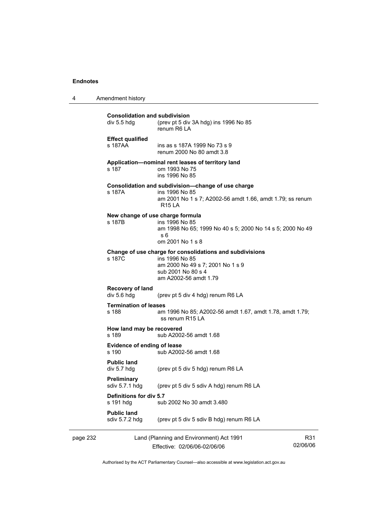4 Amendment history

| page 232 |                                                     | Land (Planning and Environment) Act 1991                                                                                                                      | R31 |
|----------|-----------------------------------------------------|---------------------------------------------------------------------------------------------------------------------------------------------------------------|-----|
|          | <b>Public land</b><br>sdiv 5.7.2 hdg                | (prev pt 5 div 5 sdiv B hdg) renum R6 LA                                                                                                                      |     |
|          | Definitions for div 5.7<br>s 191 hdg                | sub 2002 No 30 amdt 3.480                                                                                                                                     |     |
|          | Preliminary<br>sdiv 5.7.1 hdg                       | (prev pt 5 div 5 sdiv A hdg) renum R6 LA                                                                                                                      |     |
|          | <b>Public land</b><br>div 5.7 hdg                   | (prev pt 5 div 5 hdg) renum R6 LA                                                                                                                             |     |
|          | <b>Evidence of ending of lease</b><br>s 190         | sub A2002-56 amdt 1.68                                                                                                                                        |     |
|          | How land may be recovered<br>s 189                  | sub A2002-56 amdt 1.68                                                                                                                                        |     |
|          | <b>Termination of leases</b><br>s 188               | am 1996 No 85; A2002-56 amdt 1.67, amdt 1.78, amdt 1.79;<br>ss renum R15 LA                                                                                   |     |
|          | Recovery of land<br>div 5.6 hdg                     | (prev pt 5 div 4 hdg) renum R6 LA                                                                                                                             |     |
|          | s 187C                                              | Change of use charge for consolidations and subdivisions<br>ins 1996 No 85<br>am 2000 No 49 s 7; 2001 No 1 s 9<br>sub 2001 No 80 s 4<br>am A2002-56 amdt 1.79 |     |
|          | New change of use charge formula<br>s 187B          | ins 1996 No 85<br>am 1998 No 65; 1999 No 40 s 5; 2000 No 14 s 5; 2000 No 49<br>s 6<br>om 2001 No 1 s 8                                                        |     |
|          | s 187A                                              | Consolidation and subdivision-change of use charge<br>ins 1996 No 85<br>am 2001 No 1 s 7; A2002-56 amdt 1.66, amdt 1.79; ss renum<br>R15 LA                   |     |
|          | s 187                                               | Application-nominal rent leases of territory land<br>om 1993 No 75<br>ins 1996 No 85                                                                          |     |
|          | <b>Effect qualified</b><br>s 187AA                  | ins as s 187A 1999 No 73 s 9<br>renum 2000 No 80 amdt 3.8                                                                                                     |     |
|          | <b>Consolidation and subdivision</b><br>div 5.5 hdg | (prev pt 5 div 3A hdg) ins 1996 No 85<br>renum R6 LA                                                                                                          |     |

Effective: 02/06/06-02/06/06

02/06/06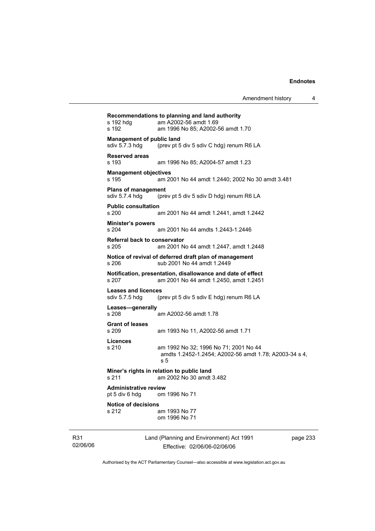| s 192 hdg<br>s 192                                 | Recommendations to planning and land authority<br>am A2002-56 amdt 1.69<br>am 1996 No 85; A2002-56 amdt 1.70 |          |
|----------------------------------------------------|--------------------------------------------------------------------------------------------------------------|----------|
| <b>Management of public land</b><br>sdiv 5.7.3 hdg | (prev pt 5 div 5 sdiv C hdg) renum R6 LA                                                                     |          |
| <b>Reserved areas</b><br>s 193                     | am 1996 No 85; A2004-57 amdt 1.23                                                                            |          |
| <b>Management objectives</b><br>s 195              | am 2001 No 44 amdt 1.2440; 2002 No 30 amdt 3.481                                                             |          |
| <b>Plans of management</b><br>sdiv 5.7.4 hdg       | (prev pt 5 div 5 sdiv D hdg) renum R6 LA                                                                     |          |
| <b>Public consultation</b><br>s 200                | am 2001 No 44 amdt 1.2441, amdt 1.2442                                                                       |          |
| <b>Minister's powers</b><br>s 204                  | am 2001 No 44 amdts 1.2443-1.2446                                                                            |          |
| Referral back to conservator<br>s 205              | am 2001 No 44 amdt 1.2447, amdt 1.2448                                                                       |          |
| s 206                                              | Notice of revival of deferred draft plan of management<br>sub 2001 No 44 amdt 1.2449                         |          |
| s 207                                              | Notification, presentation, disallowance and date of effect<br>am 2001 No 44 amdt 1.2450, amdt 1.2451        |          |
| <b>Leases and licences</b><br>sdiv 5.7.5 hdg       | (prev pt 5 div 5 sdiv E hdg) renum R6 LA                                                                     |          |
| Leases-generally<br>s 208                          | am A2002-56 amdt 1.78                                                                                        |          |
| <b>Grant of leases</b><br>s 209                    | am 1993 No 11, A2002-56 amdt 1.71                                                                            |          |
| <b>Licences</b><br>s 210                           | am 1992 No 32; 1996 No 71; 2001 No 44<br>amdts 1.2452-1.2454; A2002-56 amdt 1.78; A2003-34 s 4,<br>s 5       |          |
| s 211                                              | Miner's rights in relation to public land<br>am 2002 No 30 amdt 3.482                                        |          |
| <b>Administrative review</b><br>pt 5 div 6 hdg     | om 1996 No 71                                                                                                |          |
| <b>Notice of decisions</b><br>s 212                | am 1993 No 77<br>om 1996 No 71                                                                               |          |
|                                                    | Land (Planning and Environment) Act 1991                                                                     | page 233 |

R31 02/06/06

Effective: 02/06/06-02/06/06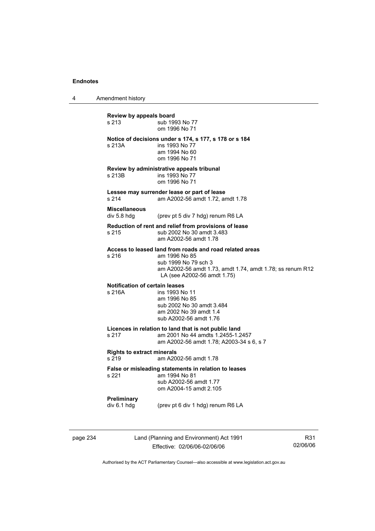4 Amendment history

**Review by appeals board**  s 213 **Sub** 1993 No 77 om 1996 No 71 **Notice of decisions under s 174, s 177, s 178 or s 184**  s 213A **ins 1993** No 77 am 1994 No 60 om 1996 No 71 **Review by administrative appeals tribunal**  s 213B **ins 1993** No 77 om 1996 No 71 **Lessee may surrender lease or part of lease**  s 214 am A2002-56 amdt 1.72, amdt 1.78 **Miscellaneous**  div 5.8 hdg (prev pt 5 div 7 hdg) renum R6 LA **Reduction of rent and relief from provisions of lease**  s 215 sub 2002 No 30 amdt 3.483 am A2002-56 amdt 1.78 **Access to leased land from roads and road related areas**  s 216 am 1996 No 85 sub 1999 No 79 sch 3 am A2002-56 amdt 1.73, amdt 1.74, amdt 1.78; ss renum R12 LA (see A2002-56 amdt 1.75) **Notification of certain leases**  s 216A ins 1993 No 11 am 1996 No 85 sub 2002 No 30 amdt 3.484 am 2002 No 39 amdt 1.4 sub A2002-56 amdt 1.76 **Licences in relation to land that is not public land**  am 2001 No 44 amdts 1.2455-1.2457 am A2002-56 amdt 1.78; A2003-34 s 6, s 7 **Rights to extract minerals**  s 219 am A2002-56 amdt 1.78 **False or misleading statements in relation to leases**  am 1994 No 81 sub A2002-56 amdt 1.77 om A2004-15 amdt 2.105 **Preliminary**  div 6.1 hdg (prev pt 6 div 1 hdg) renum R6 LA

page 234 Land (Planning and Environment) Act 1991 Effective: 02/06/06-02/06/06

R31 02/06/06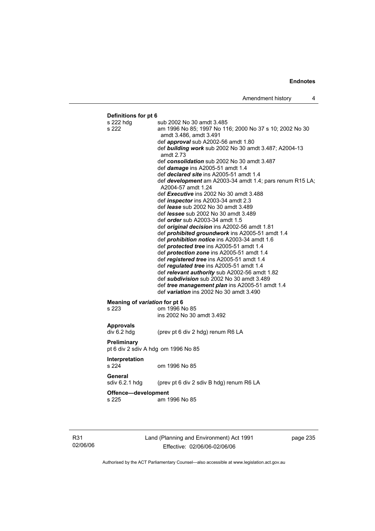# **Definitions for pt 6**  s 222 hdg sub 2002 No 30 amdt 3.485 s 222 am 1996 No 85; 1997 No 116; 2000 No 37 s 10; 2002 No 30 amdt 3.486, amdt 3.491 def *approval* sub A2002-56 amdt 1.80 def *building work* sub 2002 No 30 amdt 3.487; A2004-13 amdt 2.73 def *consolidation* sub 2002 No 30 amdt 3.487 def *damage* ins A2005-51 amdt 1.4 def *declared site* ins A2005-51 amdt 1.4 def *development* am A2003-34 amdt 1.4; pars renum R15 LA; A2004-57 amdt 1.24 def *Executive* ins 2002 No 30 amdt 3.488 def *inspector* ins A2003-34 amdt 2.3 def *lease* sub 2002 No 30 amdt 3.489 def *lessee* sub 2002 No 30 amdt 3.489 def *order* sub A2003-34 amdt 1.5 def *original decision* ins A2002-56 amdt 1.81 def *prohibited groundwork* ins A2005-51 amdt 1.4 def *prohibition notice* ins A2003-34 amdt 1.6 def *protected tree* ins A2005-51 amdt 1.4 def *protection zone* ins A2005-51 amdt 1.4 def *registered tree* ins A2005-51 amdt 1.4 def *regulated tree* ins A2005-51 amdt 1.4 def *relevant authority* sub A2002-56 amdt 1.82 def *subdivision* sub 2002 No 30 amdt 3.489 def *tree management plan* ins A2005-51 amdt 1.4 def *variation* ins 2002 No 30 amdt 3.490 **Meaning of** *variation* **for pt 6<br>s 223 <b>com** 1996 N om 1996 No 85 ins 2002 No 30 amdt 3.492 **Approvals**  div 6.2 hdg (prev pt 6 div 2 hdg) renum R6 LA **Preliminary**  pt 6 div 2 sdiv A hdg om 1996 No 85 **Interpretation**  s 224 om 1996 No 85 **General**  sdiv 6.2.1 hdg (prev pt 6 div 2 sdiv B hdg) renum R6 LA **Offence—development**  s 225 am 1996 No 85

R31 02/06/06 Land (Planning and Environment) Act 1991 Effective: 02/06/06-02/06/06

page 235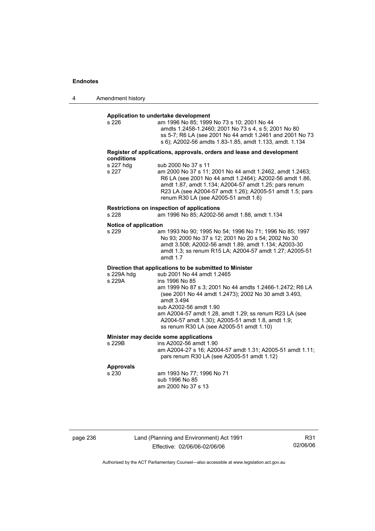| 4 | Amendment history |
|---|-------------------|
|---|-------------------|

# **Application to undertake development**

| s 226 | am 1996 No 85: 1999 No 73 s 10: 2001 No 44               |
|-------|----------------------------------------------------------|
|       | amdts 1.2458-1.2460: 2001 No 73 s 4, s 5: 2001 No 80     |
|       | ss 5-7; R6 LA (see 2001 No 44 amdt 1.2461 and 2001 No 73 |
|       | s 6); A2002-56 amdts 1.83-1.85, amdt 1.133, amdt. 1.134  |
|       |                                                          |

#### **Register of applications, approvals, orders and lease and development conditions**

| sub 2000 No 37 s 11                                      |
|----------------------------------------------------------|
| am 2000 No 37 s 11; 2001 No 44 amdt 1.2462, amdt 1.2463; |
| R6 LA (see 2001 No 44 amdt 1.2464); A2002-56 amdt 1.86,  |
| amdt 1.87, amdt 1.134; A2004-57 amdt 1.25; pars renum    |
| R23 LA (see A2004-57 amdt 1.26); A2005-51 amdt 1.5; pars |
| renum R30 LA (see A2005-51 amdt 1.6)                     |
|                                                          |

# **Restrictions on inspection of applications**

am 1996 No 85; A2002-56 amdt 1.88, amdt 1.134

#### **Notice of application**

| s 229 | am 1993 No 90; 1995 No 54; 1996 No 71; 1996 No 85; 1997 |
|-------|---------------------------------------------------------|
|       | No 93: 2000 No 37 s 12: 2001 No 20 s 54: 2002 No 30     |
|       | amdt 3.508: A2002-56 amdt 1.89. amdt 1.134: A2003-30    |
|       | amdt 1.3; ss renum R15 LA: A2004-57 amdt 1.27; A2005-51 |
|       | amdt $1.7$                                              |

# **Direction that applications to be submitted to Minister**

| s 229A hdg | sub 2001 No 44 amdt 1.2465                               |
|------------|----------------------------------------------------------|
| s 229A     | ins 1996 No 85                                           |
|            | am 1999 No 87 s 3; 2001 No 44 amdts 1.2466-1.2472; R6 LA |
|            | (see 2001 No 44 amdt 1.2473); 2002 No 30 amdt 3.493,     |
|            | amdt 3.494                                               |
|            | sub A2002-56 amdt 1.90                                   |
|            | am A2004-57 amdt 1.28, amdt 1.29; ss renum R23 LA (see   |
|            | A2004-57 amdt 1.30); A2005-51 amdt 1.8, amdt 1.9;        |
|            | ss renum R30 LA (see A2005-51 amdt 1.10)                 |

### **Minister may decide some applications**

| s 229B | ins A2002-56 amdt 1.90                                    |
|--------|-----------------------------------------------------------|
|        | am A2004-27 s 16; A2004-57 amdt 1.31; A2005-51 amdt 1.11; |
|        | pars renum R30 LA (see A2005-51 amdt 1.12)                |
|        |                                                           |

# **Approvals**

am 1993 No 77; 1996 No 71 sub 1996 No 85 am 2000 No 37 s 13

| page 236 |  |
|----------|--|
|----------|--|

page 236 Land (Planning and Environment) Act 1991 Effective: 02/06/06-02/06/06

R31 02/06/06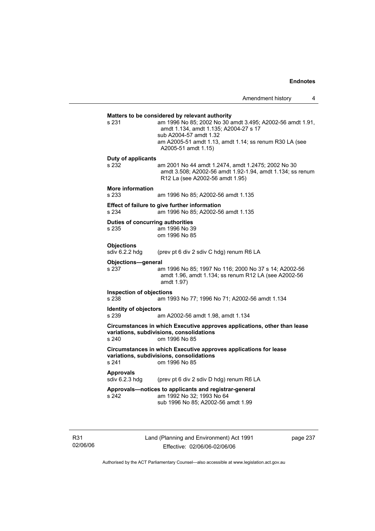**Matters to be considered by relevant authority**  s 231 am 1996 No 85; 2002 No 30 amdt 3.495; A2002-56 amdt 1.91, amdt 1.134, amdt 1.135; A2004-27 s 17 sub A2004-57 amdt 1.32 am A2005-51 amdt 1.13, amdt 1.14; ss renum R30 LA (see A2005-51 amdt 1.15) **Duty of applicants**  s 232 am 2001 No 44 amdt 1.2474, amdt 1.2475; 2002 No 30 amdt 3.508; A2002-56 amdt 1.92-1.94, amdt 1.134; ss renum R12 La (see A2002-56 amdt 1.95) **More information**  s 233 am 1996 No 85; A2002-56 amdt 1.135 **Effect of failure to give further information**  s 234 am 1996 No 85; A2002-56 amdt 1.135 **Duties of concurring authorities**  s 235 am 1996 No 39 om 1996 No 85 **Objections**<br>sdiv 6.2.2 hdg (prev pt 6 div 2 sdiv C hdg) renum R6 LA **Objections—general**  s 237 am 1996 No 85; 1997 No 116; 2000 No 37 s 14; A2002-56 amdt 1.96, amdt 1.134; ss renum R12 LA (see A2002-56 amdt 1.97) **Inspection of objections**  s 238 am 1993 No 77; 1996 No 71; A2002-56 amdt 1.134 **Identity of objectors**<br> **IS** 239 am A2002-56 amdt 1.98, amdt 1.134 **Circumstances in which Executive approves applications, other than lease variations, subdivisions, consolidations**  s 240 om 1996 No 85 **Circumstances in which Executive approves applications for lease variations, subdivisions, consolidations**  s 241 om 1996 No 85 **Approvals**  sdiv 6.2.3 hdg (prev pt 6 div 2 sdiv D hdg) renum R6 LA **Approvals—notices to applicants and registrar-general**  s 242 am 1992 No 32; 1993 No 64 sub 1996 No 85; A2002-56 amdt 1.99

R31 02/06/06 Land (Planning and Environment) Act 1991 Effective: 02/06/06-02/06/06

page 237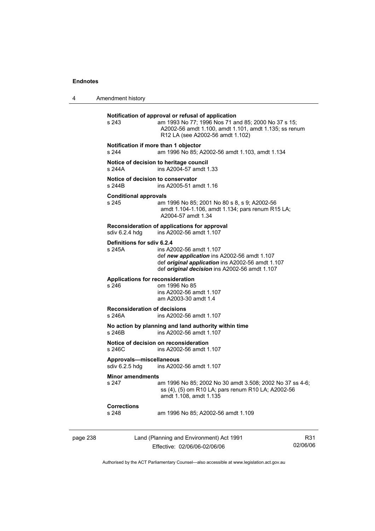4 Amendment history

|          | s 243                                                                    | Notification of approval or refusal of application<br>am 1993 No 77; 1996 Nos 71 and 85; 2000 No 37 s 15;<br>A2002-56 amdt 1.100, amdt 1.101, amdt 1.135; ss renum<br>R12 LA (see A2002-56 amdt 1.102) |                 |  |
|----------|--------------------------------------------------------------------------|--------------------------------------------------------------------------------------------------------------------------------------------------------------------------------------------------------|-----------------|--|
|          | Notification if more than 1 objector<br>s 244                            | am 1996 No 85; A2002-56 amdt 1.103, amdt 1.134                                                                                                                                                         |                 |  |
|          | s 244A                                                                   | Notice of decision to heritage council<br>ins A2004-57 amdt 1.33                                                                                                                                       |                 |  |
|          | Notice of decision to conservator<br>s 244B                              | ins A2005-51 amdt 1.16                                                                                                                                                                                 |                 |  |
|          | <b>Conditional approvals</b><br>s 245                                    | am 1996 No 85; 2001 No 80 s 8, s 9; A2002-56<br>amdt 1.104-1.106, amdt 1.134; pars renum R15 LA;<br>A2004-57 amdt 1.34                                                                                 |                 |  |
|          | sdiv 6.2.4 hdg                                                           | Reconsideration of applications for approval<br>ins A2002-56 amdt 1.107                                                                                                                                |                 |  |
|          | Definitions for sdiv 6.2.4<br>s 245A                                     | ins A2002-56 amdt 1.107<br>def new application ins A2002-56 amdt 1.107<br>def original application ins A2002-56 amdt 1.107<br>def <i>original decision</i> ins A2002-56 amdt 1.107                     |                 |  |
|          | <b>Applications for reconsideration</b><br>s 246                         | om 1996 No 85<br>ins A2002-56 amdt 1.107<br>am A2003-30 amdt 1.4                                                                                                                                       |                 |  |
|          | <b>Reconsideration of decisions</b><br>s 246A<br>ins A2002-56 amdt 1.107 |                                                                                                                                                                                                        |                 |  |
|          | s 246B                                                                   | No action by planning and land authority within time<br>ins A2002-56 amdt 1.107                                                                                                                        |                 |  |
|          | s 246C                                                                   | Notice of decision on reconsideration<br>ins A2002-56 amdt 1.107                                                                                                                                       |                 |  |
|          | Approvals-miscellaneous<br>sdiv 6.2.5 hdg<br>ins A2002-56 amdt 1.107     |                                                                                                                                                                                                        |                 |  |
|          | <b>Minor amendments</b><br>s 247                                         | am 1996 No 85; 2002 No 30 amdt 3.508; 2002 No 37 ss 4-6;<br>ss (4), (5) om R10 LA; pars renum R10 LA; A2002-56<br>amdt 1.108, amdt 1.135                                                               |                 |  |
|          | <b>Corrections</b><br>s 248                                              | am 1996 No 85; A2002-56 amdt 1.109                                                                                                                                                                     |                 |  |
| page 238 |                                                                          | Land (Planning and Environment) Act 1991<br>Effective: 02/06/06-02/06/06                                                                                                                               | R31<br>02/06/06 |  |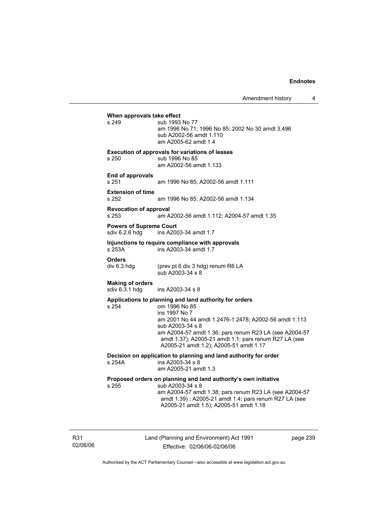Amendment history 4

**When approvals take effect**  s 249 sub 1993 No 77 am 1996 No 71; 1996 No 85; 2002 No 30 amdt 3.496 sub A2002-56 amdt 1.110 am A2005-62 amdt 1.4 **Execution of approvals for variations of leases**  s 250 sub 1996 No 85 am A2002-56 amdt 1.133 **End of approvals**  s 251 am 1996 No 85; A2002-56 amdt 1.111 **Extension of time**  am 1996 No 85; A2002-56 amdt 1.134 **Revocation of approval**  s 253 am A2002-56 amdt 1.112; A2004-57 amdt 1.35 **Powers of Supreme Court**<br>sdiv 6.2.6 hdg ins A200 ins A2003-34 amdt 1.7 **Injunctions to require compliance with approvals**  s 253A ins A2003-34 amdt 1.7 **Orders**<br>div 6.3 hdg (prev pt 6 div 3 hdg) renum R6 LA sub A2003-34 s 8 **Making of orders**  ins A2003-34 s 8 **Applications to planning and land authority for orders**  om 1996 No 85 ins 1997 No 7 am 2001 No 44 amdt 1.2476-1.2478; A2002-56 amdt 1.113 sub A2003-34 s 8 am A2004-57 amdt 1.36; pars renum R23 LA (see A2004-57 amdt 1.37); A2005-21 amdt 1.1; pars renum R27 LA (see A2005-21 amdt 1.2); A2005-51 amdt 1.17 **Decision on application to planning and land authority for order**  s 254A ins A2003-34 s 8 am A2005-21 amdt 1.3 **Proposed orders on planning and land authority's own initiative**  s 255 sub A2003-34 s 8 am A2004-57 amdt 1.38; pars renum R23 LA (see A2004-57 amdt 1.39) ; A2005-21 amdt 1.4; pars renum R27 LA (see A2005-21 amdt 1.5); A2005-51 amdt 1.18

R31 02/06/06 Land (Planning and Environment) Act 1991 Effective: 02/06/06-02/06/06

page 239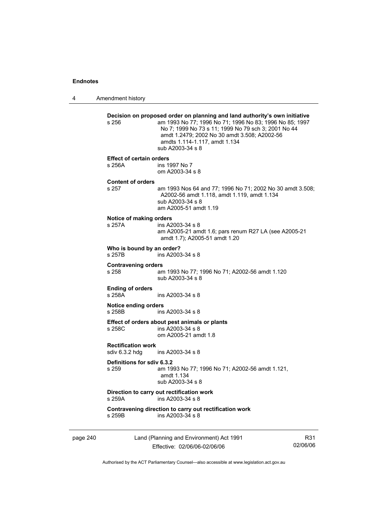4 Amendment history page 240 Land (Planning and Environment) Act 1991 Effective: 02/06/06-02/06/06 Authorised by the ACT Parliamentary Counsel—also accessible at www.legislation.act.gov.au **Decision on proposed order on planning and land authority's own initiative**  s 256 am 1993 No 77; 1996 No 71; 1996 No 83; 1996 No 85; 1997 No 7; 1999 No 73 s 11; 1999 No 79 sch 3; 2001 No 44 amdt 1.2479; 2002 No 30 amdt 3.508; A2002-56 amdts 1.114-1.117, amdt 1.134 sub A2003-34 s 8 **Effect of certain orders**  s 256A ins 1997 No 7 om A2003-34 s 8 **Content of orders**  s 257 am 1993 Nos 64 and 77; 1996 No 71; 2002 No 30 amdt 3.508; A2002-56 amdt 1.118, amdt 1.119, amdt 1.134 sub A2003-34 s 8 am A2005-51 amdt 1.19 **Notice of making orders**  ins A2003-34 s 8 am A2005-21 amdt 1.6; pars renum R27 LA (see A2005-21 amdt 1.7); A2005-51 amdt 1.20 **Who is bound by an order?**  s 257B ins A2003-34 s 8 **Contravening orders**  s 258 am 1993 No 77; 1996 No 71; A2002-56 amdt 1.120 sub A2003-34 s 8 **Ending of orders**  s 258A ins A2003-34 s 8 **Notice ending orders**  s 258B ins A2003-34 s 8 **Effect of orders about pest animals or plants**  s 258C ins A2003-34 s 8 om A2005-21 amdt 1.8 **Rectification work**  sdiv 6.3.2 hdg ins A2003-34 s 8 **Definitions for sdiv 6.3.2**  am 1993 No 77; 1996 No 71; A2002-56 amdt 1.121, amdt 1.134 sub A2003-34 s 8 **Direction to carry out rectification work**<br>s 259A ins A2003-34 s 8 ins A2003-34 s 8 **Contravening direction to carry out rectification work**  s 259B ins A2003-34 s 8

R31 02/06/06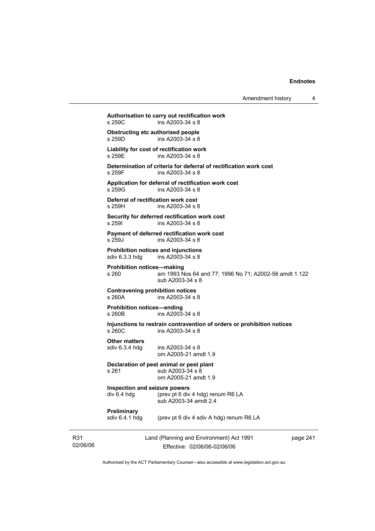Amendment history 4

**Authorisation to carry out rectification work**   $ins A2003-34 s 8$ **Obstructing etc authorised people**<br>s 259D ins A2003-34 s 8  $ins A2003-34 s 8$ **Liability for cost of rectification work**  s 259E ins A2003-34 s 8 **Determination of criteria for deferral of rectification work cost**  s 259F ins A2003-34 s 8 **Application for deferral of rectification work cost**  ins A2003-34 s 8 **Deferral of rectification work cost**  s 259H ins A2003-34 s 8 **Security for deferred rectification work cost**  s 259I ins A2003-34 s 8 **Payment of deferred rectification work cost**  s 259J ins A2003-34 s 8 **Prohibition notices and injunctions**  sdiv 6.3.3 hdg ins A2003-34 s 8 **Prohibition notices—making**  s 260 am 1993 Nos 64 and 77; 1996 No 71; A2002-56 amdt 1.122 sub A2003-34 s 8 **Contravening prohibition notices**  s 260A ins A2003-34 s 8 **Prohibition notices—ending**   $ins A2003 - 34 s 8$ **Injunctions to restrain contravention of orders or prohibition notices**  s 260C ins A2003-34 s 8 **Other matters**  sdiv 6.3.4 hdg ins A2003-34 s 8 om A2005-21 amdt 1.9 **Declaration of pest animal or pest plant**  s 261 sub A2003-34 s 8 om A2005-21 amdt 1.9 **Inspection and seizure powers**  div 6.4 hdg (prev pt 6 div 4 hdg) renum R6 LA sub A2003-34 amdt 2.4

# **Preliminary**<br>sdiv 6.4.1 hdg

(prev pt 6 div 4 sdiv A hdg) renum R6 LA

R31 02/06/06 Land (Planning and Environment) Act 1991 Effective: 02/06/06-02/06/06

page 241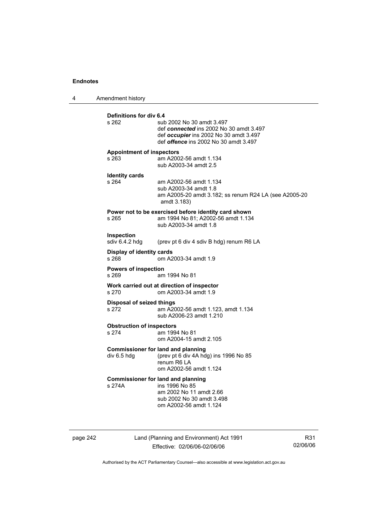4 Amendment history **Definitions for div 6.4**  sub 2002 No 30 amdt 3.497 def *connected* ins 2002 No 30 amdt 3.497 def *occupier* ins 2002 No 30 amdt 3.497 def *offence* ins 2002 No 30 amdt 3.497 **Appointment of inspectors**  s 263 am A2002-56 amdt 1.134 sub A2003-34 amdt 2.5 **Identity cards**  s 264 am A2002-56 amdt 1.134 sub A2003-34 amdt 1.8 am A2005-20 amdt 3.182; ss renum R24 LA (see A2005-20 amdt 3.183) **Power not to be exercised before identity card shown**<br>s 265 am 1994 No 81: A2002-56 amdt 1.134 am 1994 No 81; A2002-56 amdt 1.134 sub A2003-34 amdt 1.8 **Inspection**  sdiv 6.4.2 hdg (prev pt 6 div 4 sdiv B hdg) renum R6 LA **Display of identity cards**  om A2003-34 amdt 1.9 **Powers of inspection**  s 269 am 1994 No 81 **Work carried out at direction of inspector**  s 270 om A2003-34 amdt 1.9 **Disposal of seized things**  s 272 am A2002-56 amdt 1.123, amdt 1.134 sub A2006-23 amdt 1.210 **Obstruction of inspectors**  s 274 am 1994 No 81 om A2004-15 amdt 2.105 **Commissioner for land and planning**<br>div 6.5 hdg (prev pt 6 div 4A hd (prev pt 6 div 4A hdg) ins 1996 No  $85$  renum R6 LA om A2002-56 amdt 1.124 **Commissioner for land and planning**  s 274A ins 1996 No 85 am 2002 No 11 amdt 2.66 sub 2002 No 30 amdt 3.498 om A2002-56 amdt 1.124

page 242 Land (Planning and Environment) Act 1991 Effective: 02/06/06-02/06/06

R31 02/06/06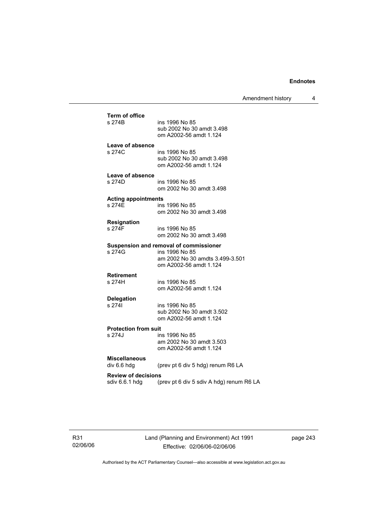Amendment history 4

| <b>Term of office</b><br>s 274B<br>ins 1996 No 85<br>sub 2002 No 30 amdt 3.498<br>om A2002-56 amdt 1.124<br>Leave of absence<br>s 274C<br>ins 1996 No 85<br>sub 2002 No 30 amdt 3.498<br>om A2002-56 amdt 1.124<br>Leave of absence<br>s 274D<br>ins 1996 No 85<br>om 2002 No 30 amdt 3.498<br><b>Acting appointments</b><br>s 274F<br>ins 1996 No 85<br>om 2002 No 30 amdt 3.498 |  |
|-----------------------------------------------------------------------------------------------------------------------------------------------------------------------------------------------------------------------------------------------------------------------------------------------------------------------------------------------------------------------------------|--|
|                                                                                                                                                                                                                                                                                                                                                                                   |  |
|                                                                                                                                                                                                                                                                                                                                                                                   |  |
|                                                                                                                                                                                                                                                                                                                                                                                   |  |
|                                                                                                                                                                                                                                                                                                                                                                                   |  |
| <b>Resignation</b><br>s 274F<br>ins 1996 No 85<br>om 2002 No 30 amdt 3.498                                                                                                                                                                                                                                                                                                        |  |
| Suspension and removal of commissioner<br>s 274G<br>ins 1996 No 85<br>am 2002 No 30 amdts 3.499-3.501<br>om A2002-56 amdt 1.124                                                                                                                                                                                                                                                   |  |
| <b>Retirement</b><br>s 274H<br>ins 1996 No 85<br>om A2002-56 amdt 1.124                                                                                                                                                                                                                                                                                                           |  |
| <b>Delegation</b><br>s 2741<br>ins 1996 No 85<br>sub 2002 No 30 amdt 3.502<br>om A2002-56 amdt 1.124                                                                                                                                                                                                                                                                              |  |
| <b>Protection from suit</b><br>s 274J<br>ins 1996 No 85<br>am 2002 No 30 amdt 3.503<br>om A2002-56 amdt 1.124                                                                                                                                                                                                                                                                     |  |
| <b>Miscellaneous</b><br>div 6.6 hdg<br>(prev pt 6 div 5 hdg) renum R6 LA                                                                                                                                                                                                                                                                                                          |  |
| <b>Review of decisions</b><br>sdiv 6.6.1 hdg<br>(prev pt 6 div 5 sdiv A hdg) renum R6 LA                                                                                                                                                                                                                                                                                          |  |

page 243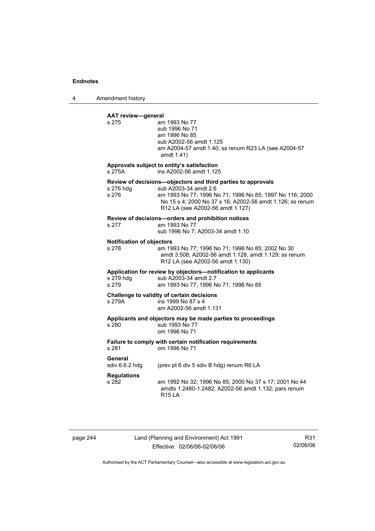4 Amendment history

## **AAT review—general**

| s 275                                     | am 1993 No 77<br>sub 1996 No 71<br>am 1996 No 85<br>sub A2002-56 amdt 1.125<br>am A2004-57 amdt 1.40; ss renum R23 LA (see A2004-57<br>amdt 1.41)                                                                                                  |
|-------------------------------------------|----------------------------------------------------------------------------------------------------------------------------------------------------------------------------------------------------------------------------------------------------|
| s 275A                                    | Approvals subject to entity's satisfaction<br>ins A2002-56 amdt 1.125                                                                                                                                                                              |
| s 276 hdg<br>s 276                        | Review of decisions-objectors and third parties to approvals<br>sub A2003-34 amdt 2.6<br>am 1993 No 77; 1996 No 71; 1996 No 85; 1997 No 116; 2000<br>No 15 s 4; 2000 No 37 s 16; A2002-56 amdt 1.126; ss renum<br>R12 LA (see A2002-56 amdt 1.127) |
| s 277                                     | Review of decisions-orders and prohibition notices<br>am 1993 No 77<br>sub 1996 No 7; A2003-34 amdt 1.10                                                                                                                                           |
| <b>Notification of objectors</b><br>s 278 | am 1993 No 77; 1996 No 71; 1996 No 85; 2002 No 30<br>amdt 3.508; A2002-56 amdt 1.128, amdt 1.129; ss renum<br>R12 LA (see A2002-56 amdt 1.130)                                                                                                     |
| s 279 hdg<br>s 279                        | Application for review by objectors-notification to applicants<br>sub A2003-34 amdt 2.7<br>am 1993 No 77; 1996 No 71; 1996 No 85                                                                                                                   |
| s 279A                                    | Challenge to validity of certain decisions<br>ins 1999 No 87 s 4<br>am A2002-56 amdt 1.131                                                                                                                                                         |
| s 280                                     | Applicants and objectors may be made parties to proceedings<br>sub 1993 No 77<br>om 1996 No 71                                                                                                                                                     |
| s 281                                     | Failure to comply with certain notification requirements<br>om 1996 No 71                                                                                                                                                                          |
| General<br>sdiv $6.6.2$ hdg               | (prev pt 6 div 5 sdiv B hdg) renum R6 LA                                                                                                                                                                                                           |
| <b>Regulations</b><br>s 282               | am 1992 No 32; 1996 No 85; 2000 No 37 s 17; 2001 No 44<br>amdts 1.2480-1.2482; A2002-56 amdt 1.132; pars renum<br><b>R15 LA</b>                                                                                                                    |

page 244 Land (Planning and Environment) Act 1991 Effective: 02/06/06-02/06/06

R31 02/06/06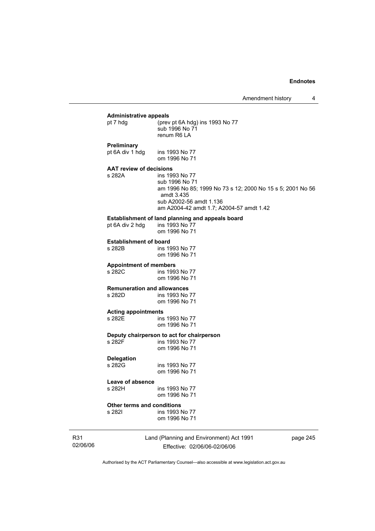5; 2001 No 56

### **Administrative appeals**  (prev pt 6A hdg) ins 1993 No 77

|                                | sub 1996 No 71                               |
|--------------------------------|----------------------------------------------|
|                                | renum R6 LA                                  |
| Preliminary                    |                                              |
| pt 6A div 1 hdg                | ins 1993 No 77                               |
|                                | om 1996 No 71                                |
| <b>AAT review of decisions</b> |                                              |
| s 282A                         | ins 1993 No 77                               |
|                                | sub 1996 No 71                               |
|                                | am 1996 No 85; 1999 No 73 s 12; 2000 No 15 s |
|                                | amdt 3.435                                   |
|                                | sub A2002-56 amdt 1.136                      |

am A2004-42 amdt 1.7; A2004-57 amdt 1.42

# **Establishment of land planning and appeals board** pt 6A div 2 hdg ins 1993 No 77

pt 6A div 2 hdg

om 1996 No 71

**Establishment of board**  ins 1993 No 77 om 1996 No 71

# **Appointment of members**

ins 1993 No 77 om 1996 No 71

# **Remuneration and allowances**

ins 1993 No 77 om 1996 No 71

### **Acting appointments**

s 282E ins 1993 No 77 om 1996 No 71

# **Deputy chairperson to act for chairperson**

ins 1993 No 77 om 1996 No 71

## **Delegation**

ins 1993 No 77 om 1996 No 71

### **Leave of absence**

s 282H ins 1993 No 77 om 1996 No 71

# **Other terms and conditions**

ins 1993 No 77 om 1996 No 71

R31 02/06/06 Land (Planning and Environment) Act 1991 Effective: 02/06/06-02/06/06

page 245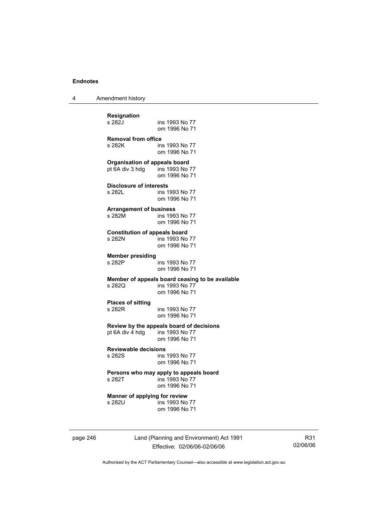4 Amendment history

| <b>Resignation</b>                                                     | ins 1993 No 77                                                                     |
|------------------------------------------------------------------------|------------------------------------------------------------------------------------|
| s 282J                                                                 | om 1996 No 71                                                                      |
| <b>Removal from office</b>                                             | ins 1993 No 77                                                                     |
| s 282K                                                                 | om 1996 No 71                                                                      |
| <b>Organisation of appeals board</b><br>pt 6A div 3 hdg ins 1993 No 77 | om 1996 No 71                                                                      |
| <b>Disclosure of interests</b>                                         | ins 1993 No 77                                                                     |
| s 282L                                                                 | om 1996 No 71                                                                      |
| <b>Arrangement of business</b>                                         | ins 1993 No 77                                                                     |
| s 282M                                                                 | om 1996 No 71                                                                      |
| <b>Constitution of appeals board</b>                                   | ins 1993 No 77                                                                     |
| s 282N                                                                 | om 1996 No 71                                                                      |
| <b>Member presiding</b>                                                | ins 1993 No 77                                                                     |
| s 282P                                                                 | om 1996 No 71                                                                      |
| s 2820                                                                 | Member of appeals board ceasing to be available<br>ins 1993 No 77<br>om 1996 No 71 |
| <b>Places of sitting</b>                                               | ins 1993 No 77                                                                     |
| s 282R                                                                 | om 1996 No 71                                                                      |
| pt 6A div 4 hdg ins 1993 No 77                                         | Review by the appeals board of decisions<br>om 1996 No 71                          |
| <b>Reviewable decisions</b>                                            | ins 1993 No 77                                                                     |
| s 282S                                                                 | om 1996 No 71                                                                      |
| s 282T                                                                 | Persons who may apply to appeals board<br>ins 1993 No 77<br>om 1996 No 71          |
| Manner of applying for review                                          | ins 1993 No 77                                                                     |
| s 282U                                                                 | om 1996 No 71                                                                      |

page 246 Land (Planning and Environment) Act 1991 Effective: 02/06/06-02/06/06

R31 02/06/06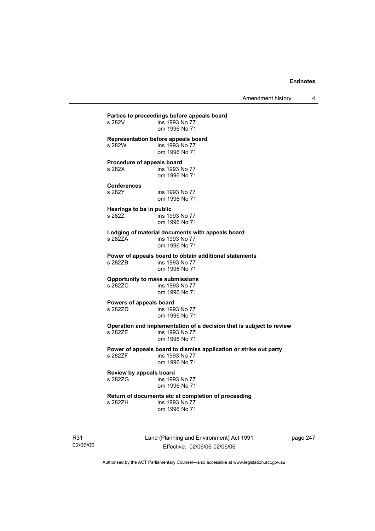Amendment history 4

**Parties to proceedings before appeals board**  ins 1993 No 77 om 1996 No 71 **Representation before appeals board**  s 282W ins 1993 No 77 om 1996 No 71 **Procedure of appeals board**  s 282X ins 1993 No 77 om 1996 No 71 **Conferences**  s 282Y ins 1993 No 77 om 1996 No 71 **Hearings to be in public**  s 282Z ins 1993 No 77 om 1996 No 71 **Lodging of material documents with appeals board**  ins 1993 No 77 om 1996 No 71 **Power of appeals board to obtain additional statements**  s 282ZB **ins 1993** No 77 om 1996 No 71 **Opportunity to make submissions**  ins 1993 No 77 om 1996 No 71 **Powers of appeals board**  ins 1993 No 77 om 1996 No 71 **Operation and implementation of a decision that is subject to review**  s 282ZE ins 1993 No 77 om 1996 No 71 **Power of appeals board to dismiss application or strike out party**  ins 1993 No 77 om 1996 No 71 **Review by appeals board**  ins 1993 No 77 om 1996 No 71 **Return of documents etc at completion of proceeding**  s 282ZH ins 1993 No 77 om 1996 No 71

R31 02/06/06 Land (Planning and Environment) Act 1991 Effective: 02/06/06-02/06/06

page 247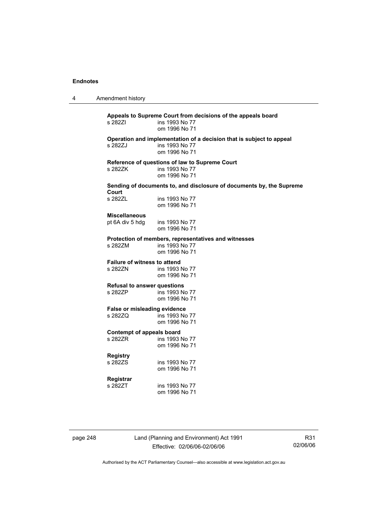4 Amendment history

**Appeals to Supreme Court from decisions of the appeals board**  ins 1993 No 77 om 1996 No 71 **Operation and implementation of a decision that is subject to appeal**  s 282ZJ ins 1993 No 77 om 1996 No 71 **Reference of questions of law to Supreme Court**  s 282ZK ins 1993 No 77 om 1996 No 71 **Sending of documents to, and disclosure of documents by, the Supreme Court**  ins 1993 No 77 om 1996 No 71 **Miscellaneous**  pt 6A div 5 hdg ins 1993 No 77 om 1996 No 71 **Protection of members, representatives and witnesses**  s 282ZM ins 1993 No 77 om 1996 No 71 **Failure of witness to attend**  s 282ZN ins 1993 No 77 om 1996 No 71 **Refusal to answer questions**  s 282ZP ins 1993 No 77 om 1996 No 71 **False or misleading evidence**  ins 1993 No 77 om 1996 No 71 **Contempt of appeals board**  s 282ZR ins 1993 No 77 om 1996 No 71 **Registry**  ins 1993 No 77 om 1996 No 71 **Registrar**  s 282ZT ins 1993 No 77 om 1996 No 71

page 248 Land (Planning and Environment) Act 1991 Effective: 02/06/06-02/06/06

R31 02/06/06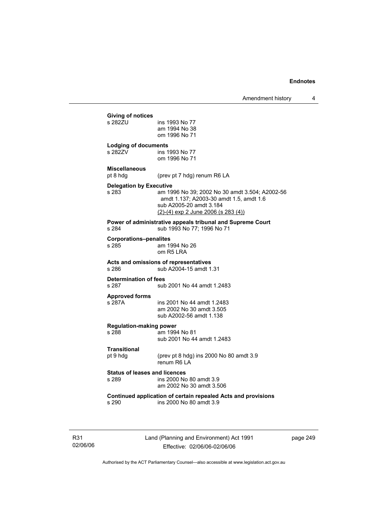| Giving of notices<br>s 282ZU                  | ins 1993 No 77<br>am 1994 No 38<br>om 1996 No 71                                                                                                                 |  |
|-----------------------------------------------|------------------------------------------------------------------------------------------------------------------------------------------------------------------|--|
| <b>Lodging of documents</b>                   |                                                                                                                                                                  |  |
| s 282ZV                                       | ins 1993 No 77<br>om 1996 No 71                                                                                                                                  |  |
| <b>Miscellaneous</b>                          |                                                                                                                                                                  |  |
| pt 8 hdg                                      | (prev pt 7 hdg) renum R6 LA                                                                                                                                      |  |
| <b>Delegation by Executive</b><br>s 283       | am 1996 No 39; 2002 No 30 amdt 3.504; A2002-56<br>amdt 1.137; A2003-30 amdt 1.5, amdt 1.6<br>sub A2005-20 amdt 3.184<br>$(2)-(4)$ exp 2 June 2006 (s 283 $(4)$ ) |  |
| s 284                                         | Power of administrative appeals tribunal and Supreme Court<br>sub 1993 No 77; 1996 No 71                                                                         |  |
| <b>Corporations-penalites</b><br>s 285        | am 1994 No 26<br>om R5 LRA                                                                                                                                       |  |
| s 286                                         | Acts and omissions of representatives<br>sub A2004-15 amdt 1.31                                                                                                  |  |
| <b>Determination of fees</b><br>s 287         | sub 2001 No 44 amdt 1.2483                                                                                                                                       |  |
| <b>Approved forms</b><br>s 287A               | ins 2001 No 44 amdt 1.2483<br>am 2002 No 30 amdt 3.505                                                                                                           |  |
|                                               | sub A2002-56 amdt 1.138                                                                                                                                          |  |
| <b>Regulation-making power</b>                |                                                                                                                                                                  |  |
| s 288                                         | am 1994 No 81<br>sub 2001 No 44 amdt 1.2483                                                                                                                      |  |
| <b>Transitional</b>                           |                                                                                                                                                                  |  |
| pt 9 hdg                                      | (prev pt 8 hdg) ins 2000 No 80 amdt 3.9<br>renum R6 LA                                                                                                           |  |
| <b>Status of leases and licences</b><br>s 289 | ins 2000 No 80 amdt 3.9<br>am 2002 No 30 amdt 3.506                                                                                                              |  |
| s 290                                         | Continued application of certain repealed Acts and provisions<br>ins 2000 No 80 amdt 3.9                                                                         |  |
|                                               |                                                                                                                                                                  |  |

R31 02/06/06 Land (Planning and Environment) Act 1991 Effective: 02/06/06-02/06/06

page 249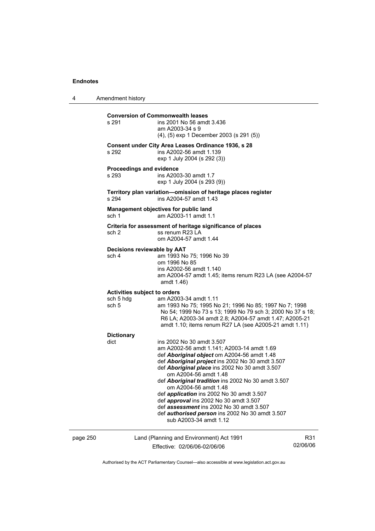4 Amendment history page 250 Land (Planning and Environment) Act 1991 R31 **Conversion of Commonwealth leases**  s 291 ins 2001 No 56 amdt 3.436 am A2003-34 s 9 (4), (5) exp 1 December 2003 (s 291 (5)) **Consent under City Area Leases Ordinance 1936, s 28**  s 292 ins A2002-56 amdt 1.139 exp 1 July 2004 (s 292 (3)) **Proceedings and evidence**  s 293 ins A2003-30 amdt 1.7 exp 1 July 2004 (s 293 (9)) **Territory plan variation—omission of heritage places register**  s 294 ins A2004-57 amdt 1.43 **Management objectives for public land**  sch 1 am A2003-11 amdt 1.1 **Criteria for assessment of heritage significance of places**  sch 2 ss renum R23 LA om A2004-57 amdt 1.44 **Decisions reviewable by AAT**  sch 4 am 1993 No 75; 1996 No 39 om 1996 No 85 ins A2002-56 amdt 1.140 am A2004-57 amdt 1.45; items renum R23 LA (see A2004-57 amdt 1.46) **Activities subject to orders**  sch 5 hdg am A2003-34 amdt 1.11 sch 5 am 1993 No 75; 1995 No 21; 1996 No 85; 1997 No 7; 1998 No 54; 1999 No 73 s 13; 1999 No 79 sch 3; 2000 No 37 s 18; R6 LA; A2003-34 amdt 2.8; A2004-57 amdt 1.47; A2005-21 amdt 1.10; items renum R27 LA (see A2005-21 amdt 1.11) **Dictionary**  ins 2002 No 30 amdt 3.507 am A2002-56 amdt 1.141; A2003-14 amdt 1.69 def *Aboriginal object* om A2004-56 amdt 1.48 def *Aboriginal project* ins 2002 No 30 amdt 3.507 def *Aboriginal place* ins 2002 No 30 amdt 3.507 om A2004-56 amdt 1.48 def *Aboriginal tradition* ins 2002 No 30 amdt 3.507 om A2004-56 amdt 1.48 def *application* ins 2002 No 30 amdt 3.507 def *approval* ins 2002 No 30 amdt 3.507 def *assessment* ins 2002 No 30 amdt 3.507 def *authorised person* ins 2002 No 30 amdt 3.507 sub A2003-34 amdt 1.12

Effective: 02/06/06-02/06/06

02/06/06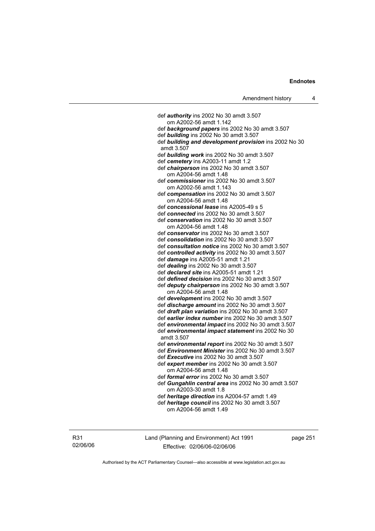def *authority* ins 2002 No 30 amdt 3.507 om A2002-56 amdt 1.142 def *background papers* ins 2002 No 30 amdt 3.507 def *building* ins 2002 No 30 amdt 3.507 def *building and development provision* ins 2002 No 30 amdt 3.507 def *building work* ins 2002 No 30 amdt 3.507 def *cemetery* ins A2003-11 amdt 1.2 def *chairperson* ins 2002 No 30 amdt 3.507 om A2004-56 amdt 1.48 def *commissioner* ins 2002 No 30 amdt 3.507 om A2002-56 amdt 1.143 def *compensation* ins 2002 No 30 amdt 3.507 om A2004-56 amdt 1.48 def *concessional lease* ins A2005-49 s 5 def *connected* ins 2002 No 30 amdt 3.507 def *conservation* ins 2002 No 30 amdt 3.507 om A2004-56 amdt 1.48 def *conservator* ins 2002 No 30 amdt 3.507 def *consolidation* ins 2002 No 30 amdt 3.507 def *consultation notice* ins 2002 No 30 amdt 3.507 def *controlled activity* ins 2002 No 30 amdt 3.507 def *damage* ins A2005-51 amdt 1.21 def *dealing* ins 2002 No 30 amdt 3.507 def *declared site* ins A2005-51 amdt 1.21 def *defined decision* ins 2002 No 30 amdt 3.507 def *deputy chairperson* ins 2002 No 30 amdt 3.507 om A2004-56 amdt 1.48 def *development* ins 2002 No 30 amdt 3.507 def *discharge amount* ins 2002 No 30 amdt 3.507 def *draft plan variation* ins 2002 No 30 amdt 3.507 def *earlier index number* ins 2002 No 30 amdt 3.507 def *environmental impact* ins 2002 No 30 amdt 3.507 def *environmental impact statement* ins 2002 No 30 amdt 3.507 def *environmental report* ins 2002 No 30 amdt 3.507 def *Environment Minister* ins 2002 No 30 amdt 3.507 def *Executive* ins 2002 No 30 amdt 3.507 def *expert member* ins 2002 No 30 amdt 3.507 om A2004-56 amdt 1.48 def *formal error* ins 2002 No 30 amdt 3.507 def *Gungahlin central area* ins 2002 No 30 amdt 3.507 om A2003-30 amdt 1.8 def *heritage direction* ins A2004-57 amdt 1.49 def *heritage council* ins 2002 No 30 amdt 3.507 om A2004-56 amdt 1.49

R31 02/06/06 Land (Planning and Environment) Act 1991 Effective: 02/06/06-02/06/06

page 251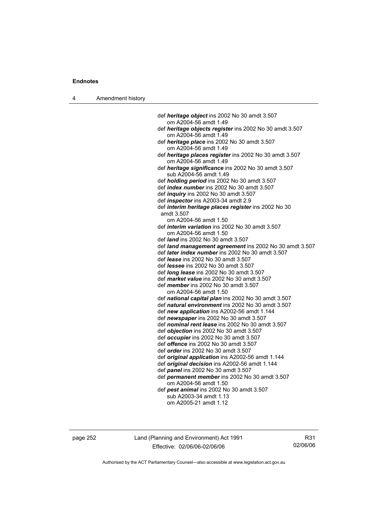4 Amendment history

 def *heritage object* ins 2002 No 30 amdt 3.507 om A2004-56 amdt 1.49 def *heritage objects register* ins 2002 No 30 amdt 3.507 om A2004-56 amdt 1.49 def *heritage place* ins 2002 No 30 amdt 3.507 om A2004-56 amdt 1.49 def *heritage places register* ins 2002 No 30 amdt 3.507 om A2004-56 amdt 1.49 def *heritage significance* ins 2002 No 30 amdt 3.507 sub A2004-56 amdt 1.49 def *holding period* ins 2002 No 30 amdt 3.507 def *index number* ins 2002 No 30 amdt 3.507 def *inquiry* ins 2002 No 30 amdt 3.507 def *inspector* ins A2003-34 amdt 2.9 def *interim heritage places register* ins 2002 No 30 amdt 3.507 om A2004-56 amdt 1.50 def *interim variation* ins 2002 No 30 amdt 3.507 om A2004-56 amdt 1.50 def *land* ins 2002 No 30 amdt 3.507 def *land management agreement* ins 2002 No 30 amdt 3.507 def *later index number* ins 2002 No 30 amdt 3.507 def *lease* ins 2002 No 30 amdt 3.507 def *lessee* ins 2002 No 30 amdt 3.507 def *long lease* ins 2002 No 30 amdt 3.507 def *market value* ins 2002 No 30 amdt 3.507 def *member* ins 2002 No 30 amdt 3.507 om A2004-56 amdt 1.50 def *national capital plan* ins 2002 No 30 amdt 3.507 def *natural environment* ins 2002 No 30 amdt 3.507 def *new application* ins A2002-56 amdt 1.144 def *newspaper* ins 2002 No 30 amdt 3.507 def *nominal rent lease* ins 2002 No 30 amdt 3.507 def *objection* ins 2002 No 30 amdt 3.507 def *occupier* ins 2002 No 30 amdt 3.507 def *offence* ins 2002 No 30 amdt 3.507 def *order* ins 2002 No 30 amdt 3.507 def *original application* ins A2002-56 amdt 1.144 def *original decision* ins A2002-56 amdt 1.144 def *panel* ins 2002 No 30 amdt 3.507 def *permanent member* ins 2002 No 30 amdt 3.507 om A2004-56 amdt 1.50 def *pest animal* ins 2002 No 30 amdt 3.507 sub A2003-34 amdt 1.13 om A2005-21 amdt 1.12

page 252 Land (Planning and Environment) Act 1991 Effective: 02/06/06-02/06/06

R31 02/06/06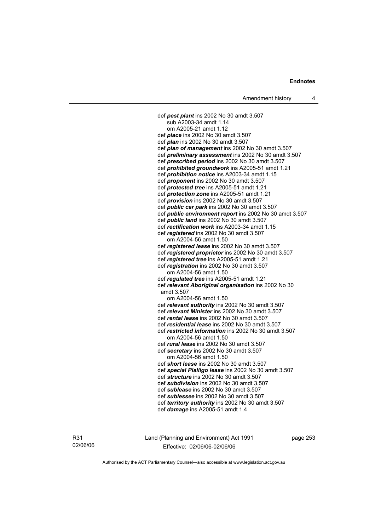def *pest plant* ins 2002 No 30 amdt 3.507 sub A2003-34 amdt 1.14 om A2005-21 amdt 1.12 def *place* ins 2002 No 30 amdt 3.507 def *plan* ins 2002 No 30 amdt 3.507 def *plan of management* ins 2002 No 30 amdt 3.507 def *preliminary assessment* ins 2002 No 30 amdt 3.507 def *prescribed period* ins 2002 No 30 amdt 3.507 def *prohibited groundwork* ins A2005-51 amdt 1.21 def *prohibition notice* ins A2003-34 amdt 1.15 def *proponent* ins 2002 No 30 amdt 3.507 def *protected tree* ins A2005-51 amdt 1.21 def *protection zone* ins A2005-51 amdt 1.21 def *provision* ins 2002 No 30 amdt 3.507 def *public car park* ins 2002 No 30 amdt 3.507 def *public environment report* ins 2002 No 30 amdt 3.507 def *public land* ins 2002 No 30 amdt 3.507 def *rectification work* ins A2003-34 amdt 1.15 def *registered* ins 2002 No 30 amdt 3.507 om A2004-56 amdt 1.50 def *registered lease* ins 2002 No 30 amdt 3.507 def *registered proprietor* ins 2002 No 30 amdt 3.507 def *registered tree* ins A2005-51 amdt 1.21 def *registration* ins 2002 No 30 amdt 3.507 om A2004-56 amdt 1.50 def *regulated tree* ins A2005-51 amdt 1.21 def *relevant Aboriginal organisation* ins 2002 No 30 amdt 3.507 om A2004-56 amdt 1.50 def *relevant authority* ins 2002 No 30 amdt 3.507 def *relevant Minister* ins 2002 No 30 amdt 3.507 def *rental lease* ins 2002 No 30 amdt 3.507 def *residential lease* ins 2002 No 30 amdt 3.507 def *restricted information* ins 2002 No 30 amdt 3.507 om A2004-56 amdt 1.50 def *rural lease* ins 2002 No 30 amdt 3.507 def *secretary* ins 2002 No 30 amdt 3.507 om A2004-56 amdt 1.50 def *short lease* ins 2002 No 30 amdt 3.507 def *special Pialligo lease* ins 2002 No 30 amdt 3.507 def *structure* ins 2002 No 30 amdt 3.507 def *subdivision* ins 2002 No 30 amdt 3.507 def *sublease* ins 2002 No 30 amdt 3.507 def *sublessee* ins 2002 No 30 amdt 3.507 def *territory authority* ins 2002 No 30 amdt 3.507 def *damage* ins A2005-51 amdt 1.4

R31 02/06/06 Land (Planning and Environment) Act 1991 Effective: 02/06/06-02/06/06

page 253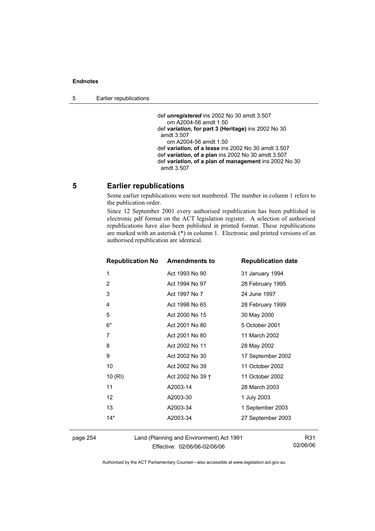def *unregistered* ins 2002 No 30 amdt 3.507 om A2004-56 amdt 1.50 def *variation***, for part 3 (Heritage)** ins 2002 No 30 amdt 3.507 om A2004-56 amdt 1.50 def *variation***, of a lease** ins 2002 No 30 amdt 3.507 def *variation***, of a plan** ins 2002 No 30 amdt 3.507 def *variation***, of a plan of management** ins 2002 No 30 amdt 3.507

## **5 Earlier republications**

Some earlier republications were not numbered. The number in column 1 refers to the publication order.

Since 12 September 2001 every authorised republication has been published in electronic pdf format on the ACT legislation register. A selection of authorised republications have also been published in printed format. These republications are marked with an asterisk (\*) in column 1. Electronic and printed versions of an authorised republication are identical.

| <b>Republication No Amendments to</b> |                  | <b>Republication date</b> |
|---------------------------------------|------------------|---------------------------|
| 1                                     | Act 1993 No 90   | 31 January 1994           |
| $\overline{2}$                        | Act 1994 No 97   | 28 February 1995          |
| 3                                     | Act 1997 No 7    | 24 June 1997              |
| 4                                     | Act 1998 No 65   | 28 February 1999          |
| 5                                     | Act 2000 No 15   | 30 May 2000               |
| 6*                                    | Act 2001 No 80   | 5 October 2001            |
| 7                                     | Act 2001 No 80   | 11 March 2002             |
| 8                                     | Act 2002 No 11   | 28 May 2002               |
| 9                                     | Act 2002 No 30   | 17 September 2002         |
| 10                                    | Act 2002 No 39   | 11 October 2002           |
| 10(RI)                                | Act 2002 No 39 + | 11 October 2002           |
| 11                                    | A2003-14         | 28 March 2003             |
| $12 \overline{ }$                     | A2003-30         | 1 July 2003               |
| 13                                    | A2003-34         | 1 September 2003          |
| $14*$                                 | A2003-34         | 27 September 2003         |
|                                       |                  |                           |

page 254 Land (Planning and Environment) Act 1991 Effective: 02/06/06-02/06/06

R31 02/06/06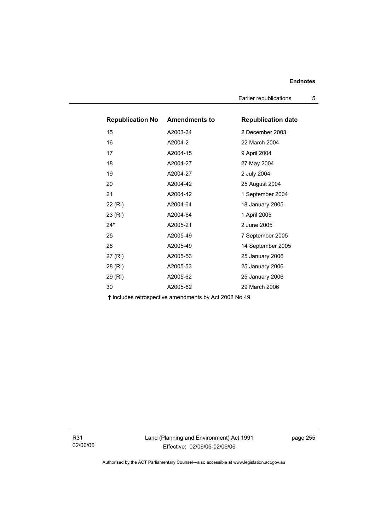Earlier republications 5

| <b>Republication No</b> | <b>Amendments to</b> | <b>Republication date</b> |
|-------------------------|----------------------|---------------------------|
| 15                      | A2003-34             | 2 December 2003           |
| 16                      | A2004-2              | 22 March 2004             |
| 17                      | A2004-15             | 9 April 2004              |
| 18                      | A2004-27             | 27 May 2004               |
| 19                      | A2004-27             | 2 July 2004               |
| 20                      | A2004-42             | 25 August 2004            |
| 21                      | A2004-42             | 1 September 2004          |
| 22 (RI)                 | A2004-64             | 18 January 2005           |
| 23 (RI)                 | A2004-64             | 1 April 2005              |
| $24*$                   | A2005-21             | 2 June 2005               |
| 25                      | A2005-49             | 7 September 2005          |
| 26                      | A2005-49             | 14 September 2005         |
| 27 (RI)                 | A2005-53             | 25 January 2006           |
| 28 (RI)                 | A2005-53             | 25 January 2006           |
| 29 (RI)                 | A2005-62             | 25 January 2006           |
| 30                      | A2005-62             | 29 March 2006             |

† includes retrospective amendments by Act 2002 No 49

R31 02/06/06